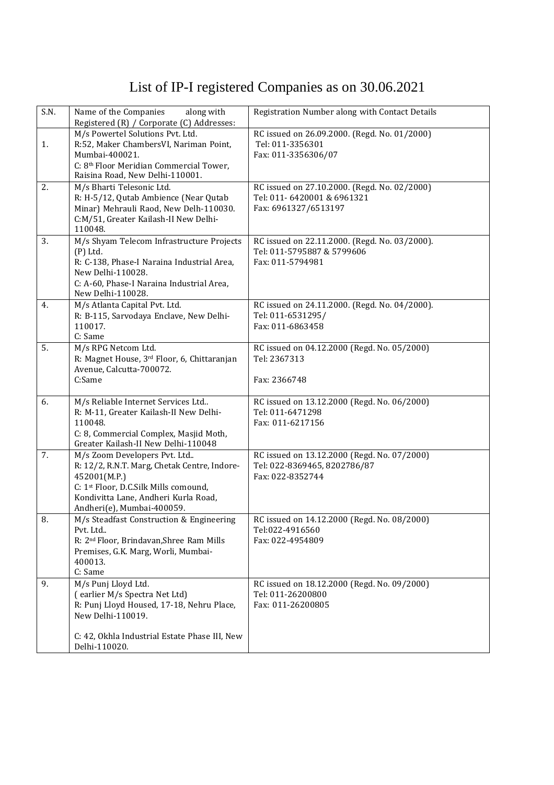## List of IP-I registered Companies as on 30.06.2021

| S.N. | Name of the Companies<br>along with<br>Registered (R) / Corporate (C) Addresses:                                                                                                                            | Registration Number along with Contact Details                                                     |
|------|-------------------------------------------------------------------------------------------------------------------------------------------------------------------------------------------------------------|----------------------------------------------------------------------------------------------------|
| 1.   | M/s Powertel Solutions Pvt. Ltd.<br>R:52, Maker ChambersVI, Nariman Point,<br>Mumbai-400021.<br>C: 8th Floor Meridian Commercial Tower,<br>Raisina Road, New Delhi-110001.                                  | RC issued on 26.09.2000. (Regd. No. 01/2000)<br>Tel: 011-3356301<br>Fax: 011-3356306/07            |
| 2.   | M/s Bharti Telesonic Ltd.<br>R: H-5/12, Qutab Ambience (Near Qutab<br>Minar) Mehrauli Raod, New Delh-110030.<br>C:M/51, Greater Kailash-II New Delhi-<br>110048.                                            | RC issued on 27.10.2000. (Regd. No. 02/2000)<br>Tel: 011-6420001 & 6961321<br>Fax: 6961327/6513197 |
| 3.   | M/s Shyam Telecom Infrastructure Projects<br>$(P)$ Ltd.<br>R: C-138, Phase-I Naraina Industrial Area,<br>New Delhi-110028.<br>C: A-60, Phase-I Naraina Industrial Area,<br>New Delhi-110028.                | RC issued on 22.11.2000. (Regd. No. 03/2000).<br>Tel: 011-5795887 & 5799606<br>Fax: 011-5794981    |
| 4.   | M/s Atlanta Capital Pvt. Ltd.<br>R: B-115, Sarvodaya Enclave, New Delhi-<br>110017.<br>C: Same                                                                                                              | RC issued on 24.11.2000. (Regd. No. 04/2000).<br>Tel: 011-6531295/<br>Fax: 011-6863458             |
| 5.   | M/s RPG Netcom Ltd.<br>R: Magnet House, 3rd Floor, 6, Chittaranjan<br>Avenue, Calcutta-700072.<br>C:Same                                                                                                    | RC issued on 04.12.2000 (Regd. No. 05/2000)<br>Tel: 2367313<br>Fax: 2366748                        |
| 6.   | M/s Reliable Internet Services Ltd<br>R: M-11, Greater Kailash-II New Delhi-<br>110048.<br>C: 8, Commercial Complex, Masjid Moth,<br>Greater Kailash-II New Delhi-110048                                    | RC issued on 13.12.2000 (Regd. No. 06/2000)<br>Tel: 011-6471298<br>Fax: 011-6217156                |
| 7.   | M/s Zoom Developers Pvt. Ltd<br>R: 12/2, R.N.T. Marg, Chetak Centre, Indore-<br>452001(M.P.)<br>C: 1st Floor, D.C.Silk Mills comound,<br>Kondivitta Lane, Andheri Kurla Road,<br>Andheri(e), Mumbai-400059. | RC issued on 13.12.2000 (Regd. No. 07/2000)<br>Tel: 022-8369465, 8202786/87<br>Fax: 022-8352744    |
| 8.   | M/s Steadfast Construction & Engineering<br>Pvt. Ltd<br>R: 2 <sup>nd</sup> Floor, Brindavan, Shree Ram Mills<br>Premises, G.K. Marg, Worli, Mumbai-<br>400013.<br>C: Same                                   | RC issued on 14.12.2000 (Regd. No. 08/2000)<br>Tel:022-4916560<br>Fax: 022-4954809                 |
| 9.   | M/s Punj Lloyd Ltd.<br>(earlier M/s Spectra Net Ltd)<br>R: Punj Lloyd Housed, 17-18, Nehru Place,<br>New Delhi-110019.                                                                                      | RC issued on 18.12.2000 (Regd. No. 09/2000)<br>Tel: 011-26200800<br>Fax: 011-26200805              |
|      | C: 42, Okhla Industrial Estate Phase III, New<br>Delhi-110020.                                                                                                                                              |                                                                                                    |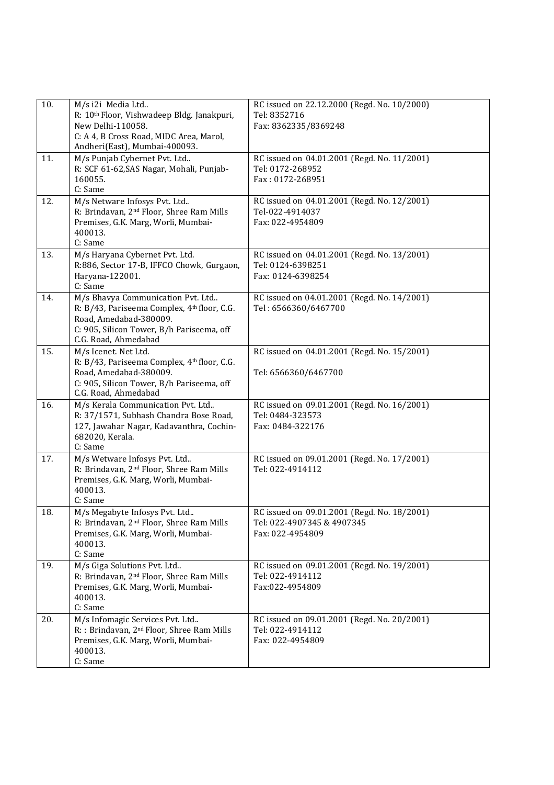| 10. | M/s i2i Media Ltd<br>R: 10 <sup>th</sup> Floor, Vishwadeep Bldg. Janakpuri,<br>New Delhi-110058.<br>C: A 4, B Cross Road, MIDC Area, Marol,<br>Andheri(East), Mumbai-400093.    | RC issued on 22.12.2000 (Regd. No. 10/2000)<br>Tel: 8352716<br>Fax: 8362335/8369248           |
|-----|---------------------------------------------------------------------------------------------------------------------------------------------------------------------------------|-----------------------------------------------------------------------------------------------|
| 11. | M/s Punjab Cybernet Pvt. Ltd<br>R: SCF 61-62, SAS Nagar, Mohali, Punjab-<br>160055.<br>C: Same                                                                                  | RC issued on 04.01.2001 (Regd. No. 11/2001)<br>Tel: 0172-268952<br>Fax: 0172-268951           |
| 12. | M/s Netware Infosys Pvt. Ltd<br>R: Brindavan, 2 <sup>nd</sup> Floor, Shree Ram Mills<br>Premises, G.K. Marg, Worli, Mumbai-<br>400013.<br>C: Same                               | RC issued on 04.01.2001 (Regd. No. 12/2001)<br>Tel-022-4914037<br>Fax: 022-4954809            |
| 13. | M/s Haryana Cybernet Pvt. Ltd.<br>R:886, Sector 17-B, IFFCO Chowk, Gurgaon,<br>Haryana-122001.<br>C: Same                                                                       | RC issued on 04.01.2001 (Regd. No. 13/2001)<br>Tel: 0124-6398251<br>Fax: 0124-6398254         |
| 14. | M/s Bhavya Communication Pvt. Ltd<br>R: B/43, Pariseema Complex, 4th floor, C.G.<br>Road, Amedabad-380009.<br>C: 905, Silicon Tower, B/h Pariseema, off<br>C.G. Road, Ahmedabad | RC issued on 04.01.2001 (Regd. No. 14/2001)<br>Tel: 6566360/6467700                           |
| 15. | M/s Icenet. Net Ltd.<br>R: B/43, Pariseema Complex, 4th floor, C.G.<br>Road, Amedabad-380009.<br>C: 905, Silicon Tower, B/h Pariseema, off<br>C.G. Road, Ahmedabad              | RC issued on 04.01.2001 (Regd. No. 15/2001)<br>Tel: 6566360/6467700                           |
| 16. | M/s Kerala Communication Pvt. Ltd<br>R: 37/1571, Subhash Chandra Bose Road,<br>127, Jawahar Nagar, Kadavanthra, Cochin-<br>682020, Kerala.<br>C: Same                           | RC issued on 09.01.2001 (Regd. No. 16/2001)<br>Tel: 0484-323573<br>Fax: 0484-322176           |
| 17. | M/s Wetware Infosys Pvt. Ltd<br>R: Brindavan, 2 <sup>nd</sup> Floor, Shree Ram Mills<br>Premises, G.K. Marg, Worli, Mumbai-<br>400013.<br>C: Same                               | RC issued on 09.01.2001 (Regd. No. 17/2001)<br>Tel: 022-4914112                               |
| 18. | M/s Megabyte Infosys Pvt. Ltd<br>R: Brindavan, 2 <sup>nd</sup> Floor, Shree Ram Mills<br>Premises, G.K. Marg, Worli, Mumbai-<br>400013.<br>C: Same                              | RC issued on 09.01.2001 (Regd. No. 18/2001)<br>Tel: 022-4907345 & 4907345<br>Fax: 022-4954809 |
| 19. | M/s Giga Solutions Pvt. Ltd<br>R: Brindavan, 2 <sup>nd</sup> Floor, Shree Ram Mills<br>Premises, G.K. Marg, Worli, Mumbai-<br>400013.<br>C: Same                                | RC issued on 09.01.2001 (Regd. No. 19/2001)<br>Tel: 022-4914112<br>Fax:022-4954809            |
| 20. | M/s Infomagic Services Pvt. Ltd<br>R: : Brindavan, 2 <sup>nd</sup> Floor, Shree Ram Mills<br>Premises, G.K. Marg, Worli, Mumbai-<br>400013.<br>C: Same                          | RC issued on 09.01.2001 (Regd. No. 20/2001)<br>Tel: 022-4914112<br>Fax: 022-4954809           |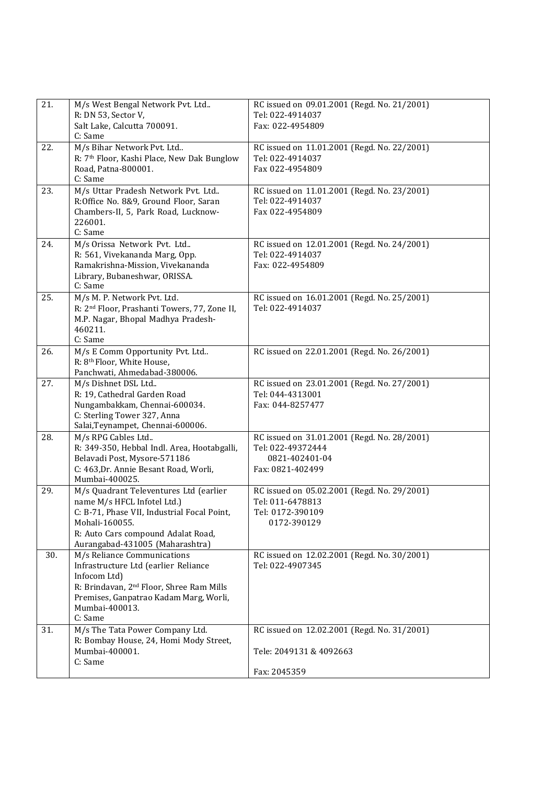| 21. | M/s West Bengal Network Pvt. Ltd                         | RC issued on 09.01.2001 (Regd. No. 21/2001) |
|-----|----------------------------------------------------------|---------------------------------------------|
|     | R: DN 53, Sector V,                                      | Tel: 022-4914037                            |
|     | Salt Lake, Calcutta 700091.                              | Fax: 022-4954809                            |
|     | C: Same                                                  |                                             |
| 22. | M/s Bihar Network Pvt. Ltd                               | RC issued on 11.01.2001 (Regd. No. 22/2001) |
|     |                                                          |                                             |
|     | R: 7th Floor, Kashi Place, New Dak Bunglow               | Tel: 022-4914037                            |
|     | Road, Patna-800001.                                      | Fax 022-4954809                             |
|     | C: Same                                                  |                                             |
| 23. | M/s Uttar Pradesh Network Pvt. Ltd                       | RC issued on 11.01.2001 (Regd. No. 23/2001) |
|     | R:Office No. 8&9, Ground Floor, Saran                    | Tel: 022-4914037                            |
|     | Chambers-II, 5, Park Road, Lucknow-                      | Fax 022-4954809                             |
|     | 226001.                                                  |                                             |
|     | C: Same                                                  |                                             |
| 24. | M/s Orissa Network Pvt. Ltd                              | RC issued on 12.01.2001 (Regd. No. 24/2001) |
|     |                                                          | Tel: 022-4914037                            |
|     | R: 561, Vivekananda Marg, Opp.                           |                                             |
|     | Ramakrishna-Mission, Vivekananda                         | Fax: 022-4954809                            |
|     | Library, Bubaneshwar, ORISSA.                            |                                             |
|     | C: Same                                                  |                                             |
| 25. | M/s M. P. Network Pvt. Ltd.                              | RC issued on 16.01.2001 (Regd. No. 25/2001) |
|     | R: 2 <sup>nd</sup> Floor, Prashanti Towers, 77, Zone II, | Tel: 022-4914037                            |
|     | M.P. Nagar, Bhopal Madhya Pradesh-                       |                                             |
|     | 460211.                                                  |                                             |
|     | C: Same                                                  |                                             |
| 26. | M/s E Comm Opportunity Pvt. Ltd                          | RC issued on 22.01.2001 (Regd. No. 26/2001) |
|     |                                                          |                                             |
|     | R: 8th Floor, White House,                               |                                             |
|     | Panchwati, Ahmedabad-380006.                             |                                             |
| 27. | M/s Dishnet DSL Ltd                                      | RC issued on 23.01.2001 (Regd. No. 27/2001) |
|     | R: 19, Cathedral Garden Road                             | Tel: 044-4313001                            |
|     | Nungambakkam, Chennai-600034.                            | Fax: 044-8257477                            |
|     | C: Sterling Tower 327, Anna                              |                                             |
|     | Salai, Teynampet, Chennai-600006.                        |                                             |
| 28. | M/s RPG Cables Ltd                                       | RC issued on 31.01.2001 (Regd. No. 28/2001) |
|     | R: 349-350, Hebbal Indl. Area, Hootabgalli,              | Tel: 022-49372444                           |
|     | Belavadi Post, Mysore-571186                             | 0821-402401-04                              |
|     |                                                          | Fax: 0821-402499                            |
|     | C: 463, Dr. Annie Besant Road, Worli,                    |                                             |
|     | Mumbai-400025.                                           |                                             |
| 29. | M/s Quadrant Televentures Ltd (earlier                   | RC issued on 05.02.2001 (Regd. No. 29/2001) |
|     | name M/s HFCL Infotel Ltd.)                              | Tel: 011-6478813                            |
|     | C: B-71, Phase VII, Industrial Focal Point,              | Tel: 0172-390109                            |
|     | Mohali-160055.                                           | 0172-390129                                 |
|     | R: Auto Cars compound Adalat Road,                       |                                             |
|     | Aurangabad-431005 (Maharashtra)                          |                                             |
| 30. | M/s Reliance Communications                              | RC issued on 12.02.2001 (Regd. No. 30/2001) |
|     | Infrastructure Ltd (earlier Reliance                     | Tel: 022-4907345                            |
|     | Infocom Ltd)                                             |                                             |
|     |                                                          |                                             |
|     | R: Brindavan, 2 <sup>nd</sup> Floor, Shree Ram Mills     |                                             |
|     | Premises, Ganpatrao Kadam Marg, Worli,                   |                                             |
|     | Mumbai-400013.                                           |                                             |
|     | C: Same                                                  |                                             |
| 31. | M/s The Tata Power Company Ltd.                          | RC issued on 12.02.2001 (Regd. No. 31/2001) |
|     | R: Bombay House, 24, Homi Mody Street,                   |                                             |
|     | Mumbai-400001.                                           | Tele: 2049131 & 4092663                     |
|     | C: Same                                                  |                                             |
|     |                                                          | Fax: 2045359                                |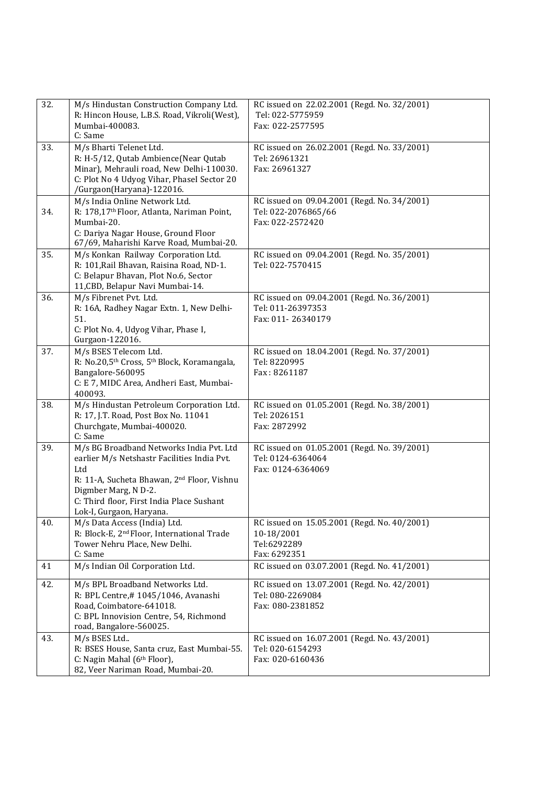| 32.               | M/s Hindustan Construction Company Ltd.<br>R: Hincon House, L.B.S. Road, Vikroli(West),<br>Mumbai-400083.<br>C: Same                                                                                                                                      | RC issued on 22.02.2001 (Regd. No. 32/2001)<br>Tel: 022-5775959<br>Fax: 022-2577595      |
|-------------------|-----------------------------------------------------------------------------------------------------------------------------------------------------------------------------------------------------------------------------------------------------------|------------------------------------------------------------------------------------------|
| 33.               | M/s Bharti Telenet Ltd.<br>R: H-5/12, Qutab Ambience(Near Qutab<br>Minar), Mehrauli road, New Delhi-110030.<br>C: Plot No 4 Udyog Vihar, Phasel Sector 20<br>/Gurgaon(Haryana)-122016.                                                                    | RC issued on 26.02.2001 (Regd. No. 33/2001)<br>Tel: 26961321<br>Fax: 26961327            |
| 34.               | M/s India Online Network Ltd.<br>R: 178,17 <sup>th</sup> Floor, Atlanta, Nariman Point,<br>Mumbai-20.<br>C: Dariya Nagar House, Ground Floor<br>67/69, Maharishi Karve Road, Mumbai-20.                                                                   | RC issued on 09.04.2001 (Regd. No. 34/2001)<br>Tel: 022-2076865/66<br>Fax: 022-2572420   |
| 35.               | M/s Konkan Railway Corporation Ltd.<br>R: 101, Rail Bhavan, Raisina Road, ND-1.<br>C: Belapur Bhavan, Plot No.6, Sector<br>11, CBD, Belapur Navi Mumbai-14.                                                                                               | RC issued on 09.04.2001 (Regd. No. 35/2001)<br>Tel: 022-7570415                          |
| $\overline{36}$ . | M/s Fibrenet Pvt. Ltd.<br>R: 16A, Radhey Nagar Extn. 1, New Delhi-<br>51.<br>C: Plot No. 4, Udyog Vihar, Phase I,<br>Gurgaon-122016.                                                                                                                      | RC issued on 09.04.2001 (Regd. No. 36/2001)<br>Tel: 011-26397353<br>Fax: 011-26340179    |
| 37.               | M/s BSES Telecom Ltd.<br>R: No.20,5th Cross, 5th Block, Koramangala,<br>Bangalore-560095<br>C: E 7, MIDC Area, Andheri East, Mumbai-<br>400093.                                                                                                           | RC issued on 18.04.2001 (Regd. No. 37/2001)<br>Tel: 8220995<br>Fax: 8261187              |
| 38.               | M/s Hindustan Petroleum Corporation Ltd.<br>R: 17, J.T. Road, Post Box No. 11041<br>Churchgate, Mumbai-400020.<br>C: Same                                                                                                                                 | RC issued on 01.05.2001 (Regd. No. 38/2001)<br>Tel: 2026151<br>Fax: 2872992              |
| 39.               | M/s BG Broadband Networks India Pvt. Ltd<br>earlier M/s Netshastr Facilities India Pvt.<br>Ltd<br>R: 11-A, Sucheta Bhawan, 2 <sup>nd</sup> Floor, Vishnu<br>Digmber Marg, N D-2.<br>C: Third floor, First India Place Sushant<br>Lok-I, Gurgaon, Haryana. | RC issued on 01.05.2001 (Regd. No. 39/2001)<br>Tel: 0124-6364064<br>Fax: 0124-6364069    |
| 40.               | M/s Data Access (India) Ltd.<br>R: Block-E, 2 <sup>nd</sup> Floor, International Trade<br>Tower Nehru Place, New Delhi.<br>C: Same                                                                                                                        | RC issued on 15.05.2001 (Regd. No. 40/2001)<br>10-18/2001<br>Tel:6292289<br>Fax: 6292351 |
| 41                | M/s Indian Oil Corporation Ltd.                                                                                                                                                                                                                           | RC issued on 03.07.2001 (Regd. No. 41/2001)                                              |
| 42.               | M/s BPL Broadband Networks Ltd.<br>R: BPL Centre,# 1045/1046, Avanashi<br>Road, Coimbatore-641018.<br>C: BPL Innovision Centre, 54, Richmond<br>road, Bangalore-560025.                                                                                   | RC issued on 13.07.2001 (Regd. No. 42/2001)<br>Tel: 080-2269084<br>Fax: 080-2381852      |
| 43.               | M/s BSES Ltd<br>R: BSES House, Santa cruz, East Mumbai-55.<br>C: Nagin Mahal (6th Floor),<br>82, Veer Nariman Road, Mumbai-20.                                                                                                                            | RC issued on 16.07.2001 (Regd. No. 43/2001)<br>Tel: 020-6154293<br>Fax: 020-6160436      |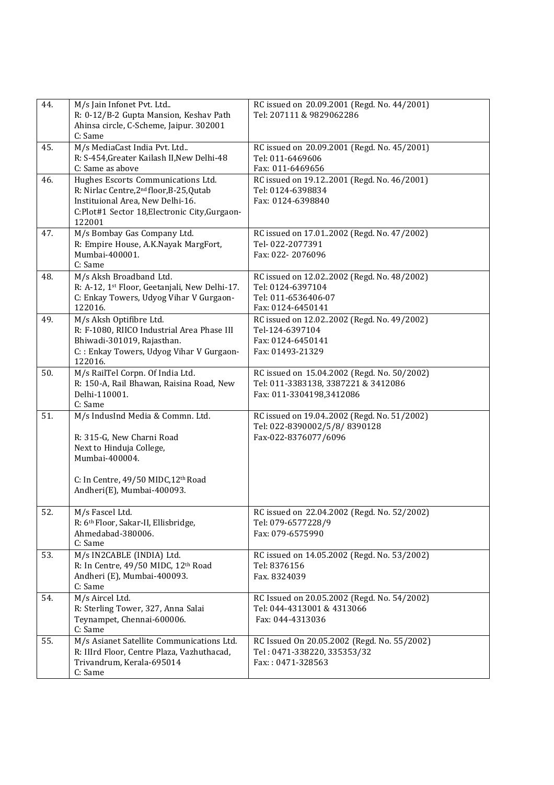| 44. | M/s Jain Infonet Pvt. Ltd<br>R: 0-12/B-2 Gupta Mansion, Keshav Path<br>Ahinsa circle, C-Scheme, Jaipur. 302001<br>C: Same                                                                 | RC issued on 20.09.2001 (Regd. No. 44/2001)<br>Tel: 207111 & 9829062286                                        |
|-----|-------------------------------------------------------------------------------------------------------------------------------------------------------------------------------------------|----------------------------------------------------------------------------------------------------------------|
| 45. | M/s MediaCast India Pvt. Ltd<br>R: S-454, Greater Kailash II, New Delhi-48<br>C: Same as above                                                                                            | RC issued on 20.09.2001 (Regd. No. 45/2001)<br>Tel: 011-6469606<br>Fax: 011-6469656                            |
| 46. | Hughes Escorts Communications Ltd.<br>R: Nirlac Centre, 2 <sup>nd</sup> floor, B-25, Qutab<br>Instituional Area, New Delhi-16.<br>C:Plot#1 Sector 18, Electronic City, Gurgaon-<br>122001 | RC issued on 19.122001 (Regd. No. 46/2001)<br>Tel: 0124-6398834<br>Fax: 0124-6398840                           |
| 47. | M/s Bombay Gas Company Ltd.<br>R: Empire House, A.K.Nayak MargFort,<br>Mumbai-400001.<br>C: Same                                                                                          | RC issued on 17.012002 (Regd. No. 47/2002)<br>Tel-022-2077391<br>Fax: 022-2076096                              |
| 48. | M/s Aksh Broadband Ltd.<br>R: A-12, 1st Floor, Geetanjali, New Delhi-17.<br>C: Enkay Towers, Udyog Vihar V Gurgaon-<br>122016.                                                            | RC issued on 12.022002 (Regd. No. 48/2002)<br>Tel: 0124-6397104<br>Tel: 011-6536406-07<br>Fax: 0124-6450141    |
| 49. | M/s Aksh Optifibre Ltd.<br>R: F-1080, RIICO Industrial Area Phase III<br>Bhiwadi-301019, Rajasthan.<br>C:: Enkay Towers, Udyog Vihar V Gurgaon-<br>122016.                                | RC issued on 12.022002 (Regd. No. 49/2002)<br>Tel-124-6397104<br>Fax: 0124-6450141<br>Fax: 01493-21329         |
| 50. | M/s RailTel Corpn. Of India Ltd.<br>R: 150-A, Rail Bhawan, Raisina Road, New<br>Delhi-110001.<br>C: Same                                                                                  | RC issued on 15.04.2002 (Regd. No. 50/2002)<br>Tel: 011-3383138, 3387221 & 3412086<br>Fax: 011-3304198,3412086 |
| 51. | M/s IndusInd Media & Commn. Ltd.<br>R: 315-G, New Charni Road<br>Next to Hinduja College,<br>Mumbai-400004.<br>C: In Centre, 49/50 MIDC, 12th Road<br>Andheri(E), Mumbai-400093.          | RC issued on 19.042002 (Regd. No. 51/2002)<br>Tel: 022-8390002/5/8/8390128<br>Fax-022-8376077/6096             |
| 52. | M/s Fascel Ltd.<br>R: 6 <sup>th</sup> Floor, Sakar-II, Ellisbridge,<br>Ahmedabad-380006.<br>C: Same                                                                                       | RC issued on 22.04.2002 (Regd. No. 52/2002)<br>Tel: 079-6577228/9<br>Fax: 079-6575990                          |
| 53. | M/s IN2CABLE (INDIA) Ltd.<br>R: In Centre, 49/50 MIDC, 12th Road<br>Andheri (E), Mumbai-400093.<br>C: Same                                                                                | RC issued on 14.05.2002 (Regd. No. 53/2002)<br>Tel: 8376156<br>Fax. 8324039                                    |
| 54. | M/s Aircel Ltd.<br>R: Sterling Tower, 327, Anna Salai<br>Teynampet, Chennai-600006.<br>C: Same                                                                                            | RC Issued on 20.05.2002 (Regd. No. 54/2002)<br>Tel: 044-4313001 & 4313066<br>Fax: 044-4313036                  |
| 55. | M/s Asianet Satellite Communications Ltd.<br>R: IIIrd Floor, Centre Plaza, Vazhuthacad,<br>Trivandrum, Kerala-695014<br>C: Same                                                           | RC Issued On 20.05.2002 (Regd. No. 55/2002)<br>Tel: 0471-338220, 335353/32<br>Fax:: 0471-328563                |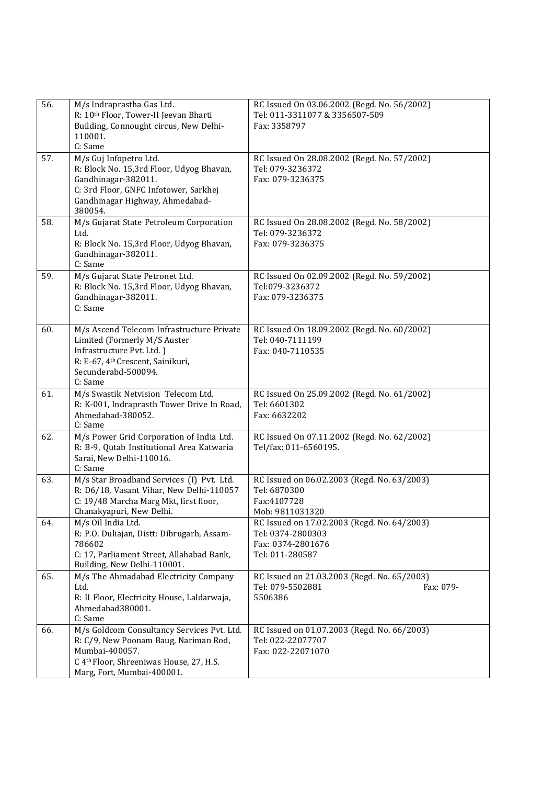| 56. | M/s Indraprastha Gas Ltd.<br>R: 10th Floor, Tower-II Jeevan Bharti                    | RC Issued On 03.06.2002 (Regd. No. 56/2002)<br>Tel: 011-3311077 & 3356507-509 |
|-----|---------------------------------------------------------------------------------------|-------------------------------------------------------------------------------|
|     | Building, Connought circus, New Delhi-                                                | Fax: 3358797                                                                  |
|     | 110001.<br>C: Same                                                                    |                                                                               |
| 57. | M/s Guj Infopetro Ltd.                                                                | RC Issued On 28.08.2002 (Regd. No. 57/2002)                                   |
|     | R: Block No. 15,3rd Floor, Udyog Bhavan,<br>Gandhinagar-382011.                       | Tel: 079-3236372<br>Fax: 079-3236375                                          |
|     | C: 3rd Floor, GNFC Infotower, Sarkhej                                                 |                                                                               |
|     | Gandhinagar Highway, Ahmedabad-<br>380054.                                            |                                                                               |
| 58. | M/s Gujarat State Petroleum Corporation<br>Ltd.                                       | RC Issued On 28.08.2002 (Regd. No. 58/2002)                                   |
|     | R: Block No. 15,3rd Floor, Udyog Bhavan,                                              | Tel: 079-3236372<br>Fax: 079-3236375                                          |
|     | Gandhinagar-382011.                                                                   |                                                                               |
|     | C: Same                                                                               |                                                                               |
| 59. | M/s Gujarat State Petronet Ltd.<br>R: Block No. 15,3rd Floor, Udyog Bhavan,           | RC Issued On 02.09.2002 (Regd. No. 59/2002)<br>Tel:079-3236372                |
|     | Gandhinagar-382011.                                                                   | Fax: 079-3236375                                                              |
|     | C: Same                                                                               |                                                                               |
| 60. | M/s Ascend Telecom Infrastructure Private                                             | RC Issued On 18.09.2002 (Regd. No. 60/2002)                                   |
|     | Limited (Formerly M/S Auster<br>Infrastructure Pvt. Ltd. )                            | Tel: 040-7111199<br>Fax: 040-7110535                                          |
|     | R: E-67, 4 <sup>th</sup> Crescent, Sainikuri,                                         |                                                                               |
|     | Secunderabd-500094.                                                                   |                                                                               |
|     | C: Same                                                                               |                                                                               |
| 61. | M/s Swastik Netvision Telecom Ltd.<br>R: K-001, Indraprasth Tower Drive In Road,      | RC Issued On 25.09.2002 (Regd. No. 61/2002)<br>Tel: 6601302                   |
|     | Ahmedabad-380052.                                                                     | Fax: 6632202                                                                  |
|     | C: Same                                                                               |                                                                               |
| 62. | M/s Power Grid Corporation of India Ltd.<br>R: B-9, Qutab Institutional Area Katwaria | RC Issued On 07.11.2002 (Regd. No. 62/2002)<br>Tel/fax: 011-6560195.          |
|     | Sarai, New Delhi-110016.                                                              |                                                                               |
|     | C: Same                                                                               |                                                                               |
| 63. | M/s Star Broadband Services (I) Pvt. Ltd.                                             | RC Issued on 06.02.2003 (Regd. No. 63/2003)<br>Tel: 6870300                   |
|     | R: D6/18, Vasant Vihar, New Delhi-110057<br>C: 19/48 Marcha Marg Mkt, first floor,    | Fax:4107728                                                                   |
|     | Chanakyapuri, New Delhi.                                                              | Mob: 9811031320                                                               |
| 64. | M/s Oil India Ltd.                                                                    | RC Issued on 17.02.2003 (Regd. No. 64/2003)                                   |
|     | R: P.O. Duliajan, Distt: Dibrugarh, Assam-<br>786602                                  | Tel: 0374-2800303<br>Fax: 0374-2801676                                        |
|     | C: 17, Parliament Street, Allahabad Bank,                                             | Tel: 011-280587                                                               |
|     | Building, New Delhi-110001.                                                           |                                                                               |
| 65. | M/s The Ahmadabad Electricity Company<br>Ltd.                                         | RC Issued on 21.03.2003 (Regd. No. 65/2003)<br>Tel: 079-5502881<br>Fax: 079-  |
|     | R: II Floor, Electricity House, Laldarwaja,                                           | 5506386                                                                       |
|     | Ahmedabad380001.                                                                      |                                                                               |
|     | C: Same                                                                               |                                                                               |
| 66. | M/s Goldcom Consultancy Services Pvt. Ltd.<br>R: C/9, New Poonam Baug, Nariman Rod,   | RC Issued on 01.07.2003 (Regd. No. 66/2003)<br>Tel: 022-22077707              |
|     | Mumbai-400057.                                                                        | Fax: 022-22071070                                                             |
|     | C 4 <sup>th</sup> Floor, Shreeniwas House, 27, H.S.                                   |                                                                               |
|     | Marg, Fort, Mumbai-400001.                                                            |                                                                               |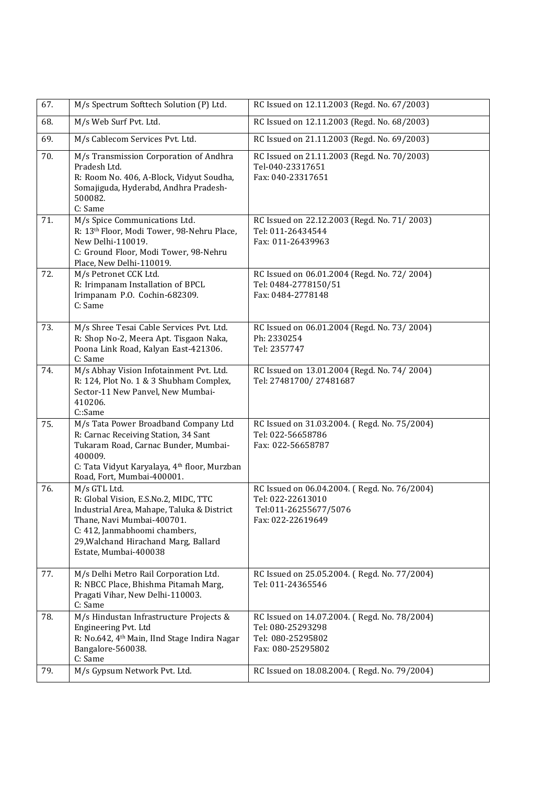| 67. | M/s Spectrum Softtech Solution (P) Ltd.                                                                                                                                                                                             | RC Issued on 12.11.2003 (Regd. No. 67/2003)                                                                     |
|-----|-------------------------------------------------------------------------------------------------------------------------------------------------------------------------------------------------------------------------------------|-----------------------------------------------------------------------------------------------------------------|
| 68. | M/s Web Surf Pvt. Ltd.                                                                                                                                                                                                              | RC Issued on 12.11.2003 (Regd. No. 68/2003)                                                                     |
| 69. | M/s Cablecom Services Pvt. Ltd.                                                                                                                                                                                                     | RC Issued on 21.11.2003 (Regd. No. 69/2003)                                                                     |
| 70. | M/s Transmission Corporation of Andhra<br>Pradesh Ltd.<br>R: Room No. 406, A-Block, Vidyut Soudha,<br>Somajiguda, Hyderabd, Andhra Pradesh-<br>500082.<br>C: Same                                                                   | RC Issued on 21.11.2003 (Regd. No. 70/2003)<br>Tel-040-23317651<br>Fax: 040-23317651                            |
| 71. | M/s Spice Communications Ltd.<br>R: 13th Floor, Modi Tower, 98-Nehru Place,<br>New Delhi-110019.<br>C: Ground Floor, Modi Tower, 98-Nehru<br>Place, New Delhi-110019.                                                               | RC Issued on 22.12.2003 (Regd. No. 71/2003)<br>Tel: 011-26434544<br>Fax: 011-26439963                           |
| 72. | M/s Petronet CCK Ltd.<br>R: Irimpanam Installation of BPCL<br>Irimpanam P.O. Cochin-682309.<br>C: Same                                                                                                                              | RC Issued on 06.01.2004 (Regd. No. 72/2004)<br>Tel: 0484-2778150/51<br>Fax: 0484-2778148                        |
| 73. | M/s Shree Tesai Cable Services Pvt. Ltd.<br>R: Shop No-2, Meera Apt. Tisgaon Naka,<br>Poona Link Road, Kalyan East-421306.<br>C: Same                                                                                               | RC Issued on 06.01.2004 (Regd. No. 73/2004)<br>Ph: 2330254<br>Tel: 2357747                                      |
| 74. | M/s Abhay Vision Infotainment Pvt. Ltd.<br>R: 124, Plot No. 1 & 3 Shubham Complex,<br>Sector-11 New Panvel, New Mumbai-<br>410206.<br>C::Same                                                                                       | RC Issued on 13.01.2004 (Regd. No. 74/2004)<br>Tel: 27481700/27481687                                           |
| 75. | M/s Tata Power Broadband Company Ltd<br>R: Carnac Receiving Station, 34 Sant<br>Tukaram Road, Carnac Bunder, Mumbai-<br>400009.<br>C: Tata Vidyut Karyalaya, 4th floor, Murzban<br>Road, Fort, Mumbai-400001.                       | RC Issued on 31.03.2004. (Regd. No. 75/2004)<br>Tel: 022-56658786<br>Fax: 022-56658787                          |
| 76. | M/s GTL Ltd.<br>R: Global Vision, E.S.No.2, MIDC, TTC<br>Industrial Area, Mahape, Taluka & District<br>Thane, Navi Mumbai-400701.<br>C: 412, Janmabhoomi chambers,<br>29, Walchand Hirachand Marg, Ballard<br>Estate, Mumbai-400038 | RC Issued on 06.04.2004. (Regd. No. 76/2004)<br>Tel: 022-22613010<br>Tel:011-26255677/5076<br>Fax: 022-22619649 |
| 77. | M/s Delhi Metro Rail Corporation Ltd.<br>R: NBCC Place, Bhishma Pitamah Marg,<br>Pragati Vihar, New Delhi-110003.<br>C: Same                                                                                                        | RC Issued on 25.05.2004. (Regd. No. 77/2004)<br>Tel: 011-24365546                                               |
| 78. | M/s Hindustan Infrastructure Projects &<br>Engineering Pvt. Ltd<br>R: No.642, 4 <sup>th</sup> Main, IInd Stage Indira Nagar<br>Bangalore-560038.<br>C: Same                                                                         | RC Issued on 14.07.2004. (Regd. No. 78/2004)<br>Tel: 080-25293298<br>Tel: 080-25295802<br>Fax: 080-25295802     |
| 79. | M/s Gypsum Network Pvt. Ltd.                                                                                                                                                                                                        | RC Issued on 18.08.2004. (Regd. No. 79/2004)                                                                    |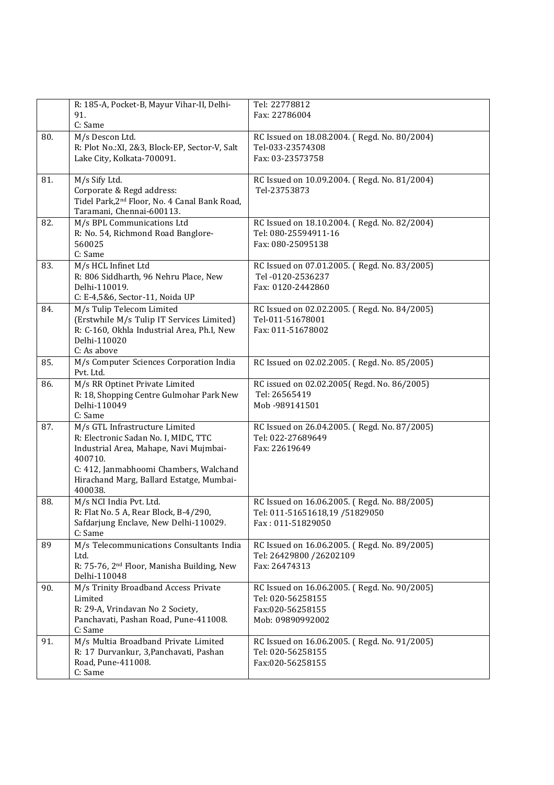|     | R: 185-A, Pocket-B, Mayur Vihar-II, Delhi-<br>91.<br>C: Same                                                                                                                                                                 | Tel: 22778812<br>Fax: 22786004                                                                            |
|-----|------------------------------------------------------------------------------------------------------------------------------------------------------------------------------------------------------------------------------|-----------------------------------------------------------------------------------------------------------|
| 80. | M/s Descon Ltd.<br>R: Plot No.: XI, 2&3, Block-EP, Sector-V, Salt<br>Lake City, Kolkata-700091.                                                                                                                              | RC Issued on 18.08.2004. (Regd. No. 80/2004)<br>Tel-033-23574308<br>Fax: 03-23573758                      |
| 81. | M/s Sify Ltd.<br>Corporate & Regd address:<br>Tidel Park, 2 <sup>nd</sup> Floor, No. 4 Canal Bank Road,<br>Taramani, Chennai-600113.                                                                                         | RC Issued on 10.09.2004. (Regd. No. 81/2004)<br>Tel-23753873                                              |
| 82. | M/s BPL Communications Ltd<br>R: No. 54, Richmond Road Banglore-<br>560025<br>C: Same                                                                                                                                        | RC Issued on 18.10.2004. (Regd. No. 82/2004)<br>Tel: 080-25594911-16<br>Fax: 080-25095138                 |
| 83. | M/s HCL Infinet Ltd<br>R: 806 Siddharth, 96 Nehru Place, New<br>Delhi-110019.<br>C: E-4,5&6, Sector-11, Noida UP                                                                                                             | RC Issued on 07.01.2005. (Regd. No. 83/2005)<br>Tel-0120-2536237<br>Fax: 0120-2442860                     |
| 84. | M/s Tulip Telecom Limited<br>(Erstwhile M/s Tulip IT Services Limited)<br>R: C-160, Okhla Industrial Area, Ph.I, New<br>Delhi-110020<br>C: As above                                                                          | RC Issued on 02.02.2005. (Regd. No. 84/2005)<br>Tel-011-51678001<br>Fax: 011-51678002                     |
| 85. | M/s Computer Sciences Corporation India<br>Pvt. Ltd.                                                                                                                                                                         | RC Issued on 02.02.2005. (Regd. No. 85/2005)                                                              |
| 86. | M/s RR Optinet Private Limited<br>R: 18, Shopping Centre Gulmohar Park New<br>Delhi-110049<br>C: Same                                                                                                                        | RC issued on 02.02.2005(Regd. No. 86/2005)<br>Tel: 26565419<br>Mob -989141501                             |
| 87. | M/s GTL Infrastructure Limited<br>R: Electronic Sadan No. I, MIDC, TTC<br>Industrial Area, Mahape, Navi Mujmbai-<br>400710.<br>C: 412, Janmabhoomi Chambers, Walchand<br>Hirachand Marg, Ballard Estatge, Mumbai-<br>400038. | RC Issued on 26.04.2005. (Regd. No. 87/2005)<br>Tel: 022-27689649<br>Fax: 22619649                        |
| 88. | M/s NCI India Pvt. Ltd.<br>R: Flat No. 5 A, Rear Block, B-4/290,<br>Safdarjung Enclave, New Delhi-110029.<br>C: Same                                                                                                         | RC Issued on 16.06.2005. (Regd. No. 88/2005)<br>Tel: 011-51651618,19 /51829050<br>Fax: 011-51829050       |
| 89  | M/s Telecommunications Consultants India<br>Ltd.<br>R: 75-76, 2 <sup>nd</sup> Floor, Manisha Building, New<br>Delhi-110048                                                                                                   | RC Issued on 16.06.2005. (Regd. No. 89/2005)<br>Tel: 26429800 /26202109<br>Fax: 26474313                  |
| 90. | M/s Trinity Broadband Access Private<br>Limited<br>R: 29-A, Vrindavan No 2 Society,<br>Panchavati, Pashan Road, Pune-411008.<br>C: Same                                                                                      | RC Issued on 16.06.2005. (Regd. No. 90/2005)<br>Tel: 020-56258155<br>Fax:020-56258155<br>Mob: 09890992002 |
| 91. | M/s Multia Broadband Private Limited<br>R: 17 Durvankur, 3, Panchavati, Pashan<br>Road, Pune-411008.<br>C: Same                                                                                                              | RC Issued on 16.06.2005. (Regd. No. 91/2005)<br>Tel: 020-56258155<br>Fax:020-56258155                     |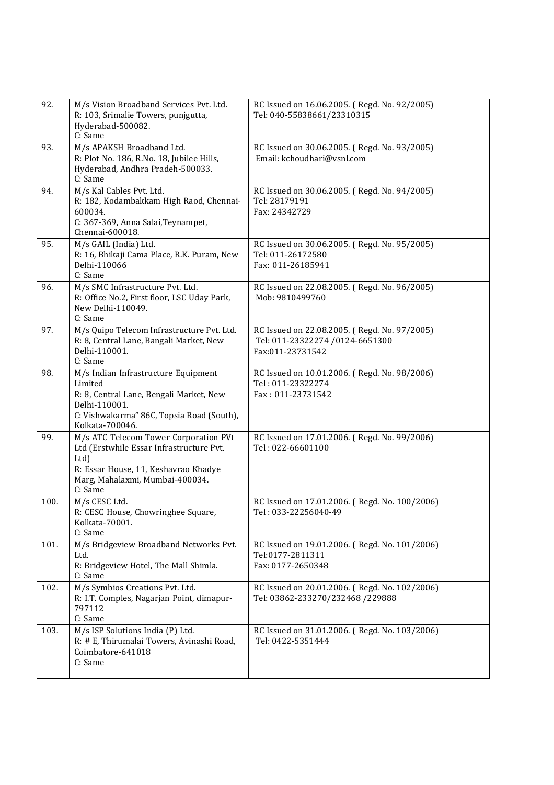| 92.  | M/s Vision Broadband Services Pvt. Ltd.<br>R: 103, Srimalie Towers, punjgutta,<br>Hyderabad-500082.<br>C: Same                                                                  | RC Issued on 16.06.2005. (Regd. No. 92/2005)<br>Tel: 040-55838661/23310315                          |
|------|---------------------------------------------------------------------------------------------------------------------------------------------------------------------------------|-----------------------------------------------------------------------------------------------------|
| 93.  | M/s APAKSH Broadband Ltd.<br>R: Plot No. 186, R.No. 18, Jubilee Hills,<br>Hyderabad, Andhra Pradeh-500033.<br>C: Same                                                           | RC Issued on 30.06.2005. (Regd. No. 93/2005)<br>Email: kchoudhari@vsnl.com                          |
| 94.  | M/s Kal Cables Pvt. Ltd.<br>R: 182, Kodambakkam High Raod, Chennai-<br>600034.<br>C: 367-369, Anna Salai, Teynampet,<br>Chennai-600018.                                         | RC Issued on 30.06.2005. (Regd. No. 94/2005)<br>Tel: 28179191<br>Fax: 24342729                      |
| 95.  | M/s GAIL (India) Ltd.<br>R: 16, Bhikaji Cama Place, R.K. Puram, New<br>Delhi-110066<br>C: Same                                                                                  | RC Issued on 30.06.2005. (Regd. No. 95/2005)<br>Tel: 011-26172580<br>Fax: 011-26185941              |
| 96.  | M/s SMC Infrastructure Pvt. Ltd.<br>R: Office No.2, First floor, LSC Uday Park,<br>New Delhi-110049.<br>C: Same                                                                 | RC Issued on 22.08.2005. (Regd. No. 96/2005)<br>Mob: 9810499760                                     |
| 97.  | M/s Quipo Telecom Infrastructure Pvt. Ltd.<br>R: 8, Central Lane, Bangali Market, New<br>Delhi-110001.<br>C: Same                                                               | RC Issued on 22.08.2005. (Regd. No. 97/2005)<br>Tel: 011-23322274 /0124-6651300<br>Fax:011-23731542 |
| 98.  | M/s Indian Infrastructure Equipment<br>Limited<br>R: 8, Central Lane, Bengali Market, New<br>Delhi-110001.<br>C: Vishwakarma" 86C, Topsia Road (South),<br>Kolkata-700046.      | RC Issued on 10.01.2006. (Regd. No. 98/2006)<br>Tel: 011-23322274<br>Fax: 011-23731542              |
| 99.  | M/s ATC Telecom Tower Corporation PVt<br>Ltd (Erstwhile Essar Infrastructure Pvt.<br>Ltd)<br>R: Essar House, 11, Keshavrao Khadye<br>Marg, Mahalaxmi, Mumbai-400034.<br>C: Same | RC Issued on 17.01.2006. (Regd. No. 99/2006)<br>Tel: 022-66601100                                   |
| 100. | M/s CESC Ltd.<br>R: CESC House, Chowringhee Square,<br>Kolkata-70001.<br>C: Same                                                                                                | RC Issued on 17.01.2006. (Regd. No. 100/2006)<br>Tel: 033-22256040-49                               |
| 101. | M/s Bridgeview Broadband Networks Pvt.<br>Ltd.<br>R: Bridgeview Hotel, The Mall Shimla.<br>C: Same                                                                              | RC Issued on 19.01.2006. (Regd. No. 101/2006)<br>Tel:0177-2811311<br>Fax: 0177-2650348              |
| 102. | M/s Symbios Creations Pvt. Ltd.<br>R: I.T. Comples, Nagarjan Point, dimapur-<br>797112<br>C: Same                                                                               | RC Issued on 20.01.2006. (Regd. No. 102/2006)<br>Tel: 03862-233270/232468 /229888                   |
| 103. | M/s ISP Solutions India (P) Ltd.<br>R: # E, Thirumalai Towers, Avinashi Road,<br>Coimbatore-641018<br>C: Same                                                                   | RC Issued on 31.01.2006. (Regd. No. 103/2006)<br>Tel: 0422-5351444                                  |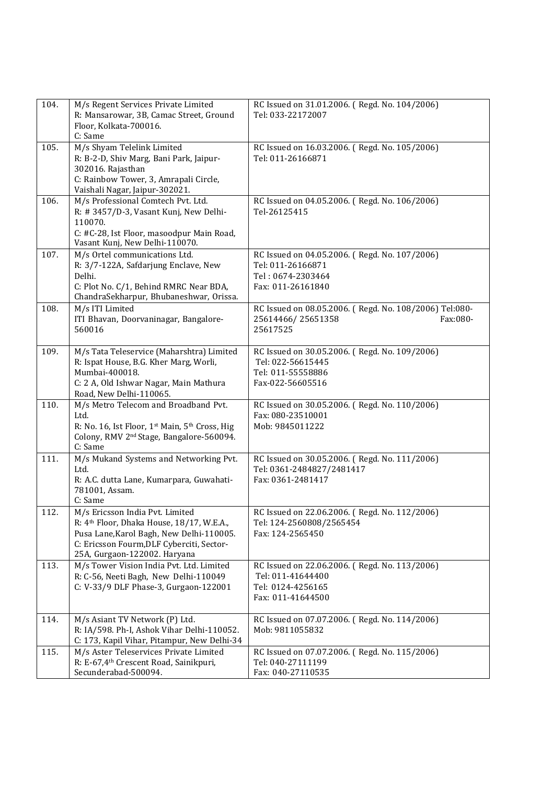| 104. | M/s Regent Services Private Limited<br>R: Mansarowar, 3B, Camac Street, Ground<br>Floor, Kolkata-700016.                                                                                              | RC Issued on 31.01.2006. (Regd. No. 104/2006)<br>Tel: 033-22172007                                           |
|------|-------------------------------------------------------------------------------------------------------------------------------------------------------------------------------------------------------|--------------------------------------------------------------------------------------------------------------|
|      | C: Same                                                                                                                                                                                               |                                                                                                              |
| 105. | M/s Shyam Telelink Limited<br>R: B-2-D, Shiv Marg, Bani Park, Jaipur-<br>302016. Rajasthan<br>C: Rainbow Tower, 3, Amrapali Circle,                                                                   | RC Issued on 16.03.2006. (Regd. No. 105/2006)<br>Tel: 011-26166871                                           |
|      | Vaishali Nagar, Jaipur-302021.                                                                                                                                                                        |                                                                                                              |
| 106. | M/s Professional Comtech Pvt. Ltd.<br>R: # 3457/D-3, Vasant Kunj, New Delhi-<br>110070.<br>C: #C-28, Ist Floor, masoodpur Main Road,<br>Vasant Kunj, New Delhi-110070.                                | RC Issued on 04.05.2006. (Regd. No. 106/2006)<br>Tel-26125415                                                |
| 107. | M/s Ortel communications Ltd.<br>R: 3/7-122A, Safdarjung Enclave, New<br>Delhi.<br>C: Plot No. C/1, Behind RMRC Near BDA,<br>ChandraSekharpur, Bhubaneshwar, Orissa.                                  | RC Issued on 04.05.2006. (Regd. No. 107/2006)<br>Tel: 011-26166871<br>Tel: 0674-2303464<br>Fax: 011-26161840 |
| 108. | M/s ITI Limited<br>ITI Bhavan, Doorvaninagar, Bangalore-<br>560016                                                                                                                                    | RC Issued on 08.05.2006. (Regd. No. 108/2006) Tel:080-<br>25614466/25651358<br>Fax:080-<br>25617525          |
| 109. | M/s Tata Teleservice (Maharshtra) Limited<br>R: Ispat House, B.G. Kher Marg, Worli,<br>Mumbai-400018.<br>C: 2 A, Old Ishwar Nagar, Main Mathura<br>Road, New Delhi-110065.                            | RC Issued on 30.05.2006. (Regd. No. 109/2006)<br>Tel: 022-56615445<br>Tel: 011-55558886<br>Fax-022-56605516  |
| 110. | M/s Metro Telecom and Broadband Pvt.<br>Ltd.<br>R: No. 16, Ist Floor, 1 <sup>st</sup> Main, 5 <sup>th</sup> Cross, Hig<br>Colony, RMV 2 <sup>nd</sup> Stage, Bangalore-560094.<br>C: Same             | RC Issued on 30.05.2006. (Regd. No. 110/2006)<br>Fax: 080-23510001<br>Mob: 9845011222                        |
| 111. | M/s Mukand Systems and Networking Pvt.<br>Ltd.<br>R: A.C. dutta Lane, Kumarpara, Guwahati-<br>781001, Assam.<br>C: Same                                                                               | RC Issued on 30.05.2006. (Regd. No. 111/2006)<br>Tel: 0361-2484827/2481417<br>Fax: 0361-2481417              |
| 112. | M/s Ericsson India Pvt. Limited<br>R: 4th Floor, Dhaka House, 18/17, W.E.A.,<br>Pusa Lane, Karol Bagh, New Delhi-110005.<br>C: Ericsson Fourm, DLF Cyberciti, Sector-<br>25A, Gurgaon-122002. Haryana | RC Issued on 22.06.2006. (Regd. No. 112/2006)<br>Tel: 124-2560808/2565454<br>Fax: 124-2565450                |
| 113. | M/s Tower Vision India Pvt. Ltd. Limited<br>R: C-56, Neeti Bagh, New Delhi-110049<br>C: V-33/9 DLF Phase-3, Gurgaon-122001                                                                            | RC Issued on 22.06.2006. (Regd. No. 113/2006)<br>Tel: 011-41644400<br>Tel: 0124-4256165<br>Fax: 011-41644500 |
| 114. | M/s Asiant TV Network (P) Ltd.<br>R: IA/598. Ph-I, Ashok Vihar Delhi-110052.<br>C: 173, Kapil Vihar, Pitampur, New Delhi-34                                                                           | RC Issued on 07.07.2006. (Regd. No. 114/2006)<br>Mob: 9811055832                                             |
| 115. | M/s Aster Teleservices Private Limited<br>R: E-67,4th Crescent Road, Sainikpuri,<br>Secunderabad-500094.                                                                                              | RC Issued on 07.07.2006. (Regd. No. 115/2006)<br>Tel: 040-27111199<br>Fax: 040-27110535                      |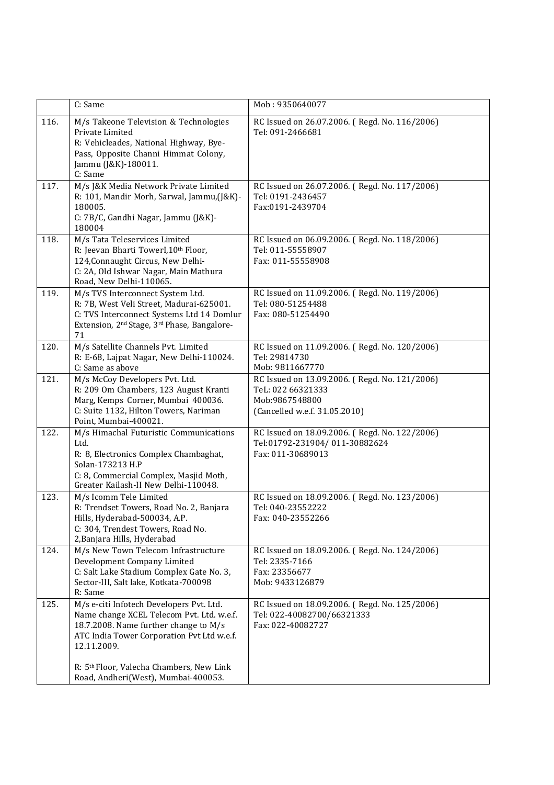|      | C: Same                                                                                                                                                                                                                                             | Mob: 9350640077                                                                                                       |
|------|-----------------------------------------------------------------------------------------------------------------------------------------------------------------------------------------------------------------------------------------------------|-----------------------------------------------------------------------------------------------------------------------|
| 116. | M/s Takeone Television & Technologies<br>Private Limited<br>R: Vehicleades, National Highway, Bye-<br>Pass, Opposite Channi Himmat Colony,<br>Jammu (J&K)-180011.<br>C: Same                                                                        | RC Issued on 26.07.2006. (Regd. No. 116/2006)<br>Tel: 091-2466681                                                     |
| 117. | M/s J&K Media Network Private Limited<br>R: 101, Mandir Morh, Sarwal, Jammu, (J&K)-<br>180005.<br>C: 7B/C, Gandhi Nagar, Jammu (J&K)-<br>180004                                                                                                     | RC Issued on 26.07.2006. (Regd. No. 117/2006)<br>Tel: 0191-2436457<br>Fax:0191-2439704                                |
| 118. | M/s Tata Teleservices Limited<br>R: Jeevan Bharti TowerI, 10th Floor,<br>124, Connaught Circus, New Delhi-<br>C: 2A, Old Ishwar Nagar, Main Mathura<br>Road, New Delhi-110065.                                                                      | RC Issued on 06.09.2006. (Regd. No. 118/2006)<br>Tel: 011-55558907<br>Fax: 011-55558908                               |
| 119. | M/s TVS Interconnect System Ltd.<br>R: 7B, West Veli Street, Madurai-625001.<br>C: TVS Interconnect Systems Ltd 14 Domlur<br>Extension, 2 <sup>nd</sup> Stage, 3 <sup>rd</sup> Phase, Bangalore-<br>71                                              | RC Issued on 11.09.2006. (Regd. No. 119/2006)<br>Tel: 080-51254488<br>Fax: 080-51254490                               |
| 120. | M/s Satellite Channels Pvt. Limited<br>R: E-68, Lajpat Nagar, New Delhi-110024.<br>C: Same as above                                                                                                                                                 | RC Issued on 11.09.2006. (Regd. No. 120/2006)<br>Tel: 29814730<br>Mob: 9811667770                                     |
| 121. | M/s McCoy Developers Pvt. Ltd.<br>R: 209 Om Chambers, 123 August Kranti<br>Marg, Kemps Corner, Mumbai 400036.<br>C: Suite 1132, Hilton Towers, Nariman<br>Point, Mumbai-400021.                                                                     | RC Issued on 13.09.2006. (Regd. No. 121/2006)<br>TeL: 022 66321333<br>Mob:9867548800<br>(Cancelled w.e.f. 31.05.2010) |
| 122. | M/s Himachal Futuristic Communications<br>Ltd.<br>R: 8, Electronics Complex Chambaghat,<br>Solan-173213 H.P<br>C: 8, Commercial Complex, Masjid Moth,<br>Greater Kailash-II New Delhi-110048.                                                       | RC Issued on 18.09.2006. (Regd. No. 122/2006)<br>Tel:01792-231904/011-30882624<br>Fax: 011-30689013                   |
| 123. | M/s Icomm Tele Limited<br>R: Trendset Towers, Road No. 2, Banjara<br>Hills, Hyderabad-500034, A.P.<br>C: 304, Trendest Towers, Road No.<br>2, Banjara Hills, Hyderabad                                                                              | RC Issued on 18.09.2006. (Regd. No. 123/2006)<br>Tel: 040-23552222<br>Fax: 040-23552266                               |
| 124. | M/s New Town Telecom Infrastructure<br>Development Company Limited<br>C: Salt Lake Stadium Complex Gate No. 3,<br>Sector-III, Salt lake, Kotkata-700098<br>R: Same                                                                                  | RC Issued on 18.09.2006. (Regd. No. 124/2006)<br>Tel: 2335-7166<br>Fax: 23356677<br>Mob: 9433126879                   |
| 125. | M/s e-citi Infotech Developers Pvt. Ltd.<br>Name change XCEL Telecom Pvt. Ltd. w.e.f.<br>18.7.2008. Name further change to M/s<br>ATC India Tower Corporation Pvt Ltd w.e.f.<br>12.11.2009.<br>R: 5 <sup>th</sup> Floor, Valecha Chambers, New Link | RC Issued on 18.09.2006. (Regd. No. 125/2006)<br>Tel: 022-40082700/66321333<br>Fax: 022-40082727                      |
|      | Road, Andheri(West), Mumbai-400053.                                                                                                                                                                                                                 |                                                                                                                       |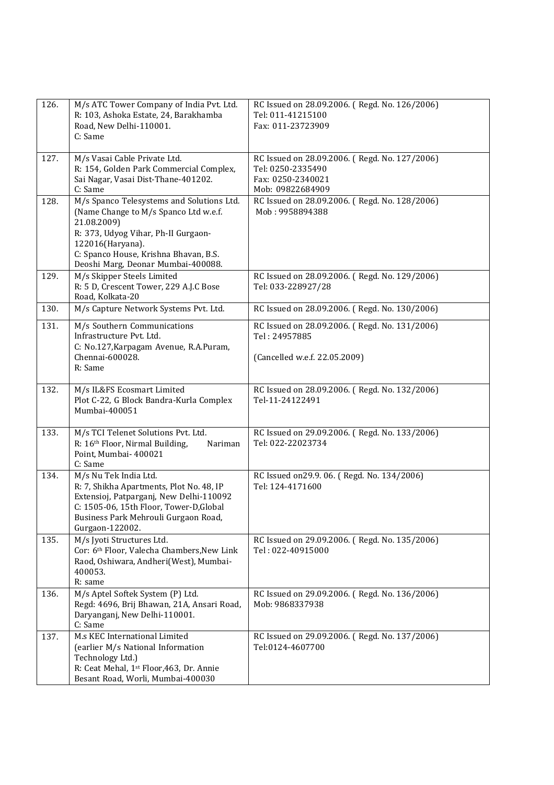| 126. | M/s ATC Tower Company of India Pvt. Ltd.<br>R: 103, Ashoka Estate, 24, Barakhamba<br>Road, New Delhi-110001.<br>C: Same                                                                                                                     | RC Issued on 28.09.2006. (Regd. No. 126/2006)<br>Tel: 011-41215100<br>Fax: 011-23723909                     |
|------|---------------------------------------------------------------------------------------------------------------------------------------------------------------------------------------------------------------------------------------------|-------------------------------------------------------------------------------------------------------------|
| 127. | M/s Vasai Cable Private Ltd.<br>R: 154, Golden Park Commercial Complex,<br>Sai Nagar, Vasai Dist-Thane-401202.<br>C: Same                                                                                                                   | RC Issued on 28.09.2006. (Regd. No. 127/2006)<br>Tel: 0250-2335490<br>Fax: 0250-2340021<br>Mob: 09822684909 |
| 128. | M/s Spanco Telesystems and Solutions Ltd.<br>(Name Change to M/s Spanco Ltd w.e.f.<br>21.08.2009)<br>R: 373, Udyog Vihar, Ph-II Gurgaon-<br>122016(Haryana).<br>C: Spanco House, Krishna Bhavan, B.S.<br>Deoshi Marg, Deonar Mumbai-400088. | RC Issued on 28.09.2006. (Regd. No. 128/2006)<br>Mob: 9958894388                                            |
| 129. | M/s Skipper Steels Limited<br>R: 5 D, Crescent Tower, 229 A.J.C Bose<br>Road, Kolkata-20                                                                                                                                                    | RC Issued on 28.09.2006. (Regd. No. 129/2006)<br>Tel: 033-228927/28                                         |
| 130. | M/s Capture Network Systems Pvt. Ltd.                                                                                                                                                                                                       | RC Issued on 28.09.2006. (Regd. No. 130/2006)                                                               |
| 131. | M/s Southern Communications<br>Infrastructure Pvt. Ltd.<br>C: No.127, Karpagam Avenue, R.A. Puram,<br>Chennai-600028.<br>R: Same                                                                                                            | RC Issued on 28.09.2006. (Regd. No. 131/2006)<br>Tel: 24957885<br>(Cancelled w.e.f. 22.05.2009)             |
| 132. | M/s IL&FS Ecosmart Limited<br>Plot C-22, G Block Bandra-Kurla Complex<br>Mumbai-400051                                                                                                                                                      | RC Issued on 28.09.2006. (Regd. No. 132/2006)<br>Tel-11-24122491                                            |
| 133. | M/s TCI Telenet Solutions Pvt. Ltd.<br>R: 16th Floor, Nirmal Building,<br>Nariman<br>Point, Mumbai- 400021<br>C: Same                                                                                                                       | RC Issued on 29.09.2006. (Regd. No. 133/2006)<br>Tel: 022-22023734                                          |
| 134. | M/s Nu Tek India Ltd.<br>R: 7, Shikha Apartments, Plot No. 48, IP<br>Extensioj, Patparganj, New Delhi-110092<br>C: 1505-06, 15th Floor, Tower-D, Global<br>Business Park Mehrouli Gurgaon Road,<br>Gurgaon-122002.                          | RC Issued on 29.9.06. (Regd. No. 134/2006)<br>Tel: 124-4171600                                              |
| 135. | M/s Jyoti Structures Ltd.<br>Cor: 6th Floor, Valecha Chambers, New Link<br>Raod, Oshiwara, Andheri(West), Mumbai-<br>400053.<br>R: same                                                                                                     | RC Issued on 29.09.2006. (Regd. No. 135/2006)<br>Tel: 022-40915000                                          |
| 136. | M/s Aptel Softek System (P) Ltd.<br>Regd: 4696, Brij Bhawan, 21A, Ansari Road,<br>Daryanganj, New Delhi-110001.<br>C: Same                                                                                                                  | RC Issued on 29.09.2006. (Regd. No. 136/2006)<br>Mob: 9868337938                                            |
| 137. | M.s KEC International Limited<br>(earlier M/s National Information<br>Technology Ltd.)<br>R: Ceat Mehal, 1st Floor, 463, Dr. Annie<br>Besant Road, Worli, Mumbai-400030                                                                     | RC Issued on 29.09.2006. (Regd. No. 137/2006)<br>Tel:0124-4607700                                           |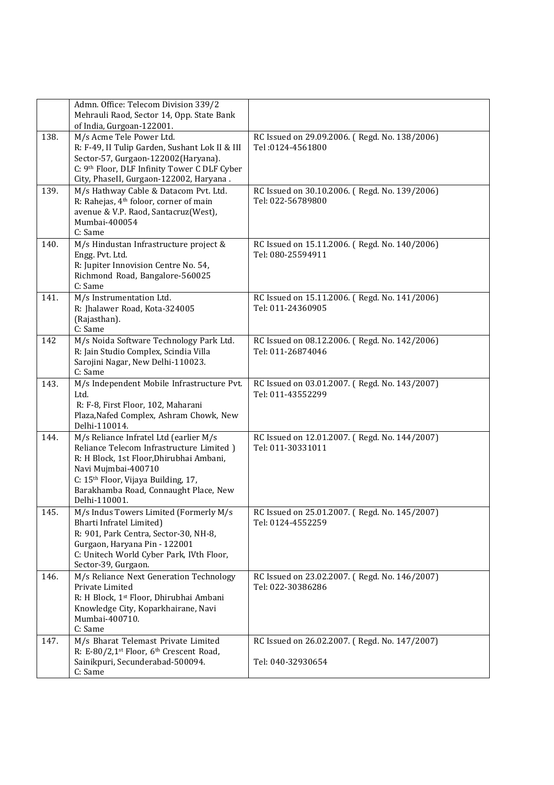|      | Admn. Office: Telecom Division 339/2<br>Mehrauli Raod, Sector 14, Opp. State Bank                                                                                                                                                                       |                                                                    |
|------|---------------------------------------------------------------------------------------------------------------------------------------------------------------------------------------------------------------------------------------------------------|--------------------------------------------------------------------|
| 138. | of India, Gurgoan-122001.<br>M/s Acme Tele Power Ltd.<br>R: F-49, II Tulip Garden, Sushant Lok II & III<br>Sector-57, Gurgaon-122002(Haryana).<br>C: 9th Floor, DLF Infinity Tower C DLF Cyber<br>City, PhaseII, Gurgaon-122002, Haryana.               | RC Issued on 29.09.2006. (Regd. No. 138/2006)<br>Tel:0124-4561800  |
| 139. | M/s Hathway Cable & Datacom Pvt. Ltd.<br>R: Rahejas, 4 <sup>th</sup> foloor, corner of main<br>avenue & V.P. Raod, Santacruz(West),<br>Mumbai-400054<br>C: Same                                                                                         | RC Issued on 30.10.2006. (Regd. No. 139/2006)<br>Tel: 022-56789800 |
| 140. | M/s Hindustan Infrastructure project &<br>Engg. Pvt. Ltd.<br>R: Jupiter Innovision Centre No. 54,<br>Richmond Road, Bangalore-560025<br>C: Same                                                                                                         | RC Issued on 15.11.2006. (Regd. No. 140/2006)<br>Tel: 080-25594911 |
| 141. | M/s Instrumentation Ltd.<br>R: Jhalawer Road, Kota-324005<br>(Rajasthan).<br>C: Same                                                                                                                                                                    | RC Issued on 15.11.2006. (Regd. No. 141/2006)<br>Tel: 011-24360905 |
| 142  | M/s Noida Software Technology Park Ltd.<br>R: Jain Studio Complex, Scindia Villa<br>Sarojini Nagar, New Delhi-110023.<br>C: Same                                                                                                                        | RC Issued on 08.12.2006. (Regd. No. 142/2006)<br>Tel: 011-26874046 |
| 143. | M/s Independent Mobile Infrastructure Pvt.<br>Ltd.<br>R: F-8, First Floor, 102, Maharani<br>Plaza, Nafed Complex, Ashram Chowk, New<br>Delhi-110014.                                                                                                    | RC Issued on 03.01.2007. (Regd. No. 143/2007)<br>Tel: 011-43552299 |
| 144. | M/s Reliance Infratel Ltd (earlier M/s<br>Reliance Telecom Infrastructure Limited )<br>R: H Block, 1st Floor, Dhirubhai Ambani,<br>Navi Mujmbai-400710<br>C: 15th Floor, Vijaya Building, 17,<br>Barakhamba Road, Connaught Place, New<br>Delhi-110001. | RC Issued on 12.01.2007. (Regd. No. 144/2007)<br>Tel: 011-30331011 |
| 145. | M/s Indus Towers Limited (Formerly M/s<br>Bharti Infratel Limited)<br>R: 901, Park Centra, Sector-30, NH-8,<br>Gurgaon, Haryana Pin - 122001<br>C: Unitech World Cyber Park, IVth Floor,<br>Sector-39, Gurgaon.                                         | RC Issued on 25.01.2007. (Regd. No. 145/2007)<br>Tel: 0124-4552259 |
| 146. | M/s Reliance Next Generation Technology<br>Private Limited<br>R: H Block, 1st Floor, Dhirubhai Ambani<br>Knowledge City, Koparkhairane, Navi<br>Mumbai-400710.<br>C: Same                                                                               | RC Issued on 23.02.2007. (Regd. No. 146/2007)<br>Tel: 022-30386286 |
| 147. | M/s Bharat Telemast Private Limited<br>R: E-80/2,1st Floor, 6th Crescent Road,<br>Sainikpuri, Secunderabad-500094.<br>C: Same                                                                                                                           | RC Issued on 26.02.2007. (Regd. No. 147/2007)<br>Tel: 040-32930654 |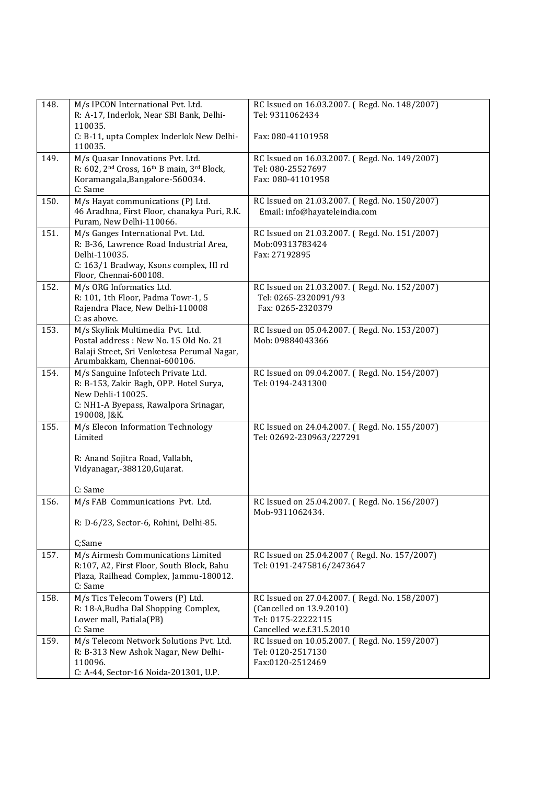| 148. | M/s IPCON International Pvt. Ltd.<br>R: A-17, Inderlok, Near SBI Bank, Delhi-<br>110035.                                                                            | RC Issued on 16.03.2007. (Regd. No. 148/2007)<br>Tel: 9311062434                                                             |
|------|---------------------------------------------------------------------------------------------------------------------------------------------------------------------|------------------------------------------------------------------------------------------------------------------------------|
|      | C: B-11, upta Complex Inderlok New Delhi-<br>110035.                                                                                                                | Fax: 080-41101958                                                                                                            |
| 149. | M/s Quasar Innovations Pvt. Ltd.<br>R: 602, 2 <sup>nd</sup> Cross, 16 <sup>th</sup> B main, 3 <sup>rd</sup> Block,                                                  | RC Issued on 16.03.2007. (Regd. No. 149/2007)<br>Tel: 080-25527697                                                           |
|      | Koramangala, Bangalore-560034.<br>C: Same                                                                                                                           | Fax: 080-41101958                                                                                                            |
| 150. | M/s Hayat communications (P) Ltd.<br>46 Aradhna, First Floor, chanakya Puri, R.K.<br>Puram, New Delhi-110066.                                                       | RC Issued on 21.03.2007. (Regd. No. 150/2007)<br>Email: info@hayateleindia.com                                               |
| 151. | M/s Ganges International Pvt. Ltd.<br>R: B-36, Lawrence Road Industrial Area,<br>Delhi-110035.<br>C: 163/1 Bradway, Ksons complex, III rd<br>Floor, Chennai-600108. | RC Issued on 21.03.2007. (Regd. No. 151/2007)<br>Mob:09313783424<br>Fax: 27192895                                            |
| 152. | M/s ORG Informatics Ltd.<br>R: 101, 1th Floor, Padma Towr-1, 5<br>Rajendra Place, New Delhi-110008<br>C: as above.                                                  | RC Issued on 21.03.2007. (Regd. No. 152/2007)<br>Tel: 0265-2320091/93<br>Fax: 0265-2320379                                   |
| 153. | M/s Skylink Multimedia Pvt. Ltd.<br>Postal address: New No. 15 Old No. 21<br>Balaji Street, Sri Venketesa Perumal Nagar,<br>Arumbakkam, Chennai-600106.             | RC Issued on 05.04.2007. (Regd. No. 153/2007)<br>Mob: 09884043366                                                            |
| 154. | M/s Sanguine Infotech Private Ltd.<br>R: B-153, Zakir Bagh, OPP. Hotel Surya,<br>New Dehli-110025.<br>C: NH1-A Byepass, Rawalpora Srinagar,<br>190008, J&K.         | RC Issued on 09.04.2007. (Regd. No. 154/2007)<br>Tel: 0194-2431300                                                           |
| 155. | M/s Elecon Information Technology<br>Limited<br>R: Anand Sojitra Road, Vallabh,<br>Vidyanagar,-388120, Gujarat.                                                     | RC Issued on 24.04.2007. (Regd. No. 155/2007)<br>Tel: 02692-230963/227291                                                    |
|      | C: Same                                                                                                                                                             |                                                                                                                              |
| 156. | M/s FAB Communications Pvt. Ltd.<br>R: D-6/23, Sector-6, Rohini, Delhi-85.                                                                                          | RC Issued on 25.04.2007. (Regd. No. 156/2007)<br>Mob-9311062434.                                                             |
|      | C;Same                                                                                                                                                              |                                                                                                                              |
| 157. | M/s Airmesh Communications Limited<br>R:107, A2, First Floor, South Block, Bahu<br>Plaza, Railhead Complex, Jammu-180012.<br>C: Same                                | RC Issued on 25.04.2007 (Regd. No. 157/2007)<br>Tel: 0191-2475816/2473647                                                    |
| 158. | M/s Tics Telecom Towers (P) Ltd.<br>R: 18-A, Budha Dal Shopping Complex,<br>Lower mall, Patiala(PB)<br>C: Same                                                      | RC Issued on 27.04.2007. (Regd. No. 158/2007)<br>(Cancelled on 13.9.2010)<br>Tel: 0175-22222115<br>Cancelled w.e.f.31.5.2010 |
| 159. | M/s Telecom Network Solutions Pvt. Ltd.<br>R: B-313 New Ashok Nagar, New Delhi-<br>110096.<br>C: A-44, Sector-16 Noida-201301, U.P.                                 | RC Issued on 10.05.2007. (Regd. No. 159/2007)<br>Tel: 0120-2517130<br>Fax:0120-2512469                                       |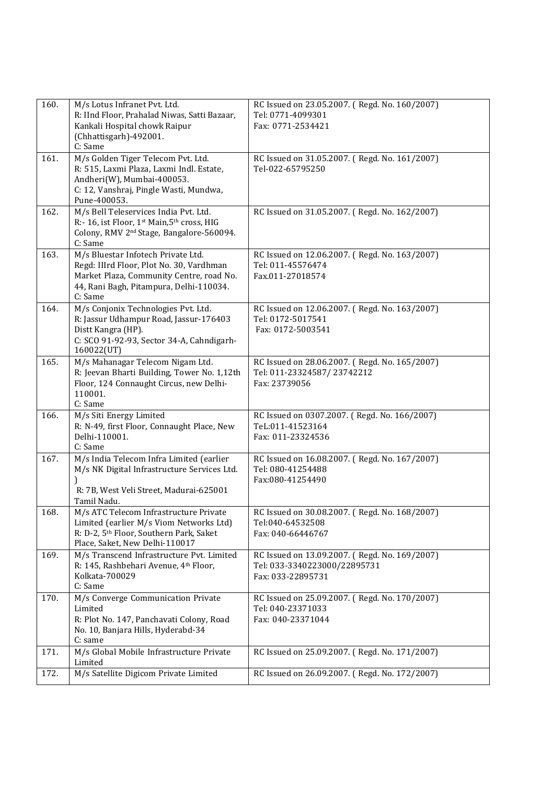| 160. | M/s Lotus Infranet Pvt. Ltd.<br>R: IInd Floor, Prahalad Niwas, Satti Bazaar,<br>Kankali Hospital chowk Raipur<br>(Chhattisgarh)-492001.<br>C: Same                               | RC Issued on 23.05.2007. (Regd. No. 160/2007)<br>Tel: 0771-4099301<br>Fax: 0771-2534421            |
|------|----------------------------------------------------------------------------------------------------------------------------------------------------------------------------------|----------------------------------------------------------------------------------------------------|
| 161. | M/s Golden Tiger Telecom Pvt. Ltd.<br>R: 515, Laxmi Plaza, Laxmi Indl. Estate,<br>Andheri(W), Mumbai-400053.<br>C: 12, Vanshraj, Pingle Wasti, Mundwa,<br>Pune-400053.           | RC Issued on 31.05.2007. (Regd. No. 161/2007)<br>Tel-022-65795250                                  |
| 162. | M/s Bell Teleservices India Pvt. Ltd.<br>R:- 16, ist Floor, 1st Main, 5th cross, HIG<br>Colony, RMV 2 <sup>nd</sup> Stage, Bangalore-560094.<br>C: Same                          | RC Issued on 31.05.2007. (Regd. No. 162/2007)                                                      |
| 163. | M/s Bluestar Infotech Private Ltd.<br>Regd: IIIrd Floor, Plot No. 30, Vardhman<br>Market Plaza, Community Centre, road No.<br>44, Rani Bagh, Pitampura, Delhi-110034.<br>C: Same | RC Issued on 12.06.2007. (Regd. No. 163/2007)<br>Tel: 011-45576474<br>Fax.011-27018574             |
| 164. | M/s Conjonix Technologies Pvt. Ltd.<br>R: Jassur Udhampur Road, Jassur-176403<br>Distt Kangra (HP).<br>C: SCO 91-92-93, Sector 34-A, Cahndigarh-<br>160022(UT)                   | RC Issued on 12.06.2007. (Regd. No. 163/2007)<br>Tel: 0172-5017541<br>Fax: 0172-5003541            |
| 165. | M/s Mahanagar Telecom Nigam Ltd.<br>R: Jeevan Bharti Building, Tower No. 1,12th<br>Floor, 124 Connaught Circus, new Delhi-<br>110001.<br>C: Same                                 | RC Issued on 28.06.2007. (Regd. No. 165/2007)<br>Tel: 011-23324587/23742212<br>Fax: 23739056       |
| 166. | M/s Siti Energy Limited<br>R: N-49, first Floor, Connaught Place, New<br>Delhi-110001.<br>C: Same                                                                                | RC Issued on 0307.2007. (Regd. No. 166/2007)<br>TeL:011-41523164<br>Fax: 011-23324536              |
| 167. | M/s India Telecom Infra Limited (earlier<br>M/s NK Digital Infrastructure Services Ltd.<br>R: 7B, West Veli Street, Madurai-625001<br>Tamil Nadu.                                | RC Issued on 16.08.2007. (Regd. No. 167/2007)<br>Tel: 080-41254488<br>Fax:080-41254490             |
| 168. | M/s ATC Telecom Infrastructure Private<br>Limited (earlier M/s Viom Networks Ltd)<br>R: D-2, 5 <sup>th</sup> Floor, Southern Park, Saket<br>Place, Saket, New Delhi-110017       | RC Issued on 30.08.2007. (Regd. No. 168/2007)<br>Tel:040-64532508<br>Fax: 040-66446767             |
| 169. | M/s Transcend Infrastructure Pvt. Limited<br>R: 145, Rashbehari Avenue, 4th Floor,<br>Kolkata-700029<br>C: Same                                                                  | RC Issued on 13.09.2007. (Regd. No. 169/2007)<br>Tel: 033-3340223000/22895731<br>Fax: 033-22895731 |
| 170. | M/s Converge Communication Private<br>Limited<br>R: Plot No. 147, Panchavati Colony, Road<br>No. 10, Banjara Hills, Hyderabd-34<br>C: same                                       | RC Issued on 25.09.2007. (Regd. No. 170/2007)<br>Tel: 040-23371033<br>Fax: 040-23371044            |
| 171. | M/s Global Mobile Infrastructure Private<br>Limited                                                                                                                              | RC Issued on 25.09.2007. (Regd. No. 171/2007)                                                      |
| 172. | M/s Satellite Digicom Private Limited                                                                                                                                            | RC Issued on 26.09.2007. (Regd. No. 172/2007)                                                      |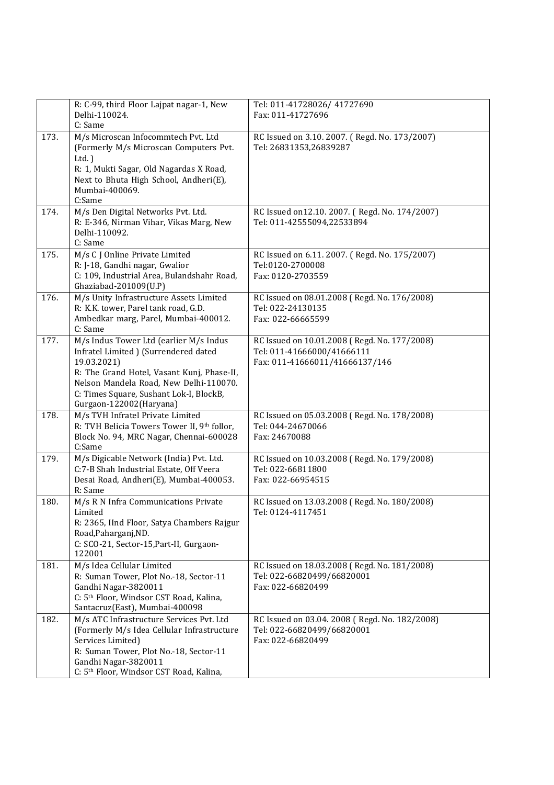|      | R: C-99, third Floor Lajpat nagar-1, New<br>Delhi-110024.<br>C: Same                                                                                                                                                                                         | Tel: 011-41728026/ 41727690<br>Fax: 011-41727696                                                             |
|------|--------------------------------------------------------------------------------------------------------------------------------------------------------------------------------------------------------------------------------------------------------------|--------------------------------------------------------------------------------------------------------------|
| 173. | M/s Microscan Infocommtech Pvt. Ltd<br>(Formerly M/s Microscan Computers Pvt.<br>$Ltd.$ )<br>R: 1, Mukti Sagar, Old Nagardas X Road,<br>Next to Bhuta High School, Andheri(E),<br>Mumbai-400069.<br>C:Same                                                   | RC Issued on 3.10. 2007. (Regd. No. 173/2007)<br>Tel: 26831353,26839287                                      |
| 174. | M/s Den Digital Networks Pvt. Ltd.<br>R: E-346, Nirman Vihar, Vikas Marg, New<br>Delhi-110092.<br>C: Same                                                                                                                                                    | RC Issued on 12.10. 2007. (Regd. No. 174/2007)<br>Tel: 011-42555094,22533894                                 |
| 175. | M/s C J Online Private Limited<br>R: J-18, Gandhi nagar, Gwalior<br>C: 109, Industrial Area, Bulandshahr Road,<br>Ghaziabad-201009(U.P)                                                                                                                      | RC Issued on 6.11. 2007. (Regd. No. 175/2007)<br>Tel:0120-2700008<br>Fax: 0120-2703559                       |
| 176. | M/s Unity Infrastructure Assets Limited<br>R: K.K. tower, Parel tank road, G.D.<br>Ambedkar marg, Parel, Mumbai-400012.<br>C: Same                                                                                                                           | RC Issued on 08.01.2008 (Regd. No. 176/2008)<br>Tel: 022-24130135<br>Fax: 022-66665599                       |
| 177. | M/s Indus Tower Ltd (earlier M/s Indus<br>Infratel Limited ) (Surrendered dated<br>19.03.2021)<br>R: The Grand Hotel, Vasant Kunj, Phase-II,<br>Nelson Mandela Road, New Delhi-110070.<br>C: Times Square, Sushant Lok-I, BlockB,<br>Gurgaon-122002(Haryana) | RC Issued on 10.01.2008 (Regd. No. 177/2008)<br>Tel: 011-41666000/41666111<br>Fax: 011-41666011/41666137/146 |
| 178. | M/s TVH Infratel Private Limited<br>R: TVH Belicia Towers Tower II, 9th follor,<br>Block No. 94, MRC Nagar, Chennai-600028<br>C:Same                                                                                                                         | RC Issued on 05.03.2008 (Regd. No. 178/2008)<br>Tel: 044-24670066<br>Fax: 24670088                           |
| 179. | M/s Digicable Network (India) Pvt. Ltd.<br>C:7-B Shah Industrial Estate, Off Veera<br>Desai Road, Andheri(E), Mumbai-400053.<br>R: Same                                                                                                                      | RC Issued on 10.03.2008 (Regd. No. 179/2008)<br>Tel: 022-66811800<br>Fax: 022-66954515                       |
| 180. | M/s R N Infra Communications Private<br>Limited<br>R: 2365, IInd Floor, Satya Chambers Rajgur<br>Road, Paharganj, ND.<br>C: SCO-21, Sector-15, Part-II, Gurgaon-<br>122001                                                                                   | RC Issued on 13.03.2008 (Regd. No. 180/2008)<br>Tel: 0124-4117451                                            |
| 181. | M/s Idea Cellular Limited<br>R: Suman Tower, Plot No.-18, Sector-11<br>Gandhi Nagar-3820011<br>C: 5 <sup>th</sup> Floor, Windsor CST Road, Kalina,<br>Santacruz(East), Mumbai-400098                                                                         | RC Issued on 18.03.2008 (Regd. No. 181/2008)<br>Tel: 022-66820499/66820001<br>Fax: 022-66820499              |
| 182. | M/s ATC Infrastructure Services Pvt. Ltd<br>(Formerly M/s Idea Cellular Infrastructure<br>Services Limited)<br>R: Suman Tower, Plot No.-18, Sector-11<br>Gandhi Nagar-3820011<br>C: 5 <sup>th</sup> Floor, Windsor CST Road, Kalina,                         | RC Issued on 03.04. 2008 (Regd. No. 182/2008)<br>Tel: 022-66820499/66820001<br>Fax: 022-66820499             |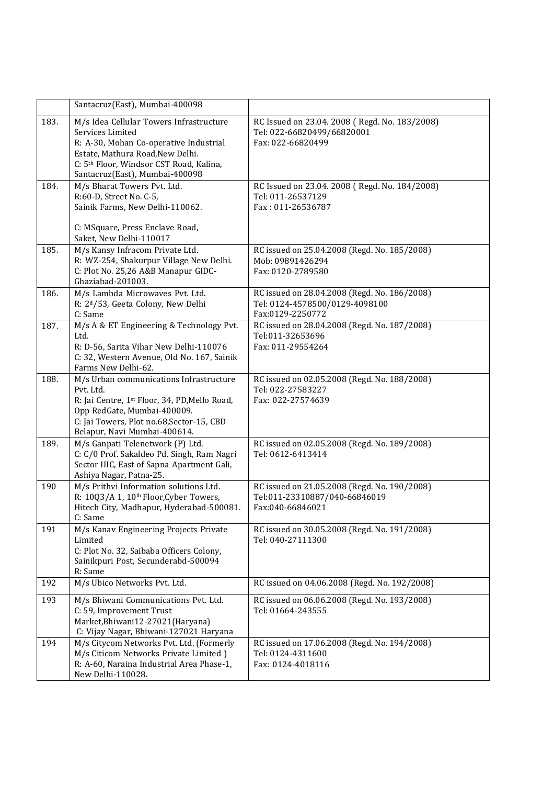|      | Santacruz(East), Mumbai-400098                                                                                                                                                                                                     |                                                                                                    |
|------|------------------------------------------------------------------------------------------------------------------------------------------------------------------------------------------------------------------------------------|----------------------------------------------------------------------------------------------------|
| 183. | M/s Idea Cellular Towers Infrastructure<br>Services Limited<br>R: A-30, Mohan Co-operative Industrial<br>Estate, Mathura Road, New Delhi.<br>C: 5 <sup>th</sup> Floor, Windsor CST Road, Kalina,<br>Santacruz(East), Mumbai-400098 | RC Issued on 23.04. 2008 (Regd. No. 183/2008)<br>Tel: 022-66820499/66820001<br>Fax: 022-66820499   |
| 184. | M/s Bharat Towers Pvt. Ltd.<br>R:60-D, Street No. C-5,<br>Sainik Farms, New Delhi-110062.<br>C: MSquare, Press Enclave Road,<br>Saket, New Delhi-110017                                                                            | RC Issued on 23.04. 2008 (Regd. No. 184/2008)<br>Tel: 011-26537129<br>Fax: 011-26536787            |
| 185. | M/s Kansy Infracom Private Ltd.<br>R: WZ-254, Shakurpur Village New Delhi.<br>C: Plot No. 25,26 A&B Manapur GIDC-<br>Ghaziabad-201003.                                                                                             | RC issued on 25.04.2008 (Regd. No. 185/2008)<br>Mob: 09891426294<br>Fax: 0120-2789580              |
| 186. | M/s Lambda Microwaves Pvt. Ltd.<br>R: 2ª/53, Geeta Colony, New Delhi<br>C: Same                                                                                                                                                    | RC issued on 28.04.2008 (Regd. No. 186/2008)<br>Tel: 0124-4578500/0129-4098100<br>Fax:0129-2250772 |
| 187. | M/s A & ET Engineering & Technology Pvt.<br>Ltd.<br>R: D-56, Sarita Vihar New Delhi-110076<br>C: 32, Western Avenue, Old No. 167, Sainik<br>Farms New Delhi-62.                                                                    | RC issued on 28.04.2008 (Regd. No. 187/2008)<br>Tel:011-32653696<br>Fax: 011-29554264              |
| 188. | M/s Urban communications Infrastructure<br>Pvt. Ltd.<br>R: Jai Centre, 1st Floor, 34, PD, Mello Road,<br>Opp RedGate, Mumbai-400009.<br>C: Jai Towers, Plot no.68, Sector-15, CBD<br>Belapur, Navi Mumbai-400614.                  | RC issued on 02.05.2008 (Regd. No. 188/2008)<br>Tel: 022-27583227<br>Fax: 022-27574639             |
| 189. | M/s Ganpati Telenetwork (P) Ltd.<br>C: C/0 Prof. Sakaldeo Pd. Singh, Ram Nagri<br>Sector IIIC, East of Sapna Apartment Gali,<br>Ashiya Nagar, Patna-25.                                                                            | RC issued on 02.05.2008 (Regd. No. 189/2008)<br>Tel: 0612-6413414                                  |
| 190  | M/s Prithvi Information solutions Ltd.<br>R: 10Q3/A 1, 10 <sup>th</sup> Floor, Cyber Towers,<br>Hitech City, Madhapur, Hyderabad-500081.<br>C: Same                                                                                | RC issued on 21.05.2008 (Regd. No. 190/2008)<br>Tel:011-23310887/040-66846019<br>Fax:040-66846021  |
| 191  | M/s Kanav Engineering Projects Private<br>Limited<br>C: Plot No. 32, Saibaba Officers Colony,<br>Sainikpuri Post, Secunderabd-500094<br>R: Same                                                                                    | RC issued on 30.05.2008 (Regd. No. 191/2008)<br>Tel: 040-27111300                                  |
| 192  | M/s Ubico Networks Pvt. Ltd.                                                                                                                                                                                                       | RC issued on 04.06.2008 (Regd. No. 192/2008)                                                       |
| 193  | M/s Bhiwani Communications Pvt. Ltd.<br>C: 59, Improvement Trust<br>Market, Bhiwani 12-27021 (Haryana)<br>C: Vijay Nagar, Bhiwani-127021 Haryana                                                                                   | RC issued on 06.06.2008 (Regd. No. 193/2008)<br>Tel: 01664-243555                                  |
| 194  | M/s Citycom Networks Pvt. Ltd. (Formerly<br>M/s Citicom Networks Private Limited )<br>R: A-60, Naraina Industrial Area Phase-1,<br>New Delhi-110028.                                                                               | RC issued on 17.06.2008 (Regd. No. 194/2008)<br>Tel: 0124-4311600<br>Fax: 0124-4018116             |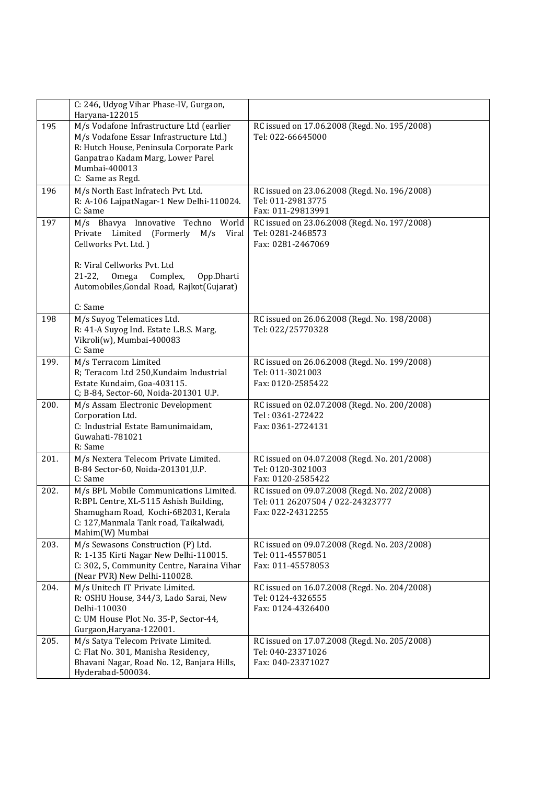|      | C: 246, Udyog Vihar Phase-IV, Gurgaon,<br>Haryana-122015                                                                                                                                                                                 |                                                                                                       |
|------|------------------------------------------------------------------------------------------------------------------------------------------------------------------------------------------------------------------------------------------|-------------------------------------------------------------------------------------------------------|
| 195  | M/s Vodafone Infrastructure Ltd (earlier<br>M/s Vodafone Essar Infrastructure Ltd.)<br>R: Hutch House, Peninsula Corporate Park<br>Ganpatrao Kadam Marg, Lower Parel<br>Mumbai-400013<br>C: Same as Regd.                                | RC issued on 17.06.2008 (Regd. No. 195/2008)<br>Tel: 022-66645000                                     |
| 196  | M/s North East Infratech Pvt. Ltd.<br>R: A-106 LajpatNagar-1 New Delhi-110024.<br>C: Same                                                                                                                                                | RC issued on 23.06.2008 (Regd. No. 196/2008)<br>Tel: 011-29813775<br>Fax: 011-29813991                |
| 197  | M/s Bhavya Innovative Techno World<br>Private Limited<br>(Formerly<br>M/s<br>Viral<br>Cellworks Pvt. Ltd.)<br>R: Viral Cellworks Pvt. Ltd<br>$21 - 22,$<br>Omega<br>Complex,<br>Opp.Dharti<br>Automobiles, Gondal Road, Rajkot (Gujarat) | RC issued on 23.06.2008 (Regd. No. 197/2008)<br>Tel: 0281-2468573<br>Fax: 0281-2467069                |
| 198  | C: Same<br>M/s Suyog Telematices Ltd.<br>R: 41-A Suyog Ind. Estate L.B.S. Marg,<br>Vikroli(w), Mumbai-400083<br>C: Same                                                                                                                  | RC issued on 26.06.2008 (Regd. No. 198/2008)<br>Tel: 022/25770328                                     |
| 199. | M/s Terracom Limited<br>R; Teracom Ltd 250, Kundaim Industrial<br>Estate Kundaim, Goa-403115.<br>C; B-84, Sector-60, Noida-201301 U.P.                                                                                                   | RC issued on 26.06.2008 (Regd. No. 199/2008)<br>Tel: 011-3021003<br>Fax: 0120-2585422                 |
| 200. | M/s Assam Electronic Development<br>Corporation Ltd.<br>C: Industrial Estate Bamunimaidam,<br>Guwahati-781021<br>R: Same                                                                                                                 | RC issued on 02.07.2008 (Regd. No. 200/2008)<br>Tel: 0361-272422<br>Fax: 0361-2724131                 |
| 201. | M/s Nextera Telecom Private Limited.<br>B-84 Sector-60, Noida-201301, U.P.<br>C: Same                                                                                                                                                    | RC issued on 04.07.2008 (Regd. No. 201/2008)<br>Tel: 0120-3021003<br>Fax: 0120-2585422                |
| 202. | M/s BPL Mobile Communications Limited.<br>R:BPL Centre, XL-5115 Ashish Building,<br>Shamugham Road, Kochi-682031, Kerala<br>C: 127, Manmala Tank road, Taikalwadi,<br>Mahim(W) Mumbai                                                    | RC issued on 09.07.2008 (Regd. No. 202/2008)<br>Tel: 011 26207504 / 022-24323777<br>Fax: 022-24312255 |
| 203. | M/s Sewasons Construction (P) Ltd.<br>R: 1-135 Kirti Nagar New Delhi-110015.<br>C: 302, 5, Community Centre, Naraina Vihar<br>(Near PVR) New Delhi-110028.                                                                               | RC issued on 09.07.2008 (Regd. No. 203/2008)<br>Tel: 011-45578051<br>Fax: 011-45578053                |
| 204. | M/s Unitech IT Private Limited.<br>R: OSHU House, 344/3, Lado Sarai, New<br>Delhi-110030<br>C: UM House Plot No. 35-P, Sector-44,<br>Gurgaon, Haryana-122001.                                                                            | RC issued on 16.07.2008 (Regd. No. 204/2008)<br>Tel: 0124-4326555<br>Fax: 0124-4326400                |
| 205. | M/s Satya Telecom Private Limited.<br>C: Flat No. 301, Manisha Residency,<br>Bhavani Nagar, Road No. 12, Banjara Hills,<br>Hyderabad-500034.                                                                                             | RC issued on 17.07.2008 (Regd. No. 205/2008)<br>Tel: 040-23371026<br>Fax: 040-23371027                |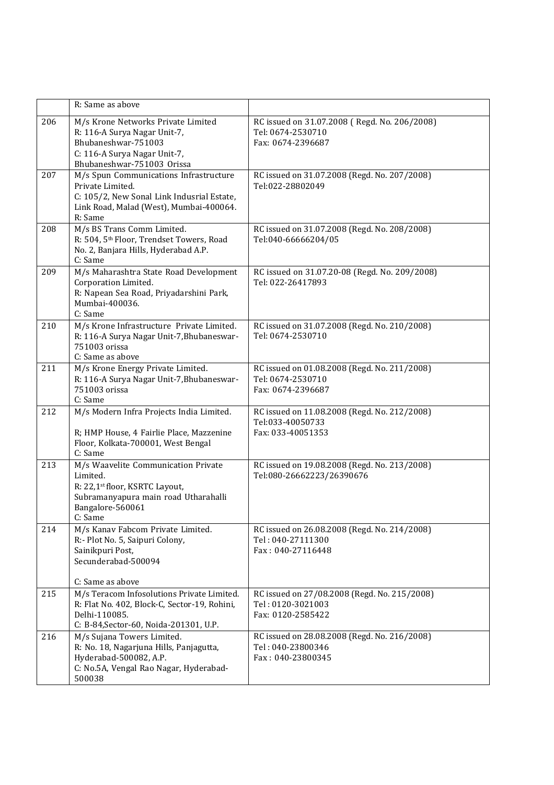|     | R: Same as above                                                                                                                                               |                                                                                        |
|-----|----------------------------------------------------------------------------------------------------------------------------------------------------------------|----------------------------------------------------------------------------------------|
| 206 | M/s Krone Networks Private Limited<br>R: 116-A Surya Nagar Unit-7,<br>Bhubaneshwar-751003<br>C: 116-A Surya Nagar Unit-7,<br>Bhubaneshwar-751003 Orissa        | RC issued on 31.07.2008 (Regd. No. 206/2008)<br>Tel: 0674-2530710<br>Fax: 0674-2396687 |
| 207 | M/s Spun Communications Infrastructure<br>Private Limited.<br>C: 105/2, New Sonal Link Indusrial Estate,<br>Link Road, Malad (West), Mumbai-400064.<br>R: Same | RC issued on 31.07.2008 (Regd. No. 207/2008)<br>Tel:022-28802049                       |
| 208 | M/s BS Trans Comm Limited.<br>R: 504, 5th Floor, Trendset Towers, Road<br>No. 2, Banjara Hills, Hyderabad A.P.<br>C: Same                                      | RC issued on 31.07.2008 (Regd. No. 208/2008)<br>Tel:040-66666204/05                    |
| 209 | M/s Maharashtra State Road Development<br>Corporation Limited.<br>R: Napean Sea Road, Priyadarshini Park,<br>Mumbai-400036.<br>C: Same                         | RC issued on 31.07.20-08 (Regd. No. 209/2008)<br>Tel: 022-26417893                     |
| 210 | M/s Krone Infrastructure Private Limited.<br>R: 116-A Surya Nagar Unit-7, Bhubaneswar-<br>751003 orissa<br>C: Same as above                                    | RC issued on 31.07.2008 (Regd. No. 210/2008)<br>Tel: 0674-2530710                      |
| 211 | M/s Krone Energy Private Limited.<br>R: 116-A Surya Nagar Unit-7, Bhubaneswar-<br>751003 orissa<br>C: Same                                                     | RC issued on 01.08.2008 (Regd. No. 211/2008)<br>Tel: 0674-2530710<br>Fax: 0674-2396687 |
| 212 | M/s Modern Infra Projects India Limited.<br>R; HMP House, 4 Fairlie Place, Mazzenine<br>Floor, Kolkata-700001, West Bengal<br>C: Same                          | RC issued on 11.08.2008 (Regd. No. 212/2008)<br>Tel:033-40050733<br>Fax: 033-40051353  |
| 213 | M/s Waavelite Communication Private<br>Limited.<br>R: 22,1st floor, KSRTC Layout,<br>Subramanyapura main road Utharahalli<br>Bangalore-560061<br>C: Same       | RC issued on 19.08.2008 (Regd. No. 213/2008)<br>Tel:080-26662223/26390676              |
| 214 | M/s Kanav Fabcom Private Limited.<br>R:- Plot No. 5, Saipuri Colony,<br>Sainikpuri Post,<br>Secunderabad-500094<br>C: Same as above                            | RC issued on 26.08.2008 (Regd. No. 214/2008)<br>Tel: 040-27111300<br>Fax: 040-27116448 |
| 215 | M/s Teracom Infosolutions Private Limited.<br>R: Flat No. 402, Block-C, Sector-19, Rohini,<br>Delhi-110085.<br>C: B-84, Sector-60, Noida-201301, U.P.          | RC issued on 27/08.2008 (Regd. No. 215/2008)<br>Tel: 0120-3021003<br>Fax: 0120-2585422 |
| 216 | M/s Sujana Towers Limited.<br>R: No. 18, Nagarjuna Hills, Panjagutta,<br>Hyderabad-500082, A.P.<br>C: No.5A, Vengal Rao Nagar, Hyderabad-<br>500038            | RC issued on 28.08.2008 (Regd. No. 216/2008)<br>Tel: 040-23800346<br>Fax: 040-23800345 |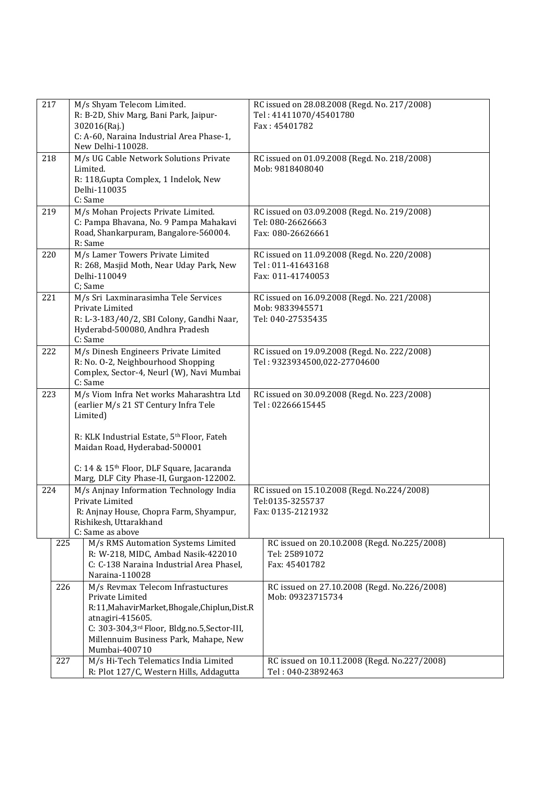| 217 | M/s Shyam Telecom Limited.<br>R: B-2D, Shiv Marg, Bani Park, Jaipur-<br>302016(Raj.)<br>C: A-60, Naraina Industrial Area Phase-1, | RC issued on 28.08.2008 (Regd. No. 217/2008)<br>Tel: 41411070/45401780<br>Fax: 45401782 |
|-----|-----------------------------------------------------------------------------------------------------------------------------------|-----------------------------------------------------------------------------------------|
|     | New Delhi-110028.                                                                                                                 |                                                                                         |
| 218 | M/s UG Cable Network Solutions Private<br>Limited.                                                                                | RC issued on 01.09.2008 (Regd. No. 218/2008)<br>Mob: 9818408040                         |
|     | R: 118, Gupta Complex, 1 Indelok, New<br>Delhi-110035                                                                             |                                                                                         |
|     | C: Same                                                                                                                           |                                                                                         |
| 219 | M/s Mohan Projects Private Limited.                                                                                               | RC issued on 03.09.2008 (Regd. No. 219/2008)                                            |
|     | C: Pampa Bhavana, No. 9 Pampa Mahakavi                                                                                            | Tel: 080-26626663<br>Fax: 080-26626661                                                  |
|     | Road, Shankarpuram, Bangalore-560004.<br>R: Same                                                                                  |                                                                                         |
| 220 | M/s Lamer Towers Private Limited                                                                                                  | RC issued on 11.09.2008 (Regd. No. 220/2008)                                            |
|     | R: 268, Masjid Moth, Near Uday Park, New                                                                                          | Tel: 011-41643168                                                                       |
|     | Delhi-110049                                                                                                                      | Fax: 011-41740053                                                                       |
|     | C; Same                                                                                                                           |                                                                                         |
| 221 | M/s Sri Laxminarasimha Tele Services                                                                                              | RC issued on 16.09.2008 (Regd. No. 221/2008)                                            |
|     | Private Limited                                                                                                                   | Mob: 9833945571                                                                         |
|     | R: L-3-183/40/2, SBI Colony, Gandhi Naar,                                                                                         | Tel: 040-27535435                                                                       |
|     | Hyderabd-500080, Andhra Pradesh                                                                                                   |                                                                                         |
| 222 | C: Same                                                                                                                           |                                                                                         |
|     | M/s Dinesh Engineers Private Limited<br>R: No. O-2, Neighbourhood Shopping                                                        | RC issued on 19.09.2008 (Regd. No. 222/2008)<br>Tel: 9323934500,022-27704600            |
|     | Complex, Sector-4, Neurl (W), Navi Mumbai                                                                                         |                                                                                         |
|     | C: Same                                                                                                                           |                                                                                         |
| 223 | M/s Viom Infra Net works Maharashtra Ltd                                                                                          | RC issued on 30.09.2008 (Regd. No. 223/2008)                                            |
|     | (earlier M/s 21 ST Century Infra Tele                                                                                             | Tel: 02266615445                                                                        |
|     | Limited)                                                                                                                          |                                                                                         |
|     |                                                                                                                                   |                                                                                         |
|     | R: KLK Industrial Estate, 5th Floor, Fateh                                                                                        |                                                                                         |
|     | Maidan Road, Hyderabad-500001                                                                                                     |                                                                                         |
|     | C: 14 & 15 <sup>th</sup> Floor, DLF Square, Jacaranda                                                                             |                                                                                         |
|     | Marg, DLF City Phase-II, Gurgaon-122002.                                                                                          |                                                                                         |
| 224 | M/s Anjnay Information Technology India                                                                                           | RC issued on 15.10.2008 (Regd. No.224/2008)                                             |
|     | Private Limited                                                                                                                   | Tel:0135-3255737                                                                        |
|     | R: Anjnay House, Chopra Farm, Shyampur,                                                                                           | Fax: 0135-2121932                                                                       |
|     | Rishikesh, Uttarakhand                                                                                                            |                                                                                         |
|     | C: Same as above                                                                                                                  |                                                                                         |
| 225 | M/s RMS Automation Systems Limited<br>R: W-218, MIDC, Ambad Nasik-422010                                                          | RC issued on 20.10.2008 (Regd. No.225/2008)<br>Tel: 25891072                            |
|     | C: C-138 Naraina Industrial Area PhaseI,                                                                                          | Fax: 45401782                                                                           |
|     | Naraina-110028                                                                                                                    |                                                                                         |
| 226 | M/s Revmax Telecom Infrastuctures                                                                                                 | RC issued on 27.10.2008 (Regd. No.226/2008)                                             |
|     | Private Limited                                                                                                                   | Mob: 09323715734                                                                        |
|     | R:11, Mahavir Market, Bhogale, Chiplun, Dist.R                                                                                    |                                                                                         |
|     | atnagiri-415605.                                                                                                                  |                                                                                         |
|     | C: 303-304,3rd Floor, Bldg.no.5,Sector-III,                                                                                       |                                                                                         |
|     | Millennuim Business Park, Mahape, New                                                                                             |                                                                                         |
| 227 | Mumbai-400710                                                                                                                     |                                                                                         |
|     | M/s Hi-Tech Telematics India Limited<br>R: Plot 127/C, Western Hills, Addagutta                                                   | RC issued on 10.11.2008 (Regd. No.227/2008)<br>Tel: 040-23892463                        |
|     |                                                                                                                                   |                                                                                         |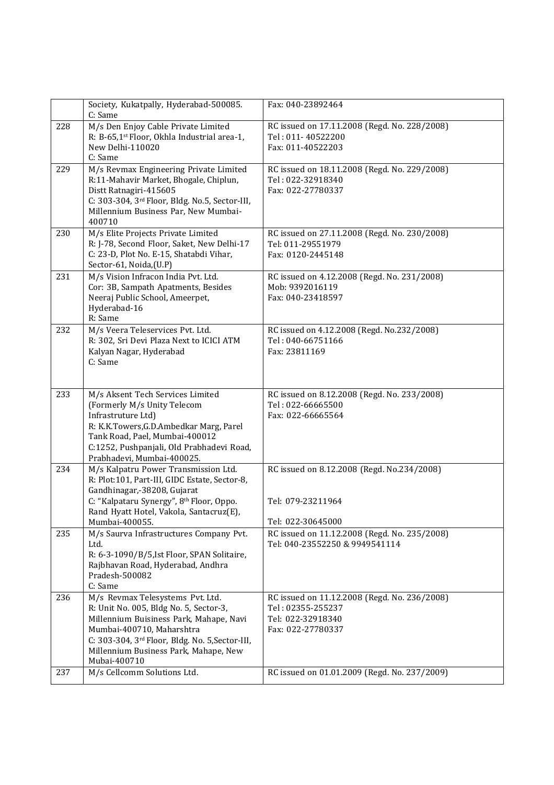|     | Society, Kukatpally, Hyderabad-500085.<br>C: Same                                                                                                                                                                                                              | Fax: 040-23892464                                                                                           |
|-----|----------------------------------------------------------------------------------------------------------------------------------------------------------------------------------------------------------------------------------------------------------------|-------------------------------------------------------------------------------------------------------------|
| 228 | M/s Den Enjoy Cable Private Limited<br>R: B-65,1 <sup>st</sup> Floor, Okhla Industrial area-1,<br>New Delhi-110020<br>C: Same                                                                                                                                  | RC issued on 17.11.2008 (Regd. No. 228/2008)<br>Tel: 011-40522200<br>Fax: 011-40522203                      |
| 229 | M/s Revmax Engineering Private Limited<br>R:11-Mahavir Market, Bhogale, Chiplun,<br>Distt Ratnagiri-415605<br>C: 303-304, 3rd Floor, Bldg. No.5, Sector-III,<br>Millennium Business Par, New Mumbai-<br>400710                                                 | RC issued on 18.11.2008 (Regd. No. 229/2008)<br>Tel: 022-32918340<br>Fax: 022-27780337                      |
| 230 | M/s Elite Projects Private Limited<br>R: J-78, Second Floor, Saket, New Delhi-17<br>C: 23-D, Plot No. E-15, Shatabdi Vihar,<br>Sector-61, Noida, (U.P)                                                                                                         | RC issued on 27.11.2008 (Regd. No. 230/2008)<br>Tel: 011-29551979<br>Fax: 0120-2445148                      |
| 231 | M/s Vision Infracon India Pvt. Ltd.<br>Cor: 3B, Sampath Apatments, Besides<br>Neeraj Public School, Ameerpet,<br>Hyderabad-16<br>R: Same                                                                                                                       | RC issued on 4.12.2008 (Regd. No. 231/2008)<br>Mob: 9392016119<br>Fax: 040-23418597                         |
| 232 | M/s Veera Teleservices Pvt. Ltd.<br>R: 302, Sri Devi Plaza Next to ICICI ATM<br>Kalyan Nagar, Hyderabad<br>C: Same                                                                                                                                             | RC issued on 4.12.2008 (Regd. No.232/2008)<br>Tel: 040-66751166<br>Fax: 23811169                            |
| 233 | M/s Aksent Tech Services Limited<br>(Formerly M/s Unity Telecom<br>Infrastruture Ltd)<br>R: K.K.Towers, G.D.Ambedkar Marg, Parel<br>Tank Road, Pael, Mumbai-400012<br>C:1252, Pushpanjali, Old Prabhadevi Road,<br>Prabhadevi, Mumbai-400025.                  | RC issued on 8.12.2008 (Regd. No. 233/2008)<br>Tel: 022-66665500<br>Fax: 022-66665564                       |
| 234 | M/s Kalpatru Power Transmission Ltd.<br>R: Plot:101, Part-III, GIDC Estate, Sector-8,<br>Gandhinagar,-38208, Gujarat<br>C: "Kalpataru Synergy", 8th Floor, Oppo.<br>Rand Hyatt Hotel, Vakola, Santacruz(E),<br>Mumbai-400055.                                  | RC issued on 8.12.2008 (Regd. No.234/2008)<br>Tel: 079-23211964<br>Tel: 022-30645000                        |
| 235 | M/s Saurva Infrastructures Company Pvt.<br>Ltd.<br>R: 6-3-1090/B/5, Ist Floor, SPAN Solitaire,<br>Rajbhavan Road, Hyderabad, Andhra<br>Pradesh-500082<br>C: Same                                                                                               | RC issued on 11.12.2008 (Regd. No. 235/2008)<br>Tel: 040-23552250 & 9949541114                              |
| 236 | M/s Revmax Telesystems Pvt. Ltd.<br>R: Unit No. 005, Bldg No. 5, Sector-3,<br>Millennium Buisiness Park, Mahape, Navi<br>Mumbai-400710, Maharshtra<br>C: 303-304, 3rd Floor, Bldg. No. 5, Sector-III,<br>Millennium Business Park, Mahape, New<br>Mubai-400710 | RC issued on 11.12.2008 (Regd. No. 236/2008)<br>Tel: 02355-255237<br>Tel: 022-32918340<br>Fax: 022-27780337 |
| 237 | M/s Cellcomm Solutions Ltd.                                                                                                                                                                                                                                    | RC issued on 01.01.2009 (Regd. No. 237/2009)                                                                |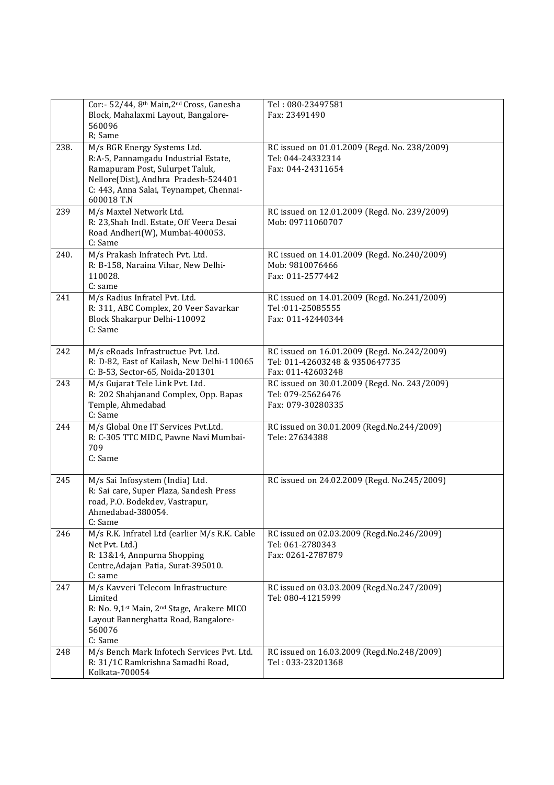|      | Cor:- 52/44, 8 <sup>th</sup> Main, 2 <sup>nd</sup> Cross, Ganesha            | Tel: 080-23497581                                                |
|------|------------------------------------------------------------------------------|------------------------------------------------------------------|
|      | Block, Mahalaxmi Layout, Bangalore-                                          | Fax: 23491490                                                    |
|      | 560096                                                                       |                                                                  |
|      | R; Same                                                                      |                                                                  |
| 238. | M/s BGR Energy Systems Ltd.                                                  | RC issued on 01.01.2009 (Regd. No. 238/2009)                     |
|      | R:A-5, Pannamgadu Industrial Estate,                                         | Tel: 044-24332314                                                |
|      | Ramapuram Post, Sulurpet Taluk,                                              | Fax: 044-24311654                                                |
|      | Nellore(Dist), Andhra Pradesh-524401                                         |                                                                  |
|      | C: 443, Anna Salai, Teynampet, Chennai-                                      |                                                                  |
|      | 600018 T.N                                                                   |                                                                  |
| 239  | M/s Maxtel Network Ltd.                                                      | RC issued on 12.01.2009 (Regd. No. 239/2009)<br>Mob: 09711060707 |
|      | R: 23, Shah Indl. Estate, Off Veera Desai<br>Road Andheri(W), Mumbai-400053. |                                                                  |
|      | C: Same                                                                      |                                                                  |
| 240. | M/s Prakash Infratech Pvt. Ltd.                                              | RC issued on 14.01.2009 (Regd. No.240/2009)                      |
|      | R: B-158, Naraina Vihar, New Delhi-                                          | Mob: 9810076466                                                  |
|      | 110028.                                                                      | Fax: 011-2577442                                                 |
|      | C: same                                                                      |                                                                  |
| 241  | M/s Radius Infratel Pvt. Ltd.                                                | RC issued on 14.01.2009 (Regd. No.241/2009)                      |
|      | R: 311, ABC Complex, 20 Veer Savarkar                                        | Tel:011-25085555                                                 |
|      | Block Shakarpur Delhi-110092                                                 | Fax: 011-42440344                                                |
|      | C: Same                                                                      |                                                                  |
|      |                                                                              |                                                                  |
| 242  | M/s eRoads Infrastructue Pvt. Ltd.                                           | RC issued on 16.01.2009 (Regd. No.242/2009)                      |
|      | R: D-82, East of Kailash, New Delhi-110065                                   | Tel: 011-42603248 & 9350647735                                   |
|      | C: B-53, Sector-65, Noida-201301                                             | Fax: 011-42603248                                                |
| 243  | M/s Gujarat Tele Link Pvt. Ltd.                                              | RC issued on 30.01.2009 (Regd. No. 243/2009)                     |
|      | R: 202 Shahjanand Complex, Opp. Bapas                                        | Tel: 079-25626476                                                |
|      | Temple, Ahmedabad<br>C: Same                                                 | Fax: 079-30280335                                                |
| 244  | M/s Global One IT Services Pvt.Ltd.                                          | RC issued on 30.01.2009 (Regd.No.244/2009)                       |
|      | R: C-305 TTC MIDC, Pawne Navi Mumbai-                                        | Tele: 27634388                                                   |
|      | 709                                                                          |                                                                  |
|      | C: Same                                                                      |                                                                  |
|      |                                                                              |                                                                  |
| 245  | M/s Sai Infosystem (India) Ltd.                                              | RC issued on 24.02.2009 (Regd. No.245/2009)                      |
|      | R: Sai care, Super Plaza, Sandesh Press                                      |                                                                  |
|      | road, P.O. Bodekdev, Vastrapur,                                              |                                                                  |
|      | Ahmedabad-380054.                                                            |                                                                  |
|      | C: Same                                                                      |                                                                  |
| 246  | M/s R.K. Infratel Ltd (earlier M/s R.K. Cable                                | RC issued on 02.03.2009 (Regd.No.246/2009)                       |
|      | Net Pvt. Ltd.)                                                               | Tel: 061-2780343                                                 |
|      | R: 13&14, Annpurna Shopping                                                  | Fax: 0261-2787879                                                |
|      | Centre, Adajan Patia, Surat-395010.                                          |                                                                  |
|      | C: same                                                                      |                                                                  |
| 247  | M/s Kavveri Telecom Infrastructure                                           | RC issued on 03.03.2009 (Regd.No.247/2009)                       |
|      | Limited                                                                      | Tel: 080-41215999                                                |
|      | R: No. 9,1 <sup>st</sup> Main, 2 <sup>nd</sup> Stage, Arakere MICO           |                                                                  |
|      | Layout Bannerghatta Road, Bangalore-<br>560076                               |                                                                  |
|      | C: Same                                                                      |                                                                  |
| 248  | M/s Bench Mark Infotech Services Pvt. Ltd.                                   | RC issued on 16.03.2009 (Regd.No.248/2009)                       |
|      | R: 31/1C Ramkrishna Samadhi Road,                                            | Tel: 033-23201368                                                |
|      | Kolkata-700054                                                               |                                                                  |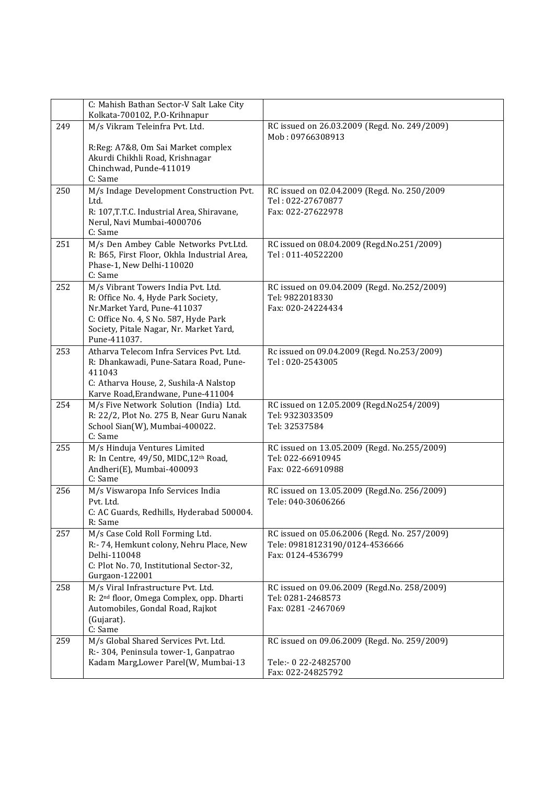|     | C: Mahish Bathan Sector-V Salt Lake City<br>Kolkata-700102, P.O-Krihnapur                                                                                                                                    |                                                                                                     |
|-----|--------------------------------------------------------------------------------------------------------------------------------------------------------------------------------------------------------------|-----------------------------------------------------------------------------------------------------|
| 249 | M/s Vikram Teleinfra Pvt. Ltd.                                                                                                                                                                               | RC issued on 26.03.2009 (Regd. No. 249/2009)<br>Mob: 09766308913                                    |
|     | R:Reg: A7&8, Om Sai Market complex<br>Akurdi Chikhli Road, Krishnagar<br>Chinchwad, Punde-411019<br>C: Same                                                                                                  |                                                                                                     |
| 250 | M/s Indage Development Construction Pvt.<br>Ltd.<br>R: 107, T.T.C. Industrial Area, Shiravane,<br>Nerul, Navi Mumbai-4000706<br>C: Same                                                                      | RC issued on 02.04.2009 (Regd. No. 250/2009<br>Tel: 022-27670877<br>Fax: 022-27622978               |
| 251 | M/s Den Ambey Cable Networks Pvt.Ltd.<br>R: B65, First Floor, Okhla Industrial Area,<br>Phase-1, New Delhi-110020<br>C: Same                                                                                 | RC issued on 08.04.2009 (Regd.No.251/2009)<br>Tel: 011-40522200                                     |
| 252 | M/s Vibrant Towers India Pvt. Ltd.<br>R: Office No. 4, Hyde Park Society,<br>Nr.Market Yard, Pune-411037<br>C: Office No. 4, S No. 587, Hyde Park<br>Society, Pitale Nagar, Nr. Market Yard,<br>Pune-411037. | RC issued on 09.04.2009 (Regd. No.252/2009)<br>Tel: 9822018330<br>Fax: 020-24224434                 |
| 253 | Atharva Telecom Infra Services Pvt. Ltd.<br>R: Dhankawadi, Pune-Satara Road, Pune-<br>411043<br>C: Atharva House, 2, Sushila-A Nalstop<br>Karve Road, Erandwane, Pune-411004                                 | Rc issued on 09.04.2009 (Regd. No.253/2009)<br>Tel: 020-2543005                                     |
| 254 | M/s Five Network Solution (India) Ltd.<br>R: 22/2, Plot No. 275 B, Near Guru Nanak<br>School Sian(W), Mumbai-400022.<br>C: Same                                                                              | RC issued on 12.05.2009 (Regd.No254/2009)<br>Tel: 9323033509<br>Tel: 32537584                       |
| 255 | M/s Hinduja Ventures Limited<br>R: In Centre, 49/50, MIDC, 12th Road,<br>Andheri(E), Mumbai-400093<br>C: Same                                                                                                | RC issued on 13.05.2009 (Regd. No.255/2009)<br>Tel: 022-66910945<br>Fax: 022-66910988               |
| 256 | M/s Viswaropa Info Services India<br>Pvt. Ltd.<br>C: AC Guards, Redhills, Hyderabad 500004.<br>R: Same                                                                                                       | RC issued on 13.05.2009 (Regd.No. 256/2009)<br>Tele: 040-30606266                                   |
| 257 | M/s Case Cold Roll Forming Ltd.<br>R:- 74, Hemkunt colony, Nehru Place, New<br>Delhi-110048<br>C: Plot No. 70, Institutional Sector-32,<br>Gurgaon-122001                                                    | RC issued on 05.06.2006 (Regd. No. 257/2009)<br>Tele: 09818123190/0124-4536666<br>Fax: 0124-4536799 |
| 258 | M/s Viral Infrastructure Pvt. Ltd.<br>R: 2 <sup>nd</sup> floor, Omega Complex, opp. Dharti<br>Automobiles, Gondal Road, Rajkot<br>(Gujarat).<br>C: Same                                                      | RC issued on 09.06.2009 (Regd.No. 258/2009)<br>Tel: 0281-2468573<br>Fax: 0281 -2467069              |
| 259 | M/s Global Shared Services Pvt. Ltd.<br>R:- 304, Peninsula tower-1, Ganpatrao<br>Kadam Marg, Lower Parel(W, Mumbai-13                                                                                        | RC issued on 09.06.2009 (Regd. No. 259/2009)<br>Tele:- 0 22-24825700<br>Fax: 022-24825792           |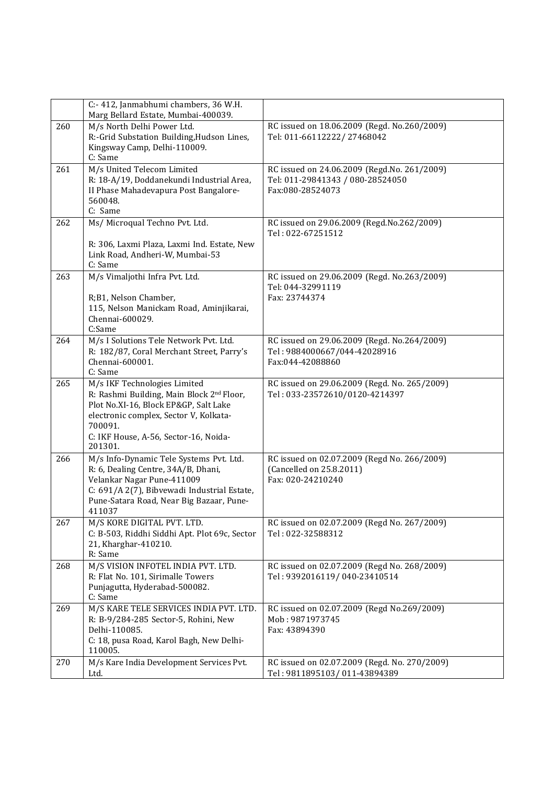|     | C:- 412, Janmabhumi chambers, 36 W.H.<br>Marg Bellard Estate, Mumbai-400039.                                                                                                                                                            |                                                                                                     |
|-----|-----------------------------------------------------------------------------------------------------------------------------------------------------------------------------------------------------------------------------------------|-----------------------------------------------------------------------------------------------------|
| 260 | M/s North Delhi Power Ltd.<br>R:-Grid Substation Building, Hudson Lines,<br>Kingsway Camp, Delhi-110009.<br>C: Same                                                                                                                     | RC issued on 18.06.2009 (Regd. No.260/2009)<br>Tel: 011-66112222/27468042                           |
| 261 | M/s United Telecom Limited<br>R: 18-A/19, Doddanekundi Industrial Area,<br>II Phase Mahadevapura Post Bangalore-<br>560048.<br>C: Same                                                                                                  | RC issued on 24.06.2009 (Regd.No. 261/2009)<br>Tel: 011-29841343 / 080-28524050<br>Fax:080-28524073 |
| 262 | Ms/ Microqual Techno Pvt. Ltd.<br>R: 306, Laxmi Plaza, Laxmi Ind. Estate, New<br>Link Road, Andheri-W, Mumbai-53<br>C: Same                                                                                                             | RC issued on 29.06.2009 (Regd.No.262/2009)<br>Tel: 022-67251512                                     |
| 263 | M/s Vimaljothi Infra Pvt. Ltd.<br>R;B1, Nelson Chamber,<br>115, Nelson Manickam Road, Aminjikarai,<br>Chennai-600029.<br>C:Same                                                                                                         | RC issued on 29.06.2009 (Regd. No.263/2009)<br>Tel: 044-32991119<br>Fax: 23744374                   |
| 264 | M/s I Solutions Tele Network Pvt. Ltd.<br>R: 182/87, Coral Merchant Street, Parry's<br>Chennai-600001.<br>C: Same                                                                                                                       | RC issued on 29.06.2009 (Regd. No.264/2009)<br>Tel: 9884000667/044-42028916<br>Fax:044-42088860     |
| 265 | M/s IKF Technologies Limited<br>R: Rashmi Building, Main Block 2 <sup>nd</sup> Floor,<br>Plot No.XI-16, Block EP&GP, Salt Lake<br>electronic complex, Sector V, Kolkata-<br>700091.<br>C: IKF House, A-56, Sector-16, Noida-<br>201301. | RC issued on 29.06.2009 (Regd. No. 265/2009)<br>Tel: 033-23572610/0120-4214397                      |
| 266 | M/s Info-Dynamic Tele Systems Pvt. Ltd.<br>R: 6, Dealing Centre, 34A/B, Dhani,<br>Velankar Nagar Pune-411009<br>C: 691/A 2(7), Bibvewadi Industrial Estate,<br>Pune-Satara Road, Near Big Bazaar, Pune-<br>411037                       | RC issued on 02.07.2009 (Regd No. 266/2009)<br>(Cancelled on 25.8.2011)<br>Fax: 020-24210240        |
| 267 | M/S KORE DIGITAL PVT. LTD.<br>C: B-503, Riddhi Siddhi Apt. Plot 69c, Sector<br>21, Kharghar-410210.<br>R: Same                                                                                                                          | RC issued on 02.07.2009 (Regd No. 267/2009)<br>Tel: 022-32588312                                    |
| 268 | M/S VISION INFOTEL INDIA PVT. LTD.<br>R: Flat No. 101, Sirimalle Towers<br>Punjagutta, Hyderabad-500082.<br>C: Same                                                                                                                     | RC issued on 02.07.2009 (Regd No. 268/2009)<br>Tel: 9392016119/040-23410514                         |
| 269 | M/S KARE TELE SERVICES INDIA PVT. LTD.<br>R: B-9/284-285 Sector-5, Rohini, New<br>Delhi-110085.<br>C: 18, pusa Road, Karol Bagh, New Delhi-<br>110005.                                                                                  | RC issued on 02.07.2009 (Regd No.269/2009)<br>Mob: 9871973745<br>Fax: 43894390                      |
| 270 | M/s Kare India Development Services Pvt.<br>Ltd.                                                                                                                                                                                        | RC issued on 02.07.2009 (Regd. No. 270/2009)<br>Tel: 9811895103/011-43894389                        |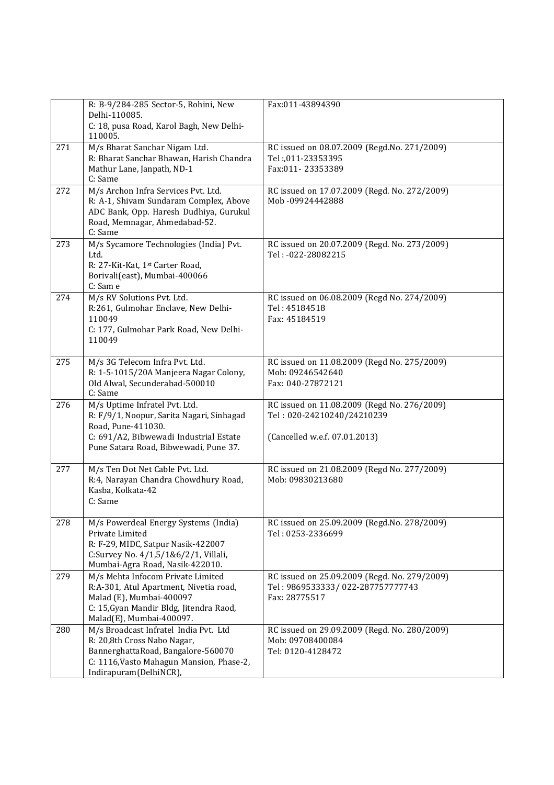|     | R: B-9/284-285 Sector-5, Rohini, New<br>Delhi-110085.<br>C: 18, pusa Road, Karol Bagh, New Delhi-<br>110005.                                                                        | Fax:011-43894390                                                                                           |
|-----|-------------------------------------------------------------------------------------------------------------------------------------------------------------------------------------|------------------------------------------------------------------------------------------------------------|
| 271 | M/s Bharat Sanchar Nigam Ltd.<br>R: Bharat Sanchar Bhawan, Harish Chandra<br>Mathur Lane, Janpath, ND-1<br>C: Same                                                                  | RC issued on 08.07.2009 (Regd.No. 271/2009)<br>Tel:,011-23353395<br>Fax:011-23353389                       |
| 272 | M/s Archon Infra Services Pvt. Ltd.<br>R: A-1, Shivam Sundaram Complex, Above<br>ADC Bank, Opp. Haresh Dudhiya, Gurukul<br>Road, Memnagar, Ahmedabad-52.<br>C: Same                 | RC issued on 17.07.2009 (Regd. No. 272/2009)<br>Mob-09924442888                                            |
| 273 | M/s Sycamore Technologies (India) Pvt.<br>Ltd.<br>R: 27-Kit-Kat, 1st Carter Road,<br>Borivali(east), Mumbai-400066<br>C: Sam e                                                      | RC issued on 20.07.2009 (Regd. No. 273/2009)<br>Tel: -022-28082215                                         |
| 274 | M/s RV Solutions Pvt. Ltd.<br>R:261, Gulmohar Enclave, New Delhi-<br>110049<br>C: 177, Gulmohar Park Road, New Delhi-<br>110049                                                     | RC issued on 06.08.2009 (Regd No. 274/2009)<br>Tel: 45184518<br>Fax: 45184519                              |
| 275 | M/s 3G Telecom Infra Pvt. Ltd.<br>R: 1-5-1015/20A Manjeera Nagar Colony,<br>Old Alwal, Secunderabad-500010<br>C: Same                                                               | RC issued on 11.08.2009 (Regd No. 275/2009)<br>Mob: 09246542640<br>Fax: 040-27872121                       |
| 276 | M/s Uptime Infratel Pvt. Ltd.<br>R: F/9/1, Noopur, Sarita Nagari, Sinhagad<br>Road, Pune-411030.<br>C: 691/A2, Bibwewadi Industrial Estate<br>Pune Satara Road, Bibwewadi, Pune 37. | RC issued on 11.08.2009 (Regd No. 276/2009)<br>Tel: 020-24210240/24210239<br>(Cancelled w.e.f. 07.01.2013) |
| 277 | M/s Ten Dot Net Cable Pvt. Ltd.<br>R:4, Narayan Chandra Chowdhury Road,<br>Kasba, Kolkata-42<br>C: Same                                                                             | RC issued on 21.08.2009 (Regd No. 277/2009)<br>Mob: 09830213680                                            |
| 278 | M/s Powerdeal Energy Systems (India)<br>Private Limited<br>R: F-29, MIDC, Satpur Nasik-422007<br>C:Survey No. 4/1,5/1&6/2/1, Villali,<br>Mumbai-Agra Road, Nasik-422010.            | RC issued on 25.09.2009 (Regd.No. 278/2009)<br>Tel: 0253-2336699                                           |
| 279 | M/s Mehta Infocom Private Limited<br>R:A-301, Atul Apartment, Nivetia road,<br>Malad (E), Mumbai-400097<br>C: 15, Gyan Mandir Bldg, Jitendra Raod,<br>Malad(E), Mumbai-400097.      | RC issued on 25.09.2009 (Regd. No. 279/2009)<br>Tel: 9869533333/ 022-287757777743<br>Fax: 28775517         |
| 280 | M/s Broadcast Infratel India Pvt. Ltd<br>R: 20,8th Cross Nabo Nagar,<br>BannerghattaRoad, Bangalore-560070<br>C: 1116, Vasto Mahagun Mansion, Phase-2,<br>Indirapuram(DelhiNCR),    | RC issued on 29.09.2009 (Regd. No. 280/2009)<br>Mob: 09708400084<br>Tel: 0120-4128472                      |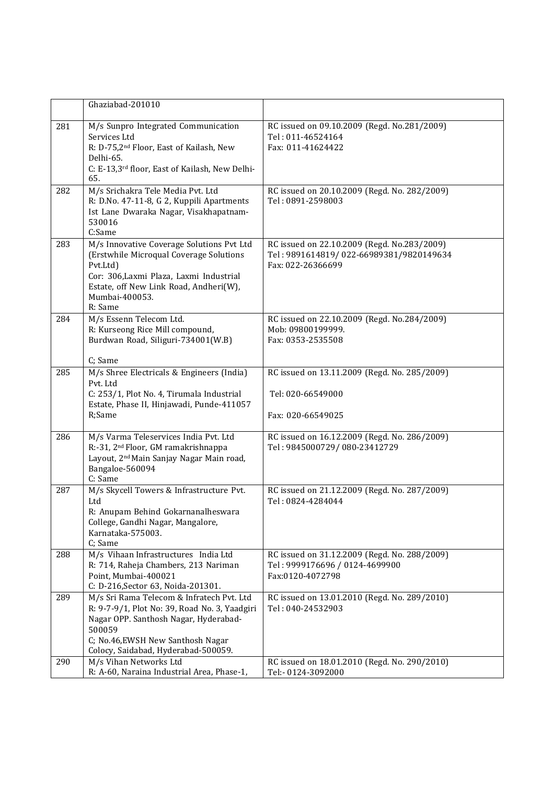|     | Ghaziabad-201010                                                                                                                                                                                                          |                                                                                                             |
|-----|---------------------------------------------------------------------------------------------------------------------------------------------------------------------------------------------------------------------------|-------------------------------------------------------------------------------------------------------------|
| 281 | M/s Sunpro Integrated Communication<br>Services Ltd<br>R: D-75,2 <sup>nd</sup> Floor, East of Kailash, New<br>Delhi-65.<br>C: E-13,3rd floor, East of Kailash, New Delhi-<br>65.                                          | RC issued on 09.10.2009 (Regd. No.281/2009)<br>Tel: 011-46524164<br>Fax: 011-41624422                       |
| 282 | M/s Srichakra Tele Media Pvt. Ltd<br>R: D.No. 47-11-8, G 2, Kuppili Apartments<br>Ist Lane Dwaraka Nagar, Visakhapatnam-<br>530016<br>C:Same                                                                              | RC issued on 20.10.2009 (Regd. No. 282/2009)<br>Tel: 0891-2598003                                           |
| 283 | M/s Innovative Coverage Solutions Pvt Ltd<br>(Erstwhile Microqual Coverage Solutions<br>Pvt.Ltd)<br>Cor: 306, Laxmi Plaza, Laxmi Industrial<br>Estate, off New Link Road, Andheri(W),<br>Mumbai-400053.<br>R: Same        | RC issued on 22.10.2009 (Regd. No.283/2009)<br>Tel: 9891614819/022-66989381/9820149634<br>Fax: 022-26366699 |
| 284 | M/s Essenn Telecom Ltd.<br>R: Kurseong Rice Mill compound,<br>Burdwan Road, Siliguri-734001(W.B)<br>C; Same                                                                                                               | RC issued on 22.10.2009 (Regd. No.284/2009)<br>Mob: 09800199999.<br>Fax: 0353-2535508                       |
| 285 | M/s Shree Electricals & Engineers (India)<br>Pvt. Ltd<br>C: 253/1, Plot No. 4, Tirumala Industrial<br>Estate, Phase II, Hinjawadi, Punde-411057<br>R;Same                                                                 | RC issued on 13.11.2009 (Regd. No. 285/2009)<br>Tel: 020-66549000<br>Fax: 020-66549025                      |
| 286 | M/s Varma Teleservices India Pvt. Ltd<br>R:-31, 2 <sup>nd</sup> Floor, GM ramakrishnappa<br>Layout, 2 <sup>nd</sup> Main Sanjay Nagar Main road,<br>Bangaloe-560094<br>C: Same                                            | RC issued on 16.12.2009 (Regd. No. 286/2009)<br>Tel: 9845000729/080-23412729                                |
| 287 | M/s Skycell Towers & Infrastructure Pvt.<br>Ltd<br>R: Anupam Behind Gokarnanalheswara<br>College, Gandhi Nagar, Mangalore,<br>Karnataka-575003.<br>C; Same                                                                | RC issued on 21.12.2009 (Regd. No. 287/2009)<br>Tel: 0824-4284044                                           |
| 288 | M/s Vihaan Infrastructures India Ltd<br>R: 714, Raheja Chambers, 213 Nariman<br>Point, Mumbai-400021<br>C: D-216, Sector 63, Noida-201301.                                                                                | RC issued on 31.12.2009 (Regd. No. 288/2009)<br>Tel: 9999176696 / 0124-4699900<br>Fax:0120-4072798          |
| 289 | M/s Sri Rama Telecom & Infratech Pvt. Ltd<br>R: 9-7-9/1, Plot No: 39, Road No. 3, Yaadgiri<br>Nagar OPP. Santhosh Nagar, Hyderabad-<br>500059<br>C; No.46, EWSH New Santhosh Nagar<br>Colocy, Saidabad, Hyderabad-500059. | RC issued on 13.01.2010 (Regd. No. 289/2010)<br>Tel: 040-24532903                                           |
| 290 | M/s Vihan Networks Ltd<br>R: A-60, Naraina Industrial Area, Phase-1,                                                                                                                                                      | RC issued on 18.01.2010 (Regd. No. 290/2010)<br>Tel:- 0124-3092000                                          |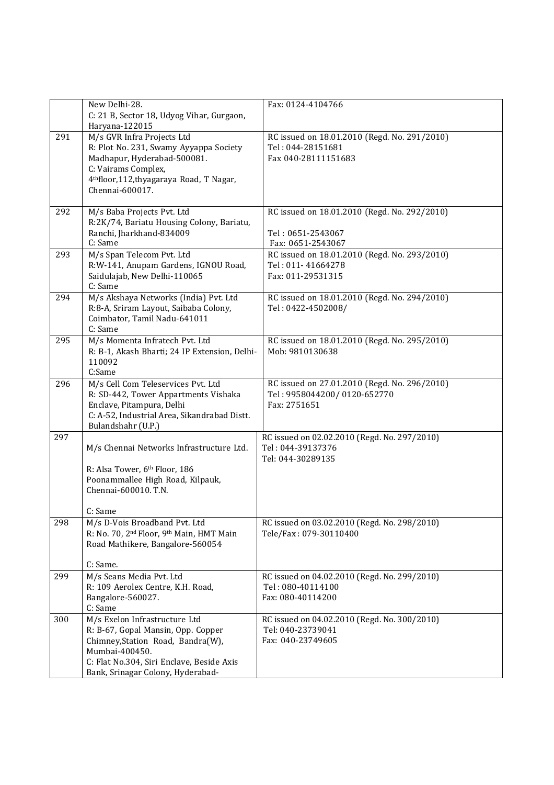|     | New Delhi-28.                                                        | Fax: 0124-4104766                            |
|-----|----------------------------------------------------------------------|----------------------------------------------|
|     | C: 21 B, Sector 18, Udyog Vihar, Gurgaon,                            |                                              |
|     | Haryana-122015                                                       |                                              |
| 291 | M/s GVR Infra Projects Ltd                                           | RC issued on 18.01.2010 (Regd. No. 291/2010) |
|     | R: Plot No. 231, Swamy Ayyappa Society                               | Tel: 044-28151681                            |
|     | Madhapur, Hyderabad-500081.                                          | Fax 040-28111151683                          |
|     | C: Vairams Complex,<br>4thfloor,112,thyagaraya Road, T Nagar,        |                                              |
|     | Chennai-600017.                                                      |                                              |
|     |                                                                      |                                              |
| 292 | M/s Baba Projects Pvt. Ltd                                           | RC issued on 18.01.2010 (Regd. No. 292/2010) |
|     | R:2K/74, Bariatu Housing Colony, Bariatu,                            |                                              |
|     | Ranchi, Jharkhand-834009                                             | Tel: 0651-2543067                            |
|     | C: Same                                                              | Fax: 0651-2543067                            |
| 293 | M/s Span Telecom Pvt. Ltd                                            | RC issued on 18.01.2010 (Regd. No. 293/2010) |
|     | R:W-141, Anupam Gardens, IGNOU Road,<br>Saidulajab, New Delhi-110065 | Tel: 011-41664278<br>Fax: 011-29531315       |
|     | C: Same                                                              |                                              |
| 294 | M/s Akshaya Networks (India) Pvt. Ltd                                | RC issued on 18.01.2010 (Regd. No. 294/2010) |
|     | R:8-A, Sriram Layout, Saibaba Colony,                                | Tel: 0422-4502008/                           |
|     | Coimbator, Tamil Nadu-641011                                         |                                              |
|     | C: Same                                                              |                                              |
| 295 | M/s Momenta Infratech Pvt. Ltd                                       | RC issued on 18.01.2010 (Regd. No. 295/2010) |
|     | R: B-1, Akash Bharti; 24 IP Extension, Delhi-                        | Mob: 9810130638                              |
|     | 110092<br>C:Same                                                     |                                              |
| 296 | M/s Cell Com Teleservices Pvt. Ltd                                   | RC issued on 27.01.2010 (Regd. No. 296/2010) |
|     | R: SD-442, Tower Appartments Vishaka                                 | Tel: 9958044200/0120-652770                  |
|     | Enclave, Pitampura, Delhi                                            | Fax: 2751651                                 |
|     | C: A-52, Industrial Area, Sikandrabad Distt.                         |                                              |
|     | Bulandshahr (U.P.)                                                   |                                              |
| 297 |                                                                      | RC issued on 02.02.2010 (Regd. No. 297/2010) |
|     | M/s Chennai Networks Infrastructure Ltd.                             | Tel: 044-39137376                            |
|     | R: Alsa Tower, 6th Floor, 186                                        | Tel: 044-30289135                            |
|     | Poonammallee High Road, Kilpauk,                                     |                                              |
|     | Chennai-600010. T.N.                                                 |                                              |
|     |                                                                      |                                              |
|     | C: Same                                                              |                                              |
| 298 | M/s D-Vois Broadband Pvt. Ltd                                        | RC issued on 03.02.2010 (Regd. No. 298/2010) |
|     | R: No. 70, 2 <sup>nd</sup> Floor, 9 <sup>th</sup> Main, HMT Main     | Tele/Fax: 079-30110400                       |
|     | Road Mathikere, Bangalore-560054                                     |                                              |
|     | C: Same.                                                             |                                              |
| 299 | M/s Seans Media Pvt. Ltd                                             | RC issued on 04.02.2010 (Regd. No. 299/2010) |
|     | R: 109 Aerolex Centre, K.H. Road,                                    | Tel: 080-40114100                            |
|     | Bangalore-560027.                                                    | Fax: 080-40114200                            |
|     | C: Same                                                              |                                              |
| 300 | M/s Exelon Infrastructure Ltd                                        | RC issued on 04.02.2010 (Regd. No. 300/2010) |
|     | R: B-67, Gopal Mansin, Opp. Copper                                   | Tel: 040-23739041                            |
|     | Chimney, Station Road, Bandra(W),                                    | Fax: 040-23749605                            |
|     | Mumbai-400450.<br>C: Flat No.304, Siri Enclave, Beside Axis          |                                              |
|     | Bank, Srinagar Colony, Hyderabad-                                    |                                              |
|     |                                                                      |                                              |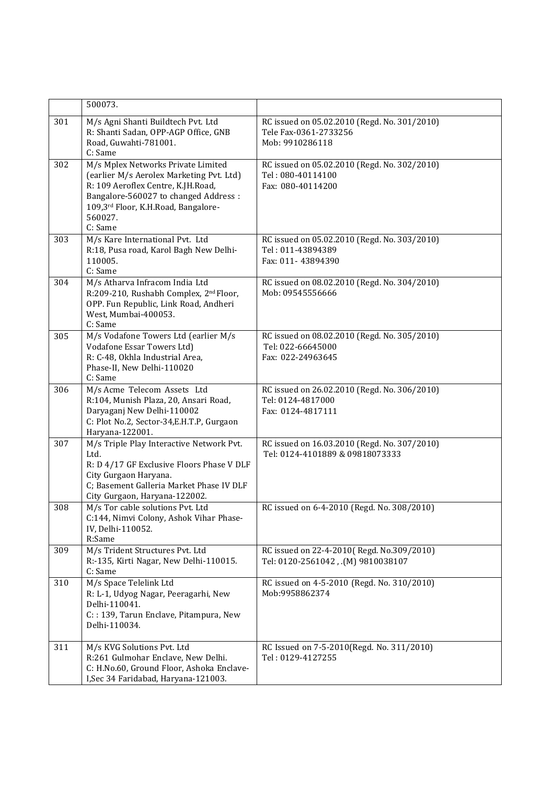|     | 500073.                                                                                                                                                                                                                    |                                                                                          |
|-----|----------------------------------------------------------------------------------------------------------------------------------------------------------------------------------------------------------------------------|------------------------------------------------------------------------------------------|
| 301 | M/s Agni Shanti Buildtech Pvt. Ltd<br>R: Shanti Sadan, OPP-AGP Office, GNB<br>Road, Guwahti-781001.<br>C: Same                                                                                                             | RC issued on 05.02.2010 (Regd. No. 301/2010)<br>Tele Fax-0361-2733256<br>Mob: 9910286118 |
| 302 | M/s Mplex Networks Private Limited<br>(earlier M/s Aerolex Marketing Pvt. Ltd)<br>R: 109 Aeroflex Centre, K.JH.Road,<br>Bangalore-560027 to changed Address :<br>109,3rd Floor, K.H.Road, Bangalore-<br>560027.<br>C: Same | RC issued on 05.02.2010 (Regd. No. 302/2010)<br>Tel: 080-40114100<br>Fax: 080-40114200   |
| 303 | M/s Kare International Pvt. Ltd<br>R:18, Pusa road, Karol Bagh New Delhi-<br>110005.<br>C: Same                                                                                                                            | RC issued on 05.02.2010 (Regd. No. 303/2010)<br>Tel: 011-43894389<br>Fax: 011-43894390   |
| 304 | M/s Atharva Infracom India Ltd<br>R:209-210, Rushabh Complex, 2 <sup>nd</sup> Floor,<br>OPP. Fun Republic, Link Road, Andheri<br>West, Mumbai-400053.<br>C: Same                                                           | RC issued on 08.02.2010 (Regd. No. 304/2010)<br>Mob: 09545556666                         |
| 305 | M/s Vodafone Towers Ltd (earlier M/s<br>Vodafone Essar Towers Ltd)<br>R: C-48, Okhla Industrial Area,<br>Phase-II, New Delhi-110020<br>C: Same                                                                             | RC issued on 08.02.2010 (Regd. No. 305/2010)<br>Tel: 022-66645000<br>Fax: 022-24963645   |
| 306 | M/s Acme Telecom Assets Ltd<br>R:104, Munish Plaza, 20, Ansari Road,<br>Daryaganj New Delhi-110002<br>C: Plot No.2, Sector-34, E.H.T.P, Gurgaon<br>Haryana-122001.                                                         | RC issued on 26.02.2010 (Regd. No. 306/2010)<br>Tel: 0124-4817000<br>Fax: 0124-4817111   |
| 307 | M/s Triple Play Interactive Network Pvt.<br>Ltd.<br>R: D 4/17 GF Exclusive Floors Phase V DLF<br>City Gurgaon Haryana.<br>C; Basement Galleria Market Phase IV DLF<br>City Gurgaon, Haryana-122002.                        | RC issued on 16.03.2010 (Regd. No. 307/2010)<br>Tel: 0124-4101889 & 09818073333          |
| 308 | M/s Tor cable solutions Pvt. Ltd<br>C:144, Nimvi Colony, Ashok Vihar Phase-<br>IV, Delhi-110052.<br>R:Same                                                                                                                 | RC issued on 6-4-2010 (Regd. No. 308/2010)                                               |
| 309 | M/s Trident Structures Pvt. Ltd<br>R:-135, Kirti Nagar, New Delhi-110015.<br>C: Same                                                                                                                                       | RC issued on 22-4-2010(Regd. No.309/2010)<br>Tel: 0120-2561042, .(M) 9810038107          |
| 310 | M/s Space Telelink Ltd<br>R: L-1, Udyog Nagar, Peeragarhi, New<br>Delhi-110041.<br>C: : 139, Tarun Enclave, Pitampura, New<br>Delhi-110034.                                                                                | RC issued on 4-5-2010 (Regd. No. 310/2010)<br>Mob:9958862374                             |
| 311 | M/s KVG Solutions Pvt. Ltd<br>R:261 Gulmohar Enclave, New Delhi.<br>C: H.No.60, Ground Floor, Ashoka Enclave-<br>I, Sec 34 Faridabad, Haryana-121003.                                                                      | RC Issued on 7-5-2010(Regd. No. 311/2010)<br>Tel: 0129-4127255                           |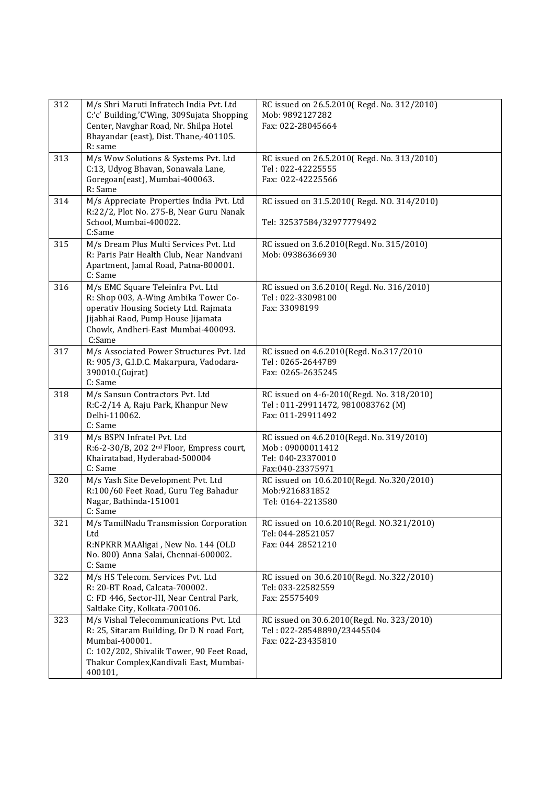| 312 | M/s Shri Maruti Infratech India Pvt. Ltd<br>C:'c' Building,'C'Wing, 309Sujata Shopping<br>Center, Navghar Road, Nr. Shilpa Hotel<br>Bhayandar (east), Dist. Thane,-401105.<br>R: same                     | RC issued on 26.5.2010(Regd. No. 312/2010)<br>Mob: 9892127282<br>Fax: 022-28045664                     |
|-----|-----------------------------------------------------------------------------------------------------------------------------------------------------------------------------------------------------------|--------------------------------------------------------------------------------------------------------|
| 313 | M/s Wow Solutions & Systems Pvt. Ltd<br>C:13, Udyog Bhavan, Sonawala Lane,<br>Goregoan(east), Mumbai-400063.<br>R: Same                                                                                   | RC issued on 26.5.2010(Regd. No. 313/2010)<br>Tel: 022-42225555<br>Fax: 022-42225566                   |
| 314 | M/s Appreciate Properties India Pvt. Ltd<br>R:22/2, Plot No. 275-B, Near Guru Nanak<br>School, Mumbai-400022.<br>C:Same                                                                                   | RC issued on 31.5.2010(Regd. NO. 314/2010)<br>Tel: 32537584/32977779492                                |
| 315 | M/s Dream Plus Multi Services Pvt. Ltd<br>R: Paris Pair Health Club, Near Nandvani<br>Apartment, Jamal Road, Patna-800001.<br>C: Same                                                                     | RC issued on 3.6.2010(Regd. No. 315/2010)<br>Mob: 09386366930                                          |
| 316 | M/s EMC Square Teleinfra Pvt. Ltd<br>R: Shop 003, A-Wing Ambika Tower Co-<br>operativ Housing Society Ltd. Rajmata<br>Jijabhai Raod, Pump House Jijamata<br>Chowk, Andheri-East Mumbai-400093.<br>C:Same  | RC issued on 3.6.2010(Regd. No. 316/2010)<br>Tel: 022-33098100<br>Fax: 33098199                        |
| 317 | M/s Associated Power Structures Pvt. Ltd<br>R: 905/3, G.I.D.C. Makarpura, Vadodara-<br>390010.(Gujrat)<br>C: Same                                                                                         | RC issued on 4.6.2010(Regd. No.317/2010<br>Tel: 0265-2644789<br>Fax: 0265-2635245                      |
| 318 | M/s Sansun Contractors Pvt. Ltd<br>R:C-2/14 A, Raju Park, Khanpur New<br>Delhi-110062.<br>C: Same                                                                                                         | RC issued on 4-6-2010(Regd. No. 318/2010)<br>Tel: 011-29911472, 9810083762 (M)<br>Fax: 011-29911492    |
| 319 | M/s BSPN Infratel Pvt. Ltd<br>R:6-2-30/B, 202 2 <sup>nd</sup> Floor, Empress court,<br>Khairatabad, Hyderabad-500004<br>C: Same                                                                           | RC issued on 4.6.2010(Regd. No. 319/2010)<br>Mob: 09000011412<br>Tel: 040-23370010<br>Fax:040-23375971 |
| 320 | M/s Yash Site Development Pvt. Ltd<br>R:100/60 Feet Road, Guru Teg Bahadur<br>Nagar, Bathinda-151001<br>C: Same                                                                                           | RC issued on 10.6.2010(Regd. No.320/2010)<br>Mob:9216831852<br>Tel: 0164-2213580                       |
| 321 | M/s TamilNadu Transmission Corporation<br>Ltd<br>R:NPKRR MAAligai, New No. 144 (OLD<br>No. 800) Anna Salai, Chennai-600002.<br>C: Same                                                                    | RC issued on 10.6.2010(Regd. NO.321/2010)<br>Tel: 044-28521057<br>Fax: 044 28521210                    |
| 322 | M/s HS Telecom. Services Pvt. Ltd<br>R: 20-BT Road, Calcata-700002.<br>C: FD 446, Sector-III, Near Central Park,<br>Saltlake City, Kolkata-700106.                                                        | RC issued on 30.6.2010(Regd. No.322/2010)<br>Tel: 033-22582559<br>Fax: 25575409                        |
| 323 | M/s Vishal Telecommunications Pvt. Ltd<br>R: 25, Sitaram Building, Dr D N road Fort,<br>Mumbai-400001.<br>C: 102/202, Shivalik Tower, 90 Feet Road,<br>Thakur Complex, Kandivali East, Mumbai-<br>400101, | RC issued on 30.6.2010(Regd. No. 323/2010)<br>Tel: 022-28548890/23445504<br>Fax: 022-23435810          |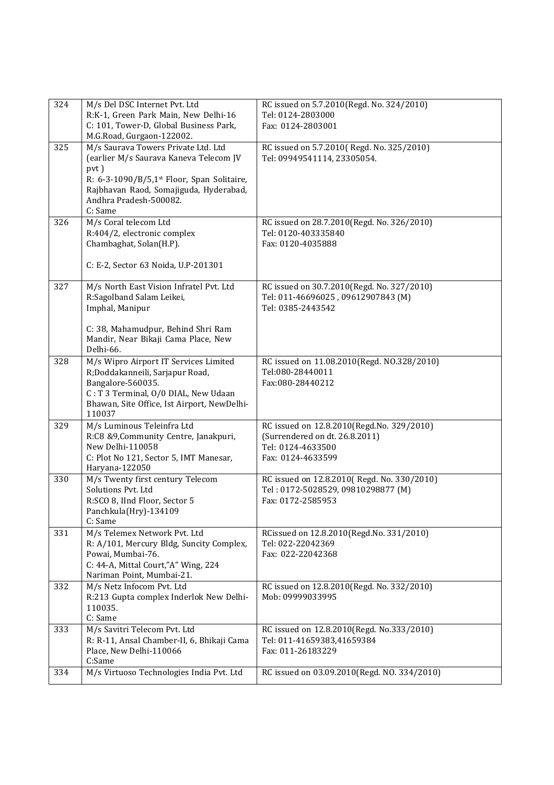| 324 | M/s Del DSC Internet Pvt. Ltd<br>R:K-1, Green Park Main, New Delhi-16<br>C: 101, Tower-D, Global Business Park,<br>M.G.Road, Gurgaon-122002.                                                                       | RC issued on 5.7.2010(Regd. No. 324/2010)<br>Tel: 0124-2803000<br>Fax: 0124-2803001                                   |
|-----|--------------------------------------------------------------------------------------------------------------------------------------------------------------------------------------------------------------------|-----------------------------------------------------------------------------------------------------------------------|
| 325 | M/s Saurava Towers Private Ltd. Ltd<br>(earlier M/s Saurava Kaneva Telecom JV<br>pvt)<br>R: 6-3-1090/B/5,1st Floor, Span Solitaire,<br>Rajbhavan Raod, Somajiguda, Hyderabad,<br>Andhra Pradesh-500082.<br>C: Same | RC issued on 5.7.2010(Regd. No. 325/2010)<br>Tel: 09949541114, 23305054.                                              |
| 326 | M/s Coral telecom Ltd<br>R:404/2, electronic complex<br>Chambaghat, Solan(H.P).<br>C: E-2, Sector 63 Noida, U.P-201301                                                                                             | RC issued on 28.7.2010(Regd. No. 326/2010)<br>Tel: 0120-403335840<br>Fax: 0120-4035888                                |
| 327 | M/s North East Vision Infratel Pvt. Ltd<br>R:Sagolband Salam Leikei,<br>Imphal, Manipur<br>C: 38, Mahamudpur, Behind Shri Ram<br>Mandir, Near Bikaji Cama Place, New<br>Delhi-66.                                  | RC issued on 30.7.2010(Regd. No. 327/2010)<br>Tel: 011-46696025, 09612907843 (M)<br>Tel: 0385-2443542                 |
| 328 | M/s Wipro Airport IT Services Limited<br>R;Doddakanneili, Sarjapur Road,<br>Bangalore-560035.<br>C: T 3 Terminal, O/0 DIAL, New Udaan<br>Bhawan, Site Office, Ist Airport, NewDelhi-<br>110037                     | RC issued on 11.08.2010(Regd. NO.328/2010)<br>Tel:080-28440011<br>Fax:080-28440212                                    |
| 329 | M/s Luminous Teleinfra Ltd<br>R:C8 &9,Community Centre, Janakpuri,<br>New Delhi-110058<br>C: Plot No 121, Sector 5, IMT Manesar,<br>Haryana-122050                                                                 | RC issued on 12.8.2010(Regd.No. 329/2010)<br>(Surrendered on dt. 26.8.2011)<br>Tel: 0124-4633500<br>Fax: 0124-4633599 |
| 330 | M/s Twenty first century Telecom<br>Solutions Pvt. Ltd<br>R:SCO 8, IInd Floor, Sector 5<br>Panchkula(Hry)-134109<br>C: Same                                                                                        | RC issued on 12.8.2010(Regd. No. 330/2010)<br>Tel: 0172-5028529, 09810298877 (M)<br>Fax: 0172-2585953                 |
| 331 | M/s Telemex Network Pvt. Ltd<br>R: A/101, Mercury Bldg, Suncity Complex,<br>Powai, Mumbai-76.<br>C: 44-A, Mittal Court,"A" Wing, 224<br>Nariman Point, Mumbai-21.                                                  | RCissued on 12.8.2010(Regd.No. 331/2010)<br>Tel: 022-22042369<br>Fax: 022-22042368                                    |
| 332 | M/s Netz Infocom Pvt. Ltd<br>R:213 Gupta complex Inderlok New Delhi-<br>110035.<br>C: Same                                                                                                                         | RC issued on 12.8.2010(Regd. No. 332/2010)<br>Mob: 09999033995                                                        |
| 333 | M/s Savitri Telecom Pvt. Ltd<br>R: R-11, Ansal Chamber-II, 6, Bhikaji Cama<br>Place, New Delhi-110066<br>C:Same                                                                                                    | RC issued on 12.8.2010(Regd. No.333/2010)<br>Tel: 011-41659383,41659384<br>Fax: 011-26183229                          |
| 334 | M/s Virtuoso Technologies India Pvt. Ltd                                                                                                                                                                           | RC issued on 03.09.2010(Regd. NO. 334/2010)                                                                           |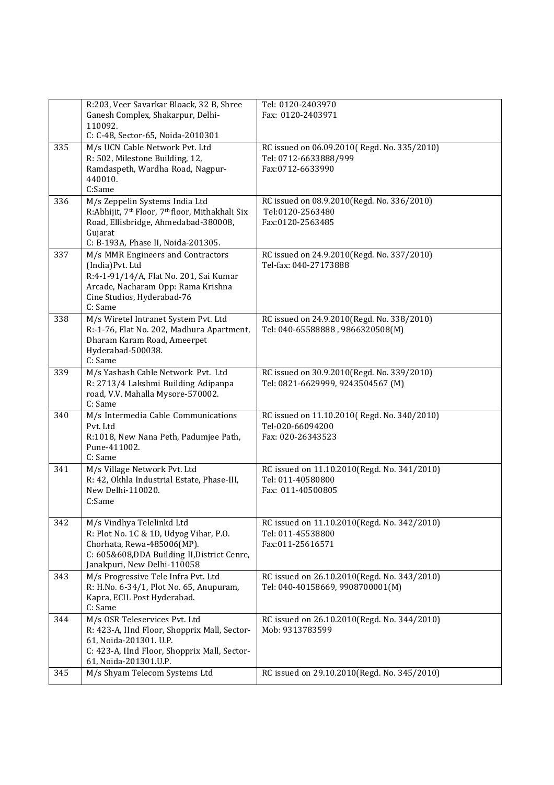|     | R:203, Veer Savarkar Bloack, 32 B, Shree                                                                        | Tel: 0120-2403970                                                               |
|-----|-----------------------------------------------------------------------------------------------------------------|---------------------------------------------------------------------------------|
|     | Ganesh Complex, Shakarpur, Delhi-<br>110092.                                                                    | Fax: 0120-2403971                                                               |
|     | C: C-48, Sector-65, Noida-2010301                                                                               |                                                                                 |
| 335 | M/s UCN Cable Network Pvt. Ltd                                                                                  | RC issued on 06.09.2010(Regd. No. 335/2010)                                     |
|     | R: 502, Milestone Building, 12,                                                                                 | Tel: 0712-6633888/999                                                           |
|     | Ramdaspeth, Wardha Road, Nagpur-<br>440010.                                                                     | Fax:0712-6633990                                                                |
|     | C:Same                                                                                                          |                                                                                 |
| 336 | M/s Zeppelin Systems India Ltd                                                                                  | RC issued on 08.9.2010(Regd. No. 336/2010)                                      |
|     | R:Abhijit, 7 <sup>th</sup> Floor, 7 <sup>th</sup> floor, Mithakhali Six<br>Road, Ellisbridge, Ahmedabad-380008, | Tel:0120-2563480<br>Fax:0120-2563485                                            |
|     | Gujarat                                                                                                         |                                                                                 |
|     | C: B-193A, Phase II, Noida-201305.                                                                              |                                                                                 |
| 337 | M/s MMR Engineers and Contractors                                                                               | RC issued on 24.9.2010(Regd. No. 337/2010)                                      |
|     | (India) Pvt. Ltd<br>R:4-1-91/14/A, Flat No. 201, Sai Kumar                                                      | Tel-fax: 040-27173888                                                           |
|     | Arcade, Nacharam Opp: Rama Krishna                                                                              |                                                                                 |
|     | Cine Studios, Hyderabad-76                                                                                      |                                                                                 |
|     | C: Same                                                                                                         |                                                                                 |
| 338 | M/s Wiretel Intranet System Pvt. Ltd<br>R:-1-76, Flat No. 202, Madhura Apartment,                               | RC issued on 24.9.2010(Regd. No. 338/2010)<br>Tel: 040-65588888 , 9866320508(M) |
|     | Dharam Karam Road, Ameerpet                                                                                     |                                                                                 |
|     | Hyderabad-500038.                                                                                               |                                                                                 |
|     | C: Same                                                                                                         |                                                                                 |
| 339 | M/s Yashash Cable Network Pvt. Ltd<br>R: 2713/4 Lakshmi Building Adipanpa                                       | RC issued on 30.9.2010(Regd. No. 339/2010)<br>Tel: 0821-6629999, 9243504567 (M) |
|     | road, V.V. Mahalla Mysore-570002.                                                                               |                                                                                 |
|     | C: Same                                                                                                         |                                                                                 |
| 340 | M/s Intermedia Cable Communications                                                                             | RC issued on 11.10.2010(Regd. No. 340/2010)                                     |
|     | Pvt. Ltd<br>R:1018, New Nana Peth, Padumjee Path,                                                               | Tel-020-66094200<br>Fax: 020-26343523                                           |
|     | Pune-411002.                                                                                                    |                                                                                 |
|     | C: Same                                                                                                         |                                                                                 |
| 341 | M/s Village Network Pvt. Ltd                                                                                    | RC issued on 11.10.2010(Regd. No. 341/2010)                                     |
|     | R: 42, Okhla Industrial Estate, Phase-III,<br>New Delhi-110020.                                                 | Tel: 011-40580800<br>Fax: 011-40500805                                          |
|     | C:Same                                                                                                          |                                                                                 |
|     |                                                                                                                 |                                                                                 |
| 342 | M/s Vindhya Telelinkd Ltd<br>R: Plot No. 1C & 1D, Udyog Vihar, P.O.                                             | RC issued on 11.10.2010(Regd. No. 342/2010)<br>Tel: 011-45538800                |
|     | Chorhata, Rewa-485006(MP).                                                                                      | Fax:011-25616571                                                                |
|     | C: 605&608,DDA Building II,District Cenre,                                                                      |                                                                                 |
|     | Janakpuri, New Delhi-110058                                                                                     |                                                                                 |
| 343 | M/s Progressive Tele Infra Pvt. Ltd                                                                             | RC issued on 26.10.2010(Regd. No. 343/2010)<br>Tel: 040-40158669, 9908700001(M) |
|     | R: H.No. 6-34/1, Plot No. 65, Anupuram,<br>Kapra, ECIL Post Hyderabad.                                          |                                                                                 |
|     | C: Same                                                                                                         |                                                                                 |
| 344 | M/s OSR Teleservices Pvt. Ltd                                                                                   | RC issued on 26.10.2010(Regd. No. 344/2010)                                     |
|     | R: 423-A, IInd Floor, Shopprix Mall, Sector-<br>61, Noida-201301. U.P.                                          | Mob: 9313783599                                                                 |
|     | C: 423-A, IInd Floor, Shopprix Mall, Sector-                                                                    |                                                                                 |
|     | 61, Noida-201301.U.P.                                                                                           |                                                                                 |
| 345 | M/s Shyam Telecom Systems Ltd                                                                                   | RC issued on 29.10.2010(Regd. No. 345/2010)                                     |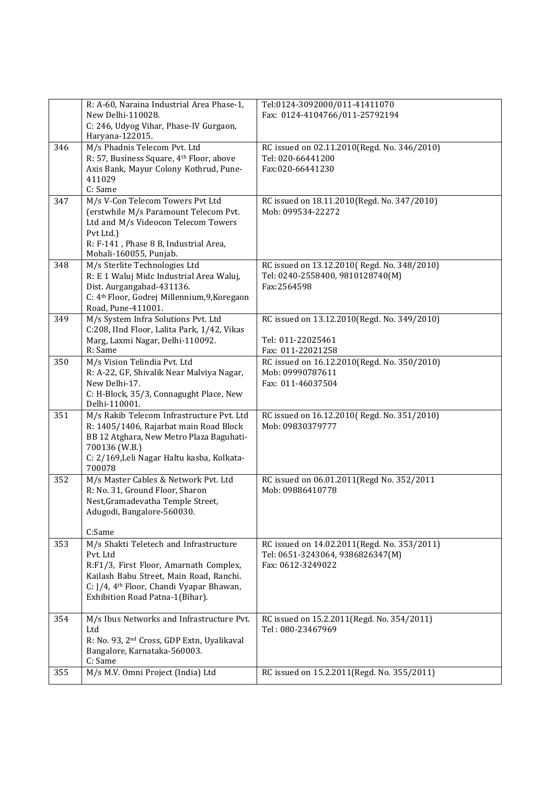|     | R: A-60, Naraina Industrial Area Phase-1,<br>New Delhi-110028.<br>C: 246, Udyog Vihar, Phase-IV Gurgaon,                                                                                                                           | Tel:0124-3092000/011-41411070<br>Fax: 0124-4104766/011-25792194                                      |
|-----|------------------------------------------------------------------------------------------------------------------------------------------------------------------------------------------------------------------------------------|------------------------------------------------------------------------------------------------------|
| 346 | Haryana-122015.<br>M/s Phadnis Telecom Pvt. Ltd<br>R: 57, Business Square, 4th Floor, above<br>Axis Bank, Mayur Colony Kothrud, Pune-<br>411029<br>C: Same                                                                         | RC issued on 02.11.2010(Regd. No. 346/2010)<br>Tel: 020-66441200<br>Fax:020-66441230                 |
| 347 | M/s V-Con Telecom Towers Pvt Ltd<br>(erstwhile M/s Paramount Telecom Pvt.<br>Ltd and M/s Videocon Telecom Towers<br>Pvt Ltd.)<br>R: F-141, Phase 8 B, Industrial Area,<br>Mohali-160055, Punjab.                                   | RC issued on 18.11.2010(Regd. No. 347/2010)<br>Mob: 099534-22272                                     |
| 348 | M/s Sterlite Technologies Ltd<br>R: E 1 Waluj Midc Industrial Area Waluj,<br>Dist. Aurgangabad-431136.<br>C: 4 <sup>th</sup> Floor, Godrej Millennium, 9, Koregaon<br>Road, Pune-411001.                                           | RC issued on 13.12.2010(Regd. No. 348/2010)<br>Tel: 0240-2558400, 9810128740(M)<br>Fax:2564598       |
| 349 | M/s System Infra Solutions Pvt. Ltd<br>C:208, IInd Floor, Lalita Park, 1/42, Vikas<br>Marg, Laxmi Nagar, Delhi-110092.<br>R: Same                                                                                                  | RC issued on 13.12.2010(Regd. No. 349/2010)<br>Tel: 011-22025461<br>Fax: 011-22021258                |
| 350 | M/s Vision Telindia Pvt. Ltd<br>R: A-22, GF, Shivalik Near Malviya Nagar,<br>New Delhi-17.<br>C: H-Block, 35/3, Connagught Place, New<br>Delhi-110001.                                                                             | RC issued on 16.12.2010(Regd. No. 350/2010)<br>Mob: 09990787611<br>Fax: 011-46037504                 |
| 351 | M/s Rakib Telecom Infrastructure Pvt. Ltd<br>R: 1405/1406, Rajarbat main Road Block<br>BB 12 Atghara, New Metro Plaza Baguhati-<br>700136 (W.B.)<br>C: 2/169, Leli Nagar Haltu kasba, Kolkata-<br>700078                           | RC issued on 16.12.2010(Regd. No. 351/2010)<br>Mob: 09830379777                                      |
| 352 | M/s Master Cables & Network Pvt. Ltd<br>R: No. 31, Ground Floor, Sharon<br>Nest, Gramadevatha Temple Street,<br>Adugodi, Bangalore-560030.<br>C:Same                                                                               | RC issued on 06.01.2011(Regd No. 352/2011<br>Mob: 09886410778                                        |
| 353 | M/s Shakti Teletech and Infrastructure<br>Pvt. Ltd<br>R:F1/3, First Floor, Amarnath Complex,<br>Kailash Babu Street, Main Road, Ranchi.<br>C: J/4, 4 <sup>th</sup> Floor, Chandi Vyapar Bhawan,<br>Exhibition Road Patna-1(Bihar). | RC issued on 14.02.2011(Regd. No. 353/2011)<br>Tel: 0651-3243064, 9386826347(M)<br>Fax: 0612-3249022 |
| 354 | M/s Ibus Networks and Infrastructure Pvt.<br>Ltd<br>R: No. 93, 2 <sup>nd</sup> Cross, GDP Extn, Uyalikaval<br>Bangalore, Karnataka-560003.<br>C: Same                                                                              | RC issued on 15.2.2011(Regd. No. 354/2011)<br>Tel: 080-23467969                                      |
| 355 | M/s M.V. Omni Project (India) Ltd                                                                                                                                                                                                  | RC issued on 15.2.2011(Regd. No. 355/2011)                                                           |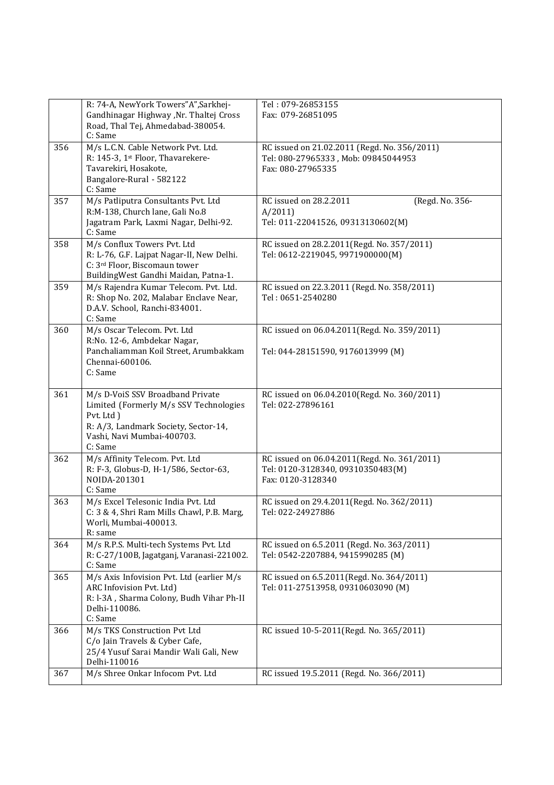|     | R: 74-A, NewYork Towers"A", Sarkhej-<br>Gandhinagar Highway , Nr. Thaltej Cross<br>Road, Thal Tej, Ahmedabad-380054.<br>C: Same                                           | Tel: 079-26853155<br>Fax: 079-26851095                                                                   |
|-----|---------------------------------------------------------------------------------------------------------------------------------------------------------------------------|----------------------------------------------------------------------------------------------------------|
| 356 | M/s L.C.N. Cable Network Pvt. Ltd.<br>R: 145-3, 1st Floor, Thavarekere-<br>Tavarekiri, Hosakote,<br>Bangalore-Rural - 582122<br>C: Same                                   | RC issued on 21.02.2011 (Regd. No. 356/2011)<br>Tel: 080-27965333, Mob: 09845044953<br>Fax: 080-27965335 |
| 357 | M/s Patliputra Consultants Pvt. Ltd<br>R:M-138, Church lane, Gali No.8<br>Jagatram Park, Laxmi Nagar, Delhi-92.<br>C: Same                                                | RC issued on 28.2.2011<br>(Regd. No. 356-<br>A/2011<br>Tel: 011-22041526, 09313130602(M)                 |
| 358 | M/s Conflux Towers Pvt. Ltd<br>R: L-76, G.F. Lajpat Nagar-II, New Delhi.<br>C: 3rd Floor, Biscomaun tower<br>BuildingWest Gandhi Maidan, Patna-1.                         | RC issued on 28.2.2011(Regd. No. 357/2011)<br>Tel: 0612-2219045, 9971900000(M)                           |
| 359 | M/s Rajendra Kumar Telecom. Pvt. Ltd.<br>R: Shop No. 202, Malabar Enclave Near,<br>D.A.V. School, Ranchi-834001.<br>C: Same                                               | RC issued on 22.3.2011 (Regd. No. 358/2011)<br>Tel: 0651-2540280                                         |
| 360 | M/s Oscar Telecom. Pvt. Ltd<br>R:No. 12-6, Ambdekar Nagar,<br>Panchaliamman Koil Street, Arumbakkam<br>Chennai-600106.<br>C: Same                                         | RC issued on 06.04.2011(Regd. No. 359/2011)<br>Tel: 044-28151590, 9176013999 (M)                         |
| 361 | M/s D-VoiS SSV Broadband Private<br>Limited (Formerly M/s SSV Technologies<br>Pvt. Ltd )<br>R: A/3, Landmark Society, Sector-14,<br>Vashi, Navi Mumbai-400703.<br>C: Same | RC issued on 06.04.2010(Regd. No. 360/2011)<br>Tel: 022-27896161                                         |
| 362 | M/s Affinity Telecom. Pvt. Ltd<br>R: F-3, Globus-D, H-1/586, Sector-63,<br>NOIDA-201301<br>C: Same                                                                        | RC issued on 06.04.2011(Regd. No. 361/2011)<br>Tel: 0120-3128340, 09310350483(M)<br>Fax: 0120-3128340    |
| 363 | M/s Excel Telesonic India Pvt. Ltd<br>C: 3 & 4, Shri Ram Mills Chawl, P.B. Marg,<br>Worli, Mumbai-400013.<br>R: same                                                      | RC issued on 29.4.2011(Regd. No. 362/2011)<br>Tel: 022-24927886                                          |
| 364 | M/s R.P.S. Multi-tech Systems Pvt. Ltd<br>R: C-27/100B, Jagatganj, Varanasi-221002.<br>C: Same                                                                            | RC issued on 6.5.2011 (Regd. No. 363/2011)<br>Tel: 0542-2207884, 9415990285 (M)                          |
| 365 | M/s Axis Infovision Pvt. Ltd (earlier M/s<br>ARC Infovision Pvt. Ltd)<br>R: I-3A, Sharma Colony, Budh Vihar Ph-II<br>Delhi-110086.<br>C: Same                             | RC issued on 6.5.2011(Regd. No. 364/2011)<br>Tel: 011-27513958, 09310603090 (M)                          |
| 366 | M/s TKS Construction Pvt Ltd<br>C/o Jain Travels & Cyber Cafe,<br>25/4 Yusuf Sarai Mandir Wali Gali, New<br>Delhi-110016                                                  | RC issued 10-5-2011(Regd. No. 365/2011)                                                                  |
| 367 | M/s Shree Onkar Infocom Pvt. Ltd                                                                                                                                          | RC issued 19.5.2011 (Regd. No. 366/2011)                                                                 |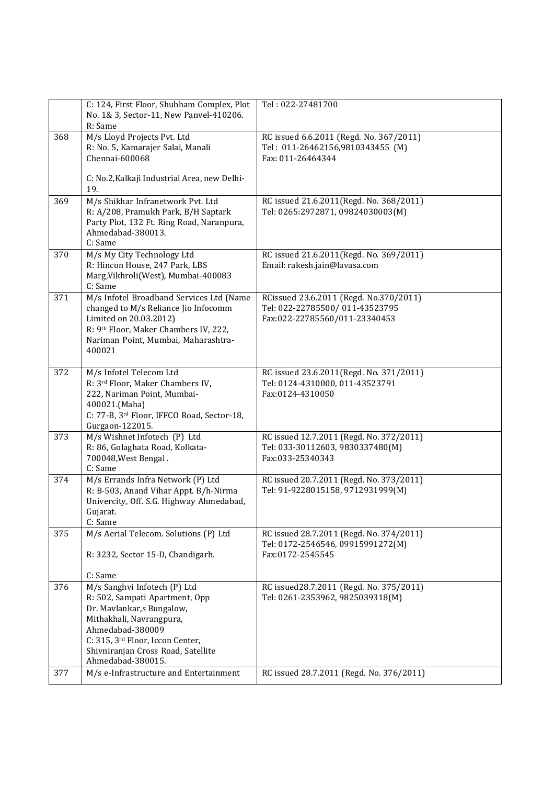|     | C: 124, First Floor, Shubham Complex, Plot<br>No. 1& 3, Sector-11, New Panvel-410206.<br>R: Same                                                                                                                                           | Tel: 022-27481700                                                                                         |
|-----|--------------------------------------------------------------------------------------------------------------------------------------------------------------------------------------------------------------------------------------------|-----------------------------------------------------------------------------------------------------------|
| 368 | M/s Lloyd Projects Pvt. Ltd<br>R: No. 5, Kamarajer Salai, Manali<br>Chennai-600068                                                                                                                                                         | RC issued 6.6.2011 (Regd. No. 367/2011)<br>Tel: 011-26462156,9810343455 (M)<br>Fax: 011-26464344          |
|     | C: No.2, Kalkaji Industrial Area, new Delhi-<br>19.                                                                                                                                                                                        |                                                                                                           |
| 369 | M/s Shikhar Infranetwork Pvt. Ltd<br>R: A/208, Pramukh Park, B/H Saptark<br>Party Plot, 132 Ft. Ring Road, Naranpura,<br>Ahmedabad-380013.<br>C: Same                                                                                      | RC issued 21.6.2011(Regd. No. 368/2011)<br>Tel: 0265:2972871, 09824030003(M)                              |
| 370 | M/s My City Technology Ltd<br>R: Hincon House, 247 Park, LBS<br>Marg, Vikhroli (West), Mumbai-400083<br>C: Same                                                                                                                            | RC issued 21.6.2011(Regd. No. 369/2011)<br>Email: rakesh.jain@lavasa.com                                  |
| 371 | M/s Infotel Broadband Services Ltd (Name<br>changed to M/s Reliance Jio Infocomm<br>Limited on 20.03.2012)<br>R: 9th Floor, Maker Chambers IV, 222,<br>Nariman Point, Mumbai, Maharashtra-<br>400021                                       | RCissued 23.6.2011 (Regd. No.370/2011)<br>Tel: 022-22785500/011-43523795<br>Fax:022-22785560/011-23340453 |
| 372 | M/s Infotel Telecom Ltd<br>R: 3rd Floor, Maker Chambers IV,<br>222, Nariman Point, Mumbai-<br>400021.(Maha)<br>C: 77-B, 3rd Floor, IFFCO Road, Sector-18,<br>Gurgaon-122015.                                                               | RC issued 23.6.2011(Regd. No. 371/2011)<br>Tel: 0124-4310000, 011-43523791<br>Fax:0124-4310050            |
| 373 | M/s Wishnet Infotech (P) Ltd<br>R: 86, Golaghata Road, Kolkata-<br>700048, West Bengal.<br>C: Same                                                                                                                                         | RC issued 12.7.2011 (Regd. No. 372/2011)<br>Tel: 033-30112603, 9830337480(M)<br>Fax:033-25340343          |
| 374 | M/s Errands Infra Network (P) Ltd<br>R: B-503, Anand Vihar Appt. B/h-Nirma<br>Univercity, Off. S.G. Highway Ahmedabad,<br>Gujarat.<br>C: Same                                                                                              | RC issued 20.7.2011 (Regd. No. 373/2011)<br>Tel: 91-9228015158, 9712931999(M)                             |
| 375 | M/s Aerial Telecom. Solutions (P) Ltd<br>R: 3232, Sector 15-D, Chandigarh.                                                                                                                                                                 | RC issued 28.7.2011 (Regd. No. 374/2011)<br>Tel: 0172-2546546, 09915991272(M)<br>Fax:0172-2545545         |
|     | C: Same                                                                                                                                                                                                                                    |                                                                                                           |
| 376 | M/s Sanghvi Infotech (P) Ltd<br>R: 502, Sampati Apartment, Opp<br>Dr. Mavlankar,s Bungalow,<br>Mithakhali, Navrangpura,<br>Ahmedabad-380009<br>C: 315, 3rd Floor, Iccon Center,<br>Shivniranjan Cross Road, Satellite<br>Ahmedabad-380015. | RC issued28.7.2011 (Regd. No. 375/2011)<br>Tel: 0261-2353962, 9825039318(M)                               |
| 377 | M/s e-Infrastructure and Entertainment                                                                                                                                                                                                     | RC issued 28.7.2011 (Regd. No. 376/2011)                                                                  |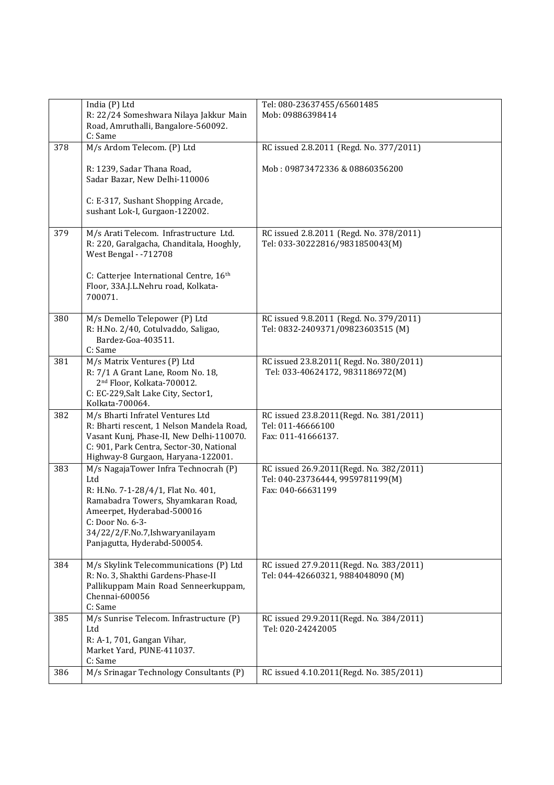|     | India (P) Ltd<br>R: 22/24 Someshwara Nilaya Jakkur Main<br>Road, Amruthalli, Bangalore-560092.<br>C: Same                                                                                                                                   | Tel: 080-23637455/65601485<br>Mob: 09886398414                                                   |
|-----|---------------------------------------------------------------------------------------------------------------------------------------------------------------------------------------------------------------------------------------------|--------------------------------------------------------------------------------------------------|
| 378 | M/s Ardom Telecom. (P) Ltd                                                                                                                                                                                                                  | RC issued 2.8.2011 (Regd. No. 377/2011)                                                          |
|     | R: 1239, Sadar Thana Road,<br>Sadar Bazar, New Delhi-110006                                                                                                                                                                                 | Mob: 09873472336 & 08860356200                                                                   |
|     | C: E-317, Sushant Shopping Arcade,<br>sushant Lok-I, Gurgaon-122002.                                                                                                                                                                        |                                                                                                  |
| 379 | M/s Arati Telecom. Infrastructure Ltd.<br>R: 220, Garalgacha, Chanditala, Hooghly,<br>West Bengal - -712708                                                                                                                                 | RC issued 2.8.2011 (Regd. No. 378/2011)<br>Tel: 033-30222816/9831850043(M)                       |
|     | C: Catterjee International Centre, 16th<br>Floor, 33A.J.L.Nehru road, Kolkata-<br>700071.                                                                                                                                                   |                                                                                                  |
| 380 | M/s Demello Telepower (P) Ltd<br>R: H.No. 2/40, Cotulvaddo, Saligao,<br>Bardez-Goa-403511.<br>C: Same                                                                                                                                       | RC issued 9.8.2011 (Regd. No. 379/2011)<br>Tel: 0832-2409371/09823603515 (M)                     |
| 381 | M/s Matrix Ventures (P) Ltd<br>R: 7/1 A Grant Lane, Room No. 18,<br>2 <sup>nd</sup> Floor, Kolkata-700012.<br>C: EC-229, Salt Lake City, Sector1,<br>Kolkata-700064.                                                                        | RC issued 23.8.2011(Regd. No. 380/2011)<br>Tel: 033-40624172, 9831186972(M)                      |
| 382 | M/s Bharti Infratel Ventures Ltd<br>R: Bharti rescent, 1 Nelson Mandela Road,<br>Vasant Kunj, Phase-II, New Delhi-110070.<br>C: 901, Park Centra, Sector-30, National<br>Highway-8 Gurgaon, Haryana-122001.                                 | RC issued 23.8.2011(Regd. No. 381/2011)<br>Tel: 011-46666100<br>Fax: 011-41666137.               |
| 383 | M/s NagajaTower Infra Technocrah (P)<br>Ltd<br>R: H.No. 7-1-28/4/1, Flat No. 401,<br>Ramabadra Towers, Shyamkaran Road,<br>Ameerpet, Hyderabad-500016<br>C: Door No. 6-3-<br>34/22/2/F.No.7,Ishwaryanilayam<br>Panjagutta, Hyderabd-500054. | RC issued 26.9.2011(Regd. No. 382/2011)<br>Tel: 040-23736444, 9959781199(M)<br>Fax: 040-66631199 |
| 384 | M/s Skylink Telecommunications (P) Ltd<br>R: No. 3, Shakthi Gardens-Phase-II<br>Pallikuppam Main Road Senneerkuppam,<br>Chennai-600056<br>C: Same                                                                                           | RC issued 27.9.2011(Regd. No. 383/2011)<br>Tel: 044-42660321, 9884048090 (M)                     |
| 385 | M/s Sunrise Telecom. Infrastructure (P)<br>Ltd<br>R: A-1, 701, Gangan Vihar,<br>Market Yard, PUNE-411037.<br>C: Same                                                                                                                        | RC issued 29.9.2011(Regd. No. 384/2011)<br>Tel: 020-24242005                                     |
| 386 | M/s Srinagar Technology Consultants (P)                                                                                                                                                                                                     | RC issued 4.10.2011(Regd. No. 385/2011)                                                          |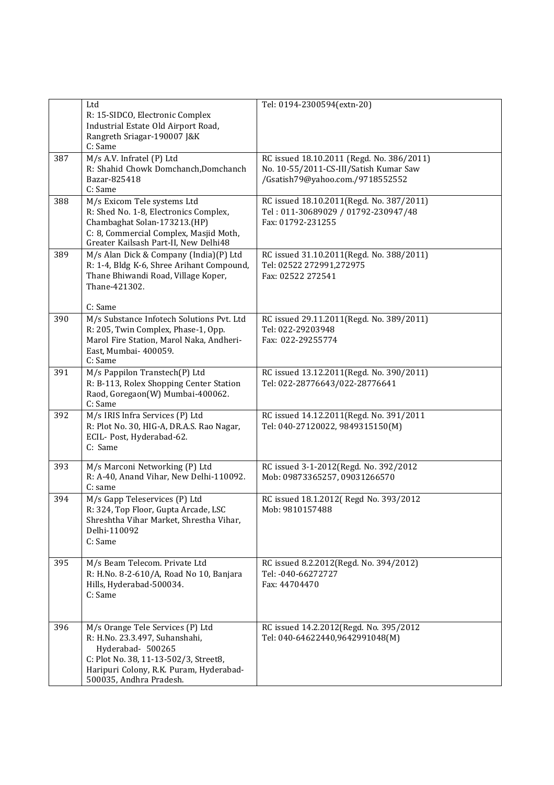|     | Ltd                                                                             | Tel: 0194-2300594(extn-20)                                                 |
|-----|---------------------------------------------------------------------------------|----------------------------------------------------------------------------|
|     | R: 15-SIDCO, Electronic Complex                                                 |                                                                            |
|     | Industrial Estate Old Airport Road,                                             |                                                                            |
|     | Rangreth Sriagar-190007 J&K                                                     |                                                                            |
|     | C: Same                                                                         |                                                                            |
| 387 | M/s A.V. Infratel (P) Ltd                                                       | RC issued 18.10.2011 (Regd. No. 386/2011)                                  |
|     | R: Shahid Chowk Domchanch, Domchanch                                            | No. 10-55/2011-CS-III/Satish Kumar Saw                                     |
|     | Bazar-825418                                                                    | /Gsatish79@yahoo.com./9718552552                                           |
|     | C: Same                                                                         |                                                                            |
| 388 | M/s Exicom Tele systems Ltd                                                     | RC issued 18.10.2011(Regd. No. 387/2011)                                   |
|     | R: Shed No. 1-8, Electronics Complex,                                           | Tel: 011-30689029 / 01792-230947/48                                        |
|     | Chambaghat Solan-173213.(HP)                                                    | Fax: 01792-231255                                                          |
|     | C: 8, Commercial Complex, Masjid Moth,                                          |                                                                            |
| 389 | Greater Kailsash Part-II, New Delhi48<br>M/s Alan Dick & Company (India)(P) Ltd | RC issued 31.10.2011(Regd. No. 388/2011)                                   |
|     | R: 1-4, Bldg K-6, Shree Arihant Compound,                                       | Tel: 02522 272991,272975                                                   |
|     | Thane Bhiwandi Road, Village Koper,                                             | Fax: 02522 272541                                                          |
|     | Thane-421302.                                                                   |                                                                            |
|     |                                                                                 |                                                                            |
|     | C: Same                                                                         |                                                                            |
| 390 | M/s Substance Infotech Solutions Pvt. Ltd                                       | RC issued 29.11.2011(Regd. No. 389/2011)                                   |
|     | R: 205, Twin Complex, Phase-1, Opp.                                             | Tel: 022-29203948                                                          |
|     | Marol Fire Station, Marol Naka, Andheri-                                        | Fax: 022-29255774                                                          |
|     | East, Mumbai- 400059.                                                           |                                                                            |
|     | C: Same                                                                         |                                                                            |
| 391 | M/s Pappilon Transtech(P) Ltd<br>R: B-113, Rolex Shopping Center Station        | RC issued 13.12.2011(Regd. No. 390/2011)<br>Tel: 022-28776643/022-28776641 |
|     | Raod, Goregaon(W) Mumbai-400062.                                                |                                                                            |
|     | C: Same                                                                         |                                                                            |
| 392 | M/s IRIS Infra Services (P) Ltd                                                 | RC issued 14.12.2011(Regd. No. 391/2011                                    |
|     | R: Plot No. 30, HIG-A, DR.A.S. Rao Nagar,                                       | Tel: 040-27120022, 9849315150(M)                                           |
|     | ECIL- Post, Hyderabad-62.                                                       |                                                                            |
|     | C: Same                                                                         |                                                                            |
|     |                                                                                 |                                                                            |
| 393 | M/s Marconi Networking (P) Ltd<br>R: A-40, Anand Vihar, New Delhi-110092.       | RC issued 3-1-2012(Regd. No. 392/2012                                      |
|     | C: same                                                                         | Mob: 09873365257, 09031266570                                              |
| 394 | M/s Gapp Teleservices (P) Ltd                                                   | RC issued 18.1.2012(Regd No. 393/2012                                      |
|     | R: 324, Top Floor, Gupta Arcade, LSC                                            | Mob: 9810157488                                                            |
|     | Shreshtha Vihar Market, Shrestha Vihar,                                         |                                                                            |
|     | Delhi-110092                                                                    |                                                                            |
|     | C: Same                                                                         |                                                                            |
|     |                                                                                 |                                                                            |
| 395 | M/s Beam Telecom. Private Ltd                                                   | RC issued 8.2.2012(Regd. No. 394/2012)                                     |
|     | R: H.No. 8-2-610/A, Road No 10, Banjara                                         | Tel: -040-66272727                                                         |
|     | Hills, Hyderabad-500034.                                                        | Fax: 44704470                                                              |
|     | C: Same                                                                         |                                                                            |
|     |                                                                                 |                                                                            |
| 396 | M/s Orange Tele Services (P) Ltd                                                | RC issued 14.2.2012(Regd. No. 395/2012                                     |
|     | R: H.No. 23.3.497, Suhanshahi,                                                  | Tel: 040-64622440,9642991048(M)                                            |
|     | Hyderabad- 500265                                                               |                                                                            |
|     | C: Plot No. 38, 11-13-502/3, Street8,                                           |                                                                            |
|     | Haripuri Colony, R.K. Puram, Hyderabad-                                         |                                                                            |
|     | 500035, Andhra Pradesh.                                                         |                                                                            |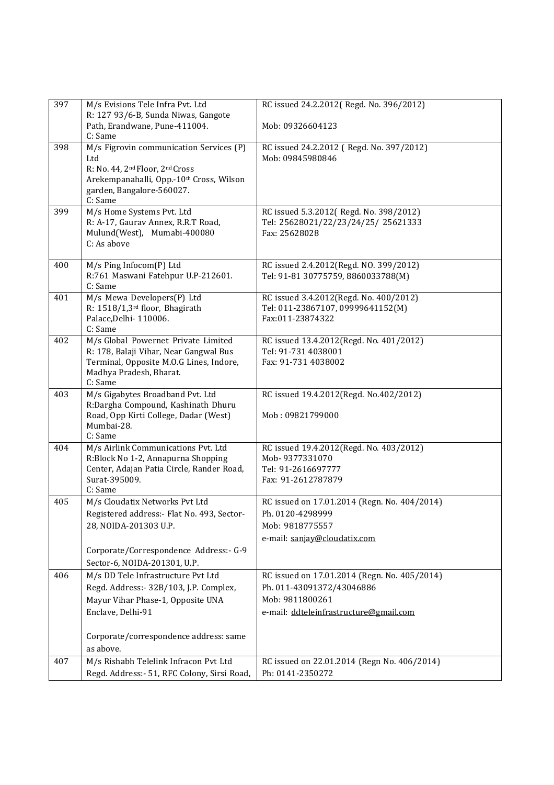| 397 | M/s Evisions Tele Infra Pvt. Ltd                                      | RC issued 24.2.2012(Regd. No. 396/2012)                                     |
|-----|-----------------------------------------------------------------------|-----------------------------------------------------------------------------|
|     | R: 127 93/6-B, Sunda Niwas, Gangote<br>Path, Erandwane, Pune-411004.  |                                                                             |
|     | C: Same                                                               | Mob: 09326604123                                                            |
| 398 | M/s Figrovin communication Services (P)                               | RC issued 24.2.2012 (Regd. No. 397/2012)                                    |
|     | Ltd                                                                   | Mob: 09845980846                                                            |
|     | R: No. 44, 2 <sup>nd</sup> Floor, 2 <sup>nd</sup> Cross               |                                                                             |
|     | Arekempanahalli, Opp.-10th Cross, Wilson<br>garden, Bangalore-560027. |                                                                             |
|     | C: Same                                                               |                                                                             |
| 399 | M/s Home Systems Pvt. Ltd                                             | RC issued 5.3.2012(Regd. No. 398/2012)                                      |
|     | R: A-17, Gaurav Annex, R.R.T Road,                                    | Tel: 25628021/22/23/24/25/ 25621333                                         |
|     | Mulund(West), Mumabi-400080<br>C: As above                            | Fax: 25628028                                                               |
|     |                                                                       |                                                                             |
| 400 | M/s Ping Infocom(P) Ltd                                               | RC issued 2.4.2012(Regd. NO. 399/2012)                                      |
|     | R:761 Maswani Fatehpur U.P-212601.                                    | Tel: 91-81 30775759, 8860033788(M)                                          |
|     | C: Same                                                               |                                                                             |
| 401 | M/s Mewa Developers(P) Ltd<br>R: 1518/1,3rd floor, Bhagirath          | RC issued 3.4.2012(Regd. No. 400/2012)<br>Tel: 011-23867107, 09999641152(M) |
|     | Palace, Delhi- 110006.                                                | Fax:011-23874322                                                            |
|     | C: Same                                                               |                                                                             |
| 402 | M/s Global Powernet Private Limited                                   | RC issued 13.4.2012(Regd. No. 401/2012)                                     |
|     | R: 178, Balaji Vihar, Near Gangwal Bus                                | Tel: 91-731 4038001                                                         |
|     | Terminal, Opposite M.O.G Lines, Indore,<br>Madhya Pradesh, Bharat.    | Fax: 91-731 4038002                                                         |
|     | C: Same                                                               |                                                                             |
| 403 | M/s Gigabytes Broadband Pvt. Ltd                                      | RC issued 19.4.2012(Regd. No.402/2012)                                      |
|     | R:Dargha Compound, Kashinath Dhuru                                    |                                                                             |
|     | Road, Opp Kirti College, Dadar (West)<br>Mumbai-28.                   | Mob: 09821799000                                                            |
|     | C: Same                                                               |                                                                             |
| 404 | M/s Airlink Communications Pvt. Ltd                                   | RC issued 19.4.2012(Regd. No. 403/2012)                                     |
|     | R:Block No 1-2, Annapurna Shopping                                    | Mob-9377331070                                                              |
|     | Center, Adajan Patia Circle, Rander Road,<br>Surat-395009.            | Tel: 91-2616697777<br>Fax: 91-2612787879                                    |
|     | C: Same                                                               |                                                                             |
| 405 | M/s Cloudatix Networks Pvt Ltd                                        | RC issued on 17.01.2014 (Regn. No. 404/2014)                                |
|     | Registered address:- Flat No. 493, Sector-                            | Ph. 0120-4298999                                                            |
|     | 28, NOIDA-201303 U.P.                                                 | Mob: 9818775557                                                             |
|     |                                                                       | e-mail: sanjay@cloudatix.com                                                |
|     | Corporate/Correspondence Address:- G-9                                |                                                                             |
|     | Sector-6, NOIDA-201301, U.P.                                          |                                                                             |
| 406 | M/s DD Tele Infrastructure Pvt Ltd                                    | RC issued on 17.01.2014 (Regn. No. 405/2014)                                |
|     | Regd. Address:- 32B/103, J.P. Complex,                                | Ph. 011-43091372/43046886                                                   |
|     | Mayur Vihar Phase-1, Opposite UNA                                     | Mob: 9811800261                                                             |
|     | Enclave, Delhi-91                                                     | e-mail: ddteleinfrastructure@gmail.com                                      |
|     | Corporate/correspondence address: same                                |                                                                             |
|     | as above.                                                             |                                                                             |
| 407 | M/s Rishabh Telelink Infracon Pvt Ltd                                 | RC issued on 22.01.2014 (Regn No. 406/2014)                                 |
|     | Regd. Address:- 51, RFC Colony, Sirsi Road,                           | Ph: 0141-2350272                                                            |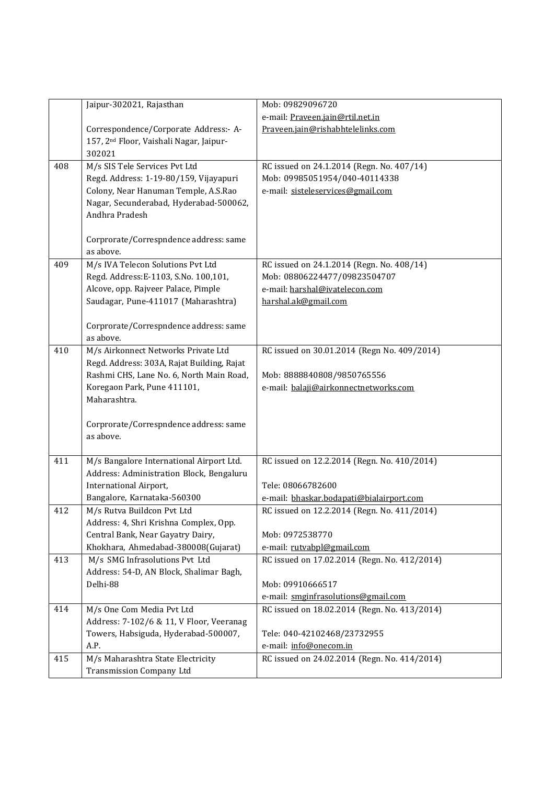|     | Jaipur-302021, Rajasthan                            | Mob: 09829096720                             |
|-----|-----------------------------------------------------|----------------------------------------------|
|     |                                                     | e-mail: Praveen.jain@rtil.net.in             |
|     | Correspondence/Corporate Address:- A-               | Praveen.jain@rishabhtelelinks.com            |
|     | 157, 2 <sup>nd</sup> Floor, Vaishali Nagar, Jaipur- |                                              |
|     | 302021                                              |                                              |
| 408 | M/s SIS Tele Services Pvt Ltd                       | RC issued on 24.1.2014 (Regn. No. 407/14)    |
|     | Regd. Address: 1-19-80/159, Vijayapuri              | Mob: 09985051954/040-40114338                |
|     | Colony, Near Hanuman Temple, A.S.Rao                | e-mail: sisteleservices@gmail.com            |
|     | Nagar, Secunderabad, Hyderabad-500062,              |                                              |
|     | Andhra Pradesh                                      |                                              |
|     |                                                     |                                              |
|     | Corprorate/Correspndence address: same              |                                              |
|     | as above.                                           |                                              |
| 409 | M/s IVA Telecon Solutions Pvt Ltd                   | RC issued on 24.1.2014 (Regn. No. 408/14)    |
|     | Regd. Address: E-1103, S.No. 100,101,               | Mob: 08806224477/09823504707                 |
|     | Alcove, opp. Rajveer Palace, Pimple                 | e-mail: harshal@ivatelecon.com               |
|     | Saudagar, Pune-411017 (Maharashtra)                 | harshal.ak@gmail.com                         |
|     |                                                     |                                              |
|     | Corprorate/Correspndence address: same              |                                              |
|     | as above.                                           |                                              |
| 410 | M/s Airkonnect Networks Private Ltd                 | RC issued on 30.01.2014 (Regn No. 409/2014)  |
|     | Regd. Address: 303A, Rajat Building, Rajat          |                                              |
|     | Rashmi CHS, Lane No. 6, North Main Road,            | Mob: 8888840808/9850765556                   |
|     | Koregaon Park, Pune 411101,                         | e-mail: balaji@airkonnectnetworks.com        |
|     | Maharashtra.                                        |                                              |
|     |                                                     |                                              |
|     | Corprorate/Correspndence address: same              |                                              |
|     | as above.                                           |                                              |
| 411 | M/s Bangalore International Airport Ltd.            | RC issued on 12.2.2014 (Regn. No. 410/2014)  |
|     | Address: Administration Block, Bengaluru            |                                              |
|     | International Airport,                              | Tele: 08066782600                            |
|     | Bangalore, Karnataka-560300                         | e-mail: bhaskar.bodapati@bialairport.com     |
| 412 | M/s Rutva Buildcon Pvt Ltd                          | RC issued on 12.2.2014 (Regn. No. 411/2014)  |
|     | Address: 4, Shri Krishna Complex, Opp.              |                                              |
|     | Central Bank, Near Gayatry Dairy,                   | Mob: 0972538770                              |
|     | Khokhara, Ahmedabad-380008(Gujarat)                 | e-mail: rutvabpl@gmail.com                   |
| 413 | M/s SMG Infrasolutions Pvt Ltd                      | RC issued on 17.02.2014 (Regn. No. 412/2014) |
|     | Address: 54-D, AN Block, Shalimar Bagh,             |                                              |
|     | Delhi-88                                            | Mob: 09910666517                             |
|     |                                                     | e-mail: smginfrasolutions@gmail.com          |
| 414 | M/s One Com Media Pvt Ltd                           | RC issued on 18.02.2014 (Regn. No. 413/2014) |
|     | Address: 7-102/6 & 11, V Floor, Veeranag            |                                              |
|     | Towers, Habsiguda, Hyderabad-500007,                | Tele: 040-42102468/23732955                  |
|     | A.P.                                                | e-mail: info@onecom.in                       |
| 415 | M/s Maharashtra State Electricity                   | RC issued on 24.02.2014 (Regn. No. 414/2014) |
|     | <b>Transmission Company Ltd</b>                     |                                              |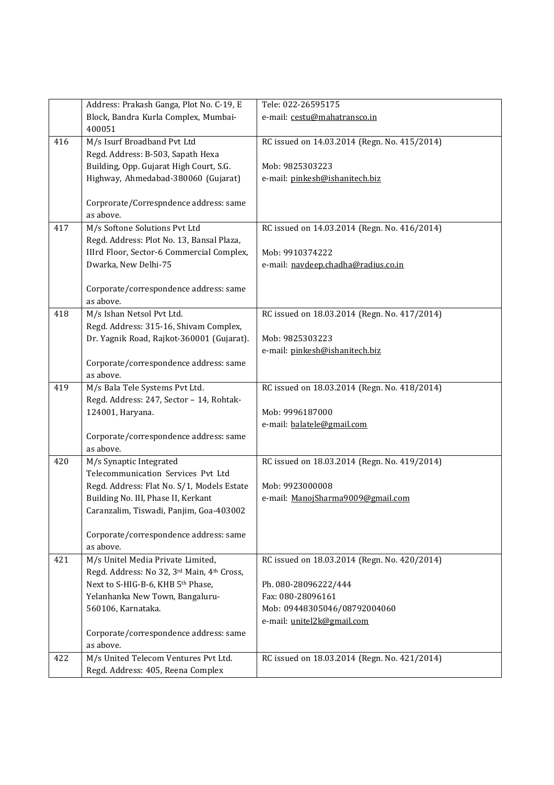|     | Address: Prakash Ganga, Plot No. C-19, E   | Tele: 022-26595175                           |
|-----|--------------------------------------------|----------------------------------------------|
|     | Block, Bandra Kurla Complex, Mumbai-       | e-mail: cestu@mahatransco.in                 |
|     | 400051                                     |                                              |
| 416 | M/s Isurf Broadband Pvt Ltd                | RC issued on 14.03.2014 (Regn. No. 415/2014) |
|     | Regd. Address: B-503, Sapath Hexa          |                                              |
|     | Building, Opp. Gujarat High Court, S.G.    | Mob: 9825303223                              |
|     | Highway, Ahmedabad-380060 (Gujarat)        | e-mail: pinkesh@ishanitech.biz               |
|     |                                            |                                              |
|     | Corprorate/Correspndence address: same     |                                              |
|     | as above.                                  |                                              |
| 417 | M/s Softone Solutions Pvt Ltd              | RC issued on 14.03.2014 (Regn. No. 416/2014) |
|     | Regd. Address: Plot No. 13, Bansal Plaza,  |                                              |
|     | IIIrd Floor, Sector-6 Commercial Complex,  | Mob: 9910374222                              |
|     | Dwarka, New Delhi-75                       | e-mail: navdeep.chadha@radius.co.in          |
|     |                                            |                                              |
|     | Corporate/correspondence address: same     |                                              |
|     | as above.                                  |                                              |
| 418 | M/s Ishan Netsol Pvt Ltd.                  | RC issued on 18.03.2014 (Regn. No. 417/2014) |
|     | Regd. Address: 315-16, Shivam Complex,     |                                              |
|     | Dr. Yagnik Road, Rajkot-360001 (Gujarat).  | Mob: 9825303223                              |
|     |                                            | e-mail: pinkesh@ishanitech.biz               |
|     | Corporate/correspondence address: same     |                                              |
|     | as above.                                  |                                              |
| 419 | M/s Bala Tele Systems Pvt Ltd.             | RC issued on 18.03.2014 (Regn. No. 418/2014) |
|     | Regd. Address: 247, Sector - 14, Rohtak-   | Mob: 9996187000                              |
|     | 124001, Haryana.                           | e-mail: balatele@gmail.com                   |
|     | Corporate/correspondence address: same     |                                              |
|     | as above.                                  |                                              |
| 420 | M/s Synaptic Integrated                    | RC issued on 18.03.2014 (Regn. No. 419/2014) |
|     | Telecommunication Services Pvt Ltd         |                                              |
|     | Regd. Address: Flat No. S/1, Models Estate | Mob: 9923000008                              |
|     | Building No. III, Phase II, Kerkant        | e-mail: ManojSharma9009@gmail.com            |
|     | Caranzalim, Tiswadi, Panjim, Goa-403002    |                                              |
|     |                                            |                                              |
|     | Corporate/correspondence address: same     |                                              |
|     | as above.                                  |                                              |
| 421 | M/s Unitel Media Private Limited,          | RC issued on 18.03.2014 (Regn. No. 420/2014) |
|     | Regd. Address: No 32, 3rd Main, 4th Cross, |                                              |
|     | Next to S-HIG-B-6, KHB 5th Phase,          | Ph. 080-28096222/444                         |
|     | Yelanhanka New Town, Bangaluru-            | Fax: 080-28096161                            |
|     | 560106, Karnataka.                         | Mob: 09448305046/08792004060                 |
|     |                                            | e-mail: unitel2k@gmail.com                   |
|     | Corporate/correspondence address: same     |                                              |
|     | as above.                                  |                                              |
| 422 | M/s United Telecom Ventures Pvt Ltd.       | RC issued on 18.03.2014 (Regn. No. 421/2014) |
|     | Regd. Address: 405, Reena Complex          |                                              |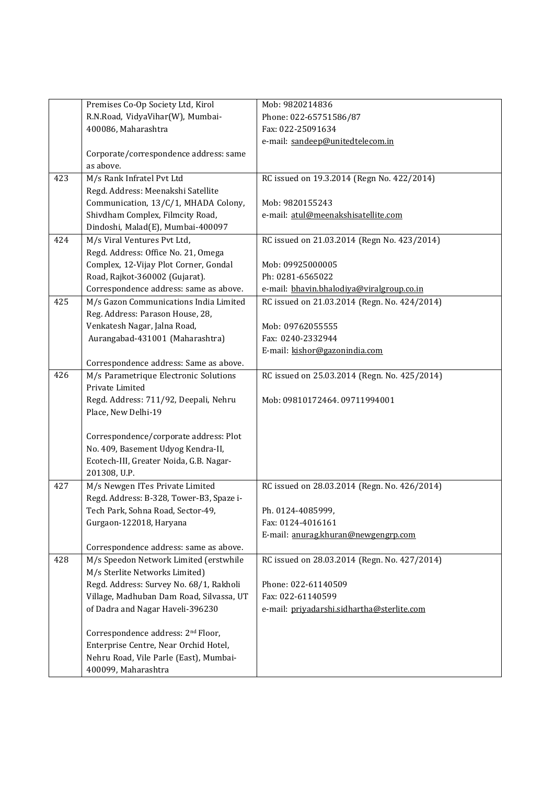|     | Premises Co-Op Society Ltd, Kirol              | Mob: 9820214836                              |
|-----|------------------------------------------------|----------------------------------------------|
|     | R.N.Road, VidyaVihar(W), Mumbai-               | Phone: 022-65751586/87                       |
|     | 400086, Maharashtra                            | Fax: 022-25091634                            |
|     |                                                | e-mail: sandeep@unitedtelecom.in             |
|     | Corporate/correspondence address: same         |                                              |
|     | as above.                                      |                                              |
| 423 | M/s Rank Infratel Pvt Ltd                      | RC issued on 19.3.2014 (Regn No. 422/2014)   |
|     | Regd. Address: Meenakshi Satellite             |                                              |
|     | Communication, 13/C/1, MHADA Colony,           | Mob: 9820155243                              |
|     | Shivdham Complex, Filmcity Road,               | e-mail: atul@meenakshisatellite.com          |
|     | Dindoshi, Malad(E), Mumbai-400097              |                                              |
| 424 | M/s Viral Ventures Pvt Ltd,                    | RC issued on 21.03.2014 (Regn No. 423/2014)  |
|     | Regd. Address: Office No. 21, Omega            |                                              |
|     | Complex, 12-Vijay Plot Corner, Gondal          | Mob: 09925000005                             |
|     | Road, Rajkot-360002 (Gujarat).                 | Ph: 0281-6565022                             |
|     | Correspondence address: same as above.         | e-mail: bhavin.bhalodiya@viralgroup.co.in    |
| 425 | M/s Gazon Communications India Limited         | RC issued on 21.03.2014 (Regn. No. 424/2014) |
|     | Reg. Address: Parason House, 28,               |                                              |
|     | Venkatesh Nagar, Jalna Road,                   | Mob: 09762055555                             |
|     | Aurangabad-431001 (Maharashtra)                | Fax: 0240-2332944                            |
|     |                                                | E-mail: kishor@gazonindia.com                |
|     | Correspondence address: Same as above.         |                                              |
| 426 | M/s Parametrique Electronic Solutions          | RC issued on 25.03.2014 (Regn. No. 425/2014) |
|     | Private Limited                                |                                              |
|     | Regd. Address: 711/92, Deepali, Nehru          | Mob: 09810172464.09711994001                 |
|     | Place, New Delhi-19                            |                                              |
|     |                                                |                                              |
|     | Correspondence/corporate address: Plot         |                                              |
|     | No. 409, Basement Udyog Kendra-II,             |                                              |
|     | Ecotech-III, Greater Noida, G.B. Nagar-        |                                              |
|     | 201308, U.P.                                   |                                              |
| 427 | M/s Newgen ITes Private Limited                | RC issued on 28.03.2014 (Regn. No. 426/2014) |
|     | Regd. Address: B-328, Tower-B3, Spaze i-       |                                              |
|     | Tech Park, Sohna Road, Sector-49,              | Ph. 0124-4085999,                            |
|     | Gurgaon-122018, Haryana                        | Fax: 0124-4016161                            |
|     |                                                | E-mail: anurag.khuran@newgengrp.com          |
| 428 | Correspondence address: same as above.         |                                              |
|     | M/s Speedon Network Limited (erstwhile         | RC issued on 28.03.2014 (Regn. No. 427/2014) |
|     | M/s Sterlite Networks Limited)                 |                                              |
|     | Regd. Address: Survey No. 68/1, Rakholi        | Phone: 022-61140509<br>Fax: 022-61140599     |
|     | Village, Madhuban Dam Road, Silvassa, UT       |                                              |
|     | of Dadra and Nagar Haveli-396230               | e-mail: privadarshi.sidhartha@sterlite.com   |
|     | Correspondence address: 2 <sup>nd</sup> Floor, |                                              |
|     | Enterprise Centre, Near Orchid Hotel,          |                                              |
|     |                                                |                                              |
|     | Nehru Road, Vile Parle (East), Mumbai-         |                                              |
|     | 400099, Maharashtra                            |                                              |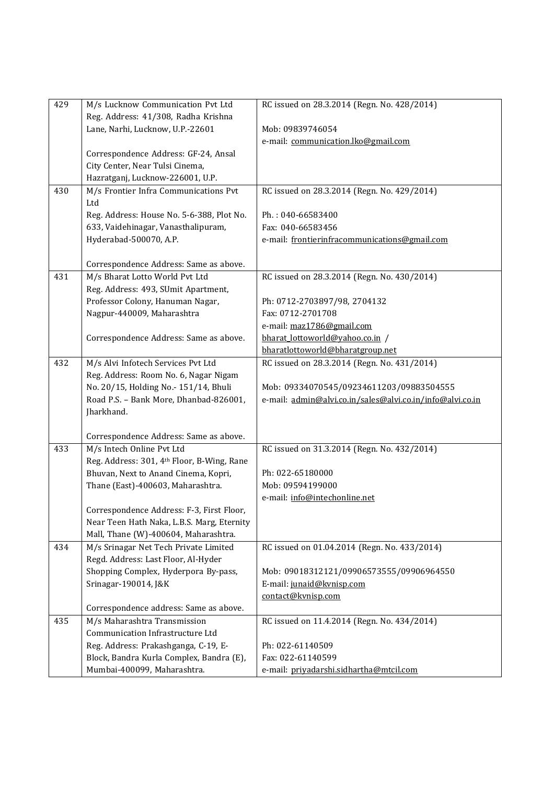| 429 | M/s Lucknow Communication Pvt Ltd          | RC issued on 28.3.2014 (Regn. No. 428/2014)               |
|-----|--------------------------------------------|-----------------------------------------------------------|
|     | Reg. Address: 41/308, Radha Krishna        |                                                           |
|     | Lane, Narhi, Lucknow, U.P.-22601           | Mob: 09839746054                                          |
|     |                                            | e-mail: communication.lko@gmail.com                       |
|     | Correspondence Address: GF-24, Ansal       |                                                           |
|     | City Center, Near Tulsi Cinema,            |                                                           |
|     | Hazratganj, Lucknow-226001, U.P.           |                                                           |
| 430 | M/s Frontier Infra Communications Pvt      | RC issued on 28.3.2014 (Regn. No. 429/2014)               |
|     | Ltd                                        |                                                           |
|     | Reg. Address: House No. 5-6-388, Plot No.  | Ph.: 040-66583400                                         |
|     | 633, Vaidehinagar, Vanasthalipuram,        | Fax: 040-66583456                                         |
|     | Hyderabad-500070, A.P.                     | e-mail: frontierinfracommunications@gmail.com             |
|     |                                            |                                                           |
|     | Correspondence Address: Same as above.     |                                                           |
| 431 | M/s Bharat Lotto World Pvt Ltd             | RC issued on 28.3.2014 (Regn. No. 430/2014)               |
|     | Reg. Address: 493, SUmit Apartment,        |                                                           |
|     | Professor Colony, Hanuman Nagar,           | Ph: 0712-2703897/98, 2704132                              |
|     | Nagpur-440009, Maharashtra                 | Fax: 0712-2701708                                         |
|     |                                            | e-mail: maz1786@gmail.com                                 |
|     | Correspondence Address: Same as above.     | bharat lottoworld@yahoo.co.in /                           |
|     |                                            | bharatlottoworld@bharatgroup.net                          |
| 432 | M/s Alvi Infotech Services Pvt Ltd         | RC issued on 28.3.2014 (Regn. No. 431/2014)               |
|     | Reg. Address: Room No. 6, Nagar Nigam      |                                                           |
|     | No. 20/15, Holding No.- 151/14, Bhuli      | Mob: 09334070545/09234611203/09883504555                  |
|     | Road P.S. - Bank More, Dhanbad-826001,     | e-mail: admin@alvi.co.in/sales@alvi.co.in/info@alvi.co.in |
|     | Jharkhand.                                 |                                                           |
|     | Correspondence Address: Same as above.     |                                                           |
| 433 | M/s Intech Online Pvt Ltd                  | RC issued on 31.3.2014 (Regn. No. 432/2014)               |
|     | Reg. Address: 301, 4th Floor, B-Wing, Rane |                                                           |
|     | Bhuvan, Next to Anand Cinema, Kopri,       | Ph: 022-65180000                                          |
|     | Thane (East)-400603, Maharashtra.          | Mob: 09594199000                                          |
|     |                                            | e-mail: info@intechonline.net                             |
|     | Correspondence Address: F-3, First Floor,  |                                                           |
|     | Near Teen Hath Naka, L.B.S. Marg, Eternity |                                                           |
|     | Mall, Thane (W)-400604, Maharashtra.       |                                                           |
| 434 | M/s Srinagar Net Tech Private Limited      | RC issued on 01.04.2014 (Regn. No. 433/2014)              |
|     | Regd. Address: Last Floor, Al-Hyder        |                                                           |
|     | Shopping Complex, Hyderpora By-pass,       | Mob: 09018312121/09906573555/09906964550                  |
|     | Srinagar-190014, J&K                       | E-mail: junaid@kvnisp.com                                 |
|     |                                            | contact@kvnisp.com                                        |
|     | Correspondence address: Same as above.     |                                                           |
| 435 | M/s Maharashtra Transmission               | RC issued on 11.4.2014 (Regn. No. 434/2014)               |
|     | Communication Infrastructure Ltd           |                                                           |
|     | Reg. Address: Prakashganga, C-19, E-       | Ph: 022-61140509                                          |
|     | Block, Bandra Kurla Complex, Bandra (E),   | Fax: 022-61140599                                         |
|     | Mumbai-400099, Maharashtra.                | e-mail: priyadarshi.sidhartha@mtcil.com                   |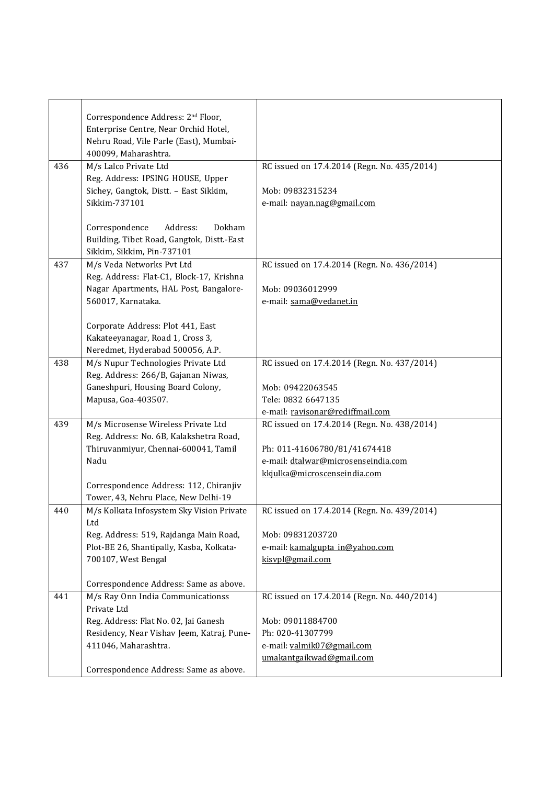|     | Correspondence Address: 2 <sup>nd</sup> Floor, |                                             |
|-----|------------------------------------------------|---------------------------------------------|
|     | Enterprise Centre, Near Orchid Hotel,          |                                             |
|     | Nehru Road, Vile Parle (East), Mumbai-         |                                             |
|     | 400099, Maharashtra.                           |                                             |
| 436 | M/s Lalco Private Ltd                          | RC issued on 17.4.2014 (Regn. No. 435/2014) |
|     | Reg. Address: IPSING HOUSE, Upper              |                                             |
|     | Sichey, Gangtok, Distt. - East Sikkim,         | Mob: 09832315234                            |
|     | Sikkim-737101                                  | e-mail: nayan.nag@gmail.com                 |
|     |                                                |                                             |
|     | Address:<br>Dokham<br>Correspondence           |                                             |
|     | Building, Tibet Road, Gangtok, Distt.-East     |                                             |
|     | Sikkim, Sikkim, Pin-737101                     |                                             |
| 437 | M/s Veda Networks Pvt Ltd                      | RC issued on 17.4.2014 (Regn. No. 436/2014) |
|     | Reg. Address: Flat-C1, Block-17, Krishna       |                                             |
|     | Nagar Apartments, HAL Post, Bangalore-         | Mob: 09036012999                            |
|     | 560017, Karnataka.                             | e-mail: sama@vedanet.in                     |
|     |                                                |                                             |
|     | Corporate Address: Plot 441, East              |                                             |
|     | Kakateeyanagar, Road 1, Cross 3,               |                                             |
|     | Neredmet, Hyderabad 500056, A.P.               |                                             |
| 438 | M/s Nupur Technologies Private Ltd             | RC issued on 17.4.2014 (Regn. No. 437/2014) |
|     | Reg. Address: 266/B, Gajanan Niwas,            |                                             |
|     | Ganeshpuri, Housing Board Colony,              | Mob: 09422063545                            |
|     | Mapusa, Goa-403507.                            | Tele: 0832 6647135                          |
|     |                                                | e-mail: ravisonar@rediffmail.com            |
| 439 | M/s Microsense Wireless Private Ltd            | RC issued on 17.4.2014 (Regn. No. 438/2014) |
|     | Reg. Address: No. 6B, Kalakshetra Road,        |                                             |
|     | Thiruvanmiyur, Chennai-600041, Tamil           | Ph: 011-41606780/81/41674418                |
|     | Nadu                                           | e-mail: dtalwar@microsenseindia.com         |
|     |                                                | kkjulka@microscenseindia.com                |
|     | Correspondence Address: 112, Chiranjiv         |                                             |
|     | Tower, 43, Nehru Place, New Delhi-19           |                                             |
| 440 | M/s Kolkata Infosystem Sky Vision Private      | RC issued on 17.4.2014 (Regn. No. 439/2014) |
|     | Ltd                                            |                                             |
|     | Reg. Address: 519, Rajdanga Main Road,         | Mob: 09831203720                            |
|     | Plot-BE 26, Shantipally, Kasba, Kolkata-       | e-mail: kamalgupta in@yahoo.com             |
|     | 700107, West Bengal                            | kisvpl@gmail.com                            |
|     | Correspondence Address: Same as above.         |                                             |
| 441 | M/s Ray Onn India Communicationss              | RC issued on 17.4.2014 (Regn. No. 440/2014) |
|     | Private Ltd                                    |                                             |
|     | Reg. Address: Flat No. 02, Jai Ganesh          | Mob: 09011884700                            |
|     | Residency, Near Vishav Jeem, Katraj, Pune-     | Ph: 020-41307799                            |
|     | 411046, Maharashtra.                           | e-mail: valmik07@gmail.com                  |
|     |                                                | umakantgaikwad@gmail.com                    |
|     | Correspondence Address: Same as above.         |                                             |
|     |                                                |                                             |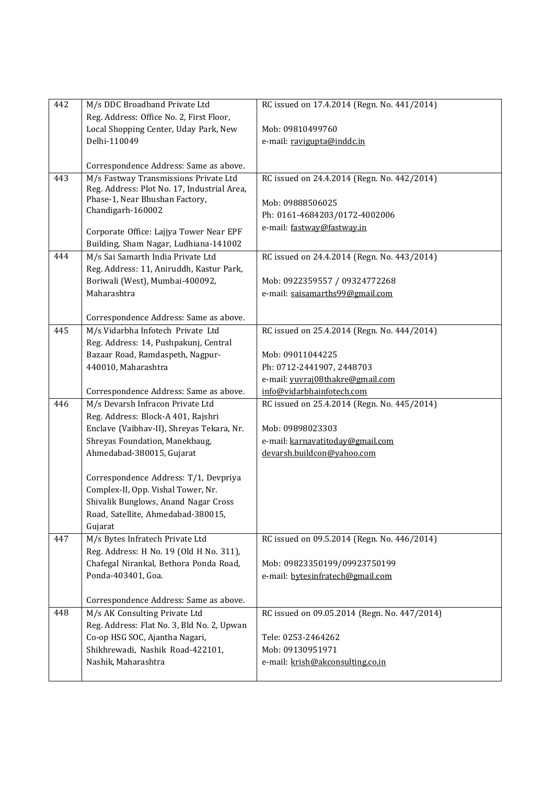| 442 | M/s DDC Broadband Private Ltd                       | RC issued on 17.4.2014 (Regn. No. 441/2014)  |
|-----|-----------------------------------------------------|----------------------------------------------|
|     | Reg. Address: Office No. 2, First Floor,            |                                              |
|     | Local Shopping Center, Uday Park, New               | Mob: 09810499760                             |
|     | Delhi-110049                                        | e-mail: ravigupta@inddc.in                   |
|     |                                                     |                                              |
|     | Correspondence Address: Same as above.              |                                              |
| 443 | M/s Fastway Transmissions Private Ltd               | RC issued on 24.4.2014 (Regn. No. 442/2014)  |
|     | Reg. Address: Plot No. 17, Industrial Area,         |                                              |
|     | Phase-1, Near Bhushan Factory,<br>Chandigarh-160002 | Mob: 09888506025                             |
|     |                                                     | Ph: 0161-4684203/0172-4002006                |
|     | Corporate Office: Lajjya Tower Near EPF             | e-mail: fastway@fastway.in                   |
|     | Building, Sham Nagar, Ludhiana-141002               |                                              |
| 444 | M/s Sai Samarth India Private Ltd                   | RC issued on 24.4.2014 (Regn. No. 443/2014)  |
|     | Reg. Address: 11, Aniruddh, Kastur Park,            |                                              |
|     | Boriwali (West), Mumbai-400092,                     | Mob: 0922359557 / 09324772268                |
|     | Maharashtra                                         | e-mail: saisamarths99@gmail.com              |
|     |                                                     |                                              |
|     | Correspondence Address: Same as above.              |                                              |
| 445 | M/s Vidarbha Infotech Private Ltd                   | RC issued on 25.4.2014 (Regn. No. 444/2014)  |
|     | Reg. Address: 14, Pushpakunj, Central               |                                              |
|     | Bazaar Road, Ramdaspeth, Nagpur-                    | Mob: 09011044225                             |
|     | 440010, Maharashtra                                 | Ph: 0712-2441907, 2448703                    |
|     |                                                     | e-mail: yuvraj08thakre@gmail.com             |
|     | Correspondence Address: Same as above.              | info@vidarbhainfotech.com                    |
| 446 | M/s Devarsh Infracon Private Ltd                    | RC issued on 25.4.2014 (Regn. No. 445/2014)  |
|     | Reg. Address: Block-A 401, Rajshri                  |                                              |
|     | Enclave (Vaibhav-II), Shreyas Tekara, Nr.           | Mob: 09898023303                             |
|     | Shreyas Foundation, Manekbaug,                      | e-mail: karnavatitoday@gmail.com             |
|     | Ahmedabad-380015, Gujarat                           | devarsh.buildcon@yahoo.com                   |
|     | Correspondence Address: T/1, Devpriya               |                                              |
|     | Complex-II, Opp. Vishal Tower, Nr.                  |                                              |
|     | Shivalik Bunglows, Anand Nagar Cross                |                                              |
|     | Road, Satellite, Ahmedabad-380015,                  |                                              |
|     | Gujarat                                             |                                              |
| 447 | M/s Bytes Infratech Private Ltd                     | RC issued on 09.5.2014 (Regn. No. 446/2014)  |
|     | Reg. Address: H No. 19 (Old H No. 311),             |                                              |
|     | Chafegal Nirankal, Bethora Ponda Road,              | Mob: 09823350199/09923750199                 |
|     | Ponda-403401, Goa.                                  | e-mail: bytesinfratech@gmail.com             |
|     |                                                     |                                              |
|     | Correspondence Address: Same as above.              |                                              |
| 448 | M/s AK Consulting Private Ltd                       | RC issued on 09.05.2014 (Regn. No. 447/2014) |
|     | Reg. Address: Flat No. 3, Bld No. 2, Upwan          |                                              |
|     | Co-op HSG SOC, Ajantha Nagari,                      | Tele: 0253-2464262                           |
|     | Shikhrewadi, Nashik Road-422101,                    | Mob: 09130951971                             |
|     | Nashik, Maharashtra                                 | e-mail: krish@akconsulting.co.in             |
|     |                                                     |                                              |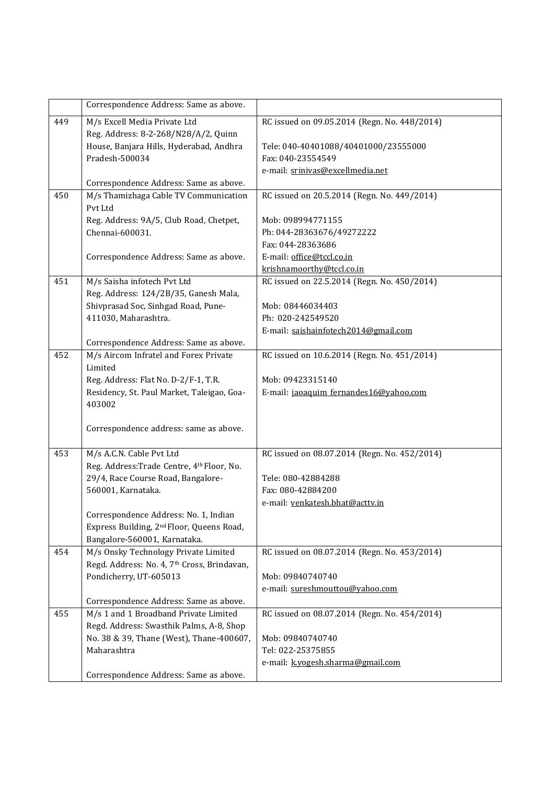|     | Correspondence Address: Same as above.                               |                                                |
|-----|----------------------------------------------------------------------|------------------------------------------------|
| 449 | M/s Excell Media Private Ltd                                         | RC issued on 09.05.2014 (Regn. No. 448/2014)   |
|     | Reg. Address: 8-2-268/N28/A/2, Quinn                                 |                                                |
|     | House, Banjara Hills, Hyderabad, Andhra                              | Tele: 040-40401088/40401000/23555000           |
|     | Pradesh-500034                                                       | Fax: 040-23554549                              |
|     |                                                                      | e-mail: srinivas@excellmedia.net               |
|     | Correspondence Address: Same as above.                               |                                                |
| 450 | M/s Thamizhaga Cable TV Communication                                | RC issued on 20.5.2014 (Regn. No. 449/2014)    |
|     | Pvt Ltd                                                              |                                                |
|     | Reg. Address: 9A/5, Club Road, Chetpet,                              | Mob: 098994771155                              |
|     | Chennai-600031.                                                      | Ph: 044-28363676/49272222                      |
|     | Correspondence Address: Same as above.                               | Fax: 044-28363686<br>E-mail: office@tccl.co.in |
|     |                                                                      | krishnamoorthy@tccl.co.in                      |
| 451 | M/s Saisha infotech Pvt Ltd                                          | RC issued on 22.5.2014 (Regn. No. 450/2014)    |
|     | Reg. Address: 124/2B/35, Ganesh Mala,                                |                                                |
|     | Shivprasad Soc, Sinhgad Road, Pune-                                  | Mob: 08446034403                               |
|     | 411030, Maharashtra.                                                 | Ph: 020-242549520                              |
|     |                                                                      | E-mail: saishainfotech2014@gmail.com           |
|     | Correspondence Address: Same as above.                               |                                                |
| 452 | M/s Aircom Infratel and Forex Private                                | RC issued on 10.6.2014 (Regn. No. 451/2014)    |
|     | Limited                                                              |                                                |
|     | Reg. Address: Flat No. D-2/F-1, T.R.                                 | Mob: 09423315140                               |
|     | Residency, St. Paul Market, Taleigao, Goa-                           | E-mail: jaoaquim fernandes16@yahoo.com         |
|     | 403002                                                               |                                                |
|     | Correspondence address: same as above.                               |                                                |
|     |                                                                      |                                                |
| 453 | M/s A.C.N. Cable Pvt Ltd                                             | RC issued on 08.07.2014 (Regn. No. 452/2014)   |
|     | Reg. Address: Trade Centre, 4th Floor, No.                           |                                                |
|     | 29/4, Race Course Road, Bangalore-                                   | Tele: 080-42884288                             |
|     | 560001, Karnataka.                                                   | Fax: 080-42884200                              |
|     |                                                                      | e-mail: venkatesh.bhat@acttv.in                |
|     | Correspondence Address: No. 1, Indian                                |                                                |
|     | Express Building, 2 <sup>nd</sup> Floor, Queens Road,                |                                                |
| 454 | Bangalore-560001, Karnataka.<br>M/s Onsky Technology Private Limited | RC issued on 08.07.2014 (Regn. No. 453/2014)   |
|     | Regd. Address: No. 4, 7th Cross, Brindavan,                          |                                                |
|     | Pondicherry, UT-605013                                               | Mob: 09840740740                               |
|     |                                                                      | e-mail: sureshmouttou@yahoo.com                |
|     | Correspondence Address: Same as above.                               |                                                |
| 455 | M/s 1 and 1 Broadband Private Limited                                | RC issued on 08.07.2014 (Regn. No. 454/2014)   |
|     | Regd. Address: Swasthik Palms, A-8, Shop                             |                                                |
|     | No. 38 & 39, Thane (West), Thane-400607,                             | Mob: 09840740740                               |
|     | Maharashtra                                                          | Tel: 022-25375855                              |
|     |                                                                      | e-mail: kyogesh.sharma@gmail.com               |
|     | Correspondence Address: Same as above.                               |                                                |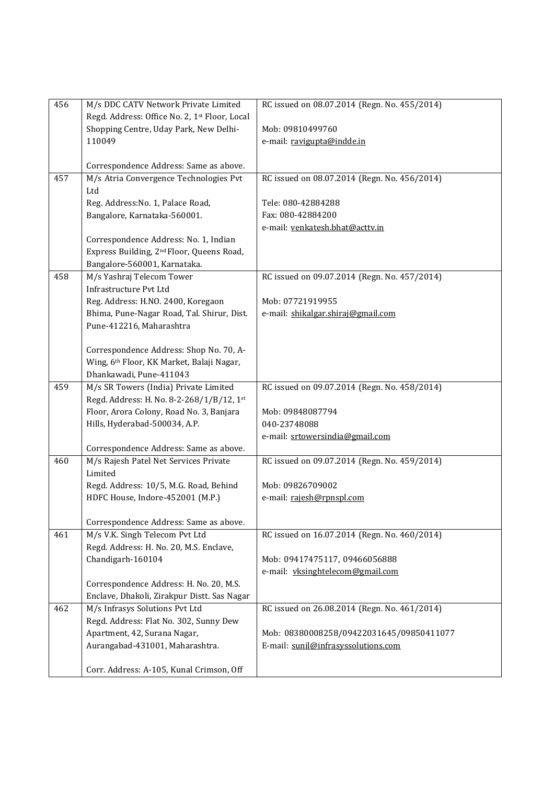| 456 | M/s DDC CATV Network Private Limited                  | RC issued on 08.07.2014 (Regn. No. 455/2014) |
|-----|-------------------------------------------------------|----------------------------------------------|
|     | Regd. Address: Office No. 2, 1st Floor, Local         |                                              |
|     | Shopping Centre, Uday Park, New Delhi-                | Mob: 09810499760                             |
|     | 110049                                                | e-mail: ravigupta@indde.in                   |
|     |                                                       |                                              |
|     | Correspondence Address: Same as above.                |                                              |
| 457 | M/s Atria Convergence Technologies Pvt                | RC issued on 08.07.2014 (Regn. No. 456/2014) |
|     | Ltd                                                   |                                              |
|     | Reg. Address: No. 1, Palace Road,                     | Tele: 080-42884288                           |
|     | Bangalore, Karnataka-560001.                          | Fax: 080-42884200                            |
|     |                                                       | e-mail: yenkatesh.bhat@acttv.in              |
|     | Correspondence Address: No. 1, Indian                 |                                              |
|     | Express Building, 2 <sup>nd</sup> Floor, Queens Road, |                                              |
|     | Bangalore-560001, Karnataka.                          |                                              |
| 458 | M/s Yashraj Telecom Tower                             | RC issued on 09.07.2014 (Regn. No. 457/2014) |
|     | Infrastructure Pvt Ltd                                |                                              |
|     | Reg. Address: H.NO. 2400, Koregaon                    | Mob: 07721919955                             |
|     | Bhima, Pune-Nagar Road, Tal. Shirur, Dist.            | e-mail: shikalgar.shiraj@gmail.com           |
|     | Pune-412216, Maharashtra                              |                                              |
|     |                                                       |                                              |
|     | Correspondence Address: Shop No. 70, A-               |                                              |
|     | Wing, 6th Floor, KK Market, Balaji Nagar,             |                                              |
|     | Dhankawadi, Pune-411043                               |                                              |
| 459 | M/s SR Towers (India) Private Limited                 | RC issued on 09.07.2014 (Regn. No. 458/2014) |
|     | Regd. Address: H. No. 8-2-268/1/B/12, 1st             |                                              |
|     | Floor, Arora Colony, Road No. 3, Banjara              | Mob: 09848087794                             |
|     | Hills, Hyderabad-500034, A.P.                         | 040-23748088                                 |
|     |                                                       | e-mail: srtowersindia@gmail.com              |
|     | Correspondence Address: Same as above.                |                                              |
| 460 | M/s Rajesh Patel Net Services Private<br>Limited      | RC issued on 09.07.2014 (Regn. No. 459/2014) |
|     | Regd. Address: 10/5, M.G. Road, Behind                | Mob: 09826709002                             |
|     | HDFC House, Indore-452001 (M.P.)                      | e-mail: rajesh@rpnspl.com                    |
|     |                                                       |                                              |
|     | Correspondence Address: Same as above.                |                                              |
| 461 | M/s V.K. Singh Telecom Pvt Ltd                        | RC issued on 16.07.2014 (Regn. No. 460/2014) |
|     | Regd. Address: H. No. 20, M.S. Enclave,               |                                              |
|     | Chandigarh-160104                                     | Mob: 09417475117, 09466056888                |
|     |                                                       | e-mail: vksinghtelecom@gmail.com             |
|     | Correspondence Address: H. No. 20, M.S.               |                                              |
|     | Enclave, Dhakoli, Zirakpur Distt. Sas Nagar           |                                              |
| 462 | M/s Infrasys Solutions Pvt Ltd                        | RC issued on 26.08.2014 (Regn. No. 461/2014) |
|     | Regd. Address: Flat No. 302, Sunny Dew                |                                              |
|     | Apartment, 42, Surana Nagar,                          | Mob: 08380008258/09422031645/09850411077     |
|     | Aurangabad-431001, Maharashtra.                       | E-mail: sunil@infrasyssolutions.com          |
|     |                                                       |                                              |
|     | Corr. Address: A-105, Kunal Crimson, Off              |                                              |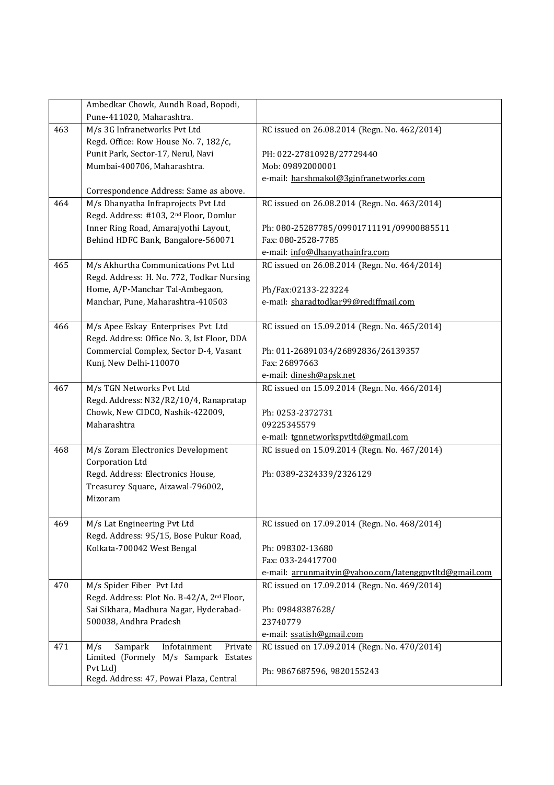|                   | Ambedkar Chowk, Aundh Road, Bopodi,                                                                                                                                                                                                                                                                                                                                                                                                                                                                                        |                                                                                                                                                                                                                                                                                                                                                                    |
|-------------------|----------------------------------------------------------------------------------------------------------------------------------------------------------------------------------------------------------------------------------------------------------------------------------------------------------------------------------------------------------------------------------------------------------------------------------------------------------------------------------------------------------------------------|--------------------------------------------------------------------------------------------------------------------------------------------------------------------------------------------------------------------------------------------------------------------------------------------------------------------------------------------------------------------|
|                   | Pune-411020, Maharashtra.                                                                                                                                                                                                                                                                                                                                                                                                                                                                                                  |                                                                                                                                                                                                                                                                                                                                                                    |
| 463               | M/s 3G Infranetworks Pvt Ltd                                                                                                                                                                                                                                                                                                                                                                                                                                                                                               | RC issued on 26.08.2014 (Regn. No. 462/2014)                                                                                                                                                                                                                                                                                                                       |
|                   | Regd. Office: Row House No. 7, 182/c,                                                                                                                                                                                                                                                                                                                                                                                                                                                                                      |                                                                                                                                                                                                                                                                                                                                                                    |
|                   | Punit Park, Sector-17, Nerul, Navi                                                                                                                                                                                                                                                                                                                                                                                                                                                                                         | PH: 022-27810928/27729440                                                                                                                                                                                                                                                                                                                                          |
|                   | Mumbai-400706, Maharashtra.                                                                                                                                                                                                                                                                                                                                                                                                                                                                                                | Mob: 09892000001                                                                                                                                                                                                                                                                                                                                                   |
|                   |                                                                                                                                                                                                                                                                                                                                                                                                                                                                                                                            | e-mail: harshmakol@3ginfranetworks.com                                                                                                                                                                                                                                                                                                                             |
|                   | Correspondence Address: Same as above.                                                                                                                                                                                                                                                                                                                                                                                                                                                                                     |                                                                                                                                                                                                                                                                                                                                                                    |
| 464               | M/s Dhanyatha Infraprojects Pvt Ltd                                                                                                                                                                                                                                                                                                                                                                                                                                                                                        | RC issued on 26.08.2014 (Regn. No. 463/2014)                                                                                                                                                                                                                                                                                                                       |
|                   | Regd. Address: #103, 2 <sup>nd</sup> Floor, Domlur                                                                                                                                                                                                                                                                                                                                                                                                                                                                         |                                                                                                                                                                                                                                                                                                                                                                    |
|                   | Inner Ring Road, Amarajyothi Layout,                                                                                                                                                                                                                                                                                                                                                                                                                                                                                       | Ph: 080-25287785/09901711191/09900885511                                                                                                                                                                                                                                                                                                                           |
|                   | Behind HDFC Bank, Bangalore-560071                                                                                                                                                                                                                                                                                                                                                                                                                                                                                         | Fax: 080-2528-7785                                                                                                                                                                                                                                                                                                                                                 |
|                   |                                                                                                                                                                                                                                                                                                                                                                                                                                                                                                                            | e-mail: info@dhanyathainfra.com                                                                                                                                                                                                                                                                                                                                    |
| 465               | M/s Akhurtha Communications Pvt Ltd                                                                                                                                                                                                                                                                                                                                                                                                                                                                                        | RC issued on 26.08.2014 (Regn. No. 464/2014)                                                                                                                                                                                                                                                                                                                       |
|                   | Regd. Address: H. No. 772, Todkar Nursing                                                                                                                                                                                                                                                                                                                                                                                                                                                                                  |                                                                                                                                                                                                                                                                                                                                                                    |
|                   | Home, A/P-Manchar Tal-Ambegaon,                                                                                                                                                                                                                                                                                                                                                                                                                                                                                            | Ph/Fax:02133-223224                                                                                                                                                                                                                                                                                                                                                |
|                   | Manchar, Pune, Maharashtra-410503                                                                                                                                                                                                                                                                                                                                                                                                                                                                                          | e-mail: sharadtodkar99@rediffmail.com                                                                                                                                                                                                                                                                                                                              |
|                   |                                                                                                                                                                                                                                                                                                                                                                                                                                                                                                                            |                                                                                                                                                                                                                                                                                                                                                                    |
|                   |                                                                                                                                                                                                                                                                                                                                                                                                                                                                                                                            |                                                                                                                                                                                                                                                                                                                                                                    |
|                   |                                                                                                                                                                                                                                                                                                                                                                                                                                                                                                                            |                                                                                                                                                                                                                                                                                                                                                                    |
|                   |                                                                                                                                                                                                                                                                                                                                                                                                                                                                                                                            |                                                                                                                                                                                                                                                                                                                                                                    |
|                   |                                                                                                                                                                                                                                                                                                                                                                                                                                                                                                                            |                                                                                                                                                                                                                                                                                                                                                                    |
|                   |                                                                                                                                                                                                                                                                                                                                                                                                                                                                                                                            |                                                                                                                                                                                                                                                                                                                                                                    |
|                   |                                                                                                                                                                                                                                                                                                                                                                                                                                                                                                                            |                                                                                                                                                                                                                                                                                                                                                                    |
|                   |                                                                                                                                                                                                                                                                                                                                                                                                                                                                                                                            |                                                                                                                                                                                                                                                                                                                                                                    |
|                   |                                                                                                                                                                                                                                                                                                                                                                                                                                                                                                                            |                                                                                                                                                                                                                                                                                                                                                                    |
|                   |                                                                                                                                                                                                                                                                                                                                                                                                                                                                                                                            |                                                                                                                                                                                                                                                                                                                                                                    |
|                   |                                                                                                                                                                                                                                                                                                                                                                                                                                                                                                                            |                                                                                                                                                                                                                                                                                                                                                                    |
|                   |                                                                                                                                                                                                                                                                                                                                                                                                                                                                                                                            |                                                                                                                                                                                                                                                                                                                                                                    |
|                   |                                                                                                                                                                                                                                                                                                                                                                                                                                                                                                                            |                                                                                                                                                                                                                                                                                                                                                                    |
|                   |                                                                                                                                                                                                                                                                                                                                                                                                                                                                                                                            |                                                                                                                                                                                                                                                                                                                                                                    |
|                   |                                                                                                                                                                                                                                                                                                                                                                                                                                                                                                                            |                                                                                                                                                                                                                                                                                                                                                                    |
|                   |                                                                                                                                                                                                                                                                                                                                                                                                                                                                                                                            |                                                                                                                                                                                                                                                                                                                                                                    |
| 469               | M/s Lat Engineering Pvt Ltd                                                                                                                                                                                                                                                                                                                                                                                                                                                                                                | RC issued on 17.09.2014 (Regn. No. 468/2014)                                                                                                                                                                                                                                                                                                                       |
|                   | Regd. Address: 95/15, Bose Pukur Road,                                                                                                                                                                                                                                                                                                                                                                                                                                                                                     |                                                                                                                                                                                                                                                                                                                                                                    |
|                   | Kolkata-700042 West Bengal                                                                                                                                                                                                                                                                                                                                                                                                                                                                                                 | Ph: 098302-13680                                                                                                                                                                                                                                                                                                                                                   |
|                   |                                                                                                                                                                                                                                                                                                                                                                                                                                                                                                                            | Fax: 033-24417700                                                                                                                                                                                                                                                                                                                                                  |
|                   |                                                                                                                                                                                                                                                                                                                                                                                                                                                                                                                            | e-mail: arrunmaityin@yahoo.com/latenggpvtltd@gmail.com                                                                                                                                                                                                                                                                                                             |
| 470               | M/s Spider Fiber Pvt Ltd                                                                                                                                                                                                                                                                                                                                                                                                                                                                                                   | RC issued on 17.09.2014 (Regn. No. 469/2014)                                                                                                                                                                                                                                                                                                                       |
|                   | Regd. Address: Plot No. B-42/A, 2nd Floor,                                                                                                                                                                                                                                                                                                                                                                                                                                                                                 |                                                                                                                                                                                                                                                                                                                                                                    |
|                   | Sai Sikhara, Madhura Nagar, Hyderabad-                                                                                                                                                                                                                                                                                                                                                                                                                                                                                     | Ph: 09848387628/                                                                                                                                                                                                                                                                                                                                                   |
|                   | 500038, Andhra Pradesh                                                                                                                                                                                                                                                                                                                                                                                                                                                                                                     | 23740779                                                                                                                                                                                                                                                                                                                                                           |
|                   |                                                                                                                                                                                                                                                                                                                                                                                                                                                                                                                            | e-mail: ssatish@gmail.com                                                                                                                                                                                                                                                                                                                                          |
| 471               | Sampark<br>Infotainment<br>Private<br>M/s                                                                                                                                                                                                                                                                                                                                                                                                                                                                                  | RC issued on 17.09.2014 (Regn. No. 470/2014)                                                                                                                                                                                                                                                                                                                       |
|                   |                                                                                                                                                                                                                                                                                                                                                                                                                                                                                                                            |                                                                                                                                                                                                                                                                                                                                                                    |
|                   |                                                                                                                                                                                                                                                                                                                                                                                                                                                                                                                            |                                                                                                                                                                                                                                                                                                                                                                    |
| 466<br>467<br>468 | M/s Apee Eskay Enterprises Pvt Ltd<br>Regd. Address: Office No. 3, Ist Floor, DDA<br>Commercial Complex, Sector D-4, Vasant<br>Kunj, New Delhi-110070<br>M/s TGN Networks Pvt Ltd<br>Regd. Address: N32/R2/10/4, Ranapratap<br>Chowk, New CIDCO, Nashik-422009,<br>Maharashtra<br>M/s Zoram Electronics Development<br>Corporation Ltd<br>Regd. Address: Electronics House,<br>Treasurey Square, Aizawal-796002,<br>Mizoram<br>Limited (Formely M/s Sampark Estates<br>Pvt Ltd)<br>Regd. Address: 47, Powai Plaza, Central | RC issued on 15.09.2014 (Regn. No. 465/2014)<br>Ph: 011-26891034/26892836/26139357<br>Fax: 26897663<br>e-mail: dinesh@apsk.net<br>RC issued on 15.09.2014 (Regn. No. 466/2014)<br>Ph: 0253-2372731<br>09225345579<br>e-mail: tgnnetworkspvtltd@gmail.com<br>RC issued on 15.09.2014 (Regn. No. 467/2014)<br>Ph: 0389-2324339/2326129<br>Ph: 9867687596, 9820155243 |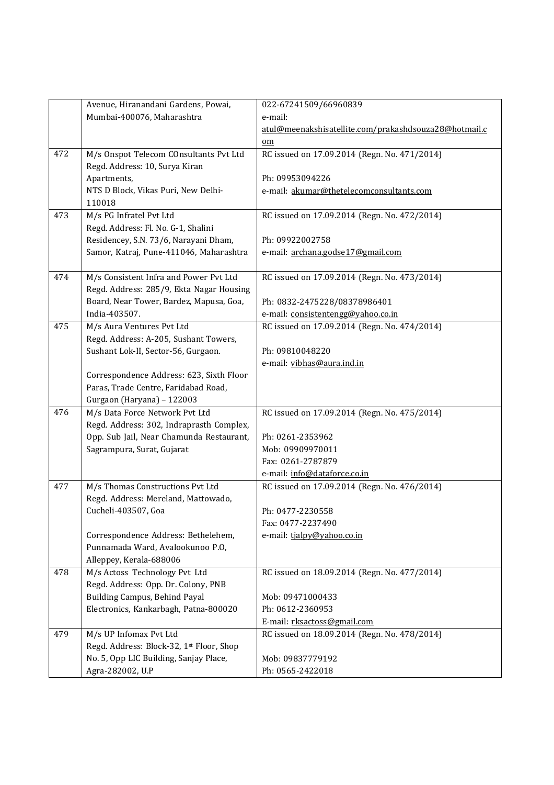|     | Avenue, Hiranandani Gardens, Powai,                                                  | 022-67241509/66960839                                 |
|-----|--------------------------------------------------------------------------------------|-------------------------------------------------------|
|     | Mumbai-400076, Maharashtra                                                           | e-mail:                                               |
|     |                                                                                      | atul@meenakshisatellite.com/prakashdsouza28@hotmail.c |
|     |                                                                                      | om                                                    |
| 472 | M/s Onspot Telecom COnsultants Pvt Ltd                                               | RC issued on 17.09.2014 (Regn. No. 471/2014)          |
|     | Regd. Address: 10, Surya Kiran                                                       |                                                       |
|     | Apartments,                                                                          | Ph: 09953094226                                       |
|     | NTS D Block, Vikas Puri, New Delhi-                                                  | e-mail: akumar@thetelecomconsultants.com              |
|     | 110018                                                                               |                                                       |
| 473 | M/s PG Infratel Pvt Ltd                                                              | RC issued on 17.09.2014 (Regn. No. 472/2014)          |
|     | Regd. Address: Fl. No. G-1, Shalini                                                  |                                                       |
|     | Residencey, S.N. 73/6, Narayani Dham,                                                | Ph: 09922002758                                       |
|     | Samor, Katraj, Pune-411046, Maharashtra                                              | e-mail: archana.godse17@gmail.com                     |
| 474 | M/s Consistent Infra and Power Pvt Ltd                                               | RC issued on 17.09.2014 (Regn. No. 473/2014)          |
|     | Regd. Address: 285/9, Ekta Nagar Housing                                             |                                                       |
|     | Board, Near Tower, Bardez, Mapusa, Goa,                                              | Ph: 0832-2475228/08378986401                          |
|     | India-403507.                                                                        | e-mail: consistentengg@yahoo.co.in                    |
| 475 | M/s Aura Ventures Pvt Ltd                                                            | RC issued on 17.09.2014 (Regn. No. 474/2014)          |
|     | Regd. Address: A-205, Sushant Towers,                                                |                                                       |
|     | Sushant Lok-II, Sector-56, Gurgaon.                                                  | Ph: 09810048220                                       |
|     |                                                                                      | e-mail: vibhas@aura.ind.in                            |
|     | Correspondence Address: 623, Sixth Floor                                             |                                                       |
|     | Paras, Trade Centre, Faridabad Road,                                                 |                                                       |
|     | Gurgaon (Haryana) - 122003                                                           |                                                       |
| 476 | M/s Data Force Network Pvt Ltd                                                       | RC issued on 17.09.2014 (Regn. No. 475/2014)          |
|     | Regd. Address: 302, Indraprasth Complex,<br>Opp. Sub Jail, Near Chamunda Restaurant, | Ph: 0261-2353962                                      |
|     | Sagrampura, Surat, Gujarat                                                           | Mob: 09909970011                                      |
|     |                                                                                      | Fax: 0261-2787879                                     |
|     |                                                                                      | e-mail: info@dataforce.co.in                          |
| 477 | M/s Thomas Constructions Pvt Ltd                                                     | RC issued on 17.09.2014 (Regn. No. 476/2014)          |
|     | Regd. Address: Mereland, Mattowado,                                                  |                                                       |
|     | Cucheli-403507, Goa                                                                  | Ph: 0477-2230558                                      |
|     |                                                                                      | Fax: 0477-2237490                                     |
|     | Correspondence Address: Bethelehem,                                                  | e-mail: tjalpy@yahoo.co.in                            |
|     | Punnamada Ward, Avalookunoo P.O,                                                     |                                                       |
|     | Alleppey, Kerala-688006                                                              |                                                       |
| 478 | M/s Actoss Technology Pvt Ltd                                                        | RC issued on 18.09.2014 (Regn. No. 477/2014)          |
|     | Regd. Address: Opp. Dr. Colony, PNB                                                  |                                                       |
|     | Building Campus, Behind Payal                                                        | Mob: 09471000433                                      |
|     | Electronics, Kankarbagh, Patna-800020                                                | Ph: 0612-2360953                                      |
|     |                                                                                      | E-mail: rksactoss@gmail.com                           |
| 479 | M/s UP Infomax Pvt Ltd                                                               | RC issued on 18.09.2014 (Regn. No. 478/2014)          |
|     | Regd. Address: Block-32, 1st Floor, Shop                                             |                                                       |
|     | No. 5, Opp LIC Building, Sanjay Place,                                               | Mob: 09837779192                                      |
|     | Agra-282002, U.P                                                                     | Ph: 0565-2422018                                      |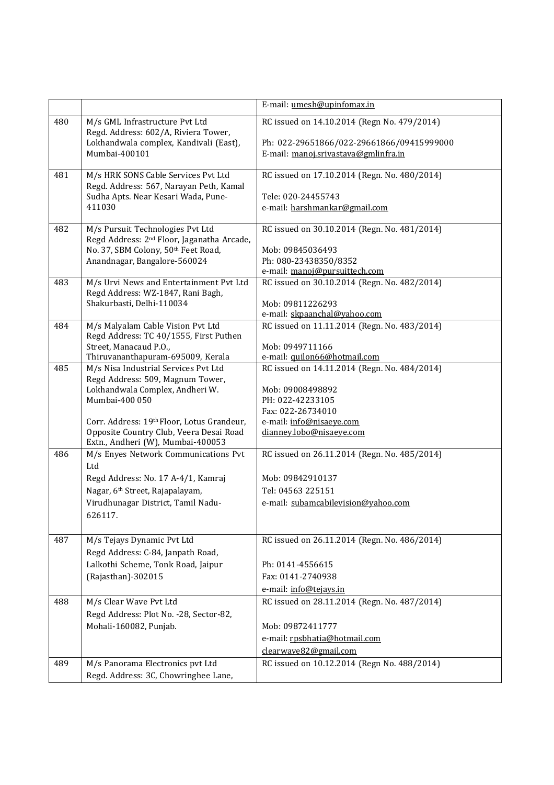|     |                                                                                            | E-mail: umesh@upinfomax.in                                                        |
|-----|--------------------------------------------------------------------------------------------|-----------------------------------------------------------------------------------|
| 480 | M/s GML Infrastructure Pvt Ltd                                                             | RC issued on 14.10.2014 (Regn No. 479/2014)                                       |
|     | Regd. Address: 602/A, Riviera Tower,                                                       |                                                                                   |
|     | Lokhandwala complex, Kandivali (East),<br>Mumbai-400101                                    | Ph: 022-29651866/022-29661866/09415999000<br>E-mail: manoj.srivastava@gmlinfra.in |
|     |                                                                                            |                                                                                   |
| 481 | M/s HRK SONS Cable Services Pvt Ltd                                                        | RC issued on 17.10.2014 (Regn. No. 480/2014)                                      |
|     | Regd. Address: 567, Narayan Peth, Kamal<br>Sudha Apts. Near Kesari Wada, Pune-             | Tele: 020-24455743                                                                |
|     | 411030                                                                                     | e-mail: harshmankar@gmail.com                                                     |
|     |                                                                                            |                                                                                   |
| 482 | M/s Pursuit Technologies Pvt Ltd<br>Regd Address: 2 <sup>nd</sup> Floor, Jaganatha Arcade, | RC issued on 30.10.2014 (Regn. No. 481/2014)                                      |
|     | No. 37, SBM Colony, 50th Feet Road,                                                        | Mob: 09845036493                                                                  |
|     | Anandnagar, Bangalore-560024                                                               | Ph: 080-23438350/8352                                                             |
|     |                                                                                            | e-mail: manoj@pursuittech.com                                                     |
| 483 | M/s Urvi News and Entertainment Pvt Ltd<br>Regd Address: WZ-1847, Rani Bagh,               | RC issued on 30.10.2014 (Regn. No. 482/2014)                                      |
|     | Shakurbasti, Delhi-110034                                                                  | Mob: 09811226293                                                                  |
|     |                                                                                            | e-mail: skpaanchal@yahoo.com                                                      |
| 484 | M/s Malyalam Cable Vision Pvt Ltd                                                          | RC issued on 11.11.2014 (Regn. No. 483/2014)                                      |
|     | Regd Address: TC 40/1555, First Puthen                                                     | Mob: 0949711166                                                                   |
|     | Street, Manacaud P.O.,<br>Thiruvananthapuram-695009, Kerala                                | e-mail: quilon66@hotmail.com                                                      |
| 485 | M/s Nisa Industrial Services Pvt Ltd                                                       | RC issued on 14.11.2014 (Regn. No. 484/2014)                                      |
|     | Regd Address: 509, Magnum Tower,                                                           |                                                                                   |
|     | Lokhandwala Complex, Andheri W.<br>Mumbai-400 050                                          | Mob: 09008498892<br>PH: 022-42233105                                              |
|     |                                                                                            | Fax: 022-26734010                                                                 |
|     | Corr. Address: 19th Floor, Lotus Grandeur,                                                 | e-mail: info@nisaeye.com                                                          |
|     | Opposite Country Club, Veera Desai Road                                                    | dianney.lobo@nisaeye.com                                                          |
|     | Extn., Andheri (W), Mumbai-400053                                                          |                                                                                   |
| 486 | M/s Enyes Network Communications Pvt<br>Ltd                                                | RC issued on 26.11.2014 (Regn. No. 485/2014)                                      |
|     | Regd Address: No. 17 A-4/1, Kamraj                                                         | Mob: 09842910137                                                                  |
|     | Nagar, 6th Street, Rajapalayam,                                                            | Tel: 04563 225151                                                                 |
|     | Virudhunagar District, Tamil Nadu-                                                         | e-mail: subamcabilevision@vahoo.com                                               |
|     | 626117.                                                                                    |                                                                                   |
|     |                                                                                            |                                                                                   |
| 487 | M/s Tejays Dynamic Pvt Ltd                                                                 | RC issued on 26.11.2014 (Regn. No. 486/2014)                                      |
|     | Regd Address: C-84, Janpath Road,                                                          |                                                                                   |
|     | Lalkothi Scheme, Tonk Road, Jaipur                                                         | Ph: 0141-4556615                                                                  |
|     | (Rajasthan)-302015                                                                         | Fax: 0141-2740938                                                                 |
|     |                                                                                            | e-mail: info@tejays.in<br>RC issued on 28.11.2014 (Regn. No. 487/2014)            |
| 488 | M/s Clear Wave Pvt Ltd<br>Regd Address: Plot No. -28, Sector-82,                           |                                                                                   |
|     | Mohali-160082, Punjab.                                                                     | Mob: 09872411777                                                                  |
|     |                                                                                            | e-mail: rpsbhatia@hotmail.com                                                     |
|     |                                                                                            | clearwave82@gmail.com                                                             |
| 489 | M/s Panorama Electronics pvt Ltd                                                           | RC issued on 10.12.2014 (Regn No. 488/2014)                                       |
|     | Regd. Address: 3C, Chowringhee Lane,                                                       |                                                                                   |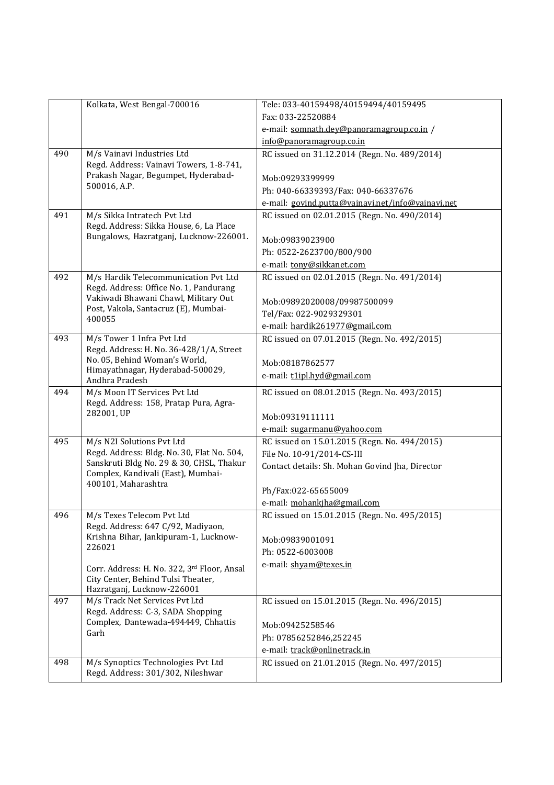|     | Kolkata, West Bengal-700016                                                       | Tele: 033-40159498/40159494/40159495              |
|-----|-----------------------------------------------------------------------------------|---------------------------------------------------|
|     |                                                                                   | Fax: 033-22520884                                 |
|     |                                                                                   | e-mail: somnath.dey@panoramagroup.co.in /         |
|     |                                                                                   | info@panoramagroup.co.in                          |
| 490 | M/s Vainavi Industries Ltd<br>Regd. Address: Vainavi Towers, 1-8-741,             | RC issued on 31.12.2014 (Regn. No. 489/2014)      |
|     | Prakash Nagar, Begumpet, Hyderabad-                                               | Mob:09293399999                                   |
|     | 500016, A.P.                                                                      | Ph: 040-66339393/Fax: 040-66337676                |
|     |                                                                                   | e-mail: govind.putta@vainavi.net/info@vainavi.net |
| 491 | M/s Sikka Intratech Pvt Ltd                                                       | RC issued on 02.01.2015 (Regn. No. 490/2014)      |
|     | Regd. Address: Sikka House, 6, La Place<br>Bungalows, Hazratganj, Lucknow-226001. | Mob:09839023900                                   |
|     |                                                                                   | Ph: 0522-2623700/800/900                          |
|     |                                                                                   | e-mail: tony@sikkanet.com                         |
|     | M/s Hardik Telecommunication Pvt Ltd                                              | RC issued on 02.01.2015 (Regn. No. 491/2014)      |
| 492 | Regd. Address: Office No. 1, Pandurang                                            |                                                   |
|     | Vakiwadi Bhawani Chawl, Military Out                                              | Mob:09892020008/09987500099                       |
|     | Post, Vakola, Santacruz (E), Mumbai-<br>400055                                    | Tel/Fax: 022-9029329301                           |
|     |                                                                                   | e-mail: hardik261977@gmail.com                    |
| 493 | M/s Tower 1 Infra Pvt Ltd                                                         | RC issued on 07.01.2015 (Regn. No. 492/2015)      |
|     | Regd. Address: H. No. 36-428/1/A, Street<br>No. 05, Behind Woman's World,         |                                                   |
|     | Himayathnagar, Hyderabad-500029,                                                  | Mob:08187862577                                   |
|     | Andhra Pradesh                                                                    | e-mail: t1ipl.hyd@gmail.com                       |
| 494 | M/s Moon IT Services Pvt Ltd<br>Regd. Address: 158, Pratap Pura, Agra-            | RC issued on 08.01.2015 (Regn. No. 493/2015)      |
|     | 282001, UP                                                                        | Mob:09319111111                                   |
|     |                                                                                   | e-mail: sugarmanu@yahoo.com                       |
| 495 | M/s N2I Solutions Pvt Ltd                                                         | RC issued on 15.01.2015 (Regn. No. 494/2015)      |
|     | Regd. Address: Bldg. No. 30, Flat No. 504,                                        | File No. 10-91/2014-CS-III                        |
|     | Sanskruti Bldg No. 29 & 30, CHSL, Thakur                                          | Contact details: Sh. Mohan Govind Jha, Director   |
|     | Complex, Kandivali (East), Mumbai-                                                |                                                   |
|     | 400101, Maharashtra                                                               | Ph/Fax:022-65655009                               |
|     |                                                                                   | e-mail: mohankjha@gmail.com                       |
| 496 | M/s Texes Telecom Pvt Ltd                                                         | RC issued on 15.01.2015 (Regn. No. 495/2015)      |
|     | Regd. Address: 647 C/92, Madiyaon,                                                |                                                   |
|     | Krishna Bihar, Jankipuram-1, Lucknow-<br>226021                                   | Mob:09839001091                                   |
|     |                                                                                   | Ph: 0522-6003008                                  |
|     | Corr. Address: H. No. 322, 3rd Floor, Ansal                                       | e-mail: shyam@texes.in                            |
|     | City Center, Behind Tulsi Theater,                                                |                                                   |
|     | Hazratganj, Lucknow-226001                                                        |                                                   |
| 497 | M/s Track Net Services Pvt Ltd<br>Regd. Address: C-3, SADA Shopping               | RC issued on 15.01.2015 (Regn. No. 496/2015)      |
|     | Complex, Dantewada-494449, Chhattis                                               | Mob:09425258546                                   |
|     | Garh                                                                              | Ph: 07856252846,252245                            |
|     |                                                                                   | e-mail: track@onlinetrack.in                      |
|     |                                                                                   |                                                   |
| 498 | M/s Synoptics Technologies Pvt Ltd<br>Regd. Address: 301/302, Nileshwar           | RC issued on 21.01.2015 (Regn. No. 497/2015)      |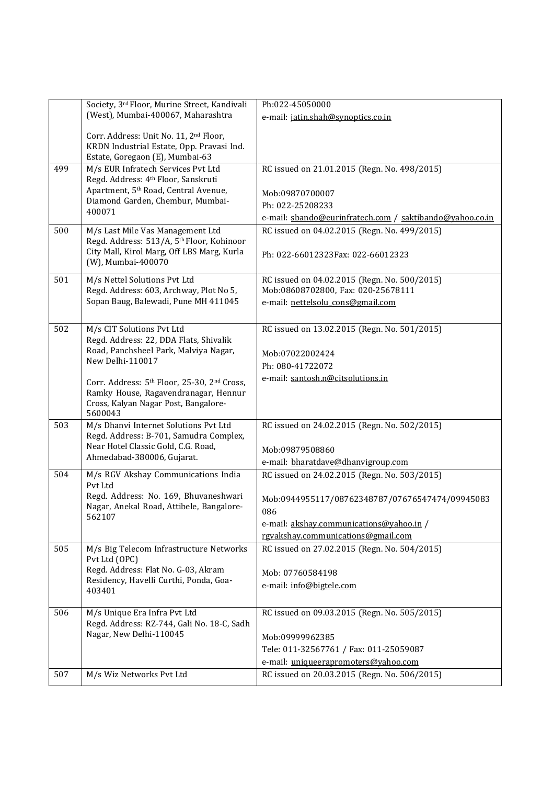|     | Society, 3rd Floor, Murine Street, Kandivali                                                                                       | Ph:022-45050000                                                         |
|-----|------------------------------------------------------------------------------------------------------------------------------------|-------------------------------------------------------------------------|
|     | (West), Mumbai-400067, Maharashtra                                                                                                 | e-mail: jatin.shah@synoptics.co.in                                      |
|     | Corr. Address: Unit No. 11, 2 <sup>nd</sup> Floor,<br>KRDN Industrial Estate, Opp. Pravasi Ind.<br>Estate, Goregaon (E), Mumbai-63 |                                                                         |
| 499 | M/s EUR Infratech Services Pvt Ltd<br>Regd. Address: 4 <sup>th</sup> Floor, Sanskruti                                              | RC issued on 21.01.2015 (Regn. No. 498/2015)                            |
|     | Apartment, 5 <sup>th</sup> Road, Central Avenue,                                                                                   | Mob:09870700007                                                         |
|     | Diamond Garden, Chembur, Mumbai-<br>400071                                                                                         | Ph: 022-25208233                                                        |
|     |                                                                                                                                    | e-mail: sbando@eurinfratech.com / saktibando@yahoo.co.in                |
| 500 | M/s Last Mile Vas Management Ltd<br>Regd. Address: 513/A, 5th Floor, Kohinoor                                                      | RC issued on 04.02.2015 (Regn. No. 499/2015)                            |
|     | City Mall, Kirol Marg, Off LBS Marg, Kurla<br>(W), Mumbai-400070                                                                   | Ph: 022-66012323Fax: 022-66012323                                       |
| 501 | M/s Nettel Solutions Pvt Ltd                                                                                                       | RC issued on 04.02.2015 (Regn. No. 500/2015)                            |
|     | Regd. Address: 603, Archway, Plot No 5,<br>Sopan Baug, Balewadi, Pune MH 411045                                                    | Mob:08608702800, Fax: 020-25678111<br>e-mail: nettelsolu cons@gmail.com |
|     |                                                                                                                                    |                                                                         |
| 502 | M/s CIT Solutions Pvt Ltd                                                                                                          | RC issued on 13.02.2015 (Regn. No. 501/2015)                            |
|     | Regd. Address: 22, DDA Flats, Shivalik                                                                                             |                                                                         |
|     | Road, Panchsheel Park, Malviya Nagar,<br>New Delhi-110017                                                                          | Mob:07022002424                                                         |
|     |                                                                                                                                    | Ph: 080-41722072                                                        |
|     | Corr. Address: 5th Floor, 25-30, 2nd Cross,                                                                                        | e-mail: santosh.n@citsolutions.in                                       |
|     | Ramky House, Ragavendranagar, Hennur<br>Cross, Kalyan Nagar Post, Bangalore-                                                       |                                                                         |
|     | 5600043                                                                                                                            |                                                                         |
| 503 | M/s Dhanvi Internet Solutions Pvt Ltd<br>Regd. Address: B-701, Samudra Complex,                                                    | RC issued on 24.02.2015 (Regn. No. 502/2015)                            |
|     | Near Hotel Classic Gold, C.G. Road,                                                                                                | Mob:09879508860                                                         |
|     | Ahmedabad-380006, Gujarat.                                                                                                         | e-mail: bharatdave@dhanvigroup.com                                      |
| 504 | M/s RGV Akshay Communications India                                                                                                | RC issued on 24.02.2015 (Regn. No. 503/2015)                            |
|     | Pvt Ltd<br>Regd. Address: No. 169, Bhuvaneshwari                                                                                   |                                                                         |
|     | Nagar, Anekal Road, Attibele, Bangalore-<br>562107                                                                                 | Mob:0944955117/08762348787/07676547474/09945083<br>086                  |
|     |                                                                                                                                    | e-mail: akshav.communications@vahoo.in /                                |
|     |                                                                                                                                    | rgvakshay.communications@gmail.com                                      |
| 505 | M/s Big Telecom Infrastructure Networks                                                                                            | RC issued on 27.02.2015 (Regn. No. 504/2015)                            |
|     | Pvt Ltd (OPC)<br>Regd. Address: Flat No. G-03, Akram                                                                               |                                                                         |
|     | Residency, Havelli Curthi, Ponda, Goa-                                                                                             | Mob: 07760584198<br>e-mail: info@bigtele.com                            |
|     | 403401                                                                                                                             |                                                                         |
| 506 | M/s Unique Era Infra Pvt Ltd                                                                                                       | RC issued on 09.03.2015 (Regn. No. 505/2015)                            |
|     | Regd. Address: RZ-744, Gali No. 18-C, Sadh                                                                                         |                                                                         |
|     | Nagar, New Delhi-110045                                                                                                            | Mob:09999962385                                                         |
|     |                                                                                                                                    | Tele: 011-32567761 / Fax: 011-25059087                                  |
|     |                                                                                                                                    | e-mail: uniqueerapromoters@yahoo.com                                    |
| 507 | M/s Wiz Networks Pvt Ltd                                                                                                           | RC issued on 20.03.2015 (Regn. No. 506/2015)                            |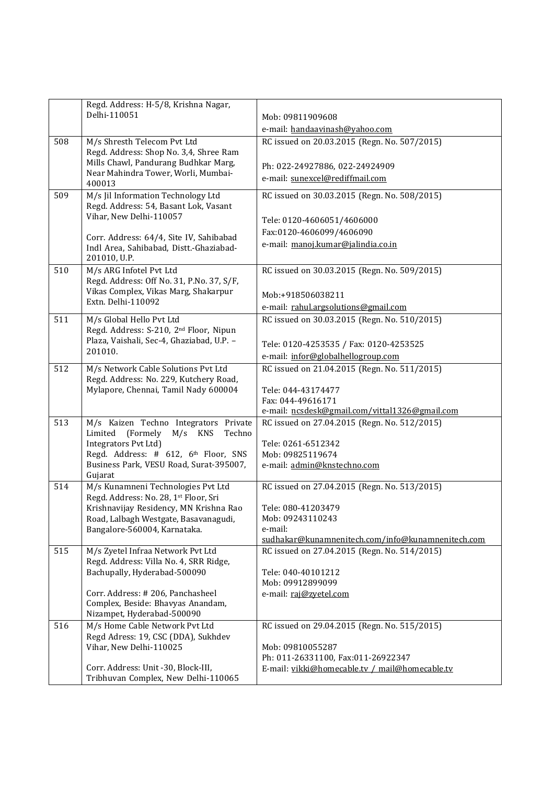|     | Regd. Address: H-5/8, Krishna Nagar,<br>Delhi-110051                                                                                                                                                               | Mob: 09811909608<br>e-mail: handaavinash@yahoo.com                                                                                                       |
|-----|--------------------------------------------------------------------------------------------------------------------------------------------------------------------------------------------------------------------|----------------------------------------------------------------------------------------------------------------------------------------------------------|
| 508 | M/s Shresth Telecom Pvt Ltd                                                                                                                                                                                        | RC issued on 20.03.2015 (Regn. No. 507/2015)                                                                                                             |
|     | Regd. Address: Shop No. 3,4, Shree Ram<br>Mills Chawl, Pandurang Budhkar Marg,<br>Near Mahindra Tower, Worli, Mumbai-<br>400013                                                                                    | Ph: 022-24927886, 022-24924909<br>e-mail: sunexcel@rediffmail.com                                                                                        |
| 509 | M/s Jil Information Technology Ltd<br>Regd. Address: 54, Basant Lok, Vasant<br>Vihar, New Delhi-110057                                                                                                             | RC issued on 30.03.2015 (Regn. No. 508/2015)<br>Tele: 0120-4606051/4606000                                                                               |
|     | Corr. Address: 64/4, Site IV, Sahibabad<br>Indl Area, Sahibabad, Distt.-Ghaziabad-<br>201010, U.P.                                                                                                                 | Fax:0120-4606099/4606090<br>e-mail: manoj.kumar@jalindia.co.in                                                                                           |
| 510 | M/s ARG Infotel Pvt Ltd<br>Regd. Address: Off No. 31, P.No. 37, S/F,<br>Vikas Complex, Vikas Marg, Shakarpur                                                                                                       | RC issued on 30.03.2015 (Regn. No. 509/2015)<br>Mob:+918506038211                                                                                        |
|     | Extn. Delhi-110092                                                                                                                                                                                                 | e-mail: rahul.argsolutions@gmail.com                                                                                                                     |
| 511 | M/s Global Hello Pvt Ltd                                                                                                                                                                                           | RC issued on 30.03.2015 (Regn. No. 510/2015)                                                                                                             |
|     | Regd. Address: S-210, 2 <sup>nd</sup> Floor, Nipun<br>Plaza, Vaishali, Sec-4, Ghaziabad, U.P. -<br>201010.                                                                                                         | Tele: 0120-4253535 / Fax: 0120-4253525<br>e-mail: infor@globalhellogroup.com                                                                             |
| 512 | M/s Network Cable Solutions Pvt Ltd<br>Regd. Address: No. 229, Kutchery Road,<br>Mylapore, Chennai, Tamil Nady 600004                                                                                              | RC issued on 21.04.2015 (Regn. No. 511/2015)<br>Tele: 044-43174477<br>Fax: 044-49616171<br>e-mail: ncsdesk@gmail.com/vittal1326@gmail.com                |
| 513 | M/s Kaizen Techno Integrators Private<br>Limited<br>(Formely<br>M/s<br>KNS<br>Techno<br>Integrators Pvt Ltd)<br>Regd. Address: # 612, 6th Floor, SNS<br>Business Park, VESU Road, Surat-395007,<br>Gujarat         | RC issued on 27.04.2015 (Regn. No. 512/2015)<br>Tele: 0261-6512342<br>Mob: 09825119674<br>e-mail: admin@knstechno.com                                    |
| 514 | M/s Kunamneni Technologies Pvt Ltd<br>Regd. Address: No. 28, 1st Floor, Sri<br>Krishnavijay Residency, MN Krishna Rao<br>Road, Lalbagh Westgate, Basavanagudi,<br>Bangalore-560004, Karnataka.                     | RC issued on 27.04.2015 (Regn. No. 513/2015)<br>Tele: 080-41203479<br>Mob: 09243110243<br>e-mail:<br>sudhakar@kunamnenitech.com/info@kunamnenitech.com   |
| 515 | M/s Zyetel Infraa Network Pvt Ltd<br>Regd. Address: Villa No. 4, SRR Ridge,<br>Bachupally, Hyderabad-500090<br>Corr. Address: #206, Panchasheel<br>Complex, Beside: Bhavyas Anandam,<br>Nizampet, Hyderabad-500090 | RC issued on 27.04.2015 (Regn. No. 514/2015)<br>Tele: 040-40101212<br>Mob: 09912899099<br>e-mail: raj@zyetel.com                                         |
| 516 | M/s Home Cable Network Pvt Ltd<br>Regd Adress: 19, CSC (DDA), Sukhdev<br>Vihar, New Delhi-110025<br>Corr. Address: Unit -30, Block-III,<br>Tribhuvan Complex, New Delhi-110065                                     | RC issued on 29.04.2015 (Regn. No. 515/2015)<br>Mob: 09810055287<br>Ph: 011-26331100, Fax:011-26922347<br>E-mail: vikki@homecable.tv / mail@homecable.tv |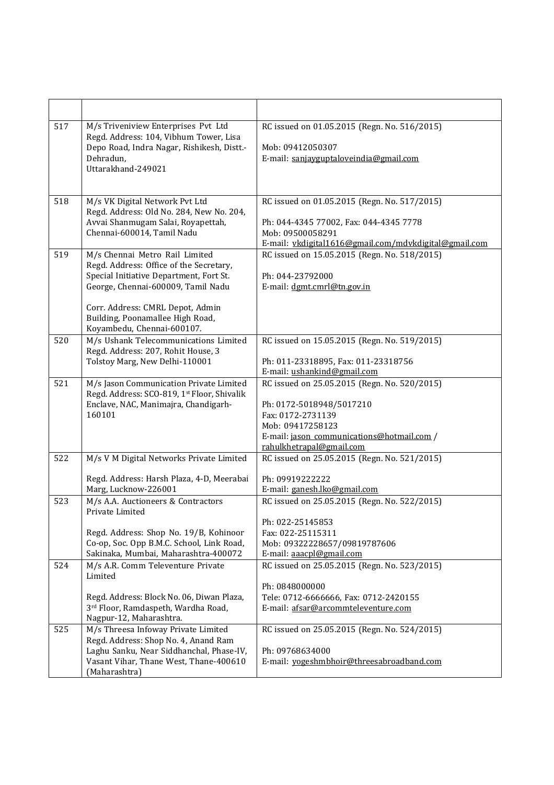| 517 | M/s Triveniview Enterprises Pvt Ltd<br>Regd. Address: 104, Vibhum Tower, Lisa<br>Depo Road, Indra Nagar, Rishikesh, Distt.-<br>Dehradun,<br>Uttarakhand-249021                                                                                                   | RC issued on 01.05.2015 (Regn. No. 516/2015)<br>Mob: 09412050307<br>E-mail: sanjayguptaloveindia@gmail.com                                                                                  |
|-----|------------------------------------------------------------------------------------------------------------------------------------------------------------------------------------------------------------------------------------------------------------------|---------------------------------------------------------------------------------------------------------------------------------------------------------------------------------------------|
| 518 | M/s VK Digital Network Pvt Ltd<br>Regd. Address: Old No. 284, New No. 204,<br>Avvai Shanmugam Salai, Royapettah,<br>Chennai-600014, Tamil Nadu                                                                                                                   | RC issued on 01.05.2015 (Regn. No. 517/2015)<br>Ph: 044-4345 77002, Fax: 044-4345 7778<br>Mob: 09500058291<br>E-mail: vkdigital1616@gmail.com/mdvkdigital@gmail.com                         |
| 519 | M/s Chennai Metro Rail Limited<br>Regd. Address: Office of the Secretary,<br>Special Initiative Department, Fort St.<br>George, Chennai-600009, Tamil Nadu<br>Corr. Address: CMRL Depot, Admin<br>Building, Poonamallee High Road,<br>Koyambedu, Chennai-600107. | RC issued on 15.05.2015 (Regn. No. 518/2015)<br>Ph: 044-23792000<br>E-mail: dgmt.cmrl@tn.gov.in                                                                                             |
| 520 | M/s Ushank Telecommunications Limited<br>Regd. Address: 207, Rohit House, 3<br>Tolstoy Marg, New Delhi-110001                                                                                                                                                    | RC issued on 15.05.2015 (Regn. No. 519/2015)<br>Ph: 011-23318895, Fax: 011-23318756<br>E-mail: ushankind@gmail.com                                                                          |
| 521 | M/s Jason Communication Private Limited<br>Regd. Address: SCO-819, 1st Floor, Shivalik<br>Enclave, NAC, Manimajra, Chandigarh-<br>160101                                                                                                                         | RC issued on 25.05.2015 (Regn. No. 520/2015)<br>Ph: 0172-5018948/5017210<br>Fax: 0172-2731139<br>Mob: 09417258123<br>E-mail: jason_communications@hotmail.com /<br>rahulkhetrapal@gmail.com |
| 522 | M/s V M Digital Networks Private Limited<br>Regd. Address: Harsh Plaza, 4-D, Meerabai                                                                                                                                                                            | RC issued on 25.05.2015 (Regn. No. 521/2015)<br>Ph: 09919222222                                                                                                                             |
| 523 | Marg, Lucknow-226001<br>M/s A.A. Auctioneers & Contractors<br>Private Limited<br>Regd. Address: Shop No. 19/B, Kohinoor<br>Co-op, Soc. Opp B.M.C. School, Link Road,<br>Sakinaka, Mumbai, Maharashtra-400072                                                     | E-mail: ganesh.lko@gmail.com<br>RC issued on 25.05.2015 (Regn. No. 522/2015)<br>Ph: 022-25145853<br>Fax: 022-25115311<br>Mob: 09322228657/09819787606<br>E-mail: aaacpl@gmail.com           |
| 524 | M/s A.R. Comm Televenture Private<br>Limited<br>Regd. Address: Block No. 06, Diwan Plaza,<br>3rd Floor, Ramdaspeth, Wardha Road,<br>Nagpur-12, Maharashtra.                                                                                                      | RC issued on 25.05.2015 (Regn. No. 523/2015)<br>Ph: 0848000000<br>Tele: 0712-6666666, Fax: 0712-2420155<br>E-mail: afsar@arcommteleventure.com                                              |
| 525 | M/s Threesa Infoway Private Limited<br>Regd. Address: Shop No. 4, Anand Ram<br>Laghu Sanku, Near Siddhanchal, Phase-IV,<br>Vasant Vihar, Thane West, Thane-400610<br>(Maharashtra)                                                                               | RC issued on 25.05.2015 (Regn. No. 524/2015)<br>Ph: 09768634000<br>E-mail: yogeshmbhoir@threesabroadband.com                                                                                |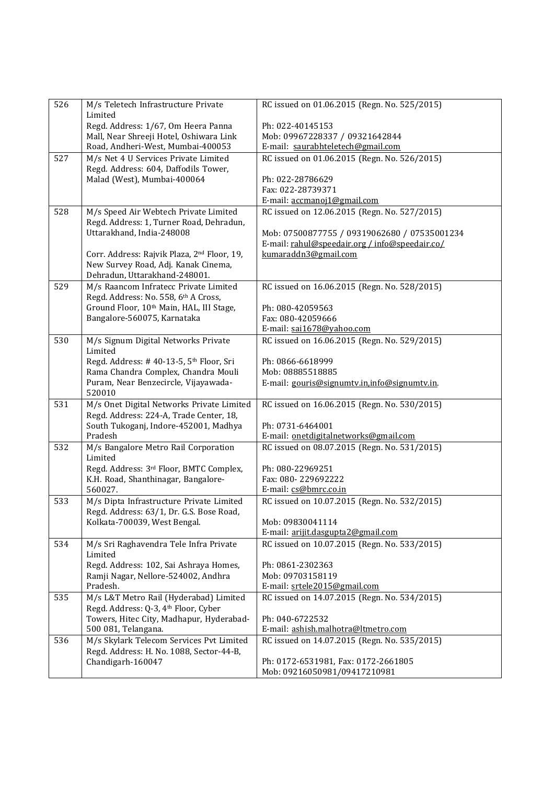| 526 | M/s Teletech Infrastructure Private                                                  | RC issued on 01.06.2015 (Regn. No. 525/2015)                           |
|-----|--------------------------------------------------------------------------------------|------------------------------------------------------------------------|
|     | Limited                                                                              |                                                                        |
|     | Regd. Address: 1/67, Om Heera Panna                                                  | Ph: 022-40145153                                                       |
|     | Mall, Near Shreeji Hotel, Oshiwara Link<br>Road, Andheri-West, Mumbai-400053         | Mob: 09967228337 / 09321642844                                         |
|     |                                                                                      | E-mail: saurabhteletech@gmail.com                                      |
| 527 | M/s Net 4 U Services Private Limited<br>Regd. Address: 604, Daffodils Tower,         | RC issued on 01.06.2015 (Regn. No. 526/2015)                           |
|     | Malad (West), Mumbai-400064                                                          | Ph: 022-28786629                                                       |
|     |                                                                                      | Fax: 022-28739371                                                      |
|     |                                                                                      | E-mail: accmanoj1@gmail.com                                            |
| 528 | M/s Speed Air Webtech Private Limited                                                | RC issued on 12.06.2015 (Regn. No. 527/2015)                           |
|     | Regd. Address: 1, Turner Road, Dehradun,                                             |                                                                        |
|     | Uttarakhand, India-248008                                                            | Mob: 07500877755 / 09319062680 / 07535001234                           |
|     | Corr. Address: Rajvik Plaza, 2 <sup>nd</sup> Floor, 19,                              | E-mail: rahul@speedair.org / info@speedair.co/<br>kumaraddn3@gmail.com |
|     | New Survey Road, Adj. Kanak Cinema,                                                  |                                                                        |
|     | Dehradun, Uttarakhand-248001.                                                        |                                                                        |
| 529 | M/s Raancom Infratecc Private Limited                                                | RC issued on 16.06.2015 (Regn. No. 528/2015)                           |
|     | Regd. Address: No. 558, 6th A Cross,                                                 |                                                                        |
|     | Ground Floor, 10th Main, HAL, III Stage,                                             | Ph: 080-42059563                                                       |
|     | Bangalore-560075, Karnataka                                                          | Fax: 080-42059666                                                      |
|     |                                                                                      | E-mail: sai1678@yahoo.com                                              |
| 530 | M/s Signum Digital Networks Private                                                  | RC issued on 16.06.2015 (Regn. No. 529/2015)                           |
|     | Limited<br>Regd. Address: #40-13-5, 5 <sup>th</sup> Floor, Sri                       | Ph: 0866-6618999                                                       |
|     | Rama Chandra Complex, Chandra Mouli                                                  | Mob: 08885518885                                                       |
|     | Puram, Near Benzecircle, Vijayawada-                                                 | E-mail: gouris@signumtv.in,info@signumtv.in.                           |
|     | 520010                                                                               |                                                                        |
| 531 | M/s Onet Digital Networks Private Limited                                            | RC issued on 16.06.2015 (Regn. No. 530/2015)                           |
|     | Regd. Address: 224-A, Trade Center, 18,                                              |                                                                        |
|     | South Tukoganj, Indore-452001, Madhya                                                | Ph: 0731-6464001                                                       |
|     | Pradesh                                                                              | E-mail: onetdigitalnetworks@gmail.com                                  |
| 532 | M/s Bangalore Metro Rail Corporation<br>Limited                                      | RC issued on 08.07.2015 (Regn. No. 531/2015)                           |
|     | Regd. Address: 3rd Floor, BMTC Complex,                                              | Ph: 080-22969251                                                       |
|     | K.H. Road, Shanthinagar, Bangalore-                                                  | Fax: 080-229692222                                                     |
|     | 560027.                                                                              | E-mail: cs@bmrc.co.in                                                  |
| 533 | M/s Dipta Infrastructure Private Limited                                             | RC issued on 10.07.2015 (Regn. No. 532/2015)                           |
|     | Regd. Address: 63/1, Dr. G.S. Bose Road,                                             |                                                                        |
|     | Kolkata-700039, West Bengal.                                                         | Mob: 09830041114                                                       |
|     |                                                                                      | E-mail: arijit.dasgupta2@gmail.com                                     |
| 534 | M/s Sri Raghavendra Tele Infra Private<br>Limited                                    | RC issued on 10.07.2015 (Regn. No. 533/2015)                           |
|     | Regd. Address: 102, Sai Ashraya Homes,                                               | Ph: 0861-2302363                                                       |
|     | Ramji Nagar, Nellore-524002, Andhra                                                  | Mob: 09703158119                                                       |
|     | Pradesh.                                                                             | E-mail: srtele2015@gmail.com                                           |
| 535 | M/s L&T Metro Rail (Hyderabad) Limited                                               | RC issued on 14.07.2015 (Regn. No. 534/2015)                           |
|     | Regd. Address: Q-3, 4th Floor, Cyber                                                 |                                                                        |
|     | Towers, Hitec City, Madhapur, Hyderabad-                                             | Ph: 040-6722532                                                        |
|     | 500 081, Telangana.                                                                  | E-mail: ashish.malhotra@ltmetro.com                                    |
| 536 | M/s Skylark Telecom Services Pvt Limited<br>Regd. Address: H. No. 1088, Sector-44-B, | RC issued on 14.07.2015 (Regn. No. 535/2015)                           |
|     | Chandigarh-160047                                                                    | Ph: 0172-6531981, Fax: 0172-2661805                                    |
|     |                                                                                      | Mob: 09216050981/09417210981                                           |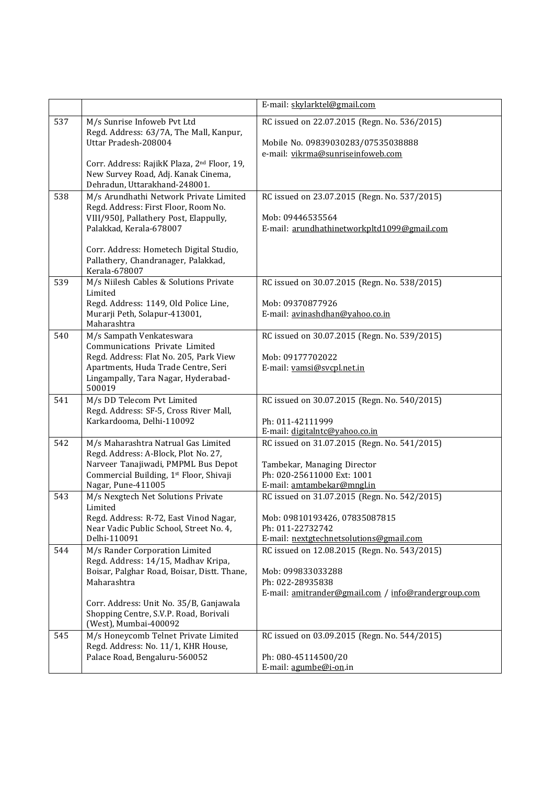|     |                                                                                                                                                                                                                                                        | E-mail: skylarktel@gmail.com                                                                                                                 |
|-----|--------------------------------------------------------------------------------------------------------------------------------------------------------------------------------------------------------------------------------------------------------|----------------------------------------------------------------------------------------------------------------------------------------------|
| 537 | M/s Sunrise Infoweb Pvt Ltd                                                                                                                                                                                                                            | RC issued on 22.07.2015 (Regn. No. 536/2015)                                                                                                 |
|     | Regd. Address: 63/7A, The Mall, Kanpur,<br>Uttar Pradesh-208004                                                                                                                                                                                        | Mobile No. 09839030283/07535038888<br>e-mail: vikrma@sunriseinfoweb.com                                                                      |
|     | Corr. Address: RajikK Plaza, 2 <sup>nd</sup> Floor, 19,<br>New Survey Road, Adj. Kanak Cinema,<br>Dehradun, Uttarakhand-248001.                                                                                                                        |                                                                                                                                              |
| 538 | M/s Arundhathi Network Private Limited<br>Regd. Address: First Floor, Room No.<br>VIII/950J, Pallathery Post, Elappully,<br>Palakkad, Kerala-678007<br>Corr. Address: Hometech Digital Studio,<br>Pallathery, Chandranager, Palakkad,<br>Kerala-678007 | RC issued on 23.07.2015 (Regn. No. 537/2015)<br>Mob: 09446535564<br>E-mail: arundhathinetworkpltd1099@gmail.com                              |
| 539 | M/s Niilesh Cables & Solutions Private                                                                                                                                                                                                                 | RC issued on 30.07.2015 (Regn. No. 538/2015)                                                                                                 |
|     | Limited<br>Regd. Address: 1149, Old Police Line,<br>Murarji Peth, Solapur-413001,<br>Maharashtra                                                                                                                                                       | Mob: 09370877926<br>E-mail: avinashdhan@yahoo.co.in                                                                                          |
| 540 | M/s Sampath Venkateswara                                                                                                                                                                                                                               | RC issued on 30.07.2015 (Regn. No. 539/2015)                                                                                                 |
|     | Communications Private Limited<br>Regd. Address: Flat No. 205, Park View<br>Apartments, Huda Trade Centre, Seri<br>Lingampally, Tara Nagar, Hyderabad-<br>500019                                                                                       | Mob: 09177702022<br>E-mail: vamsi@svcpl.net.in                                                                                               |
| 541 | M/s DD Telecom Pvt Limited<br>Regd. Address: SF-5, Cross River Mall,<br>Karkardooma, Delhi-110092                                                                                                                                                      | RC issued on 30.07.2015 (Regn. No. 540/2015)<br>Ph: 011-42111999<br>E-mail: digitalntc@yahoo.co.in                                           |
| 542 | M/s Maharashtra Natrual Gas Limited<br>Regd. Address: A-Block, Plot No. 27,<br>Narveer Tanajiwadi, PMPML Bus Depot<br>Commercial Building, 1st Floor, Shivaji<br>Nagar, Pune-411005                                                                    | RC issued on 31.07.2015 (Regn. No. 541/2015)<br>Tambekar, Managing Director<br>Ph: 020-25611000 Ext: 1001<br>E-mail: amtambekar@mngl.in      |
| 543 | M/s Nexgtech Net Solutions Private<br>Limited<br>Regd. Address: R-72, East Vinod Nagar,<br>Near Vadic Public School, Street No. 4,<br>Delhi-110091                                                                                                     | RC issued on 31.07.2015 (Regn. No. 542/2015)<br>Mob: 09810193426, 07835087815<br>Ph: 011-22732742<br>E-mail: nextgtechnetsolutions@gmail.com |
| 544 | M/s Rander Corporation Limited<br>Regd. Address: 14/15, Madhav Kripa,<br>Boisar, Palghar Road, Boisar, Distt. Thane,<br>Maharashtra<br>Corr. Address: Unit No. 35/B, Ganjawala<br>Shopping Centre, S.V.P. Road, Borivali<br>(West), Mumbai-400092      | RC issued on 12.08.2015 (Regn. No. 543/2015)<br>Mob: 099833033288<br>Ph: 022-28935838<br>E-mail: amitrander@gmail.com / info@randergroup.com |
| 545 | M/s Honeycomb Telnet Private Limited<br>Regd. Address: No. 11/1, KHR House,<br>Palace Road, Bengaluru-560052                                                                                                                                           | RC issued on 03.09.2015 (Regn. No. 544/2015)<br>Ph: 080-45114500/20<br>E-mail: agumbe@i-on.in                                                |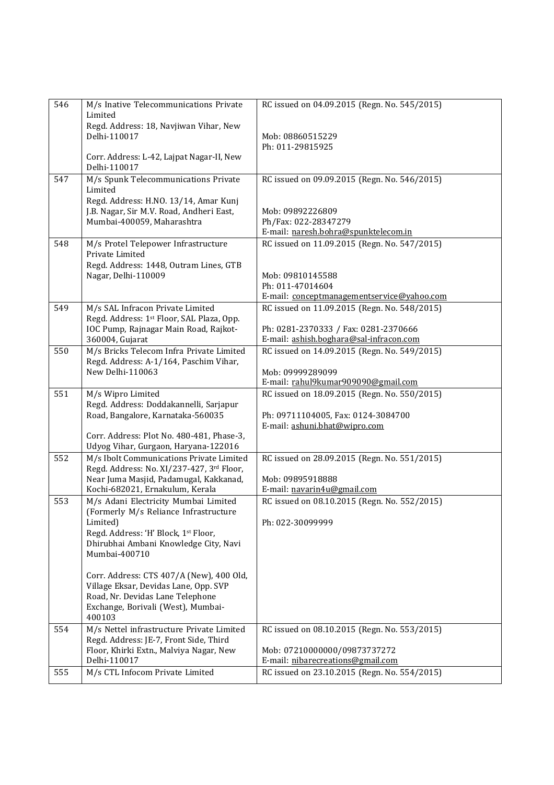| 546 | M/s Inative Telecommunications Private<br>Limited<br>Regd. Address: 18, Navjiwan Vihar, New<br>Delhi-110017                                                                                 | RC issued on 04.09.2015 (Regn. No. 545/2015)<br>Mob: 08860515229                                                                   |
|-----|---------------------------------------------------------------------------------------------------------------------------------------------------------------------------------------------|------------------------------------------------------------------------------------------------------------------------------------|
|     | Corr. Address: L-42, Lajpat Nagar-II, New<br>Delhi-110017                                                                                                                                   | Ph: 011-29815925                                                                                                                   |
| 547 | M/s Spunk Telecommunications Private<br>Limited<br>Regd. Address: H.NO. 13/14, Amar Kunj<br>J.B. Nagar, Sir M.V. Road, Andheri East,<br>Mumbai-400059, Maharashtra                          | RC issued on 09.09.2015 (Regn. No. 546/2015)<br>Mob: 09892226809<br>Ph/Fax: 022-28347279<br>E-mail: naresh.bohra@spunktelecom.in   |
| 548 | M/s Protel Telepower Infrastructure<br>Private Limited<br>Regd. Address: 1448, Outram Lines, GTB<br>Nagar, Delhi-110009                                                                     | RC issued on 11.09.2015 (Regn. No. 547/2015)<br>Mob: 09810145588<br>Ph: 011-47014604<br>E-mail: conceptmanagementservice@yahoo.com |
| 549 | M/s SAL Infracon Private Limited<br>Regd. Address: 1st Floor, SAL Plaza, Opp.<br>IOC Pump, Rajnagar Main Road, Rajkot-<br>360004, Gujarat                                                   | RC issued on 11.09.2015 (Regn. No. 548/2015)<br>Ph: 0281-2370333 / Fax: 0281-2370666<br>E-mail: ashish.boghara@sal-infracon.com    |
| 550 | M/s Bricks Telecom Infra Private Limited<br>Regd. Address: A-1/164, Paschim Vihar,<br>New Delhi-110063                                                                                      | RC issued on 14.09.2015 (Regn. No. 549/2015)<br>Mob: 09999289099<br>E-mail: rahul9kumar909090@gmail.com                            |
| 551 | M/s Wipro Limited<br>Regd. Address: Doddakannelli, Sarjapur<br>Road, Bangalore, Karnataka-560035<br>Corr. Address: Plot No. 480-481, Phase-3,<br>Udyog Vihar, Gurgaon, Haryana-122016       | RC issued on 18.09.2015 (Regn. No. 550/2015)<br>Ph: 09711104005, Fax: 0124-3084700<br>E-mail: ashuni.bhat@wipro.com                |
| 552 | M/s Ibolt Communications Private Limited<br>Regd. Address: No. XI/237-427, 3rd Floor,<br>Near Juma Masjid, Padamugal, Kakkanad,<br>Kochi-682021, Ernakulum, Kerala                          | RC issued on 28.09.2015 (Regn. No. 551/2015)<br>Mob: 09895918888<br>E-mail: navarin4u@gmail.com                                    |
| 553 | M/s Adani Electricity Mumbai Limited<br>(Formerly M/s Reliance Infrastructure<br>Limited)<br>Regd. Address: 'H' Block, 1st Floor,<br>Dhirubhai Ambani Knowledge City, Navi<br>Mumbai-400710 | RC issued on 08.10.2015 (Regn. No. 552/2015)<br>Ph: 022-30099999                                                                   |
|     | Corr. Address: CTS 407/A (New), 400 Old,<br>Village Eksar, Devidas Lane, Opp. SVP<br>Road, Nr. Devidas Lane Telephone<br>Exchange, Borivali (West), Mumbai-<br>400103                       |                                                                                                                                    |
| 554 | M/s Nettel infrastructure Private Limited<br>Regd. Address: JE-7, Front Side, Third<br>Floor, Khirki Extn., Malviya Nagar, New<br>Delhi-110017                                              | RC issued on 08.10.2015 (Regn. No. 553/2015)<br>Mob: 07210000000/09873737272<br>E-mail: nibarecreations@gmail.com                  |
| 555 | M/s CTL Infocom Private Limited                                                                                                                                                             | RC issued on 23.10.2015 (Regn. No. 554/2015)                                                                                       |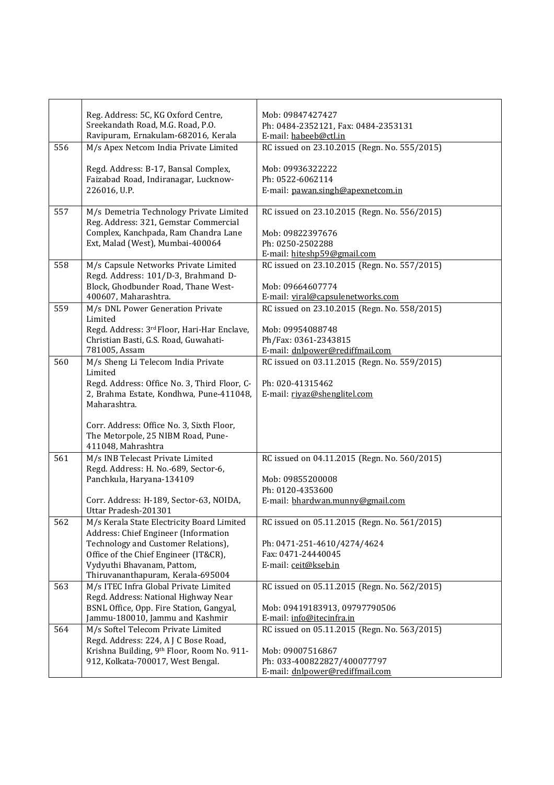|     | Reg. Address: 5C, KG Oxford Centre,<br>Sreekandath Road, M.G. Road, P.O.<br>Ravipuram, Ernakulam-682016, Kerala                                                                                                                                                   | Mob: 09847427427<br>Ph: 0484-2352121, Fax: 0484-2353131<br>E-mail: habeeb@ctl.in                                                   |
|-----|-------------------------------------------------------------------------------------------------------------------------------------------------------------------------------------------------------------------------------------------------------------------|------------------------------------------------------------------------------------------------------------------------------------|
| 556 | M/s Apex Netcom India Private Limited                                                                                                                                                                                                                             | RC issued on 23.10.2015 (Regn. No. 555/2015)                                                                                       |
|     | Regd. Address: B-17, Bansal Complex,<br>Faizabad Road, Indiranagar, Lucknow-<br>226016, U.P.                                                                                                                                                                      | Mob: 09936322222<br>Ph: 0522-6062114<br>E-mail: pawan.singh@apexnetcom.in                                                          |
| 557 | M/s Demetria Technology Private Limited<br>Reg. Address: 321, Gemstar Commercial<br>Complex, Kanchpada, Ram Chandra Lane<br>Ext, Malad (West), Mumbai-400064                                                                                                      | RC issued on 23.10.2015 (Regn. No. 556/2015)<br>Mob: 09822397676<br>Ph: 0250-2502288<br>E-mail: hiteshp59@gmail.com                |
| 558 | M/s Capsule Networks Private Limited<br>Regd. Address: 101/D-3, Brahmand D-<br>Block, Ghodbunder Road, Thane West-<br>400607, Maharashtra.                                                                                                                        | RC issued on 23.10.2015 (Regn. No. 557/2015)<br>Mob: 09664607774<br>E-mail: viral@capsulenetworks.com                              |
| 559 | M/s DNL Power Generation Private<br>Limited<br>Regd. Address: 3rd Floor, Hari-Har Enclave,<br>Christian Basti, G.S. Road, Guwahati-<br>781005, Assam                                                                                                              | RC issued on 23.10.2015 (Regn. No. 558/2015)<br>Mob: 09954088748<br>Ph/Fax: 0361-2343815<br>E-mail: dnlpower@rediffmail.com        |
| 560 | M/s Sheng Li Telecom India Private<br>Limited<br>Regd. Address: Office No. 3, Third Floor, C-<br>2, Brahma Estate, Kondhwa, Pune-411048,<br>Maharashtra.<br>Corr. Address: Office No. 3, Sixth Floor,<br>The Metorpole, 25 NIBM Road, Pune-<br>411048, Mahrashtra | RC issued on 03.11.2015 (Regn. No. 559/2015)<br>Ph: 020-41315462<br>E-mail: rivaz@shenglitel.com                                   |
| 561 | M/s INB Telecast Private Limited<br>Regd. Address: H. No.-689, Sector-6,<br>Panchkula, Haryana-134109<br>Corr. Address: H-189, Sector-63, NOIDA,<br>Uttar Pradesh-201301                                                                                          | RC issued on 04.11.2015 (Regn. No. 560/2015)<br>Mob: 09855200008<br>Ph: 0120-4353600<br>E-mail: bhardwan.munny@gmail.com           |
| 562 | M/s Kerala State Electricity Board Limited<br>Address: Chief Engineer (Information<br>Technology and Customer Relations),<br>Office of the Chief Engineer (IT&CR),<br>Vydyuthi Bhavanam, Pattom,<br>Thiruvananthapuram, Kerala-695004                             | RC issued on 05.11.2015 (Regn. No. 561/2015)<br>Ph: 0471-251-4610/4274/4624<br>Fax: 0471-24440045<br>E-mail: ceit@kseb.in          |
| 563 | M/s ITEC Infra Global Private Limited<br>Regd. Address: National Highway Near<br>BSNL Office, Opp. Fire Station, Gangyal,<br>Jammu-180010, Jammu and Kashmir                                                                                                      | RC issued on 05.11.2015 (Regn. No. 562/2015)<br>Mob: 09419183913, 09797790506<br>E-mail: info@itecinfra.in                         |
| 564 | M/s Softel Telecom Private Limited<br>Regd. Address: 224, AJ C Bose Road,<br>Krishna Building, 9th Floor, Room No. 911-<br>912, Kolkata-700017, West Bengal.                                                                                                      | RC issued on 05.11.2015 (Regn. No. 563/2015)<br>Mob: 09007516867<br>Ph: 033-400822827/400077797<br>E-mail: dnlpower@rediffmail.com |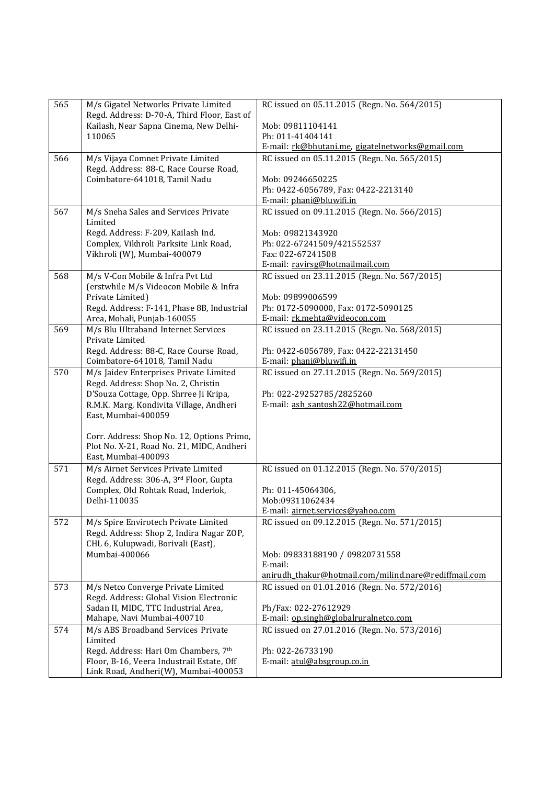| 565 | M/s Gigatel Networks Private Limited<br>Regd. Address: D-70-A, Third Floor, East of | RC issued on 05.11.2015 (Regn. No. 564/2015)          |
|-----|-------------------------------------------------------------------------------------|-------------------------------------------------------|
|     | Kailash, Near Sapna Cinema, New Delhi-                                              | Mob: 09811104141                                      |
|     | 110065                                                                              | Ph: 011-41404141                                      |
|     |                                                                                     | E-mail: rk@bhutani.me, gigatelnetworks@gmail.com      |
| 566 | M/s Vijaya Comnet Private Limited<br>Regd. Address: 88-C, Race Course Road,         | RC issued on 05.11.2015 (Regn. No. 565/2015)          |
|     | Coimbatore-641018, Tamil Nadu                                                       | Mob: 09246650225                                      |
|     |                                                                                     | Ph: 0422-6056789, Fax: 0422-2213140                   |
|     |                                                                                     | E-mail: phani@bluwifi.in                              |
| 567 | M/s Sneha Sales and Services Private<br>Limited                                     | RC issued on 09.11.2015 (Regn. No. 566/2015)          |
|     | Regd. Address: F-209, Kailash Ind.                                                  | Mob: 09821343920                                      |
|     | Complex, Vikhroli Parksite Link Road,                                               | Ph: 022-67241509/421552537                            |
|     | Vikhroli (W), Mumbai-400079                                                         | Fax: 022-67241508                                     |
|     |                                                                                     | E-mail: ravirsg@hotmailmail.com                       |
| 568 | M/s V-Con Mobile & Infra Pvt Ltd                                                    | RC issued on 23.11.2015 (Regn. No. 567/2015)          |
|     | (erstwhile M/s Videocon Mobile & Infra                                              |                                                       |
|     | Private Limited)                                                                    | Mob: 09899006599                                      |
|     | Regd. Address: F-141, Phase 8B, Industrial                                          | Ph: 0172-5090000, Fax: 0172-5090125                   |
|     | Area, Mohali, Punjab-160055                                                         | E-mail: rk.mehta@videocon.com                         |
| 569 | $\overline{M/s}$ Blu Ultraband Internet Services<br>Private Limited                 | RC issued on 23.11.2015 (Regn. No. 568/2015)          |
|     | Regd. Address: 88-C, Race Course Road,                                              | Ph: 0422-6056789, Fax: 0422-22131450                  |
|     | Coimbatore-641018, Tamil Nadu                                                       | E-mail: phani@bluwifi.in                              |
| 570 | M/s Jaidev Enterprises Private Limited<br>Regd. Address: Shop No. 2, Christin       | RC issued on 27.11.2015 (Regn. No. 569/2015)          |
|     | D'Souza Cottage, Opp. Shrree Ji Kripa,                                              | Ph: 022-29252785/2825260                              |
|     | R.M.K. Marg, Kondivita Village, Andheri                                             | E-mail: ash_santosh22@hotmail.com                     |
|     | East, Mumbai-400059                                                                 |                                                       |
|     | Corr. Address: Shop No. 12, Options Primo,                                          |                                                       |
|     | Plot No. X-21, Road No. 21, MIDC, Andheri                                           |                                                       |
|     | East, Mumbai-400093                                                                 |                                                       |
| 571 | M/s Airnet Services Private Limited                                                 | RC issued on 01.12.2015 (Regn. No. 570/2015)          |
|     | Regd. Address: 306-A, 3rd Floor, Gupta                                              |                                                       |
|     | Complex, Old Rohtak Road, Inderlok,                                                 | Ph: 011-45064306,                                     |
|     | Delhi-110035                                                                        | Mob:09311062434                                       |
|     |                                                                                     | E-mail: airnet.services@yahoo.com                     |
| 572 | M/s Spire Envirotech Private Limited                                                | RC issued on 09.12.2015 (Regn. No. 571/2015)          |
|     | Regd. Address: Shop 2, Indira Nagar ZOP,                                            |                                                       |
|     | CHL 6, Kulupwadi, Borivali (East),<br>Mumbai-400066                                 |                                                       |
|     |                                                                                     | Mob: 09833188190 / 09820731558<br>E-mail:             |
|     |                                                                                     | anirudh thakur@hotmail.com/milind.nare@rediffmail.com |
| 573 | M/s Netco Converge Private Limited                                                  | RC issued on 01.01.2016 (Regn. No. 572/2016)          |
|     | Regd. Address: Global Vision Electronic                                             |                                                       |
|     | Sadan II, MIDC, TTC Industrial Area,                                                | Ph/Fax: 022-27612929                                  |
|     | Mahape, Navi Mumbai-400710                                                          | E-mail: op.singh@globalruralnetco.com                 |
| 574 | M/s ABS Broadband Services Private                                                  | RC issued on 27.01.2016 (Regn. No. 573/2016)          |
|     | Limited                                                                             |                                                       |
|     | Regd. Address: Hari Om Chambers, 7th                                                | Ph: 022-26733190                                      |
|     | Floor, B-16, Veera Industrail Estate, Off                                           | E-mail: atul@absgroup.co.in                           |
|     | Link Road, Andheri(W), Mumbai-400053                                                |                                                       |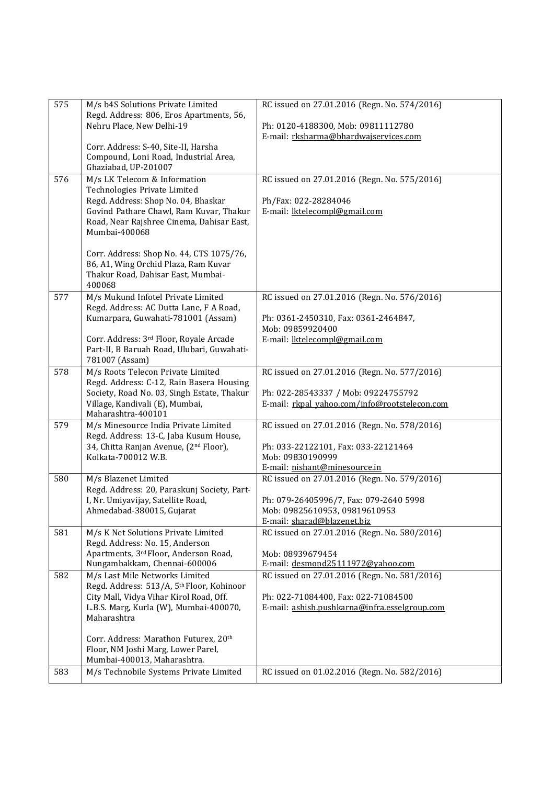| 575 | M/s b4S Solutions Private Limited                                                | RC issued on 27.01.2016 (Regn. No. 574/2016)                                      |
|-----|----------------------------------------------------------------------------------|-----------------------------------------------------------------------------------|
|     | Regd. Address: 806, Eros Apartments, 56,                                         |                                                                                   |
|     | Nehru Place, New Delhi-19                                                        | Ph: 0120-4188300, Mob: 09811112780                                                |
|     |                                                                                  | E-mail: rksharma@bhardwajservices.com                                             |
|     | Corr. Address: S-40, Site-II, Harsha                                             |                                                                                   |
|     | Compound, Loni Road, Industrial Area,                                            |                                                                                   |
|     | Ghaziabad, UP-201007                                                             |                                                                                   |
| 576 | M/s LK Telecom & Information                                                     | RC issued on 27.01.2016 (Regn. No. 575/2016)                                      |
|     | Technologies Private Limited                                                     |                                                                                   |
|     | Regd. Address: Shop No. 04, Bhaskar<br>Govind Pathare Chawl, Ram Kuvar, Thakur   | Ph/Fax: 022-28284046<br>E-mail: lktelecompl@gmail.com                             |
|     | Road, Near Rajshree Cinema, Dahisar East,                                        |                                                                                   |
|     | Mumbai-400068                                                                    |                                                                                   |
|     |                                                                                  |                                                                                   |
|     | Corr. Address: Shop No. 44, CTS 1075/76,                                         |                                                                                   |
|     | 86, A1, Wing Orchid Plaza, Ram Kuvar                                             |                                                                                   |
|     | Thakur Road, Dahisar East, Mumbai-                                               |                                                                                   |
|     | 400068                                                                           |                                                                                   |
| 577 | M/s Mukund Infotel Private Limited                                               | RC issued on 27.01.2016 (Regn. No. 576/2016)                                      |
|     | Regd. Address: AC Dutta Lane, F A Road,                                          |                                                                                   |
|     | Kumarpara, Guwahati-781001 (Assam)                                               | Ph: 0361-2450310, Fax: 0361-2464847,<br>Mob: 09859920400                          |
|     | Corr. Address: 3rd Floor, Royale Arcade                                          | E-mail: lktelecompl@gmail.com                                                     |
|     | Part-II, B Baruah Road, Ulubari, Guwahati-                                       |                                                                                   |
|     | 781007 (Assam)                                                                   |                                                                                   |
| 578 | M/s Roots Telecon Private Limited                                                | RC issued on 27.01.2016 (Regn. No. 577/2016)                                      |
|     | Regd. Address: C-12, Rain Basera Housing                                         |                                                                                   |
|     | Society, Road No. 03, Singh Estate, Thakur                                       | Ph: 022-28543337 / Mob: 09224755792                                               |
|     | Village, Kandivali (E), Mumbai,                                                  | E-mail: rkpal vahoo.com/info@rootstelecon.com                                     |
|     | Maharashtra-400101                                                               |                                                                                   |
| 579 | M/s Minesource India Private Limited                                             | RC issued on 27.01.2016 (Regn. No. 578/2016)                                      |
|     | Regd. Address: 13-C, Jaba Kusum House,<br>34, Chitta Ranjan Avenue, (2nd Floor), | Ph: 033-22122101, Fax: 033-22121464                                               |
|     | Kolkata-700012 W.B.                                                              | Mob: 09830190999                                                                  |
|     |                                                                                  | E-mail: nishant@minesource.in                                                     |
| 580 | M/s Blazenet Limited                                                             | RC issued on 27.01.2016 (Regn. No. 579/2016)                                      |
|     | Regd. Address: 20, Paraskunj Society, Part-                                      |                                                                                   |
|     | I, Nr. Umiyavijay, Satellite Road,                                               | Ph: 079-26405996/7, Fax: 079-2640 5998                                            |
|     | Ahmedabad-380015, Gujarat                                                        | Mob: 09825610953, 09819610953                                                     |
|     |                                                                                  | E-mail: sharad@blazenet.biz                                                       |
| 581 | M/s K Net Solutions Private Limited                                              | RC issued on 27.01.2016 (Regn. No. 580/2016)                                      |
|     | Regd. Address: No. 15, Anderson                                                  |                                                                                   |
|     | Apartments, 3rd Floor, Anderson Road,                                            | Mob: 08939679454                                                                  |
| 582 | Nungambakkam, Chennai-600006<br>M/s Last Mile Networks Limited                   | E-mail: desmond25111972@yahoo.com<br>RC issued on 27.01.2016 (Regn. No. 581/2016) |
|     | Regd. Address: 513/A, 5th Floor, Kohinoor                                        |                                                                                   |
|     | City Mall, Vidya Vihar Kirol Road, Off.                                          | Ph: 022-71084400, Fax: 022-71084500                                               |
|     | L.B.S. Marg, Kurla (W), Mumbai-400070,                                           | E-mail: ashish.pushkarna@infra.esselgroup.com                                     |
|     | Maharashtra                                                                      |                                                                                   |
|     |                                                                                  |                                                                                   |
|     | Corr. Address: Marathon Futurex, 20th                                            |                                                                                   |
|     | Floor, NM Joshi Marg, Lower Parel,                                               |                                                                                   |
|     | Mumbai-400013, Maharashtra.                                                      |                                                                                   |
| 583 | M/s Technobile Systems Private Limited                                           | RC issued on 01.02.2016 (Regn. No. 582/2016)                                      |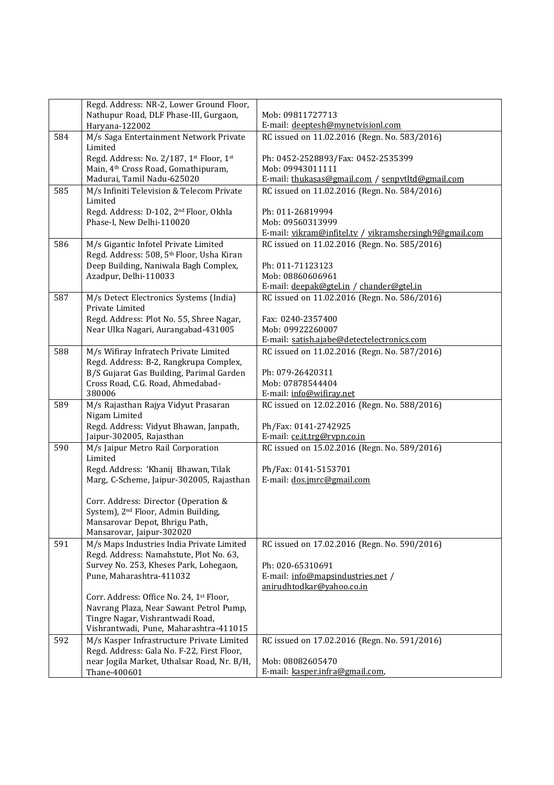|     | Regd. Address: NR-2, Lower Ground Floor,                                        |                                                        |
|-----|---------------------------------------------------------------------------------|--------------------------------------------------------|
|     | Nathupur Road, DLF Phase-III, Gurgaon,                                          | Mob: 09811727713                                       |
|     | Haryana-122002                                                                  | E-mail: deeptesh@mynetvisionl.com                      |
| 584 | M/s Saga Entertainment Network Private                                          | RC issued on 11.02.2016 (Regn. No. 583/2016)           |
|     | Limited                                                                         |                                                        |
|     | Regd. Address: No. 2/187, 1st Floor, 1st                                        | Ph: 0452-2528893/Fax: 0452-2535399                     |
|     | Main, 4 <sup>th</sup> Cross Road, Gomathipuram,                                 | Mob: 09943011111                                       |
|     | Madurai, Tamil Nadu-625020                                                      | E-mail: thukasas@gmail.com / senpvtltd@gmail.com       |
| 585 | M/s Infiniti Television & Telecom Private                                       | RC issued on 11.02.2016 (Regn. No. 584/2016)           |
|     | Limited                                                                         | Ph: 011-26819994                                       |
|     | Regd. Address: D-102, 2 <sup>nd</sup> Floor, Okhla<br>Phase-I, New Delhi-110020 | Mob: 09560313999                                       |
|     |                                                                                 | E-mail: vikram@infitel.tv / vikramshersingh9@gmail.com |
| 586 | M/s Gigantic Infotel Private Limited                                            | RC issued on 11.02.2016 (Regn. No. 585/2016)           |
|     | Regd. Address: 508, 5th Floor, Usha Kiran                                       |                                                        |
|     | Deep Building, Naniwala Bagh Complex,                                           | Ph: 011-71123123                                       |
|     | Azadpur, Delhi-110033                                                           | Mob: 08860606961                                       |
|     |                                                                                 | E-mail: deepak@gtel.in / chander@gtel.in               |
| 587 | M/s Detect Electronics Systems (India)                                          | RC issued on 11.02.2016 (Regn. No. 586/2016)           |
|     | Private Limited                                                                 |                                                        |
|     | Regd. Address: Plot No. 55, Shree Nagar,                                        | Fax: 0240-2357400                                      |
|     | Near Ulka Nagari, Aurangabad-431005                                             | Mob: 09922260007                                       |
|     |                                                                                 | E-mail: satish.ajabe@detectelectronics.com             |
| 588 | M/s Wifiray Infratech Private Limited                                           | RC issued on 11.02.2016 (Regn. No. 587/2016)           |
|     | Regd. Address: B-2, Rangkrupa Complex,                                          |                                                        |
|     | B/S Gujarat Gas Building, Parimal Garden                                        | Ph: 079-26420311                                       |
|     | Cross Road, C.G. Road, Ahmedabad-<br>380006                                     | Mob: 07878544404<br>E-mail: info@wifiray.net           |
| 589 | M/s Rajasthan Rajya Vidyut Prasaran                                             | RC issued on 12.02.2016 (Regn. No. 588/2016)           |
|     | Nigam Limited                                                                   |                                                        |
|     | Regd. Address: Vidyut Bhawan, Janpath,                                          | Ph/Fax: 0141-2742925                                   |
|     | Jaipur-302005, Rajasthan                                                        | E-mail: ce.it.trg@rvpn.co.in                           |
| 590 | M/s Jaipur Metro Rail Corporation                                               | RC issued on 15.02.2016 (Regn. No. 589/2016)           |
|     | Limited                                                                         |                                                        |
|     | Regd. Address: 'Khanij Bhawan, Tilak                                            | Ph/Fax: 0141-5153701                                   |
|     | Marg, C-Scheme, Jaipur-302005, Rajasthan                                        | E-mail: dos.jmrc@gmail.com                             |
|     |                                                                                 |                                                        |
|     | Corr. Address: Director (Operation &                                            |                                                        |
|     | System), 2 <sup>nd</sup> Floor, Admin Building,                                 |                                                        |
|     | Mansarovar Depot, Bhrigu Path,<br>Mansarovar, Jaipur-302020                     |                                                        |
| 591 | M/s Maps Industries India Private Limited                                       | RC issued on 17.02.2016 (Regn. No. 590/2016)           |
|     | Regd. Address: Namahstute, Plot No. 63,                                         |                                                        |
|     | Survey No. 253, Kheses Park, Lohegaon,                                          | Ph: 020-65310691                                       |
|     | Pune, Maharashtra-411032                                                        | E-mail: info@mapsindustries.net /                      |
|     |                                                                                 | anirudhtodkar@yahoo.co.in                              |
|     | Corr. Address: Office No. 24, 1st Floor,                                        |                                                        |
|     | Navrang Plaza, Near Sawant Petrol Pump,                                         |                                                        |
|     | Tingre Nagar, Vishrantwadi Road,                                                |                                                        |
|     | Vishrantwadi, Pune, Maharashtra-411015                                          |                                                        |
| 592 | M/s Kasper Infrastructure Private Limited                                       | RC issued on 17.02.2016 (Regn. No. 591/2016)           |
|     | Regd. Address: Gala No. F-22, First Floor,                                      |                                                        |
|     | near Jogila Market, Uthalsar Road, Nr. B/H,                                     | Mob: 08082605470                                       |
|     | Thane-400601                                                                    | E-mail: kasper.infra@gmail.com,                        |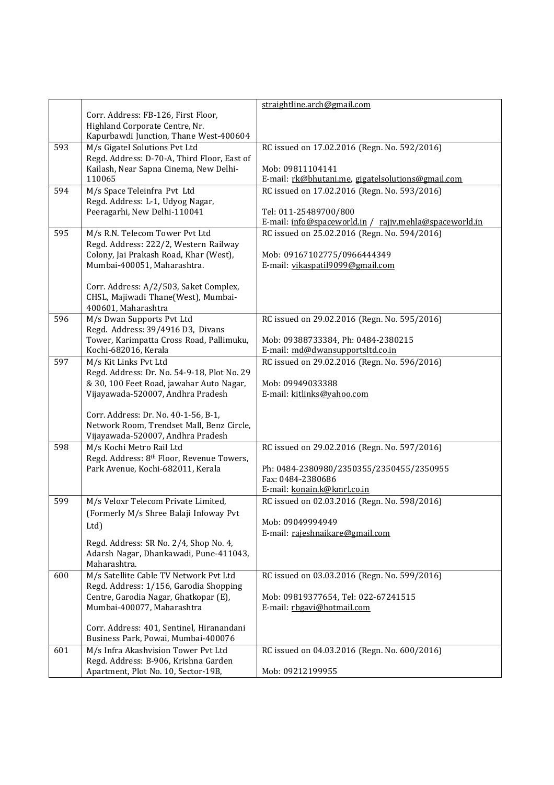|     |                                                                                | straightline.arch@gmail.com                                                                            |
|-----|--------------------------------------------------------------------------------|--------------------------------------------------------------------------------------------------------|
|     | Corr. Address: FB-126, First Floor,                                            |                                                                                                        |
|     | Highland Corporate Centre, Nr.                                                 |                                                                                                        |
|     | Kapurbawdi Junction, Thane West-400604                                         |                                                                                                        |
| 593 | M/s Gigatel Solutions Pvt Ltd<br>Regd. Address: D-70-A, Third Floor, East of   | RC issued on 17.02.2016 (Regn. No. 592/2016)                                                           |
|     | Kailash, Near Sapna Cinema, New Delhi-                                         | Mob: 09811104141                                                                                       |
|     | 110065                                                                         | E-mail: rk@bhutani.me, gigatelsolutions@gmail.com                                                      |
| 594 | M/s Space Teleinfra Pvt Ltd                                                    | RC issued on 17.02.2016 (Regn. No. 593/2016)                                                           |
|     | Regd. Address: L-1, Udyog Nagar,                                               |                                                                                                        |
|     | Peeragarhi, New Delhi-110041                                                   | Tel: 011-25489700/800                                                                                  |
| 595 | M/s R.N. Telecom Tower Pvt Ltd                                                 | E-mail: info@spaceworld.in / rajiv.mehla@spaceworld.in<br>RC issued on 25.02.2016 (Regn. No. 594/2016) |
|     | Regd. Address: 222/2, Western Railway                                          |                                                                                                        |
|     | Colony, Jai Prakash Road, Khar (West),                                         | Mob: 09167102775/0966444349                                                                            |
|     | Mumbai-400051, Maharashtra.                                                    | E-mail: vikaspatil9099@gmail.com                                                                       |
|     |                                                                                |                                                                                                        |
|     | Corr. Address: A/2/503, Saket Complex,                                         |                                                                                                        |
|     | CHSL, Majiwadi Thane(West), Mumbai-<br>400601, Maharashtra                     |                                                                                                        |
| 596 | M/s Dwan Supports Pvt Ltd                                                      | RC issued on 29.02.2016 (Regn. No. 595/2016)                                                           |
|     | Regd. Address: 39/4916 D3, Divans                                              |                                                                                                        |
|     | Tower, Karimpatta Cross Road, Pallimuku,                                       | Mob: 09388733384, Ph: 0484-2380215                                                                     |
|     | Kochi-682016, Kerala                                                           | E-mail: md@dwansupportsltd.co.in                                                                       |
| 597 | M/s Kit Links Pvt Ltd<br>Regd. Address: Dr. No. 54-9-18, Plot No. 29           | RC issued on 29.02.2016 (Regn. No. 596/2016)                                                           |
|     | & 30, 100 Feet Road, jawahar Auto Nagar,                                       | Mob: 09949033388                                                                                       |
|     | Vijayawada-520007, Andhra Pradesh                                              | E-mail: kitlinks@vahoo.com                                                                             |
|     |                                                                                |                                                                                                        |
|     | Corr. Address: Dr. No. 40-1-56, B-1,                                           |                                                                                                        |
|     | Network Room, Trendset Mall, Benz Circle,<br>Vijayawada-520007, Andhra Pradesh |                                                                                                        |
| 598 | M/s Kochi Metro Rail Ltd                                                       | RC issued on 29.02.2016 (Regn. No. 597/2016)                                                           |
|     | Regd. Address: 8th Floor, Revenue Towers,                                      |                                                                                                        |
|     | Park Avenue, Kochi-682011, Kerala                                              | Ph: 0484-2380980/2350355/2350455/2350955                                                               |
|     |                                                                                | Fax: 0484-2380686                                                                                      |
|     |                                                                                | E-mail: konain.k@kmrl.co.in                                                                            |
| 599 | M/s Veloxr Telecom Private Limited,<br>(Formerly M/s Shree Balaji Infoway Pvt  | RC issued on 02.03.2016 (Regn. No. 598/2016)                                                           |
|     | Ltd)                                                                           | Mob: 09049994949                                                                                       |
|     |                                                                                | E-mail: rajeshnaikare@gmail.com                                                                        |
|     | Regd. Address: SR No. 2/4, Shop No. 4,                                         |                                                                                                        |
|     | Adarsh Nagar, Dhankawadi, Pune-411043,<br>Maharashtra.                         |                                                                                                        |
| 600 | M/s Satellite Cable TV Network Pvt Ltd                                         | RC issued on 03.03.2016 (Regn. No. 599/2016)                                                           |
|     | Regd. Address: 1/156, Garodia Shopping                                         |                                                                                                        |
|     | Centre, Garodia Nagar, Ghatkopar (E),                                          | Mob: 09819377654, Tel: 022-67241515                                                                    |
|     | Mumbai-400077, Maharashtra                                                     | E-mail: rbgavi@hotmail.com                                                                             |
|     | Corr. Address: 401, Sentinel, Hiranandani                                      |                                                                                                        |
|     | Business Park, Powai, Mumbai-400076                                            |                                                                                                        |
| 601 | M/s Infra Akashvision Tower Pvt Ltd                                            | RC issued on 04.03.2016 (Regn. No. 600/2016)                                                           |
|     | Regd. Address: B-906, Krishna Garden                                           |                                                                                                        |
|     | Apartment, Plot No. 10, Sector-19B,                                            | Mob: 09212199955                                                                                       |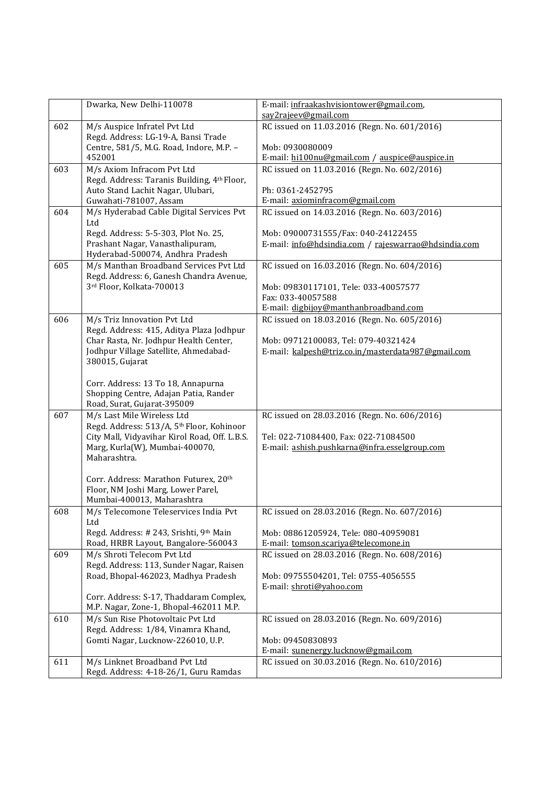|     | Dwarka, New Delhi-110078                      | E-mail: infraakashvisiontower@gmail.com,<br>sav2rajeev@gmail.com |
|-----|-----------------------------------------------|------------------------------------------------------------------|
| 602 | M/s Auspice Infratel Pvt Ltd                  | RC issued on 11.03.2016 (Regn. No. 601/2016)                     |
|     | Regd. Address: LG-19-A, Bansi Trade           |                                                                  |
|     | Centre, 581/5, M.G. Road, Indore, M.P. -      | Mob: 0930080009                                                  |
|     | 452001                                        | E-mail: hi100nu@gmail.com / auspice@auspice.in                   |
| 603 | M/s Axiom Infracom Pvt Ltd                    | RC issued on 11.03.2016 (Regn. No. 602/2016)                     |
|     | Regd. Address: Taranis Building, 4th Floor,   |                                                                  |
|     | Auto Stand Lachit Nagar, Ulubari,             | Ph: 0361-2452795                                                 |
|     | Guwahati-781007, Assam                        | E-mail: axiominfracom@gmail.com                                  |
| 604 | M/s Hyderabad Cable Digital Services Pvt      | RC issued on 14.03.2016 (Regn. No. 603/2016)                     |
|     | Ltd                                           |                                                                  |
|     | Regd. Address: 5-5-303, Plot No. 25,          | Mob: 09000731555/Fax: 040-24122455                               |
|     | Prashant Nagar, Vanasthalipuram,              | E-mail: info@hdsindia.com / rajeswarrao@hdsindia.com             |
|     | Hyderabad-500074, Andhra Pradesh              |                                                                  |
|     | M/s Manthan Broadband Services Pvt Ltd        |                                                                  |
| 605 | Regd. Address: 6, Ganesh Chandra Avenue,      | RC issued on 16.03.2016 (Regn. No. 604/2016)                     |
|     | 3rd Floor, Kolkata-700013                     |                                                                  |
|     |                                               | Mob: 09830117101, Tele: 033-40057577                             |
|     |                                               | Fax: 033-40057588                                                |
|     |                                               | E-mail: digbijoy@manthanbroadband.com                            |
| 606 | M/s Triz Innovation Pvt Ltd                   | RC issued on 18.03.2016 (Regn. No. 605/2016)                     |
|     | Regd. Address: 415, Aditya Plaza Jodhpur      |                                                                  |
|     | Char Rasta, Nr. Jodhpur Health Center,        | Mob: 09712100083, Tel: 079-40321424                              |
|     | Jodhpur Village Satellite, Ahmedabad-         | E-mail: kalpesh@triz.co.in/masterdata987@gmail.com               |
|     | 380015, Gujarat                               |                                                                  |
|     |                                               |                                                                  |
|     | Corr. Address: 13 To 18, Annapurna            |                                                                  |
|     | Shopping Centre, Adajan Patia, Rander         |                                                                  |
|     | Road, Surat, Gujarat-395009                   |                                                                  |
| 607 | M/s Last Mile Wireless Ltd                    | RC issued on 28.03.2016 (Regn. No. 606/2016)                     |
|     | Regd. Address: 513/A, 5th Floor, Kohinoor     |                                                                  |
|     | City Mall, Vidyavihar Kirol Road, Off. L.B.S. | Tel: 022-71084400, Fax: 022-71084500                             |
|     | Marg, Kurla(W), Mumbai-400070,                | E-mail: ashish.pushkarna@infra.esselgroup.com                    |
|     | Maharashtra.                                  |                                                                  |
|     |                                               |                                                                  |
|     | Corr. Address: Marathon Futurex, 20th         |                                                                  |
|     | Floor, NM Joshi Marg, Lower Parel,            |                                                                  |
|     | Mumbai-400013, Maharashtra                    |                                                                  |
| 608 | M/s Telecomone Teleservices India Pvt         | RC issued on 28.03.2016 (Regn. No. 607/2016)                     |
|     | Ltd                                           |                                                                  |
|     | Regd. Address: # 243, Srishti, 9th Main       | Mob: 08861205924, Tele: 080-40959081                             |
|     | Road, HRBR Layout, Bangalore-560043           | E-mail: tomson.scariya@telecomone.in                             |
| 609 | M/s Shroti Telecom Pvt Ltd                    | RC issued on 28.03.2016 (Regn. No. 608/2016)                     |
|     | Regd. Address: 113, Sunder Nagar, Raisen      |                                                                  |
|     | Road, Bhopal-462023, Madhya Pradesh           | Mob: 09755504201, Tel: 0755-4056555                              |
|     |                                               | E-mail: shroti@vahoo.com                                         |
|     | Corr. Address: S-17, Thaddaram Complex,       |                                                                  |
|     | M.P. Nagar, Zone-1, Bhopal-462011 M.P.        |                                                                  |
| 610 | M/s Sun Rise Photovoltaic Pvt Ltd             | RC issued on 28.03.2016 (Regn. No. 609/2016)                     |
|     | Regd. Address: 1/84, Vinamra Khand,           |                                                                  |
|     | Gomti Nagar, Lucknow-226010, U.P.             | Mob: 09450830893                                                 |
|     |                                               | E-mail: sunenergy.lucknow@gmail.com                              |
| 611 | M/s Linknet Broadband Pvt Ltd                 | RC issued on 30.03.2016 (Regn. No. 610/2016)                     |
|     | Regd. Address: 4-18-26/1, Guru Ramdas         |                                                                  |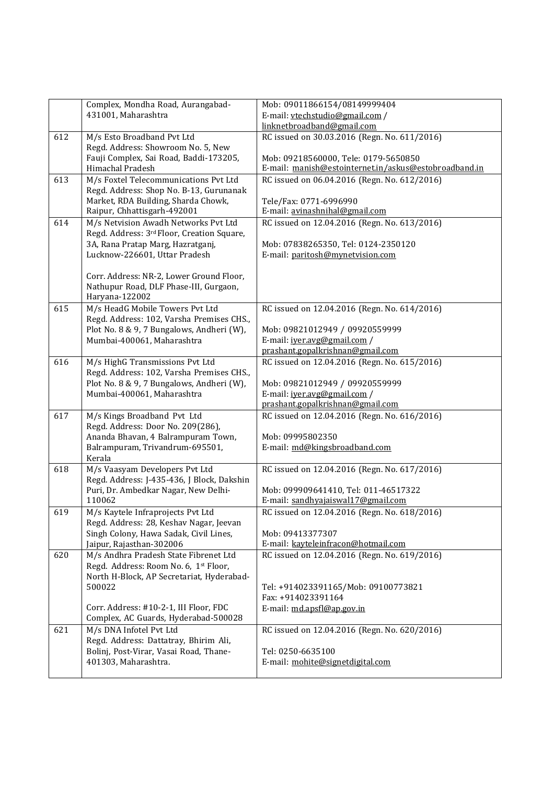|     | Complex, Mondha Road, Aurangabad-          | Mob: 09011866154/08149999404                                     |
|-----|--------------------------------------------|------------------------------------------------------------------|
|     | 431001, Maharashtra                        | E-mail: vtechstudio@gmail.com /                                  |
|     |                                            | linknetbroadband@gmail.com                                       |
| 612 | M/s Esto Broadband Pvt Ltd                 | RC issued on 30.03.2016 (Regn. No. 611/2016)                     |
|     | Regd. Address: Showroom No. 5, New         |                                                                  |
|     | Fauji Complex, Sai Road, Baddi-173205,     | Mob: 09218560000, Tele: 0179-5650850                             |
|     | Himachal Pradesh                           | E-mail: manish@estointernet.in/askus@estobroadband.in            |
| 613 | M/s Foxtel Telecommunications Pvt Ltd      | RC issued on 06.04.2016 (Regn. No. 612/2016)                     |
|     | Regd. Address: Shop No. B-13, Gurunanak    |                                                                  |
|     | Market, RDA Building, Sharda Chowk,        | Tele/Fax: 0771-6996990                                           |
|     | Raipur, Chhattisgarh-492001                | E-mail: avinashnihal@gmail.com                                   |
| 614 | M/s Netvision Awadh Networks Pvt Ltd       | RC issued on 12.04.2016 (Regn. No. 613/2016)                     |
|     | Regd. Address: 3rd Floor, Creation Square, |                                                                  |
|     | 3A, Rana Pratap Marg, Hazratganj,          | Mob: 07838265350, Tel: 0124-2350120                              |
|     | Lucknow-226601, Uttar Pradesh              | E-mail: paritosh@mynetvision.com                                 |
|     |                                            |                                                                  |
|     | Corr. Address: NR-2, Lower Ground Floor,   |                                                                  |
|     | Nathupur Road, DLF Phase-III, Gurgaon,     |                                                                  |
|     | Haryana-122002                             |                                                                  |
| 615 | M/s HeadG Mobile Towers Pvt Ltd            | RC issued on 12.04.2016 (Regn. No. 614/2016)                     |
|     | Regd. Address: 102, Varsha Premises CHS.,  |                                                                  |
|     | Plot No. 8 & 9, 7 Bungalows, Andheri (W),  | Mob: 09821012949 / 09920559999                                   |
|     | Mumbai-400061, Maharashtra                 | E-mail: iver.avg@gmail.com /<br>prashant.gopalkrishnan@gmail.com |
| 616 | M/s HighG Transmissions Pvt Ltd            | RC issued on 12.04.2016 (Regn. No. 615/2016)                     |
|     | Regd. Address: 102, Varsha Premises CHS.,  |                                                                  |
|     | Plot No. 8 & 9, 7 Bungalows, Andheri (W),  | Mob: 09821012949 / 09920559999                                   |
|     | Mumbai-400061, Maharashtra                 | E-mail: iyer.avg@gmail.com /                                     |
|     |                                            | prashant.gopalkrishnan@gmail.com                                 |
| 617 | M/s Kings Broadband Pvt Ltd                | RC issued on 12.04.2016 (Regn. No. 616/2016)                     |
|     | Regd. Address: Door No. 209(286),          |                                                                  |
|     | Ananda Bhavan, 4 Balrampuram Town,         | Mob: 09995802350                                                 |
|     | Balrampuram, Trivandrum-695501,            | E-mail: md@kingsbroadband.com                                    |
|     | Kerala                                     |                                                                  |
| 618 | M/s Vaasyam Developers Pvt Ltd             | RC issued on 12.04.2016 (Regn. No. 617/2016)                     |
|     | Regd. Address: J-435-436, J Block, Dakshin |                                                                  |
|     | Puri, Dr. Ambedkar Nagar, New Delhi-       | Mob: 099909641410, Tel: 011-46517322                             |
|     | 110062                                     | E-mail: sandhyajaiswal17@gmail.com                               |
| 619 | M/s Kaytele Infraprojects Pvt Ltd          | RC issued on 12.04.2016 (Regn. No. 618/2016)                     |
|     | Regd. Address: 28, Keshav Nagar, Jeevan    |                                                                  |
|     | Singh Colony, Hawa Sadak, Civil Lines,     | Mob: 09413377307                                                 |
|     | Jaipur, Rajasthan-302006                   | E-mail: kayteleinfracon@hotmail.com                              |
| 620 | M/s Andhra Pradesh State Fibrenet Ltd      | RC issued on 12.04.2016 (Regn. No. 619/2016)                     |
|     | Regd. Address: Room No. 6, 1st Floor,      |                                                                  |
|     | North H-Block, AP Secretariat, Hyderabad-  |                                                                  |
|     | 500022                                     | Tel: +914023391165/Mob: 09100773821                              |
|     | Corr. Address: #10-2-1, III Floor, FDC     | Fax: +914023391164                                               |
|     | Complex, AC Guards, Hyderabad-500028       | E-mail: md.apsfl@ap.gov.in                                       |
| 621 | M/s DNA Infotel Pvt Ltd                    |                                                                  |
|     | Regd. Address: Dattatray, Bhirim Ali,      | RC issued on 12.04.2016 (Regn. No. 620/2016)                     |
|     | Bolinj, Post-Virar, Vasai Road, Thane-     | Tel: 0250-6635100                                                |
|     | 401303, Maharashtra.                       | E-mail: mohite@signetdigital.com                                 |
|     |                                            |                                                                  |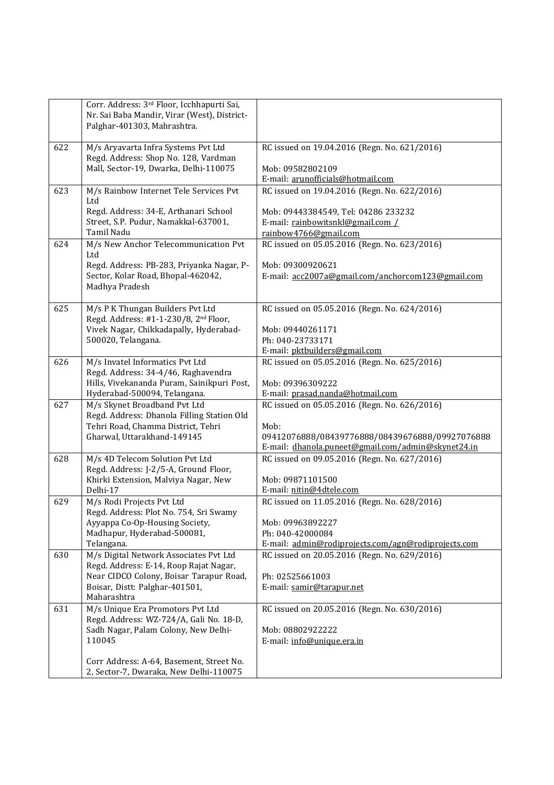|     | Corr. Address: 3rd Floor, Icchhapurti Sai,<br>Nr. Sai Baba Mandir, Virar (West), District-<br>Palghar-401303, Mahrashtra. |                                                                                                    |
|-----|---------------------------------------------------------------------------------------------------------------------------|----------------------------------------------------------------------------------------------------|
| 622 | M/s Aryavarta Infra Systems Pvt Ltd                                                                                       | RC issued on 19.04.2016 (Regn. No. 621/2016)                                                       |
|     | Regd. Address: Shop No. 128, Vardman<br>Mall, Sector-19, Dwarka, Delhi-110075                                             | Mob: 09582802109<br>E-mail: arunofficials@hotmail.com                                              |
| 623 | M/s Rainbow Internet Tele Services Pvt                                                                                    | RC issued on 19.04.2016 (Regn. No. 622/2016)                                                       |
|     | Ltd                                                                                                                       |                                                                                                    |
|     | Regd. Address: 34-E, Arthanari School<br>Street, S.P. Pudur, Namakkal-637001,                                             | Mob: 09443384549, Tel: 04286 233232<br>E-mail: rainbowitsnkl@gmail.com /                           |
|     | Tamil Nadu                                                                                                                | rainbow4766@gmail.com                                                                              |
| 624 | M/s New Anchor Telecommunication Pvt                                                                                      | RC issued on 05.05.2016 (Regn. No. 623/2016)                                                       |
|     | Ltd                                                                                                                       |                                                                                                    |
|     | Regd. Address: PB-283, Priyanka Nagar, P-                                                                                 | Mob: 09300920621                                                                                   |
|     | Sector, Kolar Road, Bhopal-462042,                                                                                        | E-mail: acc2007a@gmail.com/anchorcom123@gmail.com                                                  |
|     | Madhya Pradesh                                                                                                            |                                                                                                    |
| 625 | M/s P K Thungan Builders Pvt Ltd                                                                                          | RC issued on 05.05.2016 (Regn. No. 624/2016)                                                       |
|     | Regd. Address: #1-1-230/8, 2 <sup>nd</sup> Floor,                                                                         |                                                                                                    |
|     | Vivek Nagar, Chikkadapally, Hyderabad-                                                                                    | Mob: 09440261171                                                                                   |
|     | 500020, Telangana.                                                                                                        | Ph: 040-23733171                                                                                   |
|     |                                                                                                                           | E-mail: pktbuilders@gmail.com                                                                      |
| 626 | M/s Invatel Informatics Pvt Ltd                                                                                           | RC issued on 05.05.2016 (Regn. No. 625/2016)                                                       |
|     | Regd. Address: 34-4/46, Raghavendra<br>Hills, Vivekananda Puram, Sainikpuri Post,                                         | Mob: 09396309222                                                                                   |
|     | Hyderabad-500094, Telangana.                                                                                              | E-mail: prasad.nanda@hotmail.com                                                                   |
| 627 | M/s Skynet Broadband Pvt Ltd                                                                                              | RC issued on 05.05.2016 (Regn. No. 626/2016)                                                       |
|     | Regd. Address: Dhanola Filling Station Old                                                                                |                                                                                                    |
|     | Tehri Road, Chamma District, Tehri                                                                                        | Mob:                                                                                               |
|     | Gharwal, Uttarakhand-149145                                                                                               | 09412076888/08439776888/08439676888/09927076888                                                    |
|     |                                                                                                                           | E-mail: dhanola.puneet@gmail.com/admin@skynet24.in<br>RC issued on 09.05.2016 (Regn. No. 627/2016) |
| 628 | M/s 4D Telecom Solution Pvt Ltd<br>Regd. Address: J-2/5-A, Ground Floor,                                                  |                                                                                                    |
|     | Khirki Extension, Malviya Nagar, New                                                                                      | Mob: 09871101500                                                                                   |
|     | Delhi-17                                                                                                                  | E-mail: nitin@4dtele.com                                                                           |
| 629 | M/s Rodi Projects Pvt Ltd                                                                                                 | RC issued on 11.05.2016 (Regn. No. 628/2016)                                                       |
|     | Regd. Address: Plot No. 754, Sri Swamy                                                                                    |                                                                                                    |
|     | Ayyappa Co-Op-Housing Society,                                                                                            | Mob: 09963892227                                                                                   |
|     | Madhapur, Hyderabad-500081,<br>Telangana.                                                                                 | Ph: 040-42000084<br>E-mail: admin@rodiprojects.com/agn@rodiprojects.com                            |
| 630 | M/s Digital Network Associates Pvt Ltd                                                                                    | RC issued on 20.05.2016 (Regn. No. 629/2016)                                                       |
|     | Regd. Address: E-14, Roop Rajat Nagar,                                                                                    |                                                                                                    |
|     | Near CIDCO Colony, Boisar Tarapur Road,                                                                                   | Ph: 02525661003                                                                                    |
|     | Boisar, Distt: Palghar-401501,                                                                                            | E-mail: samir@tarapur.net                                                                          |
|     | Maharashtra                                                                                                               |                                                                                                    |
| 631 | M/s Unique Era Promotors Pvt Ltd                                                                                          | RC issued on 20.05.2016 (Regn. No. 630/2016)                                                       |
|     | Regd. Address: WZ-724/A, Gali No. 18-D,<br>Sadh Nagar, Palam Colony, New Delhi-                                           | Mob: 08802922222                                                                                   |
|     | 110045                                                                                                                    | E-mail: info@unique.era.in                                                                         |
|     |                                                                                                                           |                                                                                                    |
|     | Corr Address: A-64, Basement, Street No.                                                                                  |                                                                                                    |
|     | 2, Sector-7, Dwaraka, New Delhi-110075                                                                                    |                                                                                                    |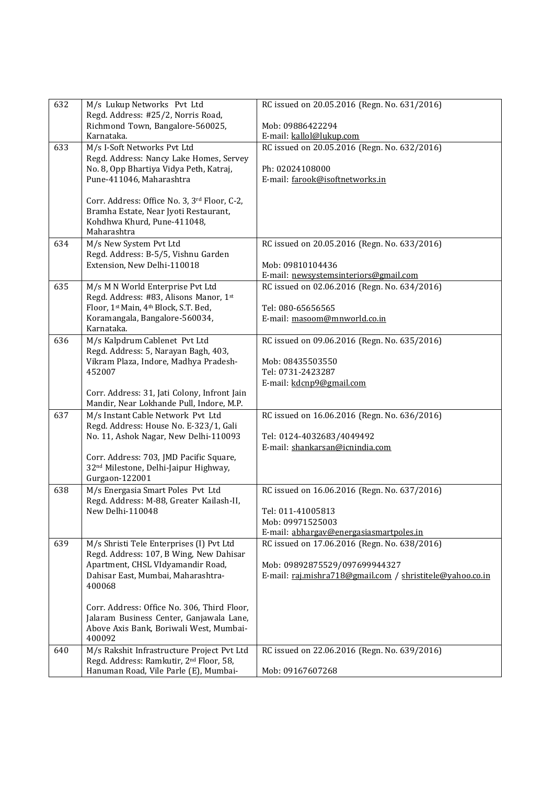| 632 | M/s Lukup Networks Pvt Ltd                                                                        | RC issued on 20.05.2016 (Regn. No. 631/2016)                                            |
|-----|---------------------------------------------------------------------------------------------------|-----------------------------------------------------------------------------------------|
|     | Regd. Address: #25/2, Norris Road,<br>Richmond Town, Bangalore-560025,                            | Mob: 09886422294                                                                        |
|     | Karnataka.                                                                                        | E-mail: kallol@lukup.com                                                                |
| 633 | M/s I-Soft Networks Pvt Ltd                                                                       | RC issued on 20.05.2016 (Regn. No. 632/2016)                                            |
|     | Regd. Address: Nancy Lake Homes, Servey                                                           |                                                                                         |
|     | No. 8, Opp Bhartiya Vidya Peth, Katraj,                                                           | Ph: 02024108000                                                                         |
|     | Pune-411046, Maharashtra                                                                          | E-mail: farook@isoftnetworks.in                                                         |
|     | Corr. Address: Office No. 3, 3rd Floor, C-2,                                                      |                                                                                         |
|     | Bramha Estate, Near Jyoti Restaurant,                                                             |                                                                                         |
|     | Kohdhwa Khurd, Pune-411048,                                                                       |                                                                                         |
| 634 | Maharashtra<br>M/s New System Pvt Ltd                                                             | RC issued on 20.05.2016 (Regn. No. 633/2016)                                            |
|     | Regd. Address: B-5/5, Vishnu Garden                                                               |                                                                                         |
|     | Extension, New Delhi-110018                                                                       | Mob: 09810104436                                                                        |
|     |                                                                                                   | E-mail: newsystemsinteriors@gmail.com                                                   |
| 635 | M/s M N World Enterprise Pvt Ltd                                                                  | RC issued on 02.06.2016 (Regn. No. 634/2016)                                            |
|     | Regd. Address: #83, Alisons Manor, 1st<br>Floor, 1st Main, 4th Block, S.T. Bed,                   | Tel: 080-65656565                                                                       |
|     | Koramangala, Bangalore-560034,                                                                    | E-mail: masoom@mnworld.co.in                                                            |
|     | Karnataka.                                                                                        |                                                                                         |
| 636 | M/s Kalpdrum Cablenet Pvt Ltd                                                                     | RC issued on 09.06.2016 (Regn. No. 635/2016)                                            |
|     | Regd. Address: 5, Narayan Bagh, 403,                                                              |                                                                                         |
|     | Vikram Plaza, Indore, Madhya Pradesh-<br>452007                                                   | Mob: 08435503550<br>Tel: 0731-2423287                                                   |
|     |                                                                                                   | E-mail: kdcnp9@gmail.com                                                                |
|     | Corr. Address: 31, Jati Colony, Infront Jain                                                      |                                                                                         |
|     | Mandir, Near Lokhande Pull, Indore, M.P.                                                          |                                                                                         |
| 637 | M/s Instant Cable Network Pvt Ltd<br>Regd. Address: House No. E-323/1, Gali                       | RC issued on 16.06.2016 (Regn. No. 636/2016)                                            |
|     | No. 11, Ashok Nagar, New Delhi-110093                                                             | Tel: 0124-4032683/4049492                                                               |
|     |                                                                                                   | E-mail: shankarsan@icnindia.com                                                         |
|     | Corr. Address: 703, JMD Pacific Square,                                                           |                                                                                         |
|     | 32 <sup>nd</sup> Milestone, Delhi-Jaipur Highway,<br>Gurgaon-122001                               |                                                                                         |
| 638 | M/s Energasia Smart Poles Pvt Ltd                                                                 | RC issued on 16.06.2016 (Regn. No. 637/2016)                                            |
|     | Regd. Address: M-88, Greater Kailash-II,                                                          |                                                                                         |
|     | New Delhi-110048                                                                                  | Tel: 011-41005813                                                                       |
|     |                                                                                                   | Mob: 09971525003                                                                        |
| 639 | M/s Shristi Tele Enterprises (I) Pvt Ltd                                                          | E-mail: abhargav@energasiasmartpoles.in<br>RC issued on 17.06.2016 (Regn. No. 638/2016) |
|     | Regd. Address: 107, B Wing, New Dahisar                                                           |                                                                                         |
|     | Apartment, CHSL VIdyamandir Road,                                                                 | Mob: 09892875529/097699944327                                                           |
|     | Dahisar East, Mumbai, Maharashtra-                                                                | E-mail: raj.mishra718@gmail.com / shristitele@yahoo.co.in                               |
|     | 400068                                                                                            |                                                                                         |
|     | Corr. Address: Office No. 306, Third Floor,                                                       |                                                                                         |
|     | Jalaram Business Center, Ganjawala Lane,                                                          |                                                                                         |
|     | Above Axis Bank, Boriwali West, Mumbai-                                                           |                                                                                         |
|     | 400092                                                                                            |                                                                                         |
| 640 | M/s Rakshit Infrastructure Project Pvt Ltd<br>Regd. Address: Ramkutir, 2 <sup>nd</sup> Floor, 58, | RC issued on 22.06.2016 (Regn. No. 639/2016)                                            |
|     | Hanuman Road, Vile Parle (E), Mumbai-                                                             | Mob: 09167607268                                                                        |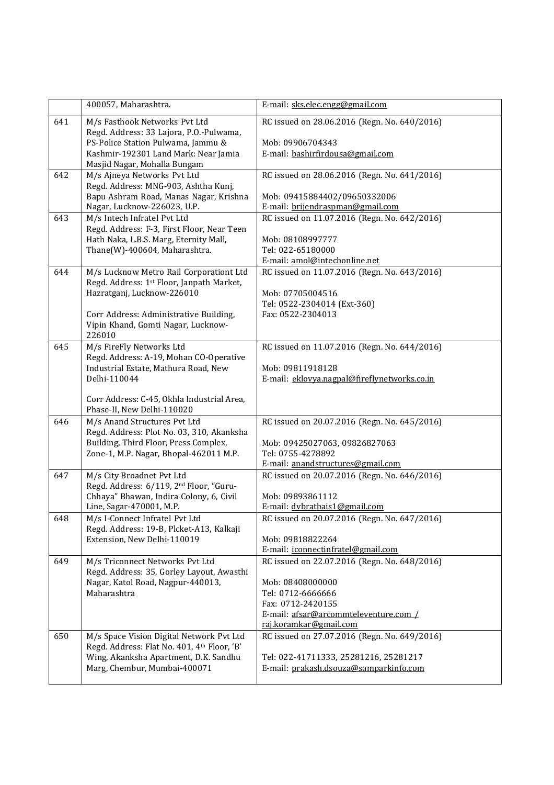|     | 400057, Maharashtra.                                                                                                                                             | E-mail: sks.elec.engg@gmail.com                                                                                                                                               |
|-----|------------------------------------------------------------------------------------------------------------------------------------------------------------------|-------------------------------------------------------------------------------------------------------------------------------------------------------------------------------|
| 641 | M/s Fasthook Networks Pvt Ltd<br>Regd. Address: 33 Lajora, P.O.-Pulwama,<br>PS-Police Station Pulwama, Jammu &                                                   | RC issued on 28.06.2016 (Regn. No. 640/2016)<br>Mob: 09906704343                                                                                                              |
|     | Kashmir-192301 Land Mark: Near Jamia<br>Masjid Nagar, Mohalla Bungam                                                                                             | E-mail: bashirfirdousa@gmail.com                                                                                                                                              |
| 642 | M/s Ajneya Networks Pvt Ltd<br>Regd. Address: MNG-903, Ashtha Kunj,                                                                                              | RC issued on 28.06.2016 (Regn. No. 641/2016)                                                                                                                                  |
|     | Bapu Ashram Road, Manas Nagar, Krishna<br>Nagar, Lucknow-226023, U.P.                                                                                            | Mob: 09415884402/09650332006<br>E-mail: brijendraspman@gmail.com                                                                                                              |
| 643 | M/s Intech Infratel Pvt Ltd                                                                                                                                      | RC issued on 11.07.2016 (Regn. No. 642/2016)                                                                                                                                  |
|     | Regd. Address: F-3, First Floor, Near Teen<br>Hath Naka, L.B.S. Marg, Eternity Mall,<br>Thane(W)-400604, Maharashtra.                                            | Mob: 08108997777<br>Tel: 022-65180000                                                                                                                                         |
| 644 | M/s Lucknow Metro Rail Corporationt Ltd                                                                                                                          | E-mail: amol@intechonline.net<br>RC issued on 11.07.2016 (Regn. No. 643/2016)                                                                                                 |
|     | Regd. Address: 1st Floor, Janpath Market,<br>Hazratganj, Lucknow-226010<br>Corr Address: Administrative Building,<br>Vipin Khand, Gomti Nagar, Lucknow-          | Mob: 07705004516<br>Tel: 0522-2304014 (Ext-360)<br>Fax: 0522-2304013                                                                                                          |
|     | 226010                                                                                                                                                           |                                                                                                                                                                               |
| 645 | M/s FireFly Networks Ltd<br>Regd. Address: A-19, Mohan CO-Operative<br>Industrial Estate, Mathura Road, New<br>Delhi-110044                                      | RC issued on 11.07.2016 (Regn. No. 644/2016)<br>Mob: 09811918128<br>E-mail: eklovya.nagpal@fireflynetworks.co.in                                                              |
|     | Corr Address: C-45, Okhla Industrial Area,<br>Phase-II, New Delhi-110020                                                                                         |                                                                                                                                                                               |
| 646 | M/s Anand Structures Pvt Ltd<br>Regd. Address: Plot No. 03, 310, Akanksha<br>Building, Third Floor, Press Complex,<br>Zone-1, M.P. Nagar, Bhopal-462011 M.P.     | RC issued on 20.07.2016 (Regn. No. 645/2016)<br>Mob: 09425027063, 09826827063<br>Tel: 0755-4278892<br>E-mail: anandstructures@gmail.com                                       |
| 647 | M/s City Broadnet Pvt Ltd                                                                                                                                        | RC issued on 20.07.2016 (Regn. No. 646/2016)                                                                                                                                  |
|     | Regd. Address: 6/119, 2 <sup>nd</sup> Floor, "Guru-<br>Chhaya" Bhawan, Indira Colony, 6, Civil<br>Line, Sagar-470001, M.P.                                       | Mob: 09893861112<br>E-mail: dvbratbais1@gmail.com                                                                                                                             |
| 648 | M/s I-Connect Infratel Pvt Ltd<br>Regd. Address: 19-B, Plcket-A13, Kalkaji<br>Extension, New Delhi-110019                                                        | RC issued on 20.07.2016 (Regn. No. 647/2016)<br>Mob: 09818822264<br>E-mail: iconnectinfratel@gmail.com                                                                        |
| 649 | M/s Triconnect Networks Pvt Ltd<br>Regd. Address: 35, Gorley Layout, Awasthi<br>Nagar, Katol Road, Nagpur-440013,<br>Maharashtra                                 | RC issued on 22.07.2016 (Regn. No. 648/2016)<br>Mob: 08408000000<br>Tel: 0712-6666666<br>Fax: 0712-2420155<br>E-mail: afsar@arcommteleventure.com /<br>raj.koramkar@gmail.com |
| 650 | M/s Space Vision Digital Network Pvt Ltd<br>Regd. Address: Flat No. 401, 4th Floor, 'B'<br>Wing, Akanksha Apartment, D.K. Sandhu<br>Marg, Chembur, Mumbai-400071 | RC issued on 27.07.2016 (Regn. No. 649/2016)<br>Tel: 022-41711333, 25281216, 25281217<br>E-mail: prakash.dsouza@samparkinfo.com                                               |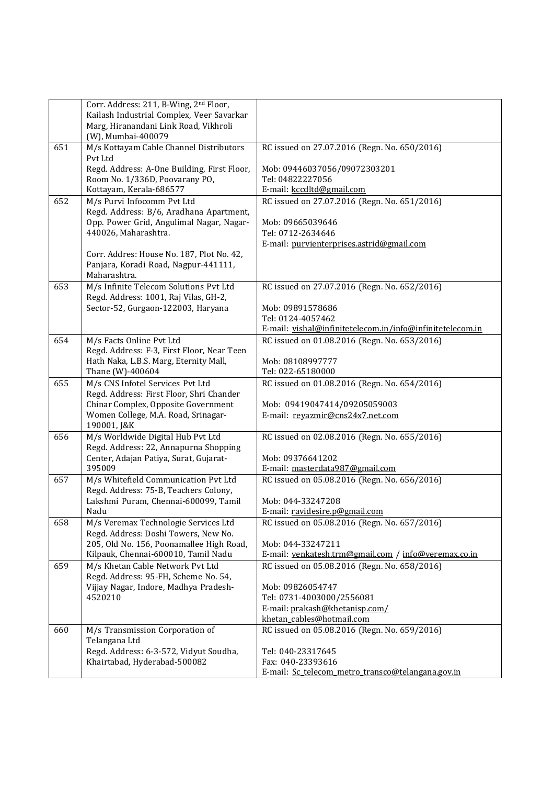|     | Corr. Address: 211, B-Wing, 2 <sup>nd</sup> Floor,<br>Kailash Industrial Complex, Veer Savarkar<br>Marg, Hiranandani Link Road, Vikhroli |                                                           |
|-----|------------------------------------------------------------------------------------------------------------------------------------------|-----------------------------------------------------------|
|     | (W), Mumbai-400079                                                                                                                       |                                                           |
| 651 | M/s Kottayam Cable Channel Distributors                                                                                                  | RC issued on 27.07.2016 (Regn. No. 650/2016)              |
|     | Pvt Ltd                                                                                                                                  |                                                           |
|     | Regd. Address: A-One Building, First Floor,<br>Room No. 1/336D, Poovarany PO,                                                            | Mob: 09446037056/09072303201<br>Tel: 04822227056          |
|     | Kottayam, Kerala-686577                                                                                                                  | E-mail: kccdltd@gmail.com                                 |
| 652 | M/s Purvi Infocomm Pvt Ltd                                                                                                               | RC issued on 27.07.2016 (Regn. No. 651/2016)              |
|     | Regd. Address: B/6, Aradhana Apartment,                                                                                                  |                                                           |
|     | Opp. Power Grid, Angulimal Nagar, Nagar-                                                                                                 | Mob: 09665039646                                          |
|     | 440026, Maharashtra.                                                                                                                     | Tel: 0712-2634646                                         |
|     |                                                                                                                                          | E-mail: purvienterprises.astrid@gmail.com                 |
|     | Corr. Addres: House No. 187, Plot No. 42,                                                                                                |                                                           |
|     | Panjara, Koradi Road, Nagpur-441111,<br>Maharashtra.                                                                                     |                                                           |
| 653 | M/s Infinite Telecom Solutions Pvt Ltd                                                                                                   | RC issued on 27.07.2016 (Regn. No. 652/2016)              |
|     | Regd. Address: 1001, Raj Vilas, GH-2,                                                                                                    |                                                           |
|     | Sector-52, Gurgaon-122003, Haryana                                                                                                       | Mob: 09891578686                                          |
|     |                                                                                                                                          | Tel: 0124-4057462                                         |
|     |                                                                                                                                          | E-mail: vishal@infinitetelecom.in/info@infinitetelecom.in |
| 654 | M/s Facts Online Pvt Ltd                                                                                                                 | RC issued on 01.08.2016 (Regn. No. 653/2016)              |
|     | Regd. Address: F-3, First Floor, Near Teen                                                                                               |                                                           |
|     | Hath Naka, L.B.S. Marg, Eternity Mall,<br>Thane (W)-400604                                                                               | Mob: 08108997777<br>Tel: 022-65180000                     |
| 655 | M/s CNS Infotel Services Pvt Ltd                                                                                                         | RC issued on 01.08.2016 (Regn. No. 654/2016)              |
|     | Regd. Address: First Floor, Shri Chander                                                                                                 |                                                           |
|     | Chinar Complex, Opposite Government                                                                                                      | Mob: 09419047414/09205059003                              |
|     | Women College, M.A. Road, Srinagar-                                                                                                      | E-mail: reyazmir@cns24x7.net.com                          |
|     | 190001, J&K                                                                                                                              |                                                           |
| 656 | M/s Worldwide Digital Hub Pvt Ltd                                                                                                        | RC issued on 02.08.2016 (Regn. No. 655/2016)              |
|     | Regd. Address: 22, Annapurna Shopping                                                                                                    |                                                           |
|     | Center, Adajan Patiya, Surat, Gujarat-<br>395009                                                                                         | Mob: 09376641202<br>E-mail: masterdata987@gmail.com       |
| 657 | M/s Whitefield Communication Pvt Ltd                                                                                                     | RC issued on 05.08.2016 (Regn. No. 656/2016)              |
|     | Regd. Address: 75-B, Teachers Colony,                                                                                                    |                                                           |
|     | Lakshmi Puram, Chennai-600099, Tamil                                                                                                     | Mob: 044-33247208                                         |
|     | Nadu                                                                                                                                     | E-mail: ravidesire.p@gmail.com                            |
| 658 | M/s Veremax Technologie Services Ltd                                                                                                     | RC issued on 05.08.2016 (Regn. No. 657/2016)              |
|     | Regd. Address: Doshi Towers, New No.                                                                                                     |                                                           |
|     | 205, Old No. 156, Poonamallee High Road,                                                                                                 | Mob: 044-33247211                                         |
|     | Kilpauk, Chennai-600010, Tamil Nadu                                                                                                      | E-mail: venkatesh.trm@gmail.com / info@veremax.co.in      |
| 659 | M/s Khetan Cable Network Pvt Ltd<br>Regd. Address: 95-FH, Scheme No. 54,                                                                 | RC issued on 05.08.2016 (Regn. No. 658/2016)              |
|     | Vijjay Nagar, Indore, Madhya Pradesh-                                                                                                    | Mob: 09826054747                                          |
|     | 4520210                                                                                                                                  | Tel: 0731-4003000/2556081                                 |
|     |                                                                                                                                          | E-mail: prakash@khetanisp.com/                            |
|     |                                                                                                                                          | khetan cables@hotmail.com                                 |
| 660 | M/s Transmission Corporation of                                                                                                          | RC issued on 05.08.2016 (Regn. No. 659/2016)              |
|     | Telangana Ltd                                                                                                                            |                                                           |
|     | Regd. Address: 6-3-572, Vidyut Soudha,                                                                                                   | Tel: 040-23317645                                         |
|     | Khairtabad, Hyderabad-500082                                                                                                             | Fax: 040-23393616                                         |
|     |                                                                                                                                          | E-mail: Sc telecom metro transco@telangana.gov.in         |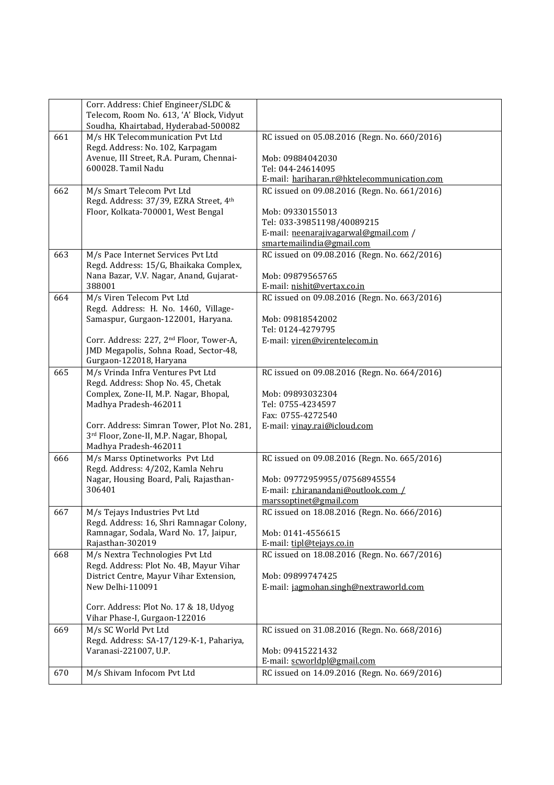|     | Corr. Address: Chief Engineer/SLDC &<br>Telecom, Room No. 613, 'A' Block, Vidyut<br>Soudha, Khairtabad, Hyderabad-500082 |                                                                             |
|-----|--------------------------------------------------------------------------------------------------------------------------|-----------------------------------------------------------------------------|
| 661 | M/s HK Telecommunication Pvt Ltd<br>Regd. Address: No. 102, Karpagam                                                     | RC issued on 05.08.2016 (Regn. No. 660/2016)                                |
|     | Avenue, III Street, R.A. Puram, Chennai-                                                                                 | Mob: 09884042030                                                            |
|     | 600028. Tamil Nadu                                                                                                       | Tel: 044-24614095                                                           |
|     |                                                                                                                          | E-mail: hariharan.r@hktelecommunication.com                                 |
| 662 | M/s Smart Telecom Pvt Ltd                                                                                                | RC issued on 09.08.2016 (Regn. No. 661/2016)                                |
|     | Regd. Address: 37/39, EZRA Street, 4th                                                                                   |                                                                             |
|     | Floor, Kolkata-700001, West Bengal                                                                                       | Mob: 09330155013<br>Tel: 033-39851198/40089215                              |
|     |                                                                                                                          | E-mail: neenarajivagarwal@gmail.com /                                       |
|     |                                                                                                                          | smartemailindia@gmail.com                                                   |
| 663 | M/s Pace Internet Services Pvt Ltd                                                                                       | RC issued on 09.08.2016 (Regn. No. 662/2016)                                |
|     | Regd. Address: 15/G, Bhaikaka Complex,                                                                                   |                                                                             |
|     | Nana Bazar, V.V. Nagar, Anand, Gujarat-                                                                                  | Mob: 09879565765                                                            |
| 664 | 388001<br>M/s Viren Telecom Pvt Ltd                                                                                      | E-mail: nishit@vertax.co.in<br>RC issued on 09.08.2016 (Regn. No. 663/2016) |
|     | Regd. Address: H. No. 1460, Village-                                                                                     |                                                                             |
|     | Samaspur, Gurgaon-122001, Haryana.                                                                                       | Mob: 09818542002                                                            |
|     |                                                                                                                          | Tel: 0124-4279795                                                           |
|     | Corr. Address: 227, 2 <sup>nd</sup> Floor, Tower-A,                                                                      | E-mail: viren@virentelecom.in                                               |
|     | JMD Megapolis, Sohna Road, Sector-48,                                                                                    |                                                                             |
| 665 | Gurgaon-122018, Haryana<br>M/s Vrinda Infra Ventures Pvt Ltd                                                             | RC issued on 09.08.2016 (Regn. No. 664/2016)                                |
|     | Regd. Address: Shop No. 45, Chetak                                                                                       |                                                                             |
|     | Complex, Zone-II, M.P. Nagar, Bhopal,                                                                                    | Mob: 09893032304                                                            |
|     | Madhya Pradesh-462011                                                                                                    | Tel: 0755-4234597                                                           |
|     |                                                                                                                          | Fax: 0755-4272540                                                           |
|     | Corr. Address: Simran Tower, Plot No. 281,                                                                               | E-mail: vinay.rai@icloud.com                                                |
|     | 3rd Floor, Zone-II, M.P. Nagar, Bhopal,<br>Madhya Pradesh-462011                                                         |                                                                             |
| 666 | M/s Marss Optinetworks Pvt Ltd                                                                                           | RC issued on 09.08.2016 (Regn. No. 665/2016)                                |
|     | Regd. Address: 4/202, Kamla Nehru                                                                                        |                                                                             |
|     | Nagar, Housing Board, Pali, Rajasthan-                                                                                   | Mob: 09772959955/07568945554                                                |
|     | 306401                                                                                                                   | E-mail: r.hiranandani@outlook.com /                                         |
| 667 | M/s Tejays Industries Pvt Ltd                                                                                            | marssoptinet@gmail.com<br>RC issued on 18.08.2016 (Regn. No. 666/2016)      |
|     | Regd. Address: 16, Shri Ramnagar Colony,                                                                                 |                                                                             |
|     | Ramnagar, Sodala, Ward No. 17, Jaipur,                                                                                   | Mob: 0141-4556615                                                           |
|     | Rajasthan-302019                                                                                                         | E-mail: tipl@tejays.co.in                                                   |
| 668 | M/s Nextra Technologies Pvt Ltd                                                                                          | RC issued on 18.08.2016 (Regn. No. 667/2016)                                |
|     | Regd. Address: Plot No. 4B, Mayur Vihar                                                                                  |                                                                             |
|     | District Centre, Mayur Vihar Extension,<br>New Delhi-110091                                                              | Mob: 09899747425                                                            |
|     |                                                                                                                          | E-mail: jagmohan.singh@nextraworld.com                                      |
|     | Corr. Address: Plot No. 17 & 18, Udyog                                                                                   |                                                                             |
|     | Vihar Phase-I, Gurgaon-122016                                                                                            |                                                                             |
| 669 | M/s SC World Pvt Ltd                                                                                                     | RC issued on 31.08.2016 (Regn. No. 668/2016)                                |
|     | Regd. Address: SA-17/129-K-1, Pahariya,                                                                                  |                                                                             |
|     | Varanasi-221007, U.P.                                                                                                    | Mob: 09415221432<br>E-mail: scworldpl@gmail.com                             |
| 670 | M/s Shivam Infocom Pvt Ltd                                                                                               | RC issued on 14.09.2016 (Regn. No. 669/2016)                                |
|     |                                                                                                                          |                                                                             |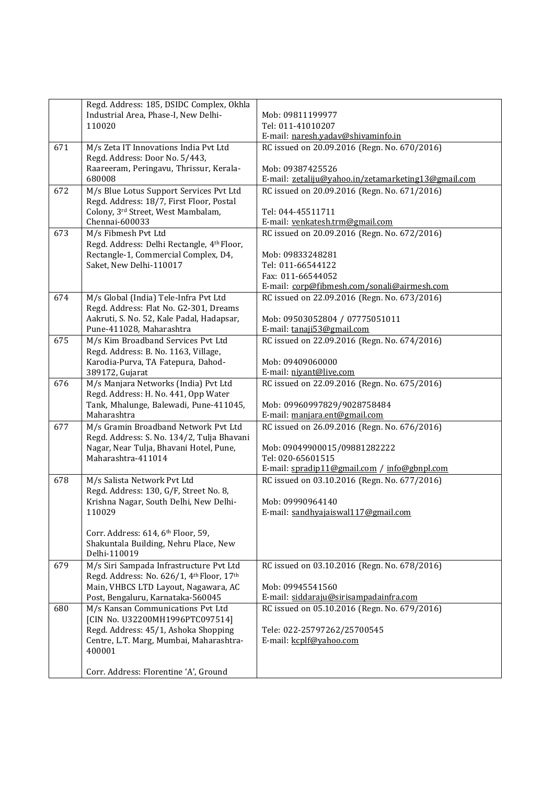|     | Regd. Address: 185, DSIDC Complex, Okhla<br>Industrial Area, Phase-I, New Delhi-<br>110020                                                                                                                               | Mob: 09811199977<br>Tel: 011-41010207<br>E-mail: naresh.yadav@shivaminfo.in                                                                               |
|-----|--------------------------------------------------------------------------------------------------------------------------------------------------------------------------------------------------------------------------|-----------------------------------------------------------------------------------------------------------------------------------------------------------|
| 671 | M/s Zeta IT Innovations India Pvt Ltd<br>Regd. Address: Door No. 5/443,<br>Raareeram, Peringavu, Thrissur, Kerala-<br>680008                                                                                             | RC issued on 20.09.2016 (Regn. No. 670/2016)<br>Mob: 09387425526<br>E-mail: zetaliju@yahoo.in/zetamarketing13@gmail.com                                   |
| 672 | M/s Blue Lotus Support Services Pvt Ltd<br>Regd. Address: 18/7, First Floor, Postal<br>Colony, 3rd Street, West Mambalam,<br>Chennai-600033                                                                              | RC issued on 20.09.2016 (Regn. No. 671/2016)<br>Tel: 044-45511711<br>E-mail: venkatesh.trm@gmail.com                                                      |
| 673 | M/s Fibmesh Pvt Ltd<br>Regd. Address: Delhi Rectangle, 4th Floor,<br>Rectangle-1, Commercial Complex, D4,<br>Saket, New Delhi-110017                                                                                     | RC issued on 20.09.2016 (Regn. No. 672/2016)<br>Mob: 09833248281<br>Tel: 011-66544122<br>Fax: 011-66544052<br>E-mail: corp@fibmesh.com/sonali@airmesh.com |
| 674 | M/s Global (India) Tele-Infra Pvt Ltd<br>Regd. Address: Flat No. G2-301, Dreams<br>Aakruti, S. No. 52, Kale Padal, Hadapsar,<br>Pune-411028, Maharashtra                                                                 | RC issued on 22.09.2016 (Regn. No. 673/2016)<br>Mob: 09503052804 / 07775051011<br>E-mail: tanaji53@gmail.com                                              |
| 675 | M/s Kim Broadband Services Pvt Ltd<br>Regd. Address: B. No. 1163, Village,<br>Karodia-Purva, TA Fatepura, Dahod-<br>389172, Gujarat                                                                                      | RC issued on 22.09.2016 (Regn. No. 674/2016)<br>Mob: 09409060000<br>E-mail: niyant@live.com                                                               |
| 676 | M/s Manjara Networks (India) Pvt Ltd<br>Regd. Address: H. No. 441, Opp Water<br>Tank, Mhalunge, Balewadi, Pune-411045,<br>Maharashtra                                                                                    | RC issued on 22.09.2016 (Regn. No. 675/2016)<br>Mob: 09960997829/9028758484<br>E-mail: manjara.ent@gmail.com                                              |
| 677 | M/s Gramin Broadband Network Pvt Ltd<br>Regd. Address: S. No. 134/2, Tulja Bhavani<br>Nagar, Near Tulja, Bhavani Hotel, Pune,<br>Maharashtra-411014                                                                      | RC issued on 26.09.2016 (Regn. No. 676/2016)<br>Mob: 09049900015/09881282222<br>Tel: 020-65601515<br>E-mail: spradip11@gmail.com / info@gbnpl.com         |
| 678 | M/s Salista Network Pvt Ltd<br>Regd. Address: 130, G/F, Street No. 8,<br>Krishna Nagar, South Delhi, New Delhi-<br>110029<br>Corr. Address: 614, 6th Floor, 59,<br>Shakuntala Building, Nehru Place, New<br>Delhi-110019 | RC issued on 03.10.2016 (Regn. No. 677/2016)<br>Mob: 09990964140<br>E-mail: sandhyajaiswal117@gmail.com                                                   |
| 679 | M/s Siri Sampada Infrastructure Pvt Ltd<br>Regd. Address: No. 626/1, 4th Floor, 17th<br>Main, VHBCS LTD Layout, Nagawara, AC<br>Post, Bengaluru, Karnataka-560045                                                        | RC issued on 03.10.2016 (Regn. No. 678/2016)<br>Mob: 09945541560<br>E-mail: siddaraju@sirisampadainfra.com                                                |
| 680 | M/s Kansan Communications Pvt Ltd<br>[CIN No. U32200MH1996PTC097514]<br>Regd. Address: 45/1, Ashoka Shopping<br>Centre, L.T. Marg, Mumbai, Maharashtra-<br>400001<br>Corr. Address: Florentine 'A', Ground               | RC issued on 05.10.2016 (Regn. No. 679/2016)<br>Tele: 022-25797262/25700545<br>E-mail: kcplf@yahoo.com                                                    |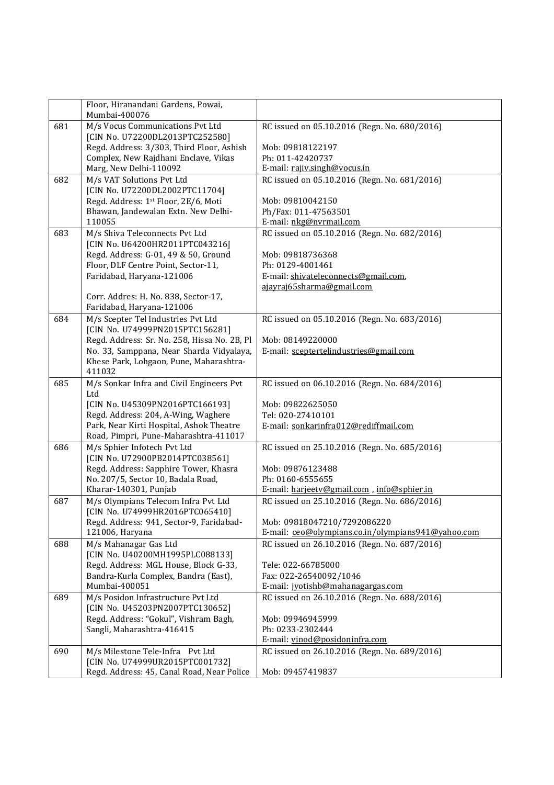|     | Floor, Hiranandani Gardens, Powai,<br>Mumbai-400076                                 |                                                                                            |
|-----|-------------------------------------------------------------------------------------|--------------------------------------------------------------------------------------------|
| 681 | M/s Vocus Communications Pvt Ltd                                                    | RC issued on 05.10.2016 (Regn. No. 680/2016)                                               |
|     | [CIN No. U72200DL2013PTC252580]                                                     |                                                                                            |
|     | Regd. Address: 3/303, Third Floor, Ashish                                           | Mob: 09818122197                                                                           |
|     | Complex, New Rajdhani Enclave, Vikas                                                | Ph: 011-42420737<br>E-mail: rajiv.singh@vocus.in                                           |
| 682 | Marg, New Delhi-110092<br>M/s VAT Solutions Pvt Ltd                                 | RC issued on 05.10.2016 (Regn. No. 681/2016)                                               |
|     | [CIN No. U72200DL2002PTC11704]                                                      |                                                                                            |
|     | Regd. Address: 1st Floor, 2E/6, Moti                                                | Mob: 09810042150                                                                           |
|     | Bhawan, Jandewalan Extn. New Delhi-                                                 | Ph/Fax: 011-47563501                                                                       |
|     | 110055                                                                              | E-mail: nkg@nvrmail.com                                                                    |
| 683 | M/s Shiva Teleconnects Pvt Ltd                                                      | RC issued on 05.10.2016 (Regn. No. 682/2016)                                               |
|     | [CIN No. U64200HR2011PTC043216]                                                     |                                                                                            |
|     | Regd. Address: G-01, 49 & 50, Ground                                                | Mob: 09818736368                                                                           |
|     | Floor, DLF Centre Point, Sector-11,                                                 | Ph: 0129-4001461                                                                           |
|     | Faridabad, Haryana-121006                                                           | E-mail: shivateleconnects@gmail.com,<br>ajayraj65sharma@gmail.com                          |
|     | Corr. Addres: H. No. 838, Sector-17,                                                |                                                                                            |
|     | Faridabad, Haryana-121006                                                           |                                                                                            |
| 684 | M/s Scepter Tel Industries Pvt Ltd                                                  | RC issued on 05.10.2016 (Regn. No. 683/2016)                                               |
|     | [CIN No. U74999PN2015PTC156281]                                                     |                                                                                            |
|     | Regd. Address: Sr. No. 258, Hissa No. 2B, Pl                                        | Mob: 08149220000                                                                           |
|     | No. 33, Samppana, Near Sharda Vidyalaya,<br>Khese Park, Lohgaon, Pune, Maharashtra- | E-mail: sceptertelindustries@gmail.com                                                     |
|     | 411032                                                                              |                                                                                            |
| 685 | M/s Sonkar Infra and Civil Engineers Pvt                                            | RC issued on 06.10.2016 (Regn. No. 684/2016)                                               |
|     | Ltd                                                                                 |                                                                                            |
|     | [CIN No. U45309PN2016PTC166193]                                                     | Mob: 09822625050                                                                           |
|     | Regd. Address: 204, A-Wing, Waghere<br>Park, Near Kirti Hospital, Ashok Theatre     | Tel: 020-27410101                                                                          |
|     | Road, Pimpri, Pune-Maharashtra-411017                                               | E-mail: sonkarinfra012@rediffmail.com                                                      |
| 686 | M/s Sphier Infotech Pvt Ltd                                                         | RC issued on 25.10.2016 (Regn. No. 685/2016)                                               |
|     | [CIN No. U72900PB2014PTC038561]                                                     |                                                                                            |
|     | Regd. Address: Sapphire Tower, Khasra                                               | Mob: 09876123488                                                                           |
|     | No. 207/5, Sector 10, Badala Road,                                                  | Ph: 0160-6555655                                                                           |
|     | Kharar-140301, Punjab                                                               | E-mail: harjeetv@gmail.com, info@sphier.in<br>RC issued on 25.10.2016 (Regn. No. 686/2016) |
| 687 | M/s Olympians Telecom Infra Pvt Ltd<br>[CIN No. U74999HR2016PTC065410]              |                                                                                            |
|     | Regd. Address: 941, Sector-9, Faridabad-                                            | Mob: 09818047210/7292086220                                                                |
|     | 121006, Haryana                                                                     | E-mail: ceo@olympians.co.in/olympians941@yahoo.com                                         |
| 688 | M/s Mahanagar Gas Ltd                                                               | RC issued on 26.10.2016 (Regn. No. 687/2016)                                               |
|     | [CIN No. U40200MH1995PLC088133]                                                     |                                                                                            |
|     | Regd. Address: MGL House, Block G-33,                                               | Tele: 022-66785000                                                                         |
|     | Bandra-Kurla Complex, Bandra (East),<br>Mumbai-400051                               | Fax: 022-26540092/1046<br>E-mail: jyotishb@mahanagargas.com                                |
| 689 | M/s Posidon Infrastructure Pvt Ltd                                                  | RC issued on 26.10.2016 (Regn. No. 688/2016)                                               |
|     | [CIN No. U45203PN2007PTC130652]                                                     |                                                                                            |
|     | Regd. Address: "Gokul", Vishram Bagh,                                               | Mob: 09946945999                                                                           |
|     | Sangli, Maharashtra-416415                                                          | Ph: 0233-2302444                                                                           |
|     |                                                                                     | E-mail: vinod@posidoninfra.com                                                             |
| 690 | M/s Milestone Tele-Infra Pvt Ltd                                                    | RC issued on 26.10.2016 (Regn. No. 689/2016)                                               |
|     | [CIN No. U74999UR2015PTC001732]                                                     |                                                                                            |
|     | Regd. Address: 45, Canal Road, Near Police                                          | Mob: 09457419837                                                                           |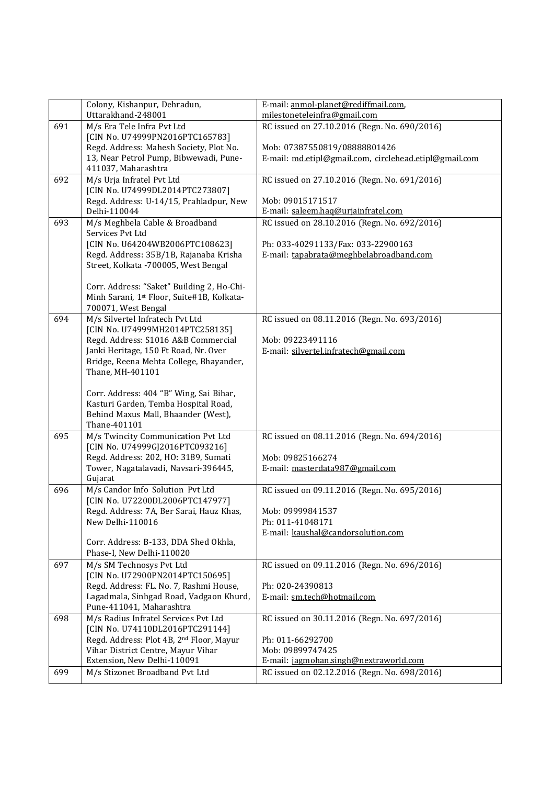|     | Colony, Kishanpur, Dehradun,                                               | E-mail: anmol-planet@rediffmail.com,                                                   |
|-----|----------------------------------------------------------------------------|----------------------------------------------------------------------------------------|
|     | Uttarakhand-248001                                                         | milestoneteleinfra@gmail.com                                                           |
| 691 | M/s Era Tele Infra Pvt Ltd                                                 | RC issued on 27.10.2016 (Regn. No. 690/2016)                                           |
|     | [CIN No. U74999PN2016PTC165783]<br>Regd. Address: Mahesh Society, Plot No. |                                                                                        |
|     | 13, Near Petrol Pump, Bibwewadi, Pune-                                     | Mob: 07387550819/08888801426<br>E-mail: md.etipl@gmail.com, circlehead.etipl@gmail.com |
|     | 411037, Maharashtra                                                        |                                                                                        |
| 692 | M/s Urja Infratel Pvt Ltd                                                  | RC issued on 27.10.2016 (Regn. No. 691/2016)                                           |
|     | [CIN No. U74999DL2014PTC273807]                                            |                                                                                        |
|     | Regd. Address: U-14/15, Prahladpur, New                                    | Mob: 09015171517                                                                       |
|     | Delhi-110044                                                               | E-mail: saleem.haq@urjainfratel.com                                                    |
| 693 | M/s Meghbela Cable & Broadband                                             | RC issued on 28.10.2016 (Regn. No. 692/2016)                                           |
|     | Services Pvt Ltd<br>[CIN No. U64204WB2006PTC108623]                        |                                                                                        |
|     | Regd. Address: 35B/1B, Rajanaba Krisha                                     | Ph: 033-40291133/Fax: 033-22900163<br>E-mail: tapabrata@meghbelabroadband.com          |
|     | Street, Kolkata -700005, West Bengal                                       |                                                                                        |
|     |                                                                            |                                                                                        |
|     | Corr. Address: "Saket" Building 2, Ho-Chi-                                 |                                                                                        |
|     | Minh Sarani, 1st Floor, Suite#1B, Kolkata-                                 |                                                                                        |
|     | 700071, West Bengal                                                        |                                                                                        |
| 694 | M/s Silvertel Infratech Pvt Ltd                                            | RC issued on 08.11.2016 (Regn. No. 693/2016)                                           |
|     | [CIN No. U74999MH2014PTC258135]<br>Regd. Address: S1016 A&B Commercial     | Mob: 09223491116                                                                       |
|     | Janki Heritage, 150 Ft Road, Nr. Over                                      | E-mail: silvertel.infratech@gmail.com                                                  |
|     | Bridge, Reena Mehta College, Bhayander,                                    |                                                                                        |
|     | Thane, MH-401101                                                           |                                                                                        |
|     |                                                                            |                                                                                        |
|     | Corr. Address: 404 "B" Wing, Sai Bihar,                                    |                                                                                        |
|     | Kasturi Garden, Temba Hospital Road,                                       |                                                                                        |
|     | Behind Maxus Mall, Bhaander (West),<br>Thane-401101                        |                                                                                        |
| 695 | M/s Twincity Communication Pvt Ltd                                         | RC issued on 08.11.2016 (Regn. No. 694/2016)                                           |
|     | [CIN No. U74999GJ2016PTC093216]                                            |                                                                                        |
|     | Regd. Address: 202, HO: 3189, Sumati                                       | Mob: 09825166274                                                                       |
|     | Tower, Nagatalavadi, Navsari-396445,                                       | E-mail: masterdata987@gmail.com                                                        |
|     | Gujarat                                                                    |                                                                                        |
| 696 | M/s Candor Info Solution Pvt Ltd<br>[CIN No. U72200DL2006PTC147977]        | RC issued on 09.11.2016 (Regn. No. 695/2016)                                           |
|     | Regd. Address: 7A, Ber Sarai, Hauz Khas,                                   | Mob: 09999841537                                                                       |
|     | New Delhi-110016                                                           | Ph: 011-41048171                                                                       |
|     |                                                                            | E-mail: kaushal@candorsolution.com                                                     |
|     | Corr. Address: B-133, DDA Shed Okhla,                                      |                                                                                        |
|     | Phase-I, New Delhi-110020                                                  |                                                                                        |
| 697 | M/s SM Technosys Pvt Ltd                                                   | RC issued on 09.11.2016 (Regn. No. 696/2016)                                           |
|     | [CIN No. U72900PN2014PTC150695]<br>Regd. Address: FL. No. 7, Rashmi House, | Ph: 020-24390813                                                                       |
|     | Lagadmala, Sinhgad Road, Vadgaon Khurd,                                    | E-mail: sm.tech@hotmail.com                                                            |
|     | Pune-411041, Maharashtra                                                   |                                                                                        |
| 698 | M/s Radius Infratel Services Pvt Ltd                                       | RC issued on 30.11.2016 (Regn. No. 697/2016)                                           |
|     | [CIN No. U74110DL2016PTC291144]                                            |                                                                                        |
|     | Regd. Address: Plot 4B, 2 <sup>nd</sup> Floor, Mayur                       | Ph: 011-66292700                                                                       |
|     | Vihar District Centre, Mayur Vihar                                         | Mob: 09899747425                                                                       |
|     | Extension, New Delhi-110091                                                | E-mail: jagmohan.singh@nextraworld.com                                                 |
| 699 | M/s Stizonet Broadband Pvt Ltd                                             | RC issued on 02.12.2016 (Regn. No. 698/2016)                                           |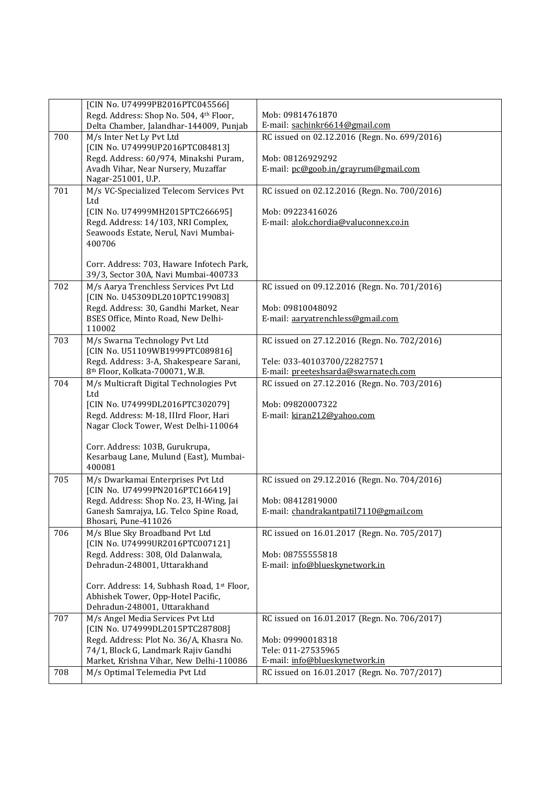|     | [CIN No. U74999PB2016PTC045566]                                                   |                                                          |
|-----|-----------------------------------------------------------------------------------|----------------------------------------------------------|
|     | Regd. Address: Shop No. 504, 4th Floor,                                           | Mob: 09814761870                                         |
|     | Delta Chamber, Jalandhar-144009, Punjab                                           | E-mail: sachinkr6614@gmail.com                           |
| 700 | M/s Inter Net Ly Pvt Ltd                                                          | RC issued on 02.12.2016 (Regn. No. 699/2016)             |
|     | [CIN No. U74999UP2016PTC084813]                                                   |                                                          |
|     | Regd. Address: 60/974, Minakshi Puram,<br>Avadh Vihar, Near Nursery, Muzaffar     | Mob: 08126929292<br>E-mail: pc@goob.in/grayrum@gmail.com |
|     | Nagar-251001, U.P.                                                                |                                                          |
| 701 | M/s VC-Specialized Telecom Services Pvt                                           | RC issued on 02.12.2016 (Regn. No. 700/2016)             |
|     | Ltd                                                                               |                                                          |
|     | [CIN No. U74999MH2015PTC266695]                                                   | Mob: 09223416026                                         |
|     | Regd. Address: 14/103, NRI Complex,                                               | E-mail: alok.chordia@valuconnex.co.in                    |
|     | Seawoods Estate, Nerul, Navi Mumbai-<br>400706                                    |                                                          |
|     |                                                                                   |                                                          |
|     | Corr. Address: 703, Haware Infotech Park,                                         |                                                          |
|     | 39/3, Sector 30A, Navi Mumbai-400733                                              |                                                          |
| 702 | M/s Aarya Trenchless Services Pvt Ltd                                             | RC issued on 09.12.2016 (Regn. No. 701/2016)             |
|     | [CIN No. U45309DL2010PTC199083]<br>Regd. Address: 30, Gandhi Market, Near         | Mob: 09810048092                                         |
|     | BSES Office, Minto Road, New Delhi-                                               | E-mail: aaryatrenchless@gmail.com                        |
|     | 110002                                                                            |                                                          |
| 703 | M/s Swarna Technology Pvt Ltd                                                     | RC issued on 27.12.2016 (Regn. No. 702/2016)             |
|     | [CIN No. U51109WB1999PTC089816]                                                   |                                                          |
|     | Regd. Address: 3-A, Shakespeare Sarani,                                           | Tele: 033-40103700/22827571                              |
|     | 8 <sup>th</sup> Floor, Kolkata-700071, W.B.                                       | E-mail: preeteshsarda@swarnatech.com                     |
| 704 | M/s Multicraft Digital Technologies Pvt<br>Ltd                                    | RC issued on 27.12.2016 (Regn. No. 703/2016)             |
|     | [CIN No. U74999DL2016PTC302079]                                                   | Mob: 09820007322                                         |
|     | Regd. Address: M-18, IIIrd Floor, Hari                                            | E-mail: kiran212@yahoo.com                               |
|     | Nagar Clock Tower, West Delhi-110064                                              |                                                          |
|     |                                                                                   |                                                          |
|     | Corr. Address: 103B, Gurukrupa,<br>Kesarbaug Lane, Mulund (East), Mumbai-         |                                                          |
|     | 400081                                                                            |                                                          |
| 705 | M/s Dwarkamai Enterprises Pvt Ltd                                                 | RC issued on 29.12.2016 (Regn. No. 704/2016)             |
|     | [CIN No. U74999PN2016PTC166419]                                                   |                                                          |
|     | Regd. Address: Shop No. 23, H-Wing, Jai                                           | Mob: 08412819000                                         |
|     | Ganesh Samrajya, LG. Telco Spine Road,                                            | E-mail: chandrakantpatil7110@gmail.com                   |
| 706 | Bhosari, Pune-411026<br>M/s Blue Sky Broadband Pvt Ltd                            | RC issued on 16.01.2017 (Regn. No. 705/2017)             |
|     | [CIN No. U74999UR2016PTC007121]                                                   |                                                          |
|     | Regd. Address: 308, Old Dalanwala,                                                | Mob: 08755555818                                         |
|     | Dehradun-248001, Uttarakhand                                                      | E-mail: info@blueskynetwork.in                           |
|     |                                                                                   |                                                          |
|     | Corr. Address: 14, Subhash Road, 1st Floor,<br>Abhishek Tower, Opp-Hotel Pacific, |                                                          |
|     | Dehradun-248001, Uttarakhand                                                      |                                                          |
| 707 | M/s Angel Media Services Pvt Ltd                                                  | RC issued on 16.01.2017 (Regn. No. 706/2017)             |
|     | [CIN No. U74999DL2015PTC287808]                                                   |                                                          |
|     | Regd. Address: Plot No. 36/A, Khasra No.                                          | Mob: 09990018318                                         |
|     | 74/1, Block G, Landmark Rajiv Gandhi                                              | Tele: 011-27535965                                       |
|     | Market, Krishna Vihar, New Delhi-110086                                           | E-mail: info@blueskynetwork.in                           |
| 708 | M/s Optimal Telemedia Pvt Ltd                                                     | RC issued on 16.01.2017 (Regn. No. 707/2017)             |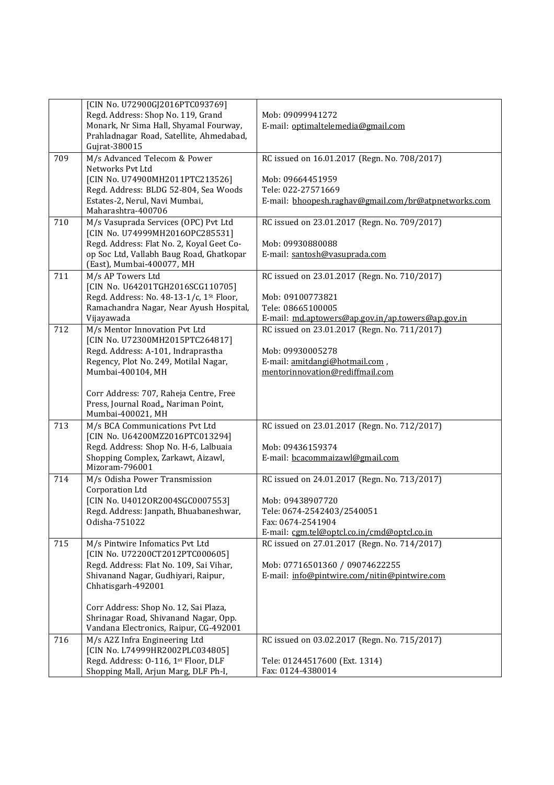|     | [CIN No. U72900GJ2016PTC093769]<br>Regd. Address: Shop No. 119, Grand        | Mob: 09099941272                                     |
|-----|------------------------------------------------------------------------------|------------------------------------------------------|
|     | Monark, Nr Sima Hall, Shyamal Fourway,                                       | E-mail: optimaltelemedia@gmail.com                   |
|     | Prahladnagar Road, Satellite, Ahmedabad,                                     |                                                      |
| 709 | Gujrat-380015<br>M/s Advanced Telecom & Power                                | RC issued on 16.01.2017 (Regn. No. 708/2017)         |
|     | Networks Pvt Ltd                                                             |                                                      |
|     | [CIN No. U74900MH2011PTC213526]                                              | Mob: 09664451959                                     |
|     | Regd. Address: BLDG 52-804, Sea Woods                                        | Tele: 022-27571669                                   |
|     | Estates-2, Nerul, Navi Mumbai,<br>Maharashtra-400706                         | E-mail: bhoopesh.raghav@gmail.com/br@atpnetworks.com |
| 710 | M/s Vasuprada Services (OPC) Pvt Ltd<br>[CIN No. U74999MH2016OPC285531]      | RC issued on 23.01.2017 (Regn. No. 709/2017)         |
|     | Regd. Address: Flat No. 2, Koyal Geet Co-                                    | Mob: 09930880088                                     |
|     | op Soc Ltd, Vallabh Baug Road, Ghatkopar                                     | E-mail: santosh@vasuprada.com                        |
|     | (East), Mumbai-400077, MH                                                    |                                                      |
| 711 | M/s AP Towers Ltd<br>[CIN No. U64201TGH2016SCG110705]                        | RC issued on 23.01.2017 (Regn. No. 710/2017)         |
|     | Regd. Address: No. 48-13-1/c, 1 <sup>st</sup> Floor,                         | Mob: 09100773821                                     |
|     | Ramachandra Nagar, Near Ayush Hospital,                                      | Tele: 08665100005                                    |
|     | Vijayawada                                                                   | E-mail: md.aptowers@ap.gov.in/ap.towers@ap.gov.in    |
| 712 | M/s Mentor Innovation Pvt Ltd<br>[CIN No. U72300MH2015PTC264817]             | RC issued on 23.01.2017 (Regn. No. 711/2017)         |
|     | Regd. Address: A-101, Indraprastha                                           | Mob: 09930005278                                     |
|     | Regency, Plot No. 249, Motilal Nagar,                                        | E-mail: amitdangi@hotmail.com,                       |
|     | Mumbai-400104, MH                                                            | mentorinnovation@rediffmail.com                      |
|     | Corr Address: 707, Raheja Centre, Free                                       |                                                      |
|     | Press, Journal Road,, Nariman Point,                                         |                                                      |
|     | Mumbai-400021, MH                                                            |                                                      |
| 713 | M/s BCA Communications Pvt Ltd<br>[CIN No. U64200MZ2016PTC013294]            | RC issued on 23.01.2017 (Regn. No. 712/2017)         |
|     | Regd. Address: Shop No. H-6, Lalbuaia                                        | Mob: 09436159374                                     |
|     | Shopping Complex, Zarkawt, Aizawl,<br>Mizoram-796001                         | E-mail: bcacommaizawl@gmail.com                      |
| 714 | M/s Odisha Power Transmission                                                | RC issued on 24.01.2017 (Regn. No. 713/2017)         |
|     | Corporation Ltd                                                              |                                                      |
|     | [CIN No. U40120R2004SGC0007553]<br>Regd. Address: Janpath, Bhuabaneshwar,    | Mob: 09438907720<br>Tele: 0674-2542403/2540051       |
|     | Odisha-751022                                                                | Fax: 0674-2541904                                    |
|     |                                                                              | E-mail: cgm.tel@optcl.co.in/cmd@optcl.co.in          |
| 715 | M/s Pintwire Infomatics Pvt Ltd                                              | RC issued on 27.01.2017 (Regn. No. 714/2017)         |
|     | [CIN No. U72200CT2012PTC000605]<br>Regd. Address: Flat No. 109, Sai Vihar,   | Mob: 07716501360 / 09074622255                       |
|     | Shivanand Nagar, Gudhiyari, Raipur,                                          | E-mail: info@pintwire.com/nitin@pintwire.com         |
|     | Chhatisgarh-492001                                                           |                                                      |
|     | Corr Address: Shop No. 12, Sai Plaza,                                        |                                                      |
|     | Shrinagar Road, Shivanand Nagar, Opp.                                        |                                                      |
|     | Vandana Electronics, Raipur, CG-492001                                       |                                                      |
| 716 | M/s A2Z Infra Engineering Ltd                                                | RC issued on 03.02.2017 (Regn. No. 715/2017)         |
|     | [CIN No. L74999HR2002PLC034805]                                              |                                                      |
|     | Regd. Address: 0-116, 1st Floor, DLF<br>Shopping Mall, Arjun Marg, DLF Ph-I, | Tele: 01244517600 (Ext. 1314)<br>Fax: 0124-4380014   |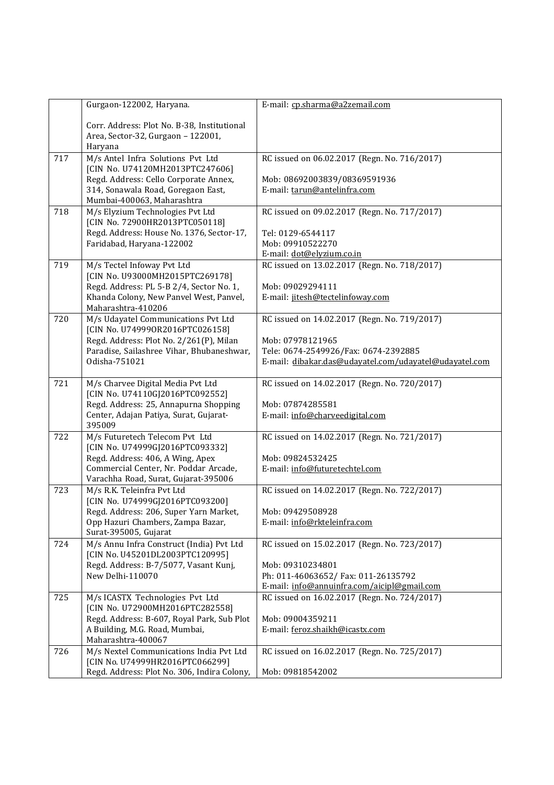|     | Gurgaon-122002, Haryana.                                                   | E-mail: cp.sharma@a2zemail.com                                                     |
|-----|----------------------------------------------------------------------------|------------------------------------------------------------------------------------|
|     | Corr. Address: Plot No. B-38, Institutional                                |                                                                                    |
|     | Area, Sector-32, Gurgaon - 122001,                                         |                                                                                    |
|     | Haryana                                                                    |                                                                                    |
| 717 | M/s Antel Infra Solutions Pvt Ltd                                          | RC issued on 06.02.2017 (Regn. No. 716/2017)                                       |
|     | [CIN No. U74120MH2013PTC247606]                                            |                                                                                    |
|     | Regd. Address: Cello Corporate Annex,                                      | Mob: 08692003839/08369591936                                                       |
|     | 314, Sonawala Road, Goregaon East,<br>Mumbai-400063, Maharashtra           | E-mail: tarun@antelinfra.com                                                       |
| 718 | M/s Elyzium Technologies Pvt Ltd                                           | RC issued on 09.02.2017 (Regn. No. 717/2017)                                       |
|     | [CIN No. 72900HR2013PTC050118]                                             |                                                                                    |
|     | Regd. Address: House No. 1376, Sector-17,                                  | Tel: 0129-6544117                                                                  |
|     | Faridabad, Haryana-122002                                                  | Mob: 09910522270                                                                   |
|     |                                                                            | E-mail: dot@elyzium.co.in                                                          |
| 719 | M/s Tectel Infoway Pvt Ltd                                                 | RC issued on 13.02.2017 (Regn. No. 718/2017)                                       |
|     | [CIN No. U93000MH2015PTC269178]                                            |                                                                                    |
|     | Regd. Address: PL 5-B 2/4, Sector No. 1,                                   | Mob: 09029294111                                                                   |
|     | Khanda Colony, New Panvel West, Panvel,<br>Maharashtra-410206              | E-mail: jitesh@tectelinfoway.com                                                   |
| 720 | M/s Udayatel Communications Pvt Ltd                                        | RC issued on 14.02.2017 (Regn. No. 719/2017)                                       |
|     | [CIN No. U749990R2016PTC026158]                                            |                                                                                    |
|     | Regd. Address: Plot No. 2/261(P), Milan                                    | Mob: 07978121965                                                                   |
|     | Paradise, Sailashree Vihar, Bhubaneshwar,                                  | Tele: 0674-2549926/Fax: 0674-2392885                                               |
|     | Odisha-751021                                                              | E-mail: dibakar.das@udayatel.com/udayatel@udayatel.com                             |
| 721 | M/s Charvee Digital Media Pvt Ltd                                          | RC issued on 14.02.2017 (Regn. No. 720/2017)                                       |
|     | [CIN No. U74110GJ2016PTC092552]                                            |                                                                                    |
|     | Regd. Address: 25, Annapurna Shopping                                      | Mob: 07874285581                                                                   |
|     | Center, Adajan Patiya, Surat, Gujarat-<br>395009                           | E-mail: info@charveedigital.com                                                    |
| 722 | M/s Futuretech Telecom Pvt Ltd                                             | RC issued on 14.02.2017 (Regn. No. 721/2017)                                       |
|     | [CIN No. U74999GJ2016PTC093332]                                            |                                                                                    |
|     | Regd. Address: 406, A Wing, Apex                                           | Mob: 09824532425                                                                   |
|     | Commercial Center, Nr. Poddar Arcade,                                      | E-mail: info@futuretechtel.com                                                     |
|     | Varachha Road, Surat, Gujarat-395006                                       |                                                                                    |
| 723 | M/s R.K. Teleinfra Pvt Ltd                                                 | RC issued on 14.02.2017 (Regn. No. 722/2017)                                       |
|     | [CIN No. U74999GJ2016PTC093200]<br>Regd. Address: 206, Super Yarn Market,  | Mob: 09429508928                                                                   |
|     | Opp Hazuri Chambers, Zampa Bazar,                                          | E-mail: info@rkteleinfra.com                                                       |
|     | Surat-395005, Gujarat                                                      |                                                                                    |
| 724 | M/s Annu Infra Construct (India) Pvt Ltd                                   | RC issued on 15.02.2017 (Regn. No. 723/2017)                                       |
|     | [CIN No. U45201DL2003PTC120995]                                            |                                                                                    |
|     | Regd. Address: B-7/5077, Vasant Kunj,                                      | Mob: 09310234801                                                                   |
|     | New Delhi-110070                                                           | Ph: 011-46063652/ Fax: 011-26135792<br>E-mail: info@annuinfra.com/aicipl@gmail.com |
| 725 | M/s ICASTX Technologies Pvt Ltd                                            | RC issued on 16.02.2017 (Regn. No. 724/2017)                                       |
|     | [CIN No. U72900MH2016PTC282558]                                            |                                                                                    |
|     | Regd. Address: B-607, Royal Park, Sub Plot                                 | Mob: 09004359211                                                                   |
|     | A Building, M.G. Road, Mumbai,                                             | E-mail: feroz.shaikh@icastx.com                                                    |
|     | Maharashtra-400067                                                         |                                                                                    |
| 726 | M/s Nextel Communications India Pvt Ltd<br>[CIN No. U74999HR2016PTC066299] | RC issued on 16.02.2017 (Regn. No. 725/2017)                                       |
|     | Regd. Address: Plot No. 306, Indira Colony,                                | Mob: 09818542002                                                                   |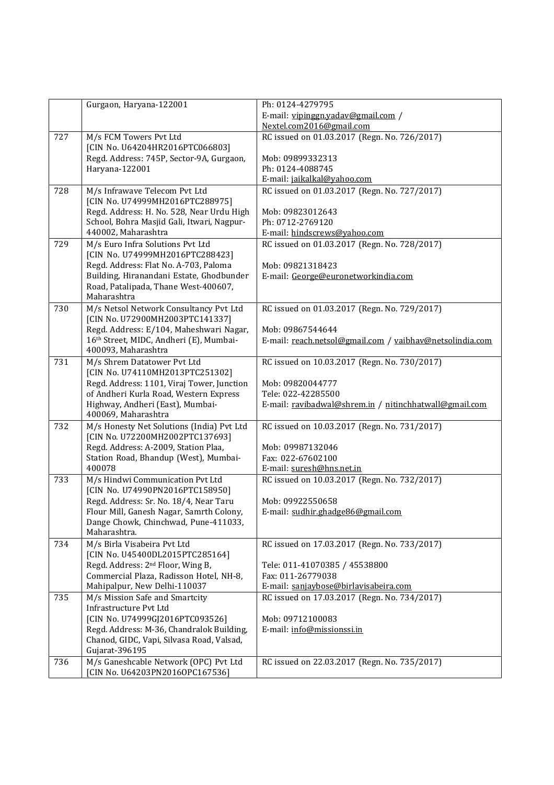|     | Gurgaon, Haryana-122001                                                          | Ph: 0124-4279795                                         |
|-----|----------------------------------------------------------------------------------|----------------------------------------------------------|
|     |                                                                                  | E-mail: vipinggn.vadav@gmail.com /                       |
|     |                                                                                  | Nextel.com2016@gmail.com                                 |
| 727 | M/s FCM Towers Pvt Ltd                                                           | RC issued on 01.03.2017 (Regn. No. 726/2017)             |
|     | [CIN No. U64204HR2016PTC066803]                                                  |                                                          |
|     | Regd. Address: 745P, Sector-9A, Gurgaon,                                         | Mob: 09899332313                                         |
|     | Haryana-122001                                                                   | Ph: 0124-4088745                                         |
|     |                                                                                  | E-mail: jaikalkal@yahoo.com                              |
| 728 | M/s Infrawave Telecom Pvt Ltd                                                    | RC issued on 01.03.2017 (Regn. No. 727/2017)             |
|     | [CIN No. U74999MH2016PTC288975]                                                  |                                                          |
|     | Regd. Address: H. No. 528, Near Urdu High                                        | Mob: 09823012643                                         |
|     | School, Bohra Masjid Gali, Itwari, Nagpur-                                       | Ph: 0712-2769120                                         |
|     | 440002, Maharashtra                                                              | E-mail: hindscrews@vahoo.com                             |
| 729 | M/s Euro Infra Solutions Pvt Ltd                                                 | RC issued on 01.03.2017 (Regn. No. 728/2017)             |
|     | [CIN No. U74999MH2016PTC288423]                                                  |                                                          |
|     | Regd. Address: Flat No. A-703, Paloma                                            | Mob: 09821318423                                         |
|     | Building, Hiranandani Estate, Ghodbunder                                         | E-mail: George@euronetworkindia.com                      |
|     | Road, Patalipada, Thane West-400607,<br>Maharashtra                              |                                                          |
|     |                                                                                  | RC issued on 01.03.2017 (Regn. No. 729/2017)             |
| 730 | M/s Netsol Network Consultancy Pvt Ltd<br>[CIN No. U72900MH2003PTC141337]        |                                                          |
|     | Regd. Address: E/104, Maheshwari Nagar,                                          | Mob: 09867544644                                         |
|     | 16th Street, MIDC, Andheri (E), Mumbai-                                          | E-mail: reach.netsol@gmail.com / vaibhav@netsolindia.com |
|     | 400093, Maharashtra                                                              |                                                          |
| 731 | M/s Shrem Datatower Pvt Ltd                                                      | RC issued on 10.03.2017 (Regn. No. 730/2017)             |
|     | [CIN No. U74110MH2013PTC251302]                                                  |                                                          |
|     | Regd. Address: 1101, Viraj Tower, Junction                                       | Mob: 09820044777                                         |
|     | of Andheri Kurla Road, Western Express                                           | Tele: 022-42285500                                       |
|     | Highway, Andheri (East), Mumbai-                                                 | E-mail: ravibadwal@shrem.in / nitinchhatwall@gmail.com   |
|     | 400069, Maharashtra                                                              |                                                          |
| 732 | M/s Honesty Net Solutions (India) Pvt Ltd                                        | RC issued on 10.03.2017 (Regn. No. 731/2017)             |
|     | [CIN No. U72200MH2002PTC137693]                                                  |                                                          |
|     | Regd. Address: A-2009, Station Plaa,                                             | Mob: 09987132046                                         |
|     | Station Road, Bhandup (West), Mumbai-                                            | Fax: 022-67602100                                        |
|     | 400078                                                                           | E-mail: suresh@hns.net.in                                |
| 733 | M/s Hindwi Communication Pvt Ltd                                                 | RC issued on 10.03.2017 (Regn. No. 732/2017)             |
|     | [CIN No. U74990PN2016PTC158950]                                                  |                                                          |
|     | Regd. Address: Sr. No. 18/4, Near Taru                                           | Mob: 09922550658                                         |
|     | Flour Mill, Ganesh Nagar, Samrth Colony,<br>Dange Chowk, Chinchwad, Pune-411033, | E-mail: sudhir.ghadge86@gmail.com                        |
|     | Maharashtra.                                                                     |                                                          |
| 734 | M/s Birla Visabeira Pvt Ltd                                                      | RC issued on 17.03.2017 (Regn. No. 733/2017)             |
|     | [CIN No. U45400DL2015PTC285164]                                                  |                                                          |
|     | Regd. Address: 2 <sup>nd</sup> Floor, Wing B,                                    | Tele: 011-41070385 / 45538800                            |
|     | Commercial Plaza, Radisson Hotel, NH-8,                                          | Fax: 011-26779038                                        |
|     | Mahipalpur, New Delhi-110037                                                     | E-mail: sanjaybose@birlavisabeira.com                    |
| 735 | M/s Mission Safe and Smartcity                                                   | RC issued on 17.03.2017 (Regn. No. 734/2017)             |
|     | Infrastructure Pvt Ltd                                                           |                                                          |
|     | [CIN No. U74999GJ2016PTC093526]                                                  | Mob: 09712100083                                         |
|     | Regd. Address: M-36, Chandralok Building,                                        | E-mail: info@missionssi.in                               |
|     | Chanod, GIDC, Vapi, Silvasa Road, Valsad,                                        |                                                          |
|     | Gujarat-396195                                                                   |                                                          |
| 736 | M/s Ganeshcable Network (OPC) Pvt Ltd                                            | RC issued on 22.03.2017 (Regn. No. 735/2017)             |
|     | [CIN No. U64203PN2016OPC167536]                                                  |                                                          |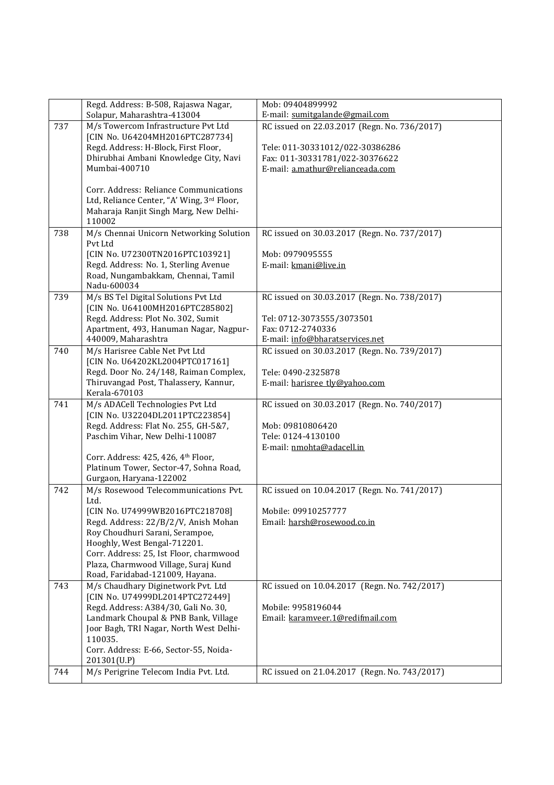|     | Regd. Address: B-508, Rajaswa Nagar,<br>Solapur, Maharashtra-413004     | Mob: 09404899992<br>E-mail: sumitgalande@gmail.com |
|-----|-------------------------------------------------------------------------|----------------------------------------------------|
| 737 | M/s Towercom Infrastructure Pvt Ltd                                     | RC issued on 22.03.2017 (Regn. No. 736/2017)       |
|     | [CIN No. U64204MH2016PTC287734]                                         |                                                    |
|     | Regd. Address: H-Block, First Floor,                                    | Tele: 011-30331012/022-30386286                    |
|     | Dhirubhai Ambani Knowledge City, Navi                                   | Fax: 011-30331781/022-30376622                     |
|     | Mumbai-400710                                                           | E-mail: a.mathur@relianceada.com                   |
|     | Corr. Address: Reliance Communications                                  |                                                    |
|     | Ltd, Reliance Center, "A' Wing, 3rd Floor,                              |                                                    |
|     | Maharaja Ranjit Singh Marg, New Delhi-                                  |                                                    |
|     | 110002                                                                  |                                                    |
| 738 | M/s Chennai Unicorn Networking Solution<br>Pvt Ltd                      | RC issued on 30.03.2017 (Regn. No. 737/2017)       |
|     | [CIN No. U72300TN2016PTC103921]                                         | Mob: 0979095555                                    |
|     | Regd. Address: No. 1, Sterling Avenue                                   | E-mail: kmani@live.in                              |
|     | Road, Nungambakkam, Chennai, Tamil                                      |                                                    |
|     | Nadu-600034                                                             |                                                    |
| 739 | M/s BS Tel Digital Solutions Pvt Ltd<br>[CIN No. U64100MH2016PTC285802] | RC issued on 30.03.2017 (Regn. No. 738/2017)       |
|     | Regd. Address: Plot No. 302, Sumit                                      | Tel: 0712-3073555/3073501                          |
|     | Apartment, 493, Hanuman Nagar, Nagpur-                                  | Fax: 0712-2740336                                  |
|     | 440009, Maharashtra                                                     | E-mail: info@bharatservices.net                    |
| 740 | M/s Harisree Cable Net Pvt Ltd                                          | RC issued on 30.03.2017 (Regn. No. 739/2017)       |
|     | [CIN No. U64202KL2004PTC017161]                                         |                                                    |
|     | Regd. Door No. 24/148, Raiman Complex,                                  | Tele: 0490-2325878                                 |
|     | Thiruvangad Post, Thalassery, Kannur,<br>Kerala-670103                  | E-mail: harisree tly@yahoo.com                     |
| 741 | M/s ADACell Technologies Pvt Ltd                                        | RC issued on 30.03.2017 (Regn. No. 740/2017)       |
|     | [CIN No. U32204DL2011PTC223854]                                         |                                                    |
|     | Regd. Address: Flat No. 255, GH-5&7,                                    | Mob: 09810806420                                   |
|     | Paschim Vihar, New Delhi-110087                                         | Tele: 0124-4130100                                 |
|     | Corr. Address: 425, 426, 4th Floor,                                     | E-mail: nmohta@adacell.in                          |
|     | Platinum Tower, Sector-47, Sohna Road,                                  |                                                    |
|     | Gurgaon, Haryana-122002                                                 |                                                    |
| 742 | M/s Rosewood Telecommunications Pvt.                                    | RC issued on 10.04.2017 (Regn. No. 741/2017)       |
|     | Ltd.<br>[CIN No. U74999WB2016PTC218708]                                 | Mobile: 09910257777                                |
|     | Regd. Address: 22/B/2/V, Anish Mohan                                    | Email: harsh@rosewood.co.in                        |
|     | Roy Choudhuri Sarani, Serampoe,                                         |                                                    |
|     | Hooghly, West Bengal-712201.                                            |                                                    |
|     | Corr. Address: 25, Ist Floor, charmwood                                 |                                                    |
|     | Plaza, Charmwood Village, Suraj Kund                                    |                                                    |
|     | Road, Faridabad-121009, Hayana.                                         |                                                    |
| 743 | M/s Chaudhary Diginetwork Pvt. Ltd<br>[CIN No. U74999DL2014PTC272449]   | RC issued on 10.04.2017 (Regn. No. 742/2017)       |
|     | Regd. Address: A384/30, Gali No. 30,                                    | Mobile: 9958196044                                 |
|     | Landmark Choupal & PNB Bank, Village                                    | Email: karamveer.1@redifmail.com                   |
|     | Joor Bagh, TRI Nagar, North West Delhi-                                 |                                                    |
|     | 110035.                                                                 |                                                    |
|     | Corr. Address: E-66, Sector-55, Noida-                                  |                                                    |
| 744 | 201301(U.P)<br>M/s Perigrine Telecom India Pvt. Ltd.                    | RC issued on 21.04.2017 (Regn. No. 743/2017)       |
|     |                                                                         |                                                    |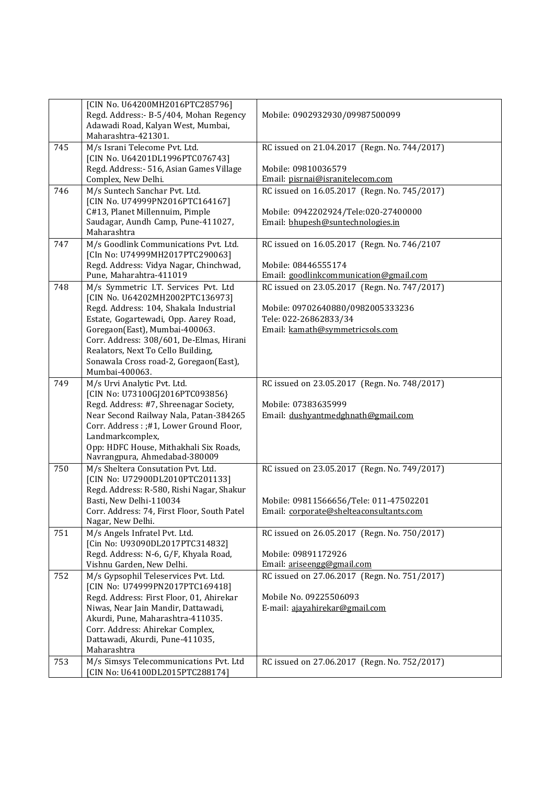|     | [CIN No. U64200MH2016PTC285796]<br>Regd. Address:- B-5/404, Mohan Regency<br>Adawadi Road, Kalyan West, Mumbai,<br>Maharashtra-421301. | Mobile: 0902932930/09987500099                                                         |
|-----|----------------------------------------------------------------------------------------------------------------------------------------|----------------------------------------------------------------------------------------|
| 745 | M/s Israni Telecome Pvt. Ltd.                                                                                                          | RC issued on 21.04.2017 (Regn. No. 744/2017)                                           |
|     | [CIN No. U64201DL1996PTC076743]<br>Regd. Address: - 516, Asian Games Village<br>Complex, New Delhi.                                    | Mobile: 09810036579<br>Email: pisrnai@isranitelecom.com                                |
| 746 | M/s Suntech Sanchar Pvt. Ltd.                                                                                                          | RC issued on 16.05.2017 (Regn. No. 745/2017)                                           |
|     | [CIN No. U74999PN2016PTC164167]                                                                                                        |                                                                                        |
|     | C#13, Planet Millennuim, Pimple                                                                                                        | Mobile: 0942202924/Tele:020-27400000                                                   |
|     | Saudagar, Aundh Camp, Pune-411027,<br>Maharashtra                                                                                      | Email: bhupesh@suntechnologies.in                                                      |
| 747 | M/s Goodlink Communications Pvt. Ltd.                                                                                                  | RC issued on 16.05.2017 (Regn. No. 746/2107                                            |
|     | [CIn No: U74999MH2017PTC290063]                                                                                                        |                                                                                        |
|     | Regd. Address: Vidya Nagar, Chinchwad,                                                                                                 | Mobile: 08446555174                                                                    |
| 748 | Pune, Maharahtra-411019<br>M/s Symmetric I.T. Services Pvt. Ltd                                                                        | Email: goodlinkcommunication@gmail.com<br>RC issued on 23.05.2017 (Regn. No. 747/2017) |
|     | [CIN No. U64202MH2002PTC136973]                                                                                                        |                                                                                        |
|     | Regd. Address: 104, Shakala Industrial                                                                                                 | Mobile: 09702640880/0982005333236                                                      |
|     | Estate, Gogartewadi, Opp. Aarey Road,                                                                                                  | Tele: 022-26862833/34                                                                  |
|     | Goregaon(East), Mumbai-400063.<br>Corr. Address: 308/601, De-Elmas, Hirani                                                             | Email: kamath@symmetricsols.com                                                        |
|     | Realators, Next To Cello Building,                                                                                                     |                                                                                        |
|     | Sonawala Cross road-2, Goregaon(East),                                                                                                 |                                                                                        |
|     | Mumbai-400063.                                                                                                                         |                                                                                        |
| 749 | M/s Urvi Analytic Pvt. Ltd.                                                                                                            | RC issued on 23.05.2017 (Regn. No. 748/2017)                                           |
|     | [CIN No: U73100GJ2016PTC093856}<br>Regd. Address: #7, Shreenagar Society,                                                              | Mobile: 07383635999                                                                    |
|     | Near Second Railway Nala, Patan-384265                                                                                                 | Email: dushyantmedghnath@gmail.com                                                     |
|     | Corr. Address: ;#1, Lower Ground Floor,                                                                                                |                                                                                        |
|     | Landmarkcomplex,                                                                                                                       |                                                                                        |
|     | Opp: HDFC House, Mithakhali Six Roads,<br>Navrangpura, Ahmedabad-380009                                                                |                                                                                        |
| 750 | M/s Sheltera Consutation Pvt. Ltd.                                                                                                     | RC issued on 23.05.2017 (Regn. No. 749/2017)                                           |
|     | [CIN No: U72900DL2010PTC201133]                                                                                                        |                                                                                        |
|     | Regd. Address: R-580, Rishi Nagar, Shakur                                                                                              |                                                                                        |
|     | Basti, New Delhi-110034                                                                                                                | Mobile: 09811566656/Tele: 011-47502201                                                 |
|     | Corr. Address: 74, First Floor, South Patel<br>Nagar, New Delhi.                                                                       | Email: corporate@shelteaconsultants.com                                                |
| 751 | M/s Angels Infratel Pvt. Ltd.                                                                                                          | RC issued on 26.05.2017 (Regn. No. 750/2017)                                           |
|     | [Cin No: U93090DL2017PTC314832]                                                                                                        |                                                                                        |
|     | Regd. Address: N-6, G/F, Khyala Road,                                                                                                  | Mobile: 09891172926<br>Email: ariseengg@gmail.com                                      |
| 752 | Vishnu Garden, New Delhi.<br>M/s Gypsophil Teleservices Pvt. Ltd.                                                                      | RC issued on 27.06.2017 (Regn. No. 751/2017)                                           |
|     | [CIN No: U74999PN2017PTC169418]                                                                                                        |                                                                                        |
|     | Regd. Address: First Floor, 01, Ahirekar                                                                                               | Mobile No. 09225506093                                                                 |
|     | Niwas, Near Jain Mandir, Dattawadi,                                                                                                    | E-mail: ajayahirekar@gmail.com                                                         |
|     | Akurdi, Pune, Maharashtra-411035.<br>Corr. Address: Ahirekar Complex,                                                                  |                                                                                        |
|     | Dattawadi, Akurdi, Pune-411035,                                                                                                        |                                                                                        |
|     | Maharashtra                                                                                                                            |                                                                                        |
| 753 | M/s Simsys Telecommunications Pvt. Ltd                                                                                                 | RC issued on 27.06.2017 (Regn. No. 752/2017)                                           |
|     | [CIN No: U64100DL2015PTC288174]                                                                                                        |                                                                                        |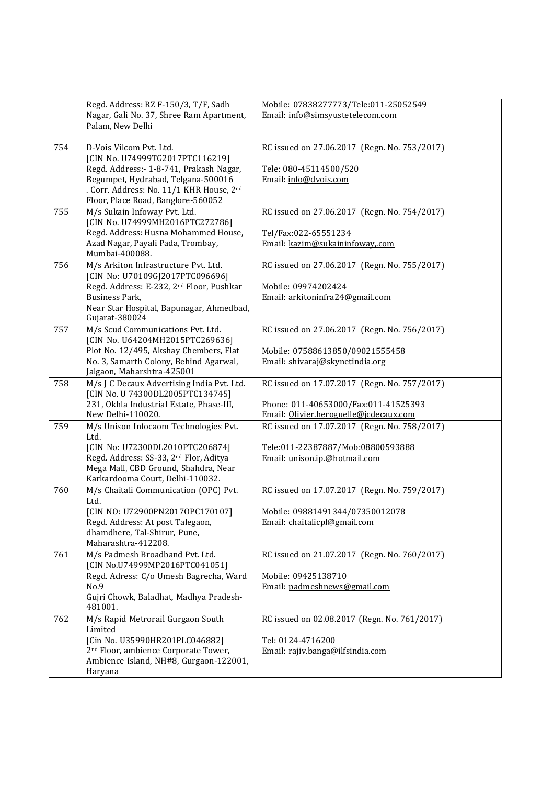|     | Regd. Address: RZ F-150/3, T/F, Sadh                                           | Mobile: 07838277773/Tele:011-25052549               |
|-----|--------------------------------------------------------------------------------|-----------------------------------------------------|
|     | Nagar, Gali No. 37, Shree Ram Apartment,<br>Palam, New Delhi                   | Email: info@simsyustetelecom.com                    |
| 754 | D-Vois Vilcom Pvt. Ltd.                                                        | RC issued on 27.06.2017 (Regn. No. 753/2017)        |
|     | [CIN No. U74999TG2017PTC116219]                                                |                                                     |
|     | Regd. Address:- 1-8-741, Prakash Nagar,<br>Begumpet, Hydrabad, Telgana-500016  | Tele: 080-45114500/520<br>Email: info@dvois.com     |
|     | . Corr. Address: No. 11/1 KHR House, 2nd                                       |                                                     |
|     | Floor, Place Road, Banglore-560052                                             |                                                     |
| 755 | M/s Sukain Infoway Pvt. Ltd.                                                   | RC issued on 27.06.2017 (Regn. No. 754/2017)        |
|     | [CIN No. U74999MH2016PTC272786]<br>Regd. Address: Husna Mohammed House,        | Tel/Fax:022-65551234                                |
|     | Azad Nagar, Payali Pada, Trombay,                                              | Email: kazim@sukaininfoway.com                      |
|     | Mumbai-400088.                                                                 |                                                     |
| 756 | M/s Arkiton Infrastructure Pvt. Ltd.<br>[CIN No: U70109GJ2017PTC096696]        | RC issued on 27.06.2017 (Regn. No. 755/2017)        |
|     | Regd. Address: E-232, 2 <sup>nd</sup> Floor, Pushkar                           | Mobile: 09974202424                                 |
|     | Business Park,                                                                 | Email: arkitoninfra24@gmail.com                     |
|     | Near Star Hospital, Bapunagar, Ahmedbad,<br>Gujarat-380024                     |                                                     |
| 757 | M/s Scud Communications Pvt. Ltd.                                              | RC issued on 27.06.2017 (Regn. No. 756/2017)        |
|     | [CIN No. U64204MH2015PTC269636]<br>Plot No. 12/495, Akshay Chembers, Flat      | Mobile: 07588613850/09021555458                     |
|     | No. 3, Samarth Colony, Behind Agarwal,                                         | Email: shivaraj@skynetindia.org                     |
|     | Jalgaon, Maharshtra-425001                                                     |                                                     |
| 758 | M/s J C Decaux Advertising India Pvt. Ltd.<br>[CIN No. U 74300DL2005PTC134745] | RC issued on 17.07.2017 (Regn. No. 757/2017)        |
|     | 231, Okhla Industrial Estate, Phase-III,                                       | Phone: 011-40653000/Fax:011-41525393                |
|     | New Delhi-110020.                                                              | Email: Olivier.heroguelle@jcdecaux.com              |
| 759 | M/s Unison Infocaom Technologies Pvt.<br>Ltd.                                  | RC issued on 17.07.2017 (Regn. No. 758/2017)        |
|     | [CIN No: U72300DL2010PTC206874]                                                | Tele:011-22387887/Mob:08800593888                   |
|     | Regd. Address: SS-33, 2 <sup>nd</sup> Flor, Aditya                             | Email: unison.ip.@hotmail.com                       |
|     | Mega Mall, CBD Ground, Shahdra, Near                                           |                                                     |
| 760 | Karkardooma Court, Delhi-110032.<br>M/s Chaitali Communication (OPC) Pvt.      | RC issued on 17.07.2017 (Regn. No. 759/2017)        |
|     | Ltd.                                                                           |                                                     |
|     | [CIN NO: U72900PN2017OPC170107]                                                | Mobile: 09881491344/07350012078                     |
|     | Regd. Address: At post Talegaon,<br>dhamdhere, Tal-Shirur, Pune,               | Email: chaitalicpl@gmail.com                        |
|     | Maharashtra-412208.                                                            |                                                     |
| 761 | M/s Padmesh Broadband Pvt. Ltd.                                                | RC issued on 21.07.2017 (Regn. No. 760/2017)        |
|     | [CIN No.U74999MP2016PTC041051]                                                 |                                                     |
|     | Regd. Adress: C/o Umesh Bagrecha, Ward<br>No.9                                 | Mobile: 09425138710<br>Email: padmeshnews@gmail.com |
|     | Gujri Chowk, Baladhat, Madhya Pradesh-                                         |                                                     |
|     | 481001.                                                                        |                                                     |
| 762 | M/s Rapid Metrorail Gurgaon South<br>Limited                                   | RC issued on 02.08.2017 (Regn. No. 761/2017)        |
|     | [Cin No. U35990HR201PLC046882]                                                 | Tel: 0124-4716200                                   |
|     | 2 <sup>nd</sup> Floor, ambience Corporate Tower,                               | Email: rajiv.banga@ilfsindia.com                    |
|     | Ambience Island, NH#8, Gurgaon-122001,<br>Haryana                              |                                                     |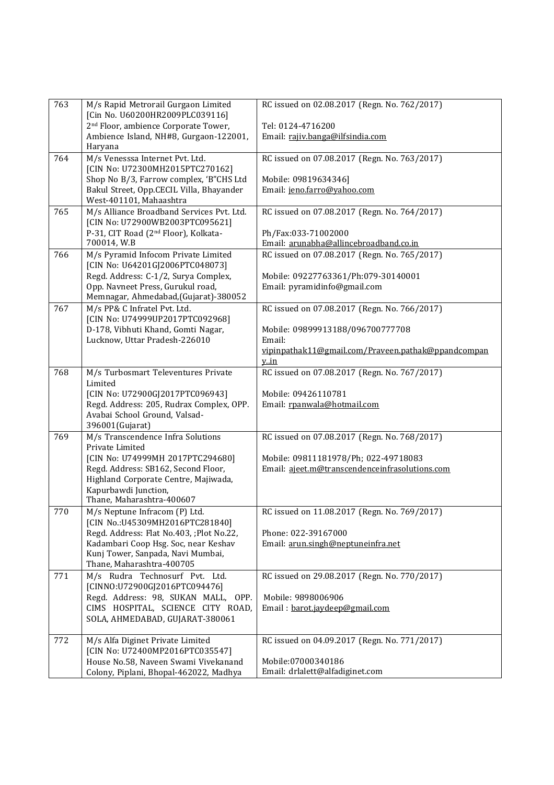| 763 | M/s Rapid Metrorail Gurgaon Limited<br>[Cin No. U60200HR2009PLC039116]       | RC issued on 02.08.2017 (Regn. No. 762/2017)          |
|-----|------------------------------------------------------------------------------|-------------------------------------------------------|
|     | 2 <sup>nd</sup> Floor, ambience Corporate Tower,                             | Tel: 0124-4716200                                     |
|     | Ambience Island, NH#8, Gurgaon-122001,<br>Haryana                            | Email: rajiv.banga@ilfsindia.com                      |
| 764 | M/s Venesssa Internet Pvt. Ltd.<br>[CIN No: U72300MH2015PTC270162]           | RC issued on 07.08.2017 (Regn. No. 763/2017)          |
|     | Shop No B/3, Farrow complex, 'B"CHS Ltd                                      | Mobile: 09819634346]                                  |
|     | Bakul Street, Opp.CECIL Villa, Bhayander                                     | Email: jeno.farro@yahoo.com                           |
|     | West-401101, Mahaashtra                                                      |                                                       |
| 765 | M/s Alliance Broadband Services Pvt. Ltd.<br>[CIN No: U72900WB2003PTC095621] | RC issued on 07.08.2017 (Regn. No. 764/2017)          |
|     | P-31, CIT Road (2nd Floor), Kolkata-                                         | Ph/Fax:033-71002000                                   |
|     | 700014, W.B                                                                  | Email: arunabha@allincebroadband.co.in                |
| 766 | M/s Pyramid Infocom Private Limited<br>[CIN No: U64201GJ2006PTC048073]       | RC issued on 07.08.2017 (Regn. No. 765/2017)          |
|     | Regd. Address: C-1/2, Surya Complex,                                         | Mobile: 09227763361/Ph:079-30140001                   |
|     | Opp. Navneet Press, Gurukul road,<br>Memnagar, Ahmedabad, (Gujarat)-380052   | Email: pyramidinfo@gmail.com                          |
| 767 | M/s PP& C Infratel Pvt. Ltd.                                                 | RC issued on 07.08.2017 (Regn. No. 766/2017)          |
|     | [CIN No: U74999UP2017PTC092968]                                              |                                                       |
|     | D-178, Vibhuti Khand, Gomti Nagar,                                           | Mobile: 09899913188/096700777708                      |
|     | Lucknow, Uttar Pradesh-226010                                                | Email:                                                |
|     |                                                                              | vipinpathak11@gmail.com/Praveen.pathak@ppandcompan    |
|     |                                                                              | $\underline{v.in}$                                    |
| 768 | M/s Turbosmart Televentures Private<br>Limited                               | RC issued on 07.08.2017 (Regn. No. 767/2017)          |
|     | [CIN No: U72900GJ2017PTC096943]                                              | Mobile: 09426110781                                   |
|     | Regd. Address: 205, Rudrax Complex, OPP.                                     | Email: rpanwala@hotmail.com                           |
|     | Avabai School Ground, Valsad-                                                |                                                       |
| 769 | 396001(Gujarat)<br>M/s Transcendence Infra Solutions                         | RC issued on 07.08.2017 (Regn. No. 768/2017)          |
|     | Private Limited                                                              |                                                       |
|     | [CIN No: U74999MH 2017PTC294680]                                             | Mobile: 09811181978/Ph; 022-49718083                  |
|     | Regd. Address: SB162, Second Floor,                                          | Email: ajeet.m@transcendenceinfrasolutions.com        |
|     | Highland Corporate Centre, Majiwada,                                         |                                                       |
|     | Kapurbawdi Junction,                                                         |                                                       |
|     | Thane, Maharashtra-400607                                                    |                                                       |
| 770 | M/s Neptune Infracom (P) Ltd.<br>[CIN No.: U45309MH2016PTC281840]            | RC issued on 11.08.2017 (Regn. No. 769/2017)          |
|     | Regd. Address: Flat No.403, ;Plot No.22,                                     | Phone: 022-39167000                                   |
|     | Kadambari Coop Hsg. Soc, near Keshav                                         | Email: arun.singh@neptuneinfra.net                    |
|     | Kunj Tower, Sanpada, Navi Mumbai,                                            |                                                       |
|     | Thane, Maharashtra-400705                                                    |                                                       |
| 771 | M/s Rudra Technosurf Pvt. Ltd.<br>[CINNO:U72900GJ2016PTC094476]              | RC issued on 29.08.2017 (Regn. No. 770/2017)          |
|     | Regd. Address: 98, SUKAN MALL, OPP.                                          | Mobile: 9898006906                                    |
|     | CIMS HOSPITAL, SCIENCE CITY ROAD,                                            | Email: barot.jaydeep@gmail.com                        |
|     | SOLA, AHMEDABAD, GUJARAT-380061                                              |                                                       |
| 772 | M/s Alfa Diginet Private Limited                                             | RC issued on 04.09.2017 (Regn. No. 771/2017)          |
|     | [CIN No: U72400MP2016PTC035547]                                              |                                                       |
|     | House No.58, Naveen Swami Vivekanand                                         | Mobile:07000340186<br>Email: drlalett@alfadiginet.com |
|     | Colony, Piplani, Bhopal-462022, Madhya                                       |                                                       |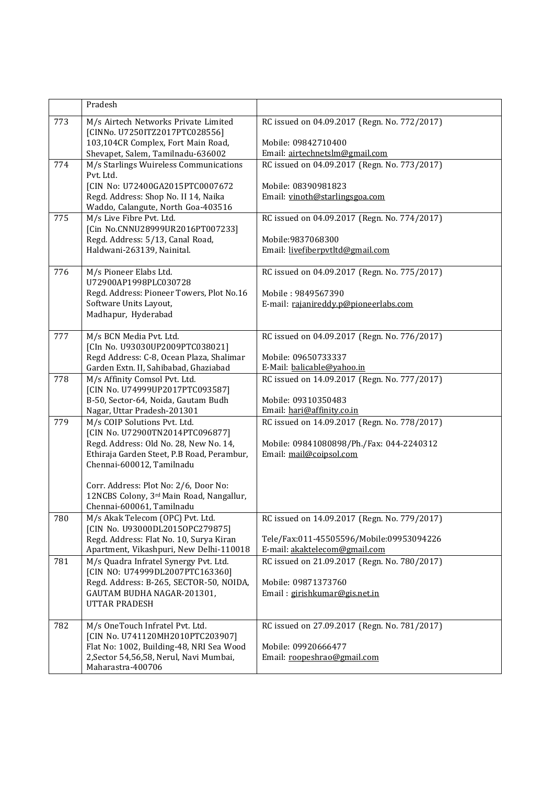|     | Pradesh                                                                                                                                                                              |                                                                                                                           |
|-----|--------------------------------------------------------------------------------------------------------------------------------------------------------------------------------------|---------------------------------------------------------------------------------------------------------------------------|
| 773 | M/s Airtech Networks Private Limited<br>[CINNo. U7250ITZ2017PTC028556]<br>103,104CR Complex, Fort Main Road,<br>Shevapet, Salem, Tamilnadu-636002                                    | RC issued on 04.09.2017 (Regn. No. 772/2017)<br>Mobile: 09842710400<br>Email: airtechnetslm@gmail.com                     |
| 774 | M/s Starlings Wuireless Communications<br>Pvt. Ltd.<br>[CIN No: U72400GA2015PTC0007672                                                                                               | RC issued on 04.09.2017 (Regn. No. 773/2017)<br>Mobile: 08390981823                                                       |
|     | Regd. Address: Shop No. II 14, Naika<br>Waddo, Calangute, North Goa-403516                                                                                                           | Email: vinoth@starlingsgoa.com                                                                                            |
| 775 | M/s Live Fibre Pvt. Ltd.<br>[Cin No.CNNU28999UR2016PT007233]<br>Regd. Address: 5/13, Canal Road,<br>Haldwani-263139, Nainital.                                                       | RC issued on 04.09.2017 (Regn. No. 774/2017)<br>Mobile:9837068300<br>Email: livefiberpvtltd@gmail.com                     |
| 776 | M/s Pioneer Elabs Ltd.<br>U72900AP1998PLC030728                                                                                                                                      | RC issued on 04.09.2017 (Regn. No. 775/2017)                                                                              |
|     | Regd. Address: Pioneer Towers, Plot No.16<br>Software Units Layout,<br>Madhapur, Hyderabad                                                                                           | Mobile: 9849567390<br>E-mail: rajanireddy.p@pioneerlabs.com                                                               |
| 777 | M/s BCN Media Pvt. Ltd.<br>[CIn No. U93030UP2009PTC038021]<br>Regd Address: C-8, Ocean Plaza, Shalimar                                                                               | RC issued on 04.09.2017 (Regn. No. 776/2017)<br>Mobile: 09650733337                                                       |
| 778 | Garden Extn. II, Sahibabad, Ghaziabad<br>M/s Affinity Comsol Pvt. Ltd.<br>[CIN No. U74999UP2017PTC093587]                                                                            | E-Mail: balicable@vahoo.in<br>RC issued on 14.09.2017 (Regn. No. 777/2017)                                                |
|     | B-50, Sector-64, Noida, Gautam Budh<br>Nagar, Uttar Pradesh-201301                                                                                                                   | Mobile: 09310350483<br>Email: hari@affinity.co.in                                                                         |
| 779 | M/s COIP Solutions Pvt. Ltd.<br>[CIN No. U72900TN2014PTC096877]<br>Regd. Address: Old No. 28, New No. 14,<br>Ethiraja Garden Steet, P.B Road, Perambur,<br>Chennai-600012, Tamilnadu | RC issued on 14.09.2017 (Regn. No. 778/2017)<br>Mobile: 09841080898/Ph./Fax: 044-2240312<br>Email: mail@coipsol.com       |
|     | Corr. Address: Plot No: 2/6, Door No:<br>12NCBS Colony, 3rd Main Road, Nangallur,<br>Chennai-600061, Tamilnadu                                                                       |                                                                                                                           |
| 780 | M/s Akak Telecom (OPC) Pvt. Ltd.<br>[CIN No. U93000DL2015OPC279875]<br>Regd. Address: Flat No. 10, Surya Kiran<br>Apartment, Vikashpuri, New Delhi-110018                            | RC issued on 14.09.2017 (Regn. No. 779/2017)<br>Tele/Fax:011-45505596/Mobile:09953094226<br>E-mail: akaktelecom@gmail.com |
| 781 | M/s Quadra Infratel Synergy Pvt. Ltd.<br>[CIN NO: U74999DL2007PTC163360]<br>Regd. Address: B-265, SECTOR-50, NOIDA,<br>GAUTAM BUDHA NAGAR-201301,<br>UTTAR PRADESH                   | RC issued on 21.09.2017 (Regn. No. 780/2017)<br>Mobile: 09871373760<br>Email: girishkumar@gis.net.in                      |
| 782 | M/s OneTouch Infratel Pvt. Ltd.<br>[CIN No. U741120MH2010PTC203907]<br>Flat No: 1002, Building-48, NRI Sea Wood<br>2, Sector 54, 56, 58, Nerul, Navi Mumbai,<br>Maharastra-400706    | RC issued on 27.09.2017 (Regn. No. 781/2017)<br>Mobile: 09920666477<br>Email: roopeshrao@gmail.com                        |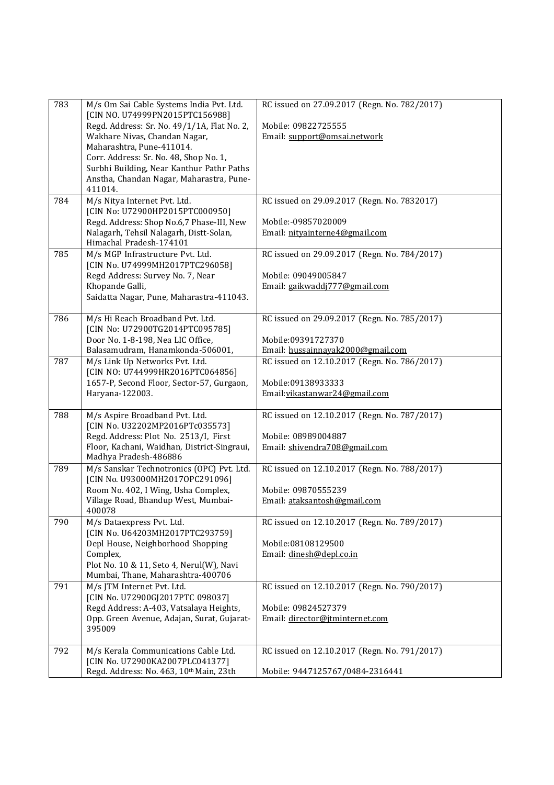| 783 | M/s Om Sai Cable Systems India Pvt. Ltd.<br>[CIN NO. U74999PN2015PTC156988]<br>Regd. Address: Sr. No. 49/1/1A, Flat No. 2, | RC issued on 27.09.2017 (Regn. No. 782/2017)<br>Mobile: 09822725555               |
|-----|----------------------------------------------------------------------------------------------------------------------------|-----------------------------------------------------------------------------------|
|     | Wakhare Nivas, Chandan Nagar,<br>Maharashtra, Pune-411014.<br>Corr. Address: Sr. No. 48, Shop No. 1,                       | Email: support@omsai.network                                                      |
|     | Surbhi Building, Near Kanthur Pathr Paths<br>Anstha, Chandan Nagar, Maharastra, Pune-<br>411014.                           |                                                                                   |
| 784 | M/s Nitya Internet Pvt. Ltd.<br>[CIN No: U72900HP2015PTC000950]                                                            | RC issued on 29.09.2017 (Regn. No. 7832017)                                       |
|     | Regd. Address: Shop No.6,7 Phase-III, New<br>Nalagarh, Tehsil Nalagarh, Distt-Solan,<br>Himachal Pradesh-174101            | Mobile:-09857020009<br>Email: nitvainterne4@gmail.com                             |
| 785 | M/s MGP Infrastructure Pvt. Ltd.<br>[CIN No. U74999MH2017PTC296058]                                                        | RC issued on 29.09.2017 (Regn. No. 784/2017)                                      |
|     | Regd Address: Survey No. 7, Near                                                                                           | Mobile: 09049005847                                                               |
|     | Khopande Galli,<br>Saidatta Nagar, Pune, Maharastra-411043.                                                                | Email: gaikwaddj777@gmail.com                                                     |
| 786 | M/s Hi Reach Broadband Pvt. Ltd.<br>[CIN No: U72900TG2014PTC095785]                                                        | RC issued on 29.09.2017 (Regn. No. 785/2017)                                      |
|     | Door No. 1-8-198, Nea LIC Office,                                                                                          | Mobile:09391727370                                                                |
| 787 | Balasamudram, Hanamkonda-506001,<br>M/s Link Up Networks Pvt. Ltd.                                                         | Email: hussainnayak2000@gmail.com<br>RC issued on 12.10.2017 (Regn. No. 786/2017) |
|     | [CIN NO: U744999HR2016PTC064856]                                                                                           |                                                                                   |
|     | 1657-P, Second Floor, Sector-57, Gurgaon,<br>Haryana-122003.                                                               | Mobile:09138933333<br>Email:vikastanwar24@gmail.com                               |
|     |                                                                                                                            |                                                                                   |
| 788 | M/s Aspire Broadband Pvt. Ltd.<br>[CIN No. U32202MP2016PTc035573]                                                          | RC issued on 12.10.2017 (Regn. No. 787/2017)                                      |
|     | Regd. Address: Plot No. 2513/I, First                                                                                      | Mobile: 08989004887                                                               |
|     | Floor, Kachani, Waidhan, District-Singraui,<br>Madhya Pradesh-486886                                                       | Email: shivendra708@gmail.com                                                     |
| 789 | M/s Sanskar Technotronics (OPC) Pvt. Ltd.<br>[CIN No. U93000MH2017OPC291096]                                               | RC issued on 12.10.2017 (Regn. No. 788/2017)                                      |
|     | Room No. 402, I Wing, Usha Complex,                                                                                        | Mobile: 09870555239                                                               |
|     | Village Road, Bhandup West, Mumbai-<br>400078                                                                              | Email: ataksantosh@gmail.com                                                      |
| 790 | M/s Dataexpress Pvt. Ltd.<br>[CIN No. U64203MH2017PTC293759]                                                               | RC issued on 12.10.2017 (Regn. No. 789/2017)                                      |
|     | Depl House, Neighborhood Shopping                                                                                          | Mobile:08108129500                                                                |
|     | Complex,<br>Plot No. 10 & 11, Seto 4, Nerul(W), Navi                                                                       | Email: dinesh@depl.co.in                                                          |
|     | Mumbai, Thane, Maharashtra-400706                                                                                          |                                                                                   |
| 791 | M/s JTM Internet Pvt. Ltd.<br>[CIN No. U72900GJ2017PTC 098037]                                                             | RC issued on 12.10.2017 (Regn. No. 790/2017)                                      |
|     | Regd Address: A-403, Vatsalaya Heights,                                                                                    | Mobile: 09824527379                                                               |
|     | Opp. Green Avenue, Adajan, Surat, Gujarat-<br>395009                                                                       | Email: director@jtminternet.com                                                   |
| 792 | M/s Kerala Communications Cable Ltd.                                                                                       | RC issued on 12.10.2017 (Regn. No. 791/2017)                                      |
|     | [CIN No. U72900KA2007PLC041377]                                                                                            |                                                                                   |
|     | Regd. Address: No. 463, 10th Main, 23th                                                                                    | Mobile: 9447125767/0484-2316441                                                   |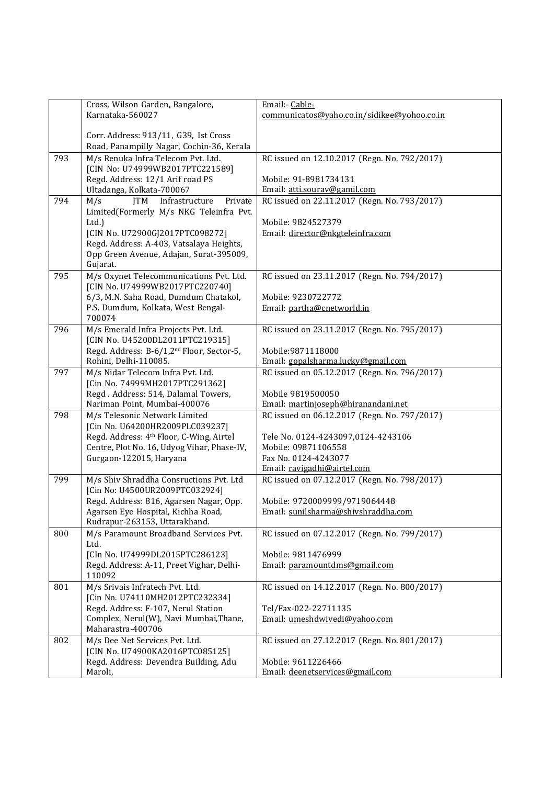|     | Cross, Wilson Garden, Bangalore,<br>Karnataka-560027                               | Email:- Cable-<br>communicatos@yaho.co.in/sidikee@yohoo.co.in |
|-----|------------------------------------------------------------------------------------|---------------------------------------------------------------|
|     |                                                                                    |                                                               |
|     | Corr. Address: 913/11, G39, Ist Cross<br>Road, Panampilly Nagar, Cochin-36, Kerala |                                                               |
| 793 | M/s Renuka Infra Telecom Pvt. Ltd.<br>[CIN No: U74999WB2017PTC221589]              | RC issued on 12.10.2017 (Regn. No. 792/2017)                  |
|     | Regd. Address: 12/1 Arif road PS                                                   | Mobile: 91-8981734131                                         |
|     | Ultadanga, Kolkata-700067                                                          | Email: atti.sourav@gamil.com                                  |
| 794 | M/s<br>Infrastructure<br>Private<br>JTM<br>Limited(Formerly M/s NKG Teleinfra Pvt. | RC issued on 22.11.2017 (Regn. No. 793/2017)                  |
|     | Ltd.)                                                                              | Mobile: 9824527379                                            |
|     | [CIN No. U72900GJ2017PTC098272]                                                    | Email: director@nkgteleinfra.com                              |
|     | Regd. Address: A-403, Vatsalaya Heights,                                           |                                                               |
|     | Opp Green Avenue, Adajan, Surat-395009,                                            |                                                               |
| 795 | Gujarat.<br>M/s Oxynet Telecommunications Pvt. Ltd.                                | RC issued on 23.11.2017 (Regn. No. 794/2017)                  |
|     | [CIN No. U74999WB2017PTC220740]                                                    |                                                               |
|     | 6/3, M.N. Saha Road, Dumdum Chatakol,                                              | Mobile: 9230722772                                            |
|     | P.S. Dumdum, Kolkata, West Bengal-                                                 | Email: partha@cnetworld.in                                    |
| 796 | 700074<br>M/s Emerald Infra Projects Pvt. Ltd.                                     | RC issued on 23.11.2017 (Regn. No. 795/2017)                  |
|     | [CIN No. U45200DL2011PTC219315]                                                    |                                                               |
|     | Regd. Address: B-6/1,2 <sup>nd</sup> Floor, Sector-5,                              | Mobile:9871118000                                             |
|     | Rohini, Delhi-110085.                                                              | Email: gopalsharma.lucky@gmail.com                            |
| 797 | M/s Nidar Telecom Infra Pvt. Ltd.<br>[Cin No. 74999MH2017PTC291362]                | RC issued on 05.12.2017 (Regn. No. 796/2017)                  |
|     | Regd. Address: 514, Dalamal Towers,<br>Nariman Point, Mumbai-400076                | Mobile 9819500050<br>Email: martinjoseph@hiranandani.net      |
| 798 | M/s Telesonic Network Limited                                                      | RC issued on 06.12.2017 (Regn. No. 797/2017)                  |
|     | [Cin No. U64200HR2009PLC039237]                                                    |                                                               |
|     | Regd. Address: 4th Floor, C-Wing, Airtel                                           | Tele No. 0124-4243097,0124-4243106                            |
|     | Centre, Plot No. 16, Udyog Vihar, Phase-IV,                                        | Mobile: 09871106558                                           |
|     | Gurgaon-122015, Haryana                                                            | Fax No. 0124-4243077<br>Email: ravigadhi@airtel.com           |
| 799 | M/s Shiv Shraddha Consructions Pvt. Ltd                                            | RC issued on 07.12.2017 (Regn. No. 798/2017)                  |
|     | [Cin No: U4500UR2009PTC032924]                                                     |                                                               |
|     | Regd. Address: 816, Agarsen Nagar, Opp.                                            | Mobile: 9720009999/9719064448                                 |
|     | Agarsen Eve Hospital, Kichha Road,                                                 | Email: sunilsharma@shivshraddha.com                           |
| 800 | Rudrapur-263153, Uttarakhand.<br>M/s Paramount Broadband Services Pvt.             | RC issued on 07.12.2017 (Regn. No. 799/2017)                  |
|     | Ltd.                                                                               |                                                               |
|     | [CIn No. U74999DL2015PTC286123]                                                    | Mobile: 9811476999                                            |
|     | Regd. Address: A-11, Preet Vighar, Delhi-                                          | Email: paramountdms@gmail.com                                 |
|     | 110092                                                                             |                                                               |
| 801 | M/s Srivais Infratech Pvt. Ltd.<br>[Cin No. U74110MH2012PTC232334]                 | RC issued on 14.12.2017 (Regn. No. 800/2017)                  |
|     | Regd. Address: F-107, Nerul Station                                                | Tel/Fax-022-22711135                                          |
|     | Complex, Nerul(W), Navi Mumbai, Thane,<br>Maharastra-400706                        | Email: umeshdwivedi@yahoo.com                                 |
| 802 | M/s Dee Net Services Pvt. Ltd.                                                     | RC issued on 27.12.2017 (Regn. No. 801/2017)                  |
|     | [CIN No. U74900KA2016PTC085125]                                                    |                                                               |
|     | Regd. Address: Devendra Building, Adu                                              | Mobile: 9611226466<br>Email: deenetservices@gmail.com         |
|     | Maroli,                                                                            |                                                               |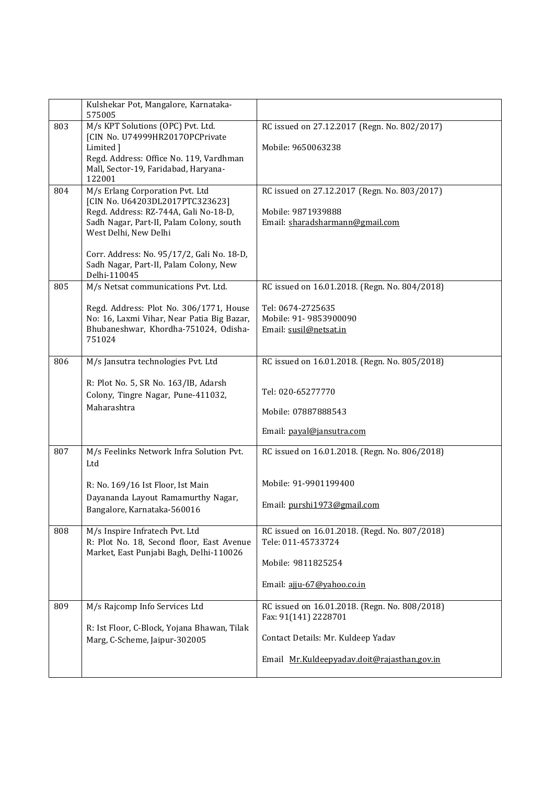|     | Kulshekar Pot, Mangalore, Karnataka-<br>575005                                                                                                                                                                                                                                           |                                                                                                                                                            |
|-----|------------------------------------------------------------------------------------------------------------------------------------------------------------------------------------------------------------------------------------------------------------------------------------------|------------------------------------------------------------------------------------------------------------------------------------------------------------|
| 803 | M/s KPT Solutions (OPC) Pvt. Ltd.<br>[CIN No. U74999HR2017OPCPrivate<br>Limited ]<br>Regd. Address: Office No. 119, Vardhman<br>Mall, Sector-19, Faridabad, Haryana-<br>122001                                                                                                           | RC issued on 27.12.2017 (Regn. No. 802/2017)<br>Mobile: 9650063238                                                                                         |
| 804 | M/s Erlang Corporation Pvt. Ltd<br>[CIN No. U64203DL2017PTC323623]<br>Regd. Address: RZ-744A, Gali No-18-D,<br>Sadh Nagar, Part-II, Palam Colony, south<br>West Delhi, New Delhi<br>Corr. Address: No. 95/17/2, Gali No. 18-D,<br>Sadh Nagar, Part-II, Palam Colony, New<br>Delhi-110045 | RC issued on 27.12.2017 (Regn. No. 803/2017)<br>Mobile: 9871939888<br>Email: sharadsharmann@gmail.com                                                      |
| 805 | M/s Netsat communications Pvt. Ltd.<br>Regd. Address: Plot No. 306/1771, House<br>No: 16, Laxmi Vihar, Near Patia Big Bazar,<br>Bhubaneshwar, Khordha-751024, Odisha-<br>751024                                                                                                          | RC issued on 16.01.2018. (Regn. No. 804/2018)<br>Tel: 0674-2725635<br>Mobile: 91- 9853900090<br>Email: susil@netsat.in                                     |
| 806 | M/s Jansutra technologies Pvt. Ltd<br>R: Plot No. 5, SR No. 163/IB, Adarsh<br>Colony, Tingre Nagar, Pune-411032,<br>Maharashtra                                                                                                                                                          | RC issued on 16.01.2018. (Regn. No. 805/2018)<br>Tel: 020-65277770<br>Mobile: 07887888543<br>Email: payal@jansutra.com                                     |
| 807 | M/s Feelinks Network Infra Solution Pvt.<br>Ltd<br>R: No. 169/16 Ist Floor, Ist Main<br>Dayananda Layout Ramamurthy Nagar,<br>Bangalore, Karnataka-560016                                                                                                                                | RC issued on 16.01.2018. (Regn. No. 806/2018)<br>Mobile: 91-9901199400<br>Email: purshi1973@gmail.com                                                      |
| 808 | M/s Inspire Infratech Pvt. Ltd<br>R: Plot No. 18, Second floor, East Avenue<br>Market, East Punjabi Bagh, Delhi-110026                                                                                                                                                                   | RC issued on 16.01.2018. (Regd. No. 807/2018)<br>Tele: 011-45733724<br>Mobile: 9811825254<br>Email: ajju-67@yahoo.co.in                                    |
| 809 | M/s Rajcomp Info Services Ltd<br>R: Ist Floor, C-Block, Yojana Bhawan, Tilak<br>Marg, C-Scheme, Jaipur-302005                                                                                                                                                                            | RC issued on 16.01.2018. (Regn. No. 808/2018)<br>Fax: 91(141) 2228701<br>Contact Details: Mr. Kuldeep Yadav<br>Email Mr.Kuldeepvadav.doit@rajasthan.gov.in |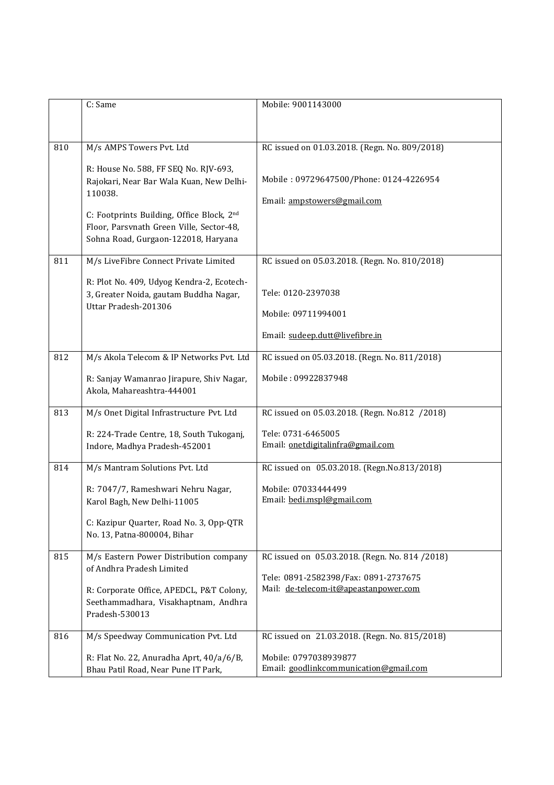|     | C: Same                                                                                                                      | Mobile: 9001143000                                                                     |
|-----|------------------------------------------------------------------------------------------------------------------------------|----------------------------------------------------------------------------------------|
|     |                                                                                                                              |                                                                                        |
|     |                                                                                                                              |                                                                                        |
| 810 | M/s AMPS Towers Pvt. Ltd                                                                                                     | RC issued on 01.03.2018. (Regn. No. 809/2018)                                          |
|     | R: House No. 588, FF SEQ No. RJV-693,<br>Rajokari, Near Bar Wala Kuan, New Delhi-<br>110038.                                 | Mobile: 09729647500/Phone: 0124-4226954<br>Email: ampstowers@gmail.com                 |
|     | C: Footprints Building, Office Block, 2nd<br>Floor, Parsvnath Green Ville, Sector-48,<br>Sohna Road, Gurgaon-122018, Haryana |                                                                                        |
| 811 | M/s LiveFibre Connect Private Limited                                                                                        | RC issued on 05.03.2018. (Regn. No. 810/2018)                                          |
|     | R: Plot No. 409, Udyog Kendra-2, Ecotech-<br>3, Greater Noida, gautam Buddha Nagar,<br>Uttar Pradesh-201306                  | Tele: 0120-2397038<br>Mobile: 09711994001<br>Email: sudeep.dutt@livefibre.in           |
| 812 | M/s Akola Telecom & IP Networks Pvt. Ltd                                                                                     | RC issued on 05.03.2018. (Regn. No. 811/2018)                                          |
|     | R: Sanjay Wamanrao Jirapure, Shiv Nagar,<br>Akola, Mahareashtra-444001                                                       | Mobile: 09922837948                                                                    |
| 813 | M/s Onet Digital Infrastructure Pvt. Ltd                                                                                     | RC issued on 05.03.2018. (Regn. No.812 /2018)                                          |
|     | R: 224-Trade Centre, 18, South Tukoganj,<br>Indore, Madhya Pradesh-452001                                                    | Tele: 0731-6465005<br>Email: onetdigitalinfra@gmail.com                                |
| 814 | M/s Mantram Solutions Pvt. Ltd                                                                                               | RC issued on 05.03.2018. (Regn.No.813/2018)                                            |
|     | R: 7047/7, Rameshwari Nehru Nagar,<br>Karol Bagh, New Delhi-11005                                                            | Mobile: 07033444499<br>Email: bedi.mspl@gmail.com                                      |
|     | C: Kazipur Quarter, Road No. 3, Opp-QTR<br>No. 13, Patna-800004, Bihar                                                       |                                                                                        |
| 815 | M/s Eastern Power Distribution company<br>of Andhra Pradesh Limited                                                          | RC issued on 05.03.2018. (Regn. No. 814 /2018)<br>Tele: 0891-2582398/Fax: 0891-2737675 |
|     | R: Corporate Office, APEDCL, P&T Colony,<br>Seethammadhara, Visakhaptnam, Andhra<br>Pradesh-530013                           | Mail: de-telecom-it@apeastanpower.com                                                  |
| 816 | M/s Speedway Communication Pvt. Ltd                                                                                          | RC issued on 21.03.2018. (Regn. No. 815/2018)                                          |
|     | R: Flat No. 22, Anuradha Aprt, 40/a/6/B,<br>Bhau Patil Road, Near Pune IT Park,                                              | Mobile: 0797038939877<br>Email: goodlinkcommunication@gmail.com                        |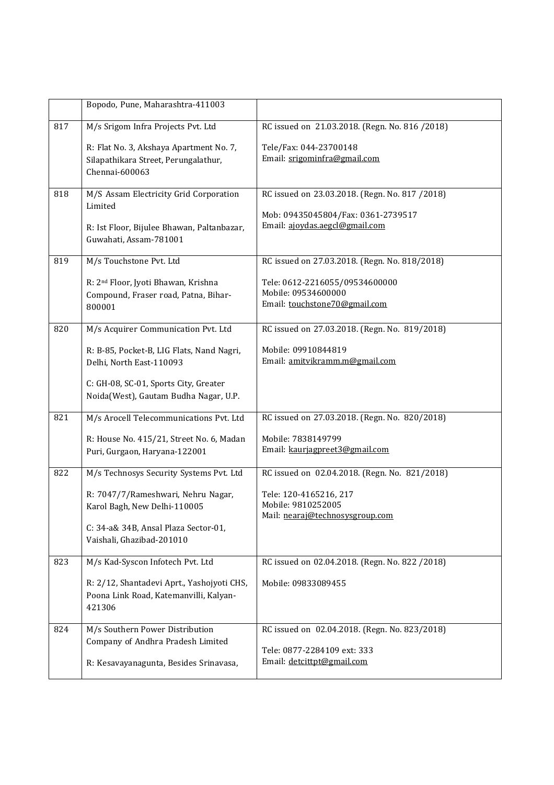|     | Bopodo, Pune, Maharashtra-411003                                                                                                                        |                                                                                                                         |
|-----|---------------------------------------------------------------------------------------------------------------------------------------------------------|-------------------------------------------------------------------------------------------------------------------------|
| 817 | M/s Srigom Infra Projects Pvt. Ltd                                                                                                                      | RC issued on 21.03.2018. (Regn. No. 816 /2018)                                                                          |
|     | R: Flat No. 3, Akshaya Apartment No. 7,<br>Silapathikara Street, Perungalathur,<br>Chennai-600063                                                       | Tele/Fax: 044-23700148<br>Email: srigominfra@gmail.com                                                                  |
| 818 | M/S Assam Electricity Grid Corporation<br>Limited<br>R: Ist Floor, Bijulee Bhawan, Paltanbazar,<br>Guwahati, Assam-781001                               | RC issued on 23.03.2018. (Regn. No. 817 / 2018)<br>Mob: 09435045804/Fax: 0361-2739517<br>Email: ajoydas.aegcl@gmail.com |
| 819 | M/s Touchstone Pvt. Ltd                                                                                                                                 | RC issued on 27.03.2018. (Regn. No. 818/2018)                                                                           |
|     | R: 2 <sup>nd</sup> Floor, Jyoti Bhawan, Krishna<br>Compound, Fraser road, Patna, Bihar-<br>800001                                                       | Tele: 0612-2216055/09534600000<br>Mobile: 09534600000<br>Email: touchstone70@gmail.com                                  |
| 820 | M/s Acquirer Communication Pvt. Ltd                                                                                                                     | RC issued on 27.03.2018. (Regn. No. 819/2018)                                                                           |
|     | R: B-85, Pocket-B, LIG Flats, Nand Nagri,<br>Delhi, North East-110093<br>C: GH-08, SC-01, Sports City, Greater<br>Noida(West), Gautam Budha Nagar, U.P. | Mobile: 09910844819<br>Email: amitvikramm.m@gmail.com                                                                   |
| 821 | M/s Arocell Telecommunications Pvt. Ltd                                                                                                                 | RC issued on 27.03.2018. (Regn. No. 820/2018)                                                                           |
|     | R: House No. 415/21, Street No. 6, Madan<br>Puri, Gurgaon, Haryana-122001                                                                               | Mobile: 7838149799<br>Email: kaurjagpreet3@gmail.com                                                                    |
| 822 | M/s Technosys Security Systems Pvt. Ltd                                                                                                                 | RC issued on 02.04.2018. (Regn. No. 821/2018)                                                                           |
|     | R: 7047/7/Rameshwari, Nehru Nagar,<br>Karol Bagh, New Delhi-110005<br>C: 34-a& 34B, Ansal Plaza Sector-01,<br>Vaishali, Ghazibad-201010                 | Tele: 120-4165216, 217<br>Mobile: 9810252005<br>Mail: nearaj@technosysgroup.com                                         |
| 823 | M/s Kad-Syscon Infotech Pvt. Ltd                                                                                                                        | RC issued on 02.04.2018. (Regn. No. 822 / 2018)                                                                         |
|     | R: 2/12, Shantadevi Aprt., Yashojyoti CHS,<br>Poona Link Road, Katemanvilli, Kalyan-<br>421306                                                          | Mobile: 09833089455                                                                                                     |
| 824 | M/s Southern Power Distribution                                                                                                                         | RC issued on 02.04.2018. (Regn. No. 823/2018)                                                                           |
|     | Company of Andhra Pradesh Limited<br>R: Kesavayanagunta, Besides Srinavasa,                                                                             | Tele: 0877-2284109 ext: 333<br>Email: detcittpt@gmail.com                                                               |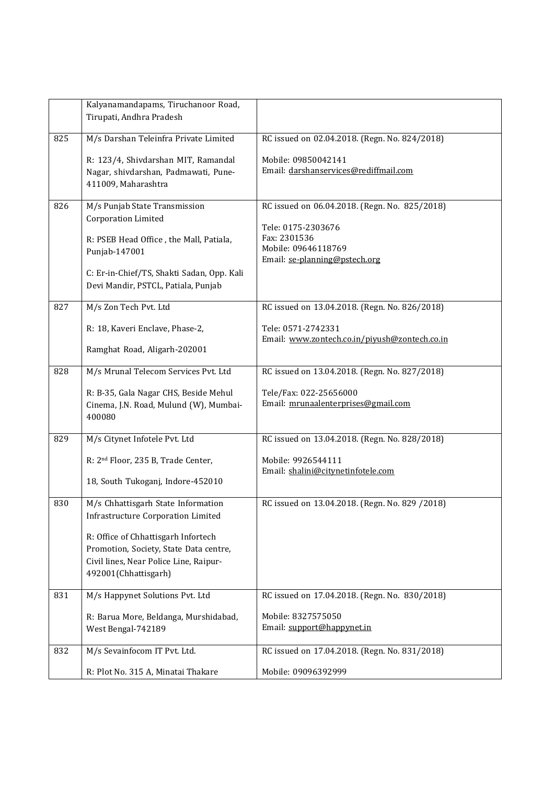|     | Kalyanamandapams, Tiruchanoor Road,<br>Tirupati, Andhra Pradesh                                                                                                                                                             |                                                                                                                                             |
|-----|-----------------------------------------------------------------------------------------------------------------------------------------------------------------------------------------------------------------------------|---------------------------------------------------------------------------------------------------------------------------------------------|
| 825 | M/s Darshan Teleinfra Private Limited                                                                                                                                                                                       | RC issued on 02.04.2018. (Regn. No. 824/2018)                                                                                               |
|     | R: 123/4, Shivdarshan MIT, Ramandal<br>Nagar, shivdarshan, Padmawati, Pune-<br>411009, Maharashtra                                                                                                                          | Mobile: 09850042141<br>Email: darshanservices@rediffmail.com                                                                                |
| 826 | M/s Punjab State Transmission<br><b>Corporation Limited</b><br>R: PSEB Head Office, the Mall, Patiala,<br>Punjab-147001<br>C: Er-in-Chief/TS, Shakti Sadan, Opp. Kali<br>Devi Mandir, PSTCL, Patiala, Punjab                | RC issued on 06.04.2018. (Regn. No. 825/2018)<br>Tele: 0175-2303676<br>Fax: 2301536<br>Mobile: 09646118769<br>Email: se-planning@pstech.org |
| 827 | M/s Zon Tech Pvt. Ltd                                                                                                                                                                                                       | RC issued on 13.04.2018. (Regn. No. 826/2018)                                                                                               |
|     | R: 18, Kaveri Enclave, Phase-2,<br>Ramghat Road, Aligarh-202001                                                                                                                                                             | Tele: 0571-2742331<br>Email: www.zontech.co.in/piyush@zontech.co.in                                                                         |
| 828 | M/s Mrunal Telecom Services Pvt. Ltd                                                                                                                                                                                        | RC issued on 13.04.2018. (Regn. No. 827/2018)                                                                                               |
|     | R: B-35, Gala Nagar CHS, Beside Mehul<br>Cinema, J.N. Road, Mulund (W), Mumbai-<br>400080                                                                                                                                   | Tele/Fax: 022-25656000<br>Email: mrunaalenterprises@gmail.com                                                                               |
| 829 | M/s Citynet Infotele Pvt. Ltd                                                                                                                                                                                               | RC issued on 13.04.2018. (Regn. No. 828/2018)                                                                                               |
|     | R: 2 <sup>nd</sup> Floor, 235 B, Trade Center,<br>18, South Tukoganj, Indore-452010                                                                                                                                         | Mobile: 9926544111<br>Email: shalini@citynetinfotele.com                                                                                    |
| 830 | M/s Chhattisgarh State Information<br>Infrastructure Corporation Limited<br>R: Office of Chhattisgarh Infortech<br>Promotion, Society, State Data centre,<br>Civil lines, Near Police Line, Raipur-<br>492001(Chhattisgarh) | RC issued on 13.04.2018. (Regn. No. 829 /2018)                                                                                              |
| 831 | M/s Happynet Solutions Pvt. Ltd                                                                                                                                                                                             | RC issued on 17.04.2018. (Regn. No. 830/2018)                                                                                               |
|     | R: Barua More, Beldanga, Murshidabad,<br>West Bengal-742189                                                                                                                                                                 | Mobile: 8327575050<br>Email: support@happynet.in                                                                                            |
| 832 | M/s Sevainfocom IT Pvt. Ltd.                                                                                                                                                                                                | RC issued on 17.04.2018. (Regn. No. 831/2018)                                                                                               |
|     | R: Plot No. 315 A, Minatai Thakare                                                                                                                                                                                          | Mobile: 09096392999                                                                                                                         |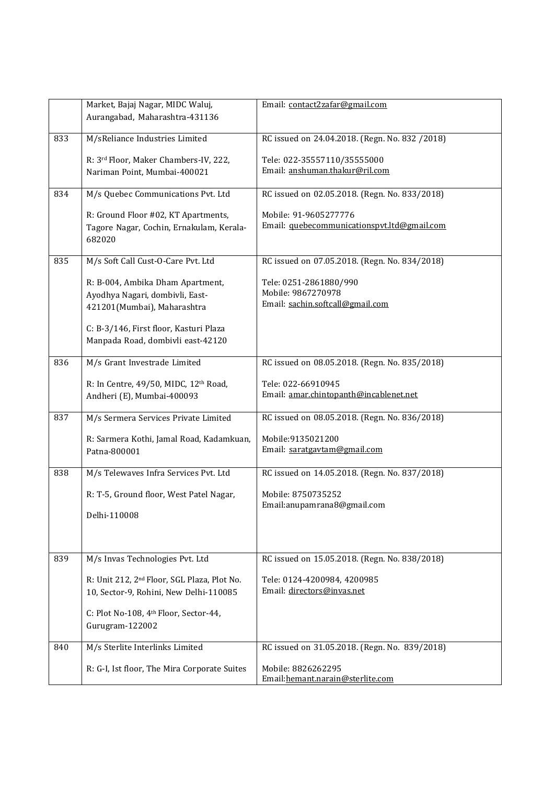|     | Market, Bajaj Nagar, MIDC Waluj,<br>Aurangabad, Maharashtra-431136                                                                                                                | Email: contact2zafar@gmail.com                                                   |
|-----|-----------------------------------------------------------------------------------------------------------------------------------------------------------------------------------|----------------------------------------------------------------------------------|
| 833 | M/sReliance Industries Limited                                                                                                                                                    | RC issued on 24.04.2018. (Regn. No. 832 /2018)                                   |
|     | R: 3rd Floor, Maker Chambers-IV, 222,<br>Nariman Point, Mumbai-400021                                                                                                             | Tele: 022-35557110/35555000<br>Email: anshuman.thakur@ril.com                    |
| 834 | M/s Quebec Communications Pvt. Ltd                                                                                                                                                | RC issued on 02.05.2018. (Regn. No. 833/2018)                                    |
|     | R: Ground Floor #02, KT Apartments,<br>Tagore Nagar, Cochin, Ernakulam, Kerala-<br>682020                                                                                         | Mobile: 91-9605277776<br>Email: quebecommunicationspvt.ltd@gmail.com             |
| 835 | M/s Soft Call Cust-O-Care Pvt. Ltd                                                                                                                                                | RC issued on 07.05.2018. (Regn. No. 834/2018)                                    |
|     | R: B-004, Ambika Dham Apartment,<br>Ayodhya Nagari, dombivli, East-<br>421201(Mumbai), Maharashtra<br>C: B-3/146, First floor, Kasturi Plaza<br>Manpada Road, dombivli east-42120 | Tele: 0251-2861880/990<br>Mobile: 9867270978<br>Email: sachin.softcall@gmail.com |
| 836 | M/s Grant Investrade Limited                                                                                                                                                      | RC issued on 08.05.2018. (Regn. No. 835/2018)                                    |
|     | R: In Centre, 49/50, MIDC, 12th Road,<br>Andheri (E), Mumbai-400093                                                                                                               | Tele: 022-66910945<br>Email: amar.chintopanth@incablenet.net                     |
| 837 | M/s Sermera Services Private Limited                                                                                                                                              | RC issued on 08.05.2018. (Regn. No. 836/2018)                                    |
|     | R: Sarmera Kothi, Jamal Road, Kadamkuan,<br>Patna-800001                                                                                                                          | Mobile:9135021200<br>Email: saratgavtam@gmail.com                                |
| 838 | M/s Telewaves Infra Services Pvt. Ltd                                                                                                                                             | RC issued on 14.05.2018. (Regn. No. 837/2018)                                    |
|     | R: T-5, Ground floor, West Patel Nagar,<br>Delhi-110008                                                                                                                           | Mobile: 8750735252<br>Email:anupamrana8@gmail.com                                |
| 839 | M/s Invas Technologies Pvt. Ltd                                                                                                                                                   | RC issued on 15.05.2018. (Regn. No. 838/2018)                                    |
|     | R: Unit 212, 2 <sup>nd</sup> Floor, SGL Plaza, Plot No.<br>10, Sector-9, Rohini, New Delhi-110085<br>C: Plot No-108, 4th Floor, Sector-44,<br>Gurugram-122002                     | Tele: 0124-4200984, 4200985<br>Email: directors@invas.net                        |
| 840 | M/s Sterlite Interlinks Limited                                                                                                                                                   | RC issued on 31.05.2018. (Regn. No. 839/2018)                                    |
|     | R: G-I, Ist floor, The Mira Corporate Suites                                                                                                                                      | Mobile: 8826262295<br>Email: hemant.narain@sterlite.com                          |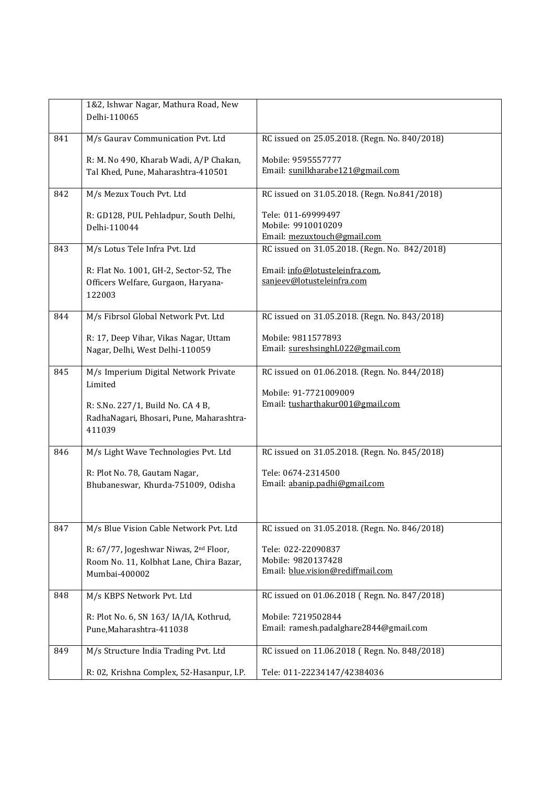|     | 1&2, Ishwar Nagar, Mathura Road, New<br>Delhi-110065                                                          |                                                                               |
|-----|---------------------------------------------------------------------------------------------------------------|-------------------------------------------------------------------------------|
| 841 | M/s Gaurav Communication Pvt. Ltd                                                                             | RC issued on 25.05.2018. (Regn. No. 840/2018)                                 |
|     | R: M. No 490, Kharab Wadi, A/P Chakan,<br>Tal Khed, Pune, Maharashtra-410501                                  | Mobile: 9595557777<br>Email: sunilkharabe121@gmail.com                        |
| 842 | M/s Mezux Touch Pvt. Ltd                                                                                      | RC issued on 31.05.2018. (Regn. No.841/2018)                                  |
|     | R: GD128, PUL Pehladpur, South Delhi,<br>Delhi-110044                                                         | Tele: 011-69999497<br>Mobile: 9910010209<br>Email: mezuxtouch@gmail.com       |
| 843 | M/s Lotus Tele Infra Pvt. Ltd                                                                                 | RC issued on 31.05.2018. (Regn. No. 842/2018)                                 |
|     | R: Flat No. 1001, GH-2, Sector-52, The<br>Officers Welfare, Gurgaon, Haryana-<br>122003                       | Email: info@lotusteleinfra.com,<br>sanjeev@lotusteleinfra.com                 |
| 844 | M/s Fibrsol Global Network Pvt. Ltd                                                                           | RC issued on 31.05.2018. (Regn. No. 843/2018)                                 |
|     | R: 17, Deep Vihar, Vikas Nagar, Uttam<br>Nagar, Delhi, West Delhi-110059                                      | Mobile: 9811577893<br>Email: sureshsinghL022@gmail.com                        |
| 845 | M/s Imperium Digital Network Private<br>Limited                                                               | RC issued on 01.06.2018. (Regn. No. 844/2018)                                 |
|     | R: S.No. 227/1, Build No. CA 4 B,<br>RadhaNagari, Bhosari, Pune, Maharashtra-<br>411039                       | Mobile: 91-7721009009<br>Email: tusharthakur001@gmail.com                     |
| 846 | M/s Light Wave Technologies Pvt. Ltd                                                                          | RC issued on 31.05.2018. (Regn. No. 845/2018)                                 |
|     | R: Plot No. 78, Gautam Nagar,<br>Bhubaneswar, Khurda-751009, Odisha                                           | Tele: 0674-2314500<br>Email: abanip.padhi@gmail.com                           |
| 847 | M/s Blue Vision Cable Network Pvt. Ltd                                                                        | RC issued on 31.05.2018. (Regn. No. 846/2018)                                 |
|     | R: 67/77, Jogeshwar Niwas, 2 <sup>nd</sup> Floor,<br>Room No. 11, Kolbhat Lane, Chira Bazar,<br>Mumbai-400002 | Tele: 022-22090837<br>Mobile: 9820137428<br>Email: blue.vision@rediffmail.com |
| 848 | M/s KBPS Network Pvt. Ltd                                                                                     | RC issued on 01.06.2018 (Regn. No. 847/2018)                                  |
|     | R: Plot No. 6, SN 163/IA/IA, Kothrud,<br>Pune, Maharashtra-411038                                             | Mobile: 7219502844<br>Email: ramesh.padalghare2844@gmail.com                  |
| 849 | M/s Structure India Trading Pvt. Ltd                                                                          | RC issued on 11.06.2018 (Regn. No. 848/2018)                                  |
|     | R: 02, Krishna Complex, 52-Hasanpur, I.P.                                                                     | Tele: 011-22234147/42384036                                                   |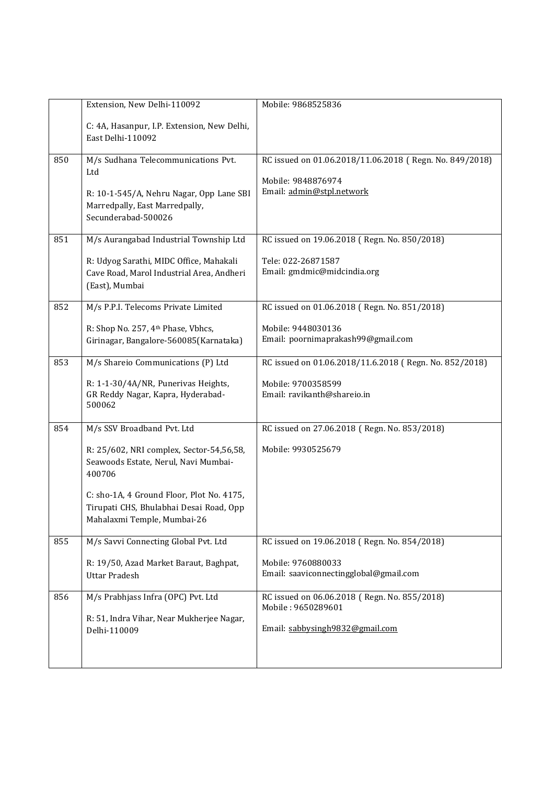|     | Extension, New Delhi-110092                                                                                                                     | Mobile: 9868525836                                                                                         |
|-----|-------------------------------------------------------------------------------------------------------------------------------------------------|------------------------------------------------------------------------------------------------------------|
|     | C: 4A, Hasanpur, I.P. Extension, New Delhi,<br>East Delhi-110092                                                                                |                                                                                                            |
| 850 | M/s Sudhana Telecommunications Pvt.<br>Ltd<br>R: 10-1-545/A, Nehru Nagar, Opp Lane SBI<br>Marredpally, East Marredpally,<br>Secunderabad-500026 | RC issued on 01.06.2018/11.06.2018 (Regn. No. 849/2018)<br>Mobile: 9848876974<br>Email: admin@stpl.network |
| 851 | M/s Aurangabad Industrial Township Ltd<br>R: Udyog Sarathi, MIDC Office, Mahakali                                                               | RC issued on 19.06.2018 (Regn. No. 850/2018)<br>Tele: 022-26871587<br>Email: gmdmic@midcindia.org          |
|     | Cave Road, Marol Industrial Area, Andheri<br>(East), Mumbai                                                                                     |                                                                                                            |
| 852 | M/s P.P.I. Telecoms Private Limited                                                                                                             | RC issued on 01.06.2018 (Regn. No. 851/2018)                                                               |
|     | R: Shop No. 257, 4th Phase, Vbhcs,<br>Girinagar, Bangalore-560085(Karnataka)                                                                    | Mobile: 9448030136<br>Email: poornimaprakash99@gmail.com                                                   |
| 853 | M/s Shareio Communications (P) Ltd                                                                                                              | RC issued on 01.06.2018/11.6.2018 (Regn. No. 852/2018)                                                     |
|     | R: 1-1-30/4A/NR, Punerivas Heights,<br>GR Reddy Nagar, Kapra, Hyderabad-<br>500062                                                              | Mobile: 9700358599<br>Email: ravikanth@shareio.in                                                          |
| 854 | M/s SSV Broadband Pvt. Ltd                                                                                                                      | RC issued on 27.06.2018 (Regn. No. 853/2018)                                                               |
|     | R: 25/602, NRI complex, Sector-54,56,58,<br>Seawoods Estate, Nerul, Navi Mumbai-<br>400706                                                      | Mobile: 9930525679                                                                                         |
|     | C: sho-1A, 4 Ground Floor, Plot No. 4175,<br>Tirupati CHS, Bhulabhai Desai Road, Opp<br>Mahalaxmi Temple, Mumbai-26                             |                                                                                                            |
| 855 | M/s Savvi Connecting Global Pvt. Ltd                                                                                                            | RC issued on 19.06.2018 (Regn. No. 854/2018)                                                               |
|     | R: 19/50, Azad Market Baraut, Baghpat,<br><b>Uttar Pradesh</b>                                                                                  | Mobile: 9760880033<br>Email: saaviconnectingglobal@gmail.com                                               |
| 856 | M/s Prabhjass Infra (OPC) Pvt. Ltd                                                                                                              | RC issued on 06.06.2018 (Regn. No. 855/2018)<br>Mobile: 9650289601                                         |
|     | R: 51, Indra Vihar, Near Mukherjee Nagar,<br>Delhi-110009                                                                                       | Email: sabbysingh9832@gmail.com                                                                            |
|     |                                                                                                                                                 |                                                                                                            |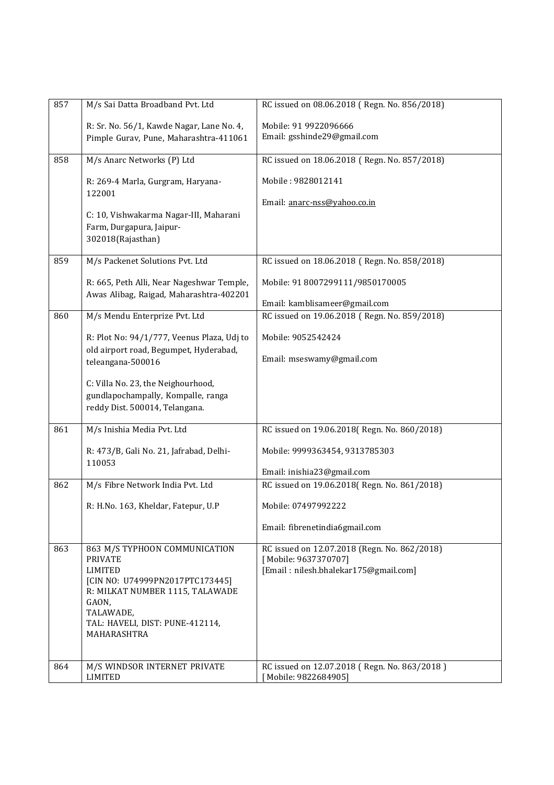| 857 | M/s Sai Datta Broadband Pvt. Ltd                                                                                                                                                                                | RC issued on 08.06.2018 (Regn. No. 856/2018)                                                                  |
|-----|-----------------------------------------------------------------------------------------------------------------------------------------------------------------------------------------------------------------|---------------------------------------------------------------------------------------------------------------|
|     | R: Sr. No. 56/1, Kawde Nagar, Lane No. 4,<br>Pimple Gurav, Pune, Maharashtra-411061                                                                                                                             | Mobile: 91 9922096666<br>Email: gsshinde29@gmail.com                                                          |
| 858 | M/s Anarc Networks (P) Ltd                                                                                                                                                                                      | RC issued on 18.06.2018 (Regn. No. 857/2018)                                                                  |
|     | R: 269-4 Marla, Gurgram, Haryana-<br>122001                                                                                                                                                                     | Mobile: 9828012141                                                                                            |
|     | C: 10, Vishwakarma Nagar-III, Maharani<br>Farm, Durgapura, Jaipur-<br>302018(Rajasthan)                                                                                                                         | Email: anarc-nss@yahoo.co.in                                                                                  |
| 859 | M/s Packenet Solutions Pvt. Ltd                                                                                                                                                                                 | RC issued on 18.06.2018 (Regn. No. 858/2018)                                                                  |
|     | R: 665, Peth Alli, Near Nageshwar Temple,                                                                                                                                                                       | Mobile: 91 8007299111/9850170005                                                                              |
|     | Awas Alibag, Raigad, Maharashtra-402201                                                                                                                                                                         | Email: kamblisameer@gmail.com                                                                                 |
| 860 | M/s Mendu Enterprize Pvt. Ltd                                                                                                                                                                                   | RC issued on 19.06.2018 (Regn. No. 859/2018)                                                                  |
|     | R: Plot No: 94/1/777, Veenus Plaza, Udj to                                                                                                                                                                      | Mobile: 9052542424                                                                                            |
|     | old airport road, Begumpet, Hyderabad,<br>teleangana-500016                                                                                                                                                     | Email: mseswamy@gmail.com                                                                                     |
|     | C: Villa No. 23, the Neighourhood,<br>gundlapochampally, Kompalle, ranga<br>reddy Dist. 500014, Telangana.                                                                                                      |                                                                                                               |
| 861 | M/s Inishia Media Pvt. Ltd                                                                                                                                                                                      | RC issued on 19.06.2018(Regn. No. 860/2018)                                                                   |
|     | R: 473/B, Gali No. 21, Jafrabad, Delhi-<br>110053                                                                                                                                                               | Mobile: 9999363454, 9313785303                                                                                |
|     |                                                                                                                                                                                                                 | Email: inishia23@gmail.com                                                                                    |
| 862 | M/s Fibre Network India Pvt. Ltd                                                                                                                                                                                | RC issued on 19.06.2018(Regn. No. 861/2018)                                                                   |
|     | R: H.No. 163, Kheldar, Fatepur, U.P                                                                                                                                                                             | Mobile: 07497992222                                                                                           |
|     |                                                                                                                                                                                                                 | Email: fibrenetindia6gmail.com                                                                                |
| 863 | 863 M/S TYPHOON COMMUNICATION<br><b>PRIVATE</b><br><b>LIMITED</b><br>[CIN NO: U74999PN2017PTC173445]<br>R: MILKAT NUMBER 1115, TALAWADE<br>GAON,<br>TALAWADE,<br>TAL: HAVELI, DIST: PUNE-412114,<br>MAHARASHTRA | RC issued on 12.07.2018 (Regn. No. 862/2018)<br>[Mobile: 9637370707]<br>[Email: nilesh.bhalekar175@gmail.com] |
| 864 | M/S WINDSOR INTERNET PRIVATE<br><b>LIMITED</b>                                                                                                                                                                  | RC issued on 12.07.2018 (Regn. No. 863/2018)<br>Mobile: 9822684905]                                           |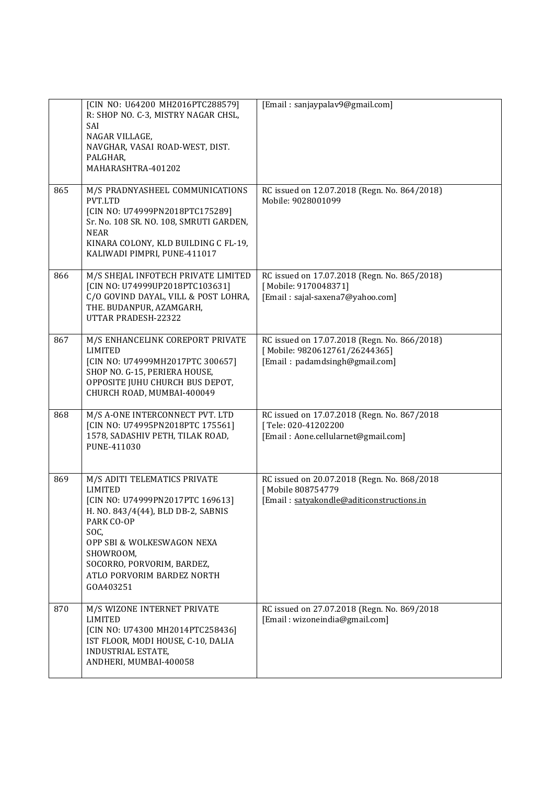|     | [CIN NO: U64200 MH2016PTC288579]<br>R: SHOP NO. C-3, MISTRY NAGAR CHSL,<br><b>SAI</b><br>NAGAR VILLAGE,<br>NAVGHAR, VASAI ROAD-WEST, DIST.<br>PALGHAR,<br>MAHARASHTRA-401202                                                                                       | [Email: sanjaypalav9@gmail.com]                                                                                 |
|-----|--------------------------------------------------------------------------------------------------------------------------------------------------------------------------------------------------------------------------------------------------------------------|-----------------------------------------------------------------------------------------------------------------|
| 865 | M/S PRADNYASHEEL COMMUNICATIONS<br>PVT.LTD<br>[CIN NO: U74999PN2018PTC175289]<br>Sr. No. 108 SR. NO. 108, SMRUTI GARDEN,<br><b>NEAR</b><br>KINARA COLONY, KLD BUILDING C FL-19,<br>KALIWADI PIMPRI, PUNE-411017                                                    | RC issued on 12.07.2018 (Regn. No. 864/2018)<br>Mobile: 9028001099                                              |
| 866 | M/S SHEJAL INFOTECH PRIVATE LIMITED<br>[CIN NO: U74999UP2018PTC103631]<br>C/O GOVIND DAYAL, VILL & POST LOHRA,<br>THE. BUDANPUR, AZAMGARH,<br>UTTAR PRADESH-22322                                                                                                  | RC issued on 17.07.2018 (Regn. No. 865/2018)<br>[Mobile: 9170048371]<br>[Email: sajal-saxena7@yahoo.com]        |
| 867 | M/S ENHANCELINK COREPORT PRIVATE<br><b>LIMITED</b><br>[CIN NO: U74999MH2017PTC 300657]<br>SHOP NO. G-15, PERIERA HOUSE,<br>OPPOSITE JUHU CHURCH BUS DEPOT,<br>CHURCH ROAD, MUMBAI-400049                                                                           | RC issued on 17.07.2018 (Regn. No. 866/2018)<br>[Mobile: 9820612761/26244365]<br>[Email: padamdsingh@gmail.com] |
| 868 | M/S A-ONE INTERCONNECT PVT. LTD<br>[CIN NO: U74995PN2018PTC 175561]<br>1578, SADASHIV PETH, TILAK ROAD,<br>PUNE-411030                                                                                                                                             | RC issued on 17.07.2018 (Regn. No. 867/2018<br>Tele: 020-41202200<br>[Email: Aone.cellularnet@gmail.com]        |
| 869 | M/S ADITI TELEMATICS PRIVATE<br><b>LIMITED</b><br>[CIN NO: U74999PN2017PTC 169613]<br>H. NO. 843/4(44), BLD DB-2, SABNIS<br>PARK CO-OP<br>SOC,<br>OPP SBI & WOLKESWAGON NEXA<br>SHOWROOM,<br>SOCORRO, PORVORIM, BARDEZ,<br>ATLO PORVORIM BARDEZ NORTH<br>GOA403251 | RC issued on 20.07.2018 (Regn. No. 868/2018<br>[Mobile 808754779<br>[Email: satyakondle@aditiconstructions.in   |
| 870 | M/S WIZONE INTERNET PRIVATE<br><b>LIMITED</b><br>[CIN NO: U74300 MH2014PTC258436]<br>IST FLOOR, MODI HOUSE, C-10, DALIA<br>INDUSTRIAL ESTATE,<br>ANDHERI, MUMBAI-400058                                                                                            | RC issued on 27.07.2018 (Regn. No. 869/2018<br>[Email: wizoneindia@gmail.com]                                   |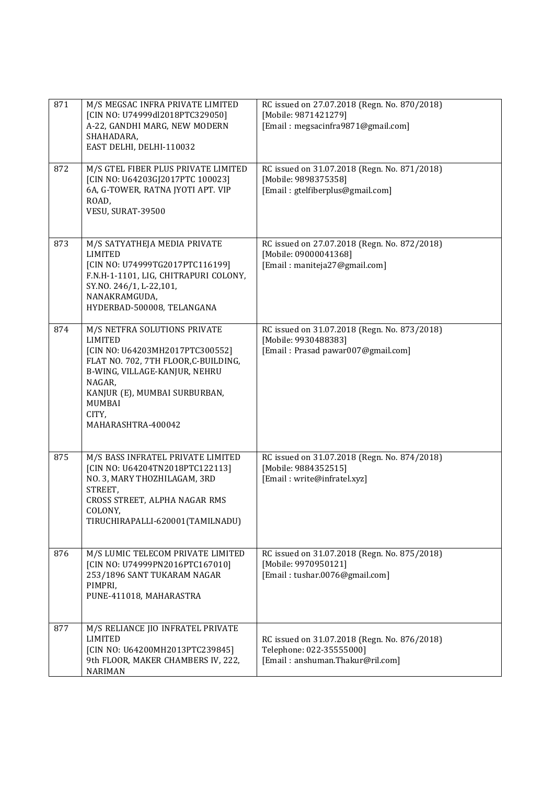| 871 | M/S MEGSAC INFRA PRIVATE LIMITED<br>[CIN NO: U74999dl2018PTC329050]<br>A-22, GANDHI MARG, NEW MODERN<br>SHAHADARA,<br>EAST DELHI, DELHI-110032                                                                                                | RC issued on 27.07.2018 (Regn. No. 870/2018)<br>[Mobile: 9871421279]<br>[Email: megsacinfra9871@gmail.com]   |
|-----|-----------------------------------------------------------------------------------------------------------------------------------------------------------------------------------------------------------------------------------------------|--------------------------------------------------------------------------------------------------------------|
| 872 | M/S GTEL FIBER PLUS PRIVATE LIMITED<br>[CIN NO: U64203GJ2017PTC 100023]<br>6A, G-TOWER, RATNA JYOTI APT. VIP<br>ROAD,<br>VESU, SURAT-39500                                                                                                    | RC issued on 31.07.2018 (Regn. No. 871/2018)<br>[Mobile: 9898375358]<br>[Email: gtelfiberplus@gmail.com]     |
| 873 | M/S SATYATHEJA MEDIA PRIVATE<br><b>LIMITED</b><br>[CIN NO: U74999TG2017PTC116199]<br>F.N.H-1-1101, LIG, CHITRAPURI COLONY,<br>SY.NO. 246/1, L-22,101,<br>NANAKRAMGUDA,<br>HYDERBAD-500008, TELANGANA                                          | RC issued on 27.07.2018 (Regn. No. 872/2018)<br>[Mobile: 09000041368]<br>[Email: maniteja27@gmail.com]       |
| 874 | M/S NETFRA SOLUTIONS PRIVATE<br><b>LIMITED</b><br>[CIN NO: U64203MH2017PTC300552]<br>FLAT NO. 702, 7TH FLOOR,C-BUILDING,<br>B-WING, VILLAGE-KANJUR, NEHRU<br>NAGAR,<br>KANJUR (E), MUMBAI SURBURBAN,<br>MUMBAI<br>CITY,<br>MAHARASHTRA-400042 | RC issued on 31.07.2018 (Regn. No. 873/2018)<br>[Mobile: 9930488383]<br>[Email: Prasad pawar007@gmail.com]   |
| 875 | M/S BASS INFRATEL PRIVATE LIMITED<br>[CIN NO: U64204TN2018PTC122113]<br>NO. 3, MARY THOZHILAGAM, 3RD<br>STREET,<br>CROSS STREET, ALPHA NAGAR RMS<br>COLONY,<br>TIRUCHIRAPALLI-620001(TAMILNADU)                                               | RC issued on 31.07.2018 (Regn. No. 874/2018)<br>[Mobile: 9884352515]<br>[Email: write@infratel.xyz]          |
| 876 | M/S LUMIC TELECOM PRIVATE LIMITED<br>[CIN NO: U74999PN2016PTC167010]<br>253/1896 SANT TUKARAM NAGAR<br>PIMPRI,<br>PUNE-411018, MAHARASTRA                                                                                                     | RC issued on 31.07.2018 (Regn. No. 875/2018)<br>[Mobile: 9970950121]<br>[Email: tushar.0076@gmail.com]       |
| 877 | M/S RELIANCE JIO INFRATEL PRIVATE<br>LIMITED<br>[CIN NO: U64200MH2013PTC239845]<br>9th FLOOR, MAKER CHAMBERS IV, 222,<br><b>NARIMAN</b>                                                                                                       | RC issued on 31.07.2018 (Regn. No. 876/2018)<br>Telephone: 022-35555000]<br>[Email: anshuman.Thakur@ril.com] |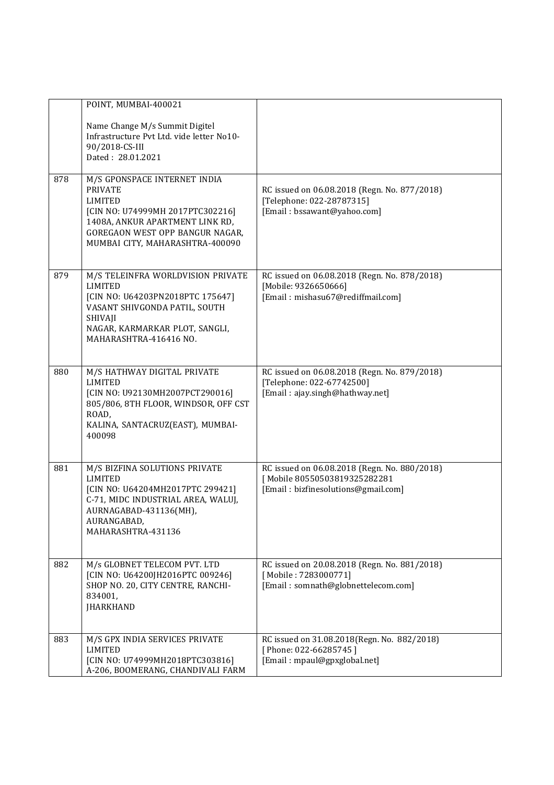|     | POINT, MUMBAI-400021                                                                                                                                                                                   |                                                                                                                      |
|-----|--------------------------------------------------------------------------------------------------------------------------------------------------------------------------------------------------------|----------------------------------------------------------------------------------------------------------------------|
|     | Name Change M/s Summit Digitel<br>Infrastructure Pvt Ltd. vide letter No10-<br>90/2018-CS-III<br>Dated: 28.01.2021                                                                                     |                                                                                                                      |
| 878 | M/S GPONSPACE INTERNET INDIA<br><b>PRIVATE</b><br>LIMITED<br>[CIN NO: U74999MH 2017PTC302216]<br>1408A, ANKUR APARTMENT LINK RD,<br>GOREGAON WEST OPP BANGUR NAGAR,<br>MUMBAI CITY, MAHARASHTRA-400090 | RC issued on 06.08.2018 (Regn. No. 877/2018)<br>[Telephone: 022-28787315]<br>[Email: bssawant@yahoo.com]             |
| 879 | M/S TELEINFRA WORLDVISION PRIVATE<br><b>LIMITED</b><br>[CIN NO: U64203PN2018PTC 175647]<br>VASANT SHIVGONDA PATIL, SOUTH<br>SHIVAJI<br>NAGAR, KARMARKAR PLOT, SANGLI,<br>MAHARASHTRA-416416 NO.        | RC issued on 06.08.2018 (Regn. No. 878/2018)<br>[Mobile: 9326650666]<br>[Email: mishasu67@rediffmail.com]            |
| 880 | M/S HATHWAY DIGITAL PRIVATE<br>LIMITED<br>[CIN NO: U92130MH2007PCT290016]<br>805/806, 8TH FLOOR, WINDSOR, OFF CST<br>ROAD,<br>KALINA, SANTACRUZ(EAST), MUMBAI-<br>400098                               | RC issued on 06.08.2018 (Regn. No. 879/2018)<br>[Telephone: 022-67742500]<br>[Email: ajay.singh@hathway.net]         |
| 881 | M/S BIZFINA SOLUTIONS PRIVATE<br>LIMITED<br>[CIN NO: U64204MH2017PTC 299421]<br>C-71, MIDC INDUSTRIAL AREA, WALUJ,<br>AURNAGABAD-431136(MH),<br>AURANGABAD,<br>MAHARASHTRA-431136                      | RC issued on 06.08.2018 (Regn. No. 880/2018)<br>[ Mobile 80550503819325282281<br>[Email: bizfinesolutions@gmail.com] |
| 882 | M/s GLOBNET TELECOM PVT. LTD<br>[CIN NO: U64200]H2016PTC 009246]<br>SHOP NO. 20, CITY CENTRE, RANCHI-<br>834001,<br><b>JHARKHAND</b>                                                                   | RC issued on 20.08.2018 (Regn. No. 881/2018)<br>[Mobile: 7283000771]<br>[Email: somnath@globnettelecom.com]          |
| 883 | M/S GPX INDIA SERVICES PRIVATE<br>LIMITED<br>[CIN NO: U74999MH2018PTC303816]<br>A-206, BOOMERANG, CHANDIVALI FARM                                                                                      | RC issued on 31.08.2018(Regn. No. 882/2018)<br>[Phone: 022-66285745]<br>[Email: mpaul@gpxglobal.net]                 |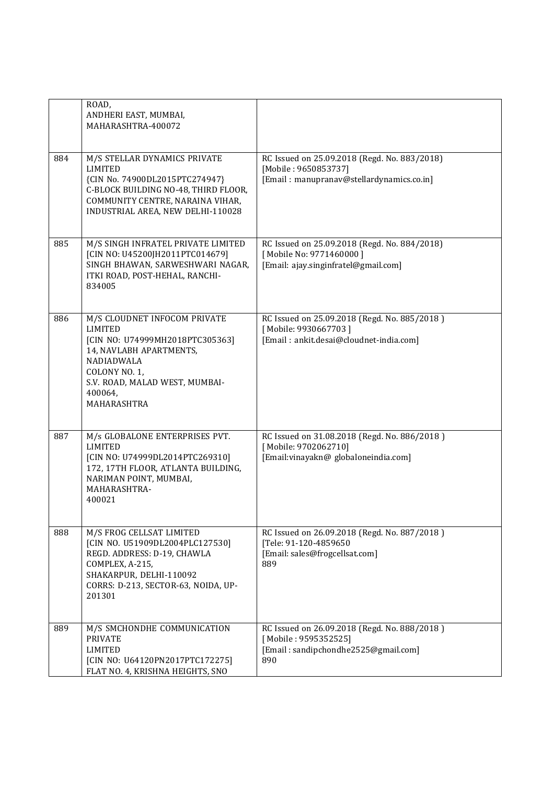|     | ROAD,<br>ANDHERI EAST, MUMBAI,<br>MAHARASHTRA-400072                                                                                                                                                    |                                                                                                                     |
|-----|---------------------------------------------------------------------------------------------------------------------------------------------------------------------------------------------------------|---------------------------------------------------------------------------------------------------------------------|
| 884 | M/S STELLAR DYNAMICS PRIVATE<br><b>LIMITED</b><br>{CIN No. 74900DL2015PTC274947}<br>C-BLOCK BUILDING NO-48, THIRD FLOOR,<br>COMMUNITY CENTRE, NARAINA VIHAR,<br>INDUSTRIAL AREA, NEW DELHI-110028       | RC Issued on 25.09.2018 (Regd. No. 883/2018)<br>[Mobile: 9650853737]<br>[Email: manupranav@stellardynamics.co.in]   |
| 885 | M/S SINGH INFRATEL PRIVATE LIMITED<br>[CIN NO: U45200]H2011PTC014679]<br>SINGH BHAWAN, SARWESHWARI NAGAR,<br>ITKI ROAD, POST-HEHAL, RANCHI-<br>834005                                                   | RC Issued on 25.09.2018 (Regd. No. 884/2018)<br>[ Mobile No: 9771460000 ]<br>[Email: ajay.singinfratel@gmail.com]   |
| 886 | M/S CLOUDNET INFOCOM PRIVATE<br>LIMITED<br>[CIN NO: U74999MH2018PTC305363]<br>14, NAVLABH APARTMENTS,<br><b>NADIADWALA</b><br>COLONY NO. 1,<br>S.V. ROAD, MALAD WEST, MUMBAI-<br>400064,<br>MAHARASHTRA | RC Issued on 25.09.2018 (Regd. No. 885/2018)<br>[Mobile: 9930667703]<br>[Email: ankit.desai@cloudnet-india.com]     |
| 887 | M/s GLOBALONE ENTERPRISES PVT.<br><b>LIMITED</b><br>[CIN NO: U74999DL2014PTC269310]<br>172, 17TH FLOOR, ATLANTA BUILDING,<br>NARIMAN POINT, MUMBAI,<br>MAHARASHTRA-<br>400021                           | RC Issued on 31.08.2018 (Regd. No. 886/2018)<br>[Mobile: 9702062710]<br>[Email:vinayakn@ globaloneindia.com]        |
| 888 | M/S FROG CELLSAT LIMITED<br>[CIN NO. U51909DL2004PLC127530]<br>REGD. ADDRESS: D-19, CHAWLA<br>COMPLEX, A-215,<br>SHAKARPUR, DELHI-110092<br>CORRS: D-213, SECTOR-63, NOIDA, UP-<br>201301               | RC Issued on 26.09.2018 (Regd. No. 887/2018)<br>[Tele: 91-120-4859650<br>[Email: sales@frogcellsat.com]<br>889      |
| 889 | M/S SMCHONDHE COMMUNICATION<br><b>PRIVATE</b><br><b>LIMITED</b><br>[CIN NO: U64120PN2017PTC172275]<br>FLAT NO. 4, KRISHNA HEIGHTS, SNO                                                                  | RC Issued on 26.09.2018 (Regd. No. 888/2018)<br>[Mobile: 9595352525]<br>[Email: sandipchondhe2525@gmail.com]<br>890 |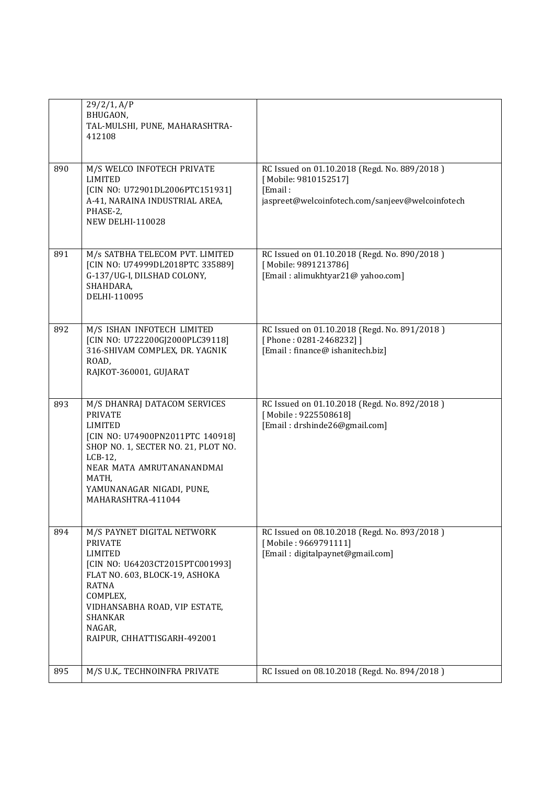|     | $29/2/1$ , A/P<br>BHUGAON,<br>TAL-MULSHI, PUNE, MAHARASHTRA-<br>412108                                                                                                                                                                          |                                                                                                                                     |
|-----|-------------------------------------------------------------------------------------------------------------------------------------------------------------------------------------------------------------------------------------------------|-------------------------------------------------------------------------------------------------------------------------------------|
| 890 | M/S WELCO INFOTECH PRIVATE<br><b>LIMITED</b><br>[CIN NO: U72901DL2006PTC151931]<br>A-41, NARAINA INDUSTRIAL AREA,<br>PHASE-2,<br><b>NEW DELHI-110028</b>                                                                                        | RC Issued on 01.10.2018 (Regd. No. 889/2018)<br>[Mobile: 9810152517]<br>[Email:<br>jaspreet@welcoinfotech.com/sanjeev@welcoinfotech |
| 891 | M/s SATBHA TELECOM PVT. LIMITED<br>[CIN NO: U74999DL2018PTC 335889]<br>G-137/UG-I, DILSHAD COLONY,<br>SHAHDARA,<br>DELHI-110095                                                                                                                 | RC Issued on 01.10.2018 (Regd. No. 890/2018)<br>[Mobile: 9891213786]<br>[Email: alimukhtyar21@ yahoo.com]                           |
| 892 | M/S ISHAN INFOTECH LIMITED<br>[CIN NO: U722200GJ2000PLC39118]<br>316-SHIVAM COMPLEX, DR. YAGNIK<br>ROAD,<br>RAJKOT-360001, GUJARAT                                                                                                              | RC Issued on 01.10.2018 (Regd. No. 891/2018)<br>[Phone: 0281-2468232]]<br>[Email: finance@ ishanitech.biz]                          |
| 893 | M/S DHANRAJ DATACOM SERVICES<br><b>PRIVATE</b><br><b>LIMITED</b><br>[CIN NO: U74900PN2011PTC 140918]<br>SHOP NO. 1, SECTER NO. 21, PLOT NO.<br>LCB-12.<br>NEAR MATA AMRUTANANANDMAI<br>MATH,<br>YAMUNANAGAR NIGADI, PUNE,<br>MAHARASHTRA-411044 | RC Issued on 01.10.2018 (Regd. No. 892/2018)<br>[Mobile: 9225508618]<br>[Email: drshinde26@gmail.com]                               |
| 894 | M/S PAYNET DIGITAL NETWORK<br><b>PRIVATE</b><br>LIMITED<br>[CIN NO: U64203CT2015PTC001993]<br>FLAT NO. 603, BLOCK-19, ASHOKA<br><b>RATNA</b><br>COMPLEX,<br>VIDHANSABHA ROAD, VIP ESTATE,<br>SHANKAR<br>NAGAR,<br>RAIPUR, CHHATTISGARH-492001   | RC Issued on 08.10.2018 (Regd. No. 893/2018)<br>[Mobile: 9669791111]<br>[Email: digitalpaynet@gmail.com]                            |
| 895 | M/S U.K,. TECHNOINFRA PRIVATE                                                                                                                                                                                                                   | RC Issued on 08.10.2018 (Regd. No. 894/2018)                                                                                        |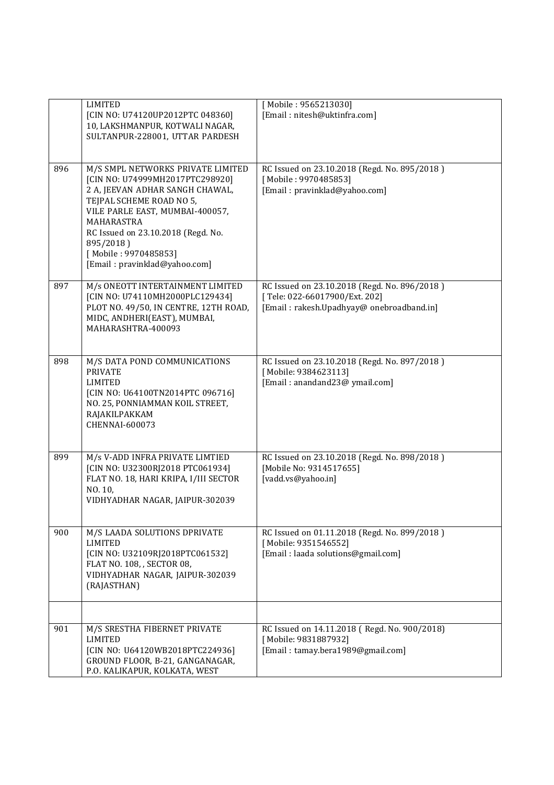|     | <b>LIMITED</b>                                                                                                                                                                                                                                                                                   | [ Mobile: 9565213030]                                                                                                      |
|-----|--------------------------------------------------------------------------------------------------------------------------------------------------------------------------------------------------------------------------------------------------------------------------------------------------|----------------------------------------------------------------------------------------------------------------------------|
|     | [CIN NO: U74120UP2012PTC 048360]<br>10, LAKSHMANPUR, KOTWALI NAGAR,<br>SULTANPUR-228001, UTTAR PARDESH                                                                                                                                                                                           | [Email: nitesh@uktinfra.com]                                                                                               |
| 896 | M/S SMPL NETWORKS PRIVATE LIMITED<br>[CIN NO: U74999MH2017PTC298920]<br>2 A, JEEVAN ADHAR SANGH CHAWAL,<br>TEJPAL SCHEME ROAD NO 5,<br>VILE PARLE EAST, MUMBAI-400057,<br>MAHARASTRA<br>RC Issued on 23.10.2018 (Regd. No.<br>895/2018)<br>[Mobile: 9970485853]<br>[Email: pravinklad@yahoo.com] | RC Issued on 23.10.2018 (Regd. No. 895/2018)<br>[Mobile: 9970485853]<br>[Email: pravinklad@yahoo.com]                      |
| 897 | M/s ONEOTT INTERTAINMENT LIMITED<br>[CIN NO: U74110MH2000PLC129434]<br>PLOT NO. 49/50, IN CENTRE, 12TH ROAD,<br>MIDC, ANDHERI(EAST), MUMBAI,<br>MAHARASHTRA-400093                                                                                                                               | RC Issued on 23.10.2018 (Regd. No. 896/2018)<br>[Tele: 022-66017900/Ext. 202]<br>[Email: rakesh.Upadhyay@ onebroadband.in] |
| 898 | M/S DATA POND COMMUNICATIONS<br><b>PRIVATE</b><br><b>LIMITED</b><br>[CIN NO: U64100TN2014PTC 096716]<br>NO. 25, PONNIAMMAN KOIL STREET,<br>RAJAKILPAKKAM<br>CHENNAI-600073                                                                                                                       | RC Issued on 23.10.2018 (Regd. No. 897/2018)<br>[Mobile: 9384623113]<br>[Email: anandand23@ ymail.com]                     |
| 899 | M/s V-ADD INFRA PRIVATE LIMTIED<br>[CIN NO: U32300RJ2018 PTC061934]<br>FLAT NO. 18, HARI KRIPA, I/III SECTOR<br>NO. 10,<br>VIDHYADHAR NAGAR, JAIPUR-302039                                                                                                                                       | RC Issued on 23.10.2018 (Regd. No. 898/2018)<br>[Mobile No: 9314517655]<br>[vadd.vs@yahoo.in]                              |
| 900 | M/S LAADA SOLUTIONS DPRIVATE<br><b>LIMITED</b><br>[CIN NO: U32109RJ2018PTC061532]<br>FLAT NO. 108, , SECTOR 08,<br>VIDHYADHAR NAGAR, JAIPUR-302039<br>(RAJASTHAN)                                                                                                                                | RC Issued on 01.11.2018 (Regd. No. 899/2018)<br>[Mobile: 9351546552]<br>[Email : laada solutions@gmail.com]                |
| 901 | M/S SRESTHA FIBERNET PRIVATE<br><b>LIMITED</b><br>[CIN NO: U64120WB2018PTC224936]<br>GROUND FLOOR, B-21, GANGANAGAR,<br>P.O. KALIKAPUR, KOLKATA, WEST                                                                                                                                            | RC Issued on 14.11.2018 (Regd. No. 900/2018)<br>[Mobile: 9831887932]<br>[Email: tamay.bera1989@gmail.com]                  |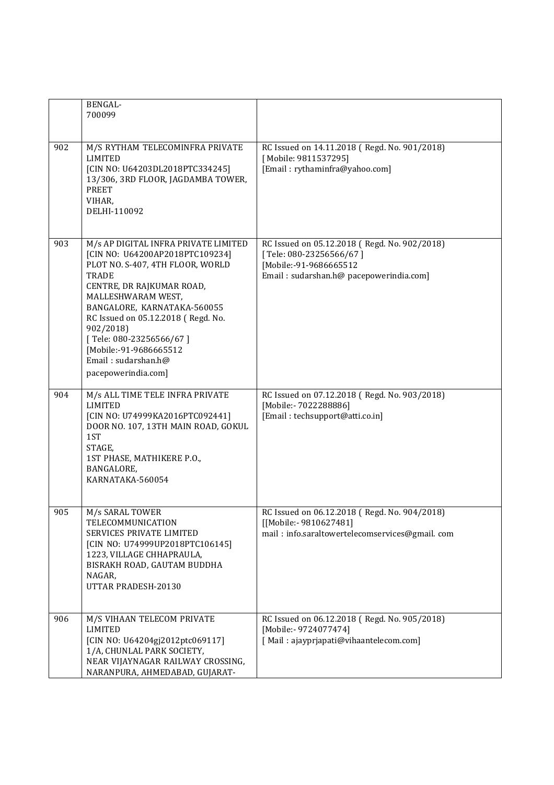|     | BENGAL-<br>700099                                                                                                                                                                                                                                                                                                                                            |                                                                                                                                              |
|-----|--------------------------------------------------------------------------------------------------------------------------------------------------------------------------------------------------------------------------------------------------------------------------------------------------------------------------------------------------------------|----------------------------------------------------------------------------------------------------------------------------------------------|
| 902 | M/S RYTHAM TELECOMINFRA PRIVATE<br><b>LIMITED</b><br>[CIN NO: U64203DL2018PTC334245]<br>13/306, 3RD FLOOR, JAGDAMBA TOWER,<br><b>PREET</b><br>VIHAR,<br>DELHI-110092                                                                                                                                                                                         | RC Issued on 14.11.2018 (Regd. No. 901/2018)<br>[Mobile: 9811537295]<br>[Email: rythaminfra@yahoo.com]                                       |
| 903 | M/s AP DIGITAL INFRA PRIVATE LIMITED<br>[CIN NO: U64200AP2018PTC109234]<br>PLOT NO. S-407, 4TH FLOOR, WORLD<br>TRADE<br>CENTRE, DR RAJKUMAR ROAD,<br>MALLESHWARAM WEST,<br>BANGALORE, KARNATAKA-560055<br>RC Issued on 05.12.2018 (Regd. No.<br>902/2018)<br>[Tele: 080-23256566/67]<br>[Mobile:-91-9686665512<br>Email: sudarshan.h@<br>pacepowerindia.com] | RC Issued on 05.12.2018 (Regd. No. 902/2018)<br>[Tele: 080-23256566/67]<br>[Mobile:-91-9686665512<br>Email: sudarshan.h@ pacepowerindia.com] |
| 904 | M/s ALL TIME TELE INFRA PRIVATE<br>LIMITED<br>[CIN NO: U74999KA2016PTC092441]<br>DOOR NO. 107, 13TH MAIN ROAD, GOKUL<br>1ST<br>STAGE,<br>1ST PHASE, MATHIKERE P.O.,<br>BANGALORE,<br>KARNATAKA-560054                                                                                                                                                        | RC Issued on 07.12.2018 (Regd. No. 903/2018)<br>[Mobile:-7022288886]<br>[Email: techsupport@atti.co.in]                                      |
| 905 | M/s SARAL TOWER<br>TELECOMMUNICATION<br>SERVICES PRIVATE LIMITED<br>[CIN NO: U74999UP2018PTC106145]<br>1223, VILLAGE CHHAPRAULA,<br>BISRAKH ROAD, GAUTAM BUDDHA<br>NAGAR,<br>UTTAR PRADESH-20130                                                                                                                                                             | RC Issued on 06.12.2018 (Regd. No. 904/2018)<br>[[Mobile:- 9810627481]<br>mail: info.saraltowertelecomservices@gmail.com                     |
| 906 | M/S VIHAAN TELECOM PRIVATE<br><b>LIMITED</b><br>[CIN NO: U64204gj2012ptc069117]<br>1/A, CHUNLAL PARK SOCIETY,<br>NEAR VIJAYNAGAR RAILWAY CROSSING,<br>NARANPURA, AHMEDABAD, GUJARAT-                                                                                                                                                                         | RC Issued on 06.12.2018 (Regd. No. 905/2018)<br>[Mobile:- 9724077474]<br>[Mail: ajayprjapati@vihaantelecom.com]                              |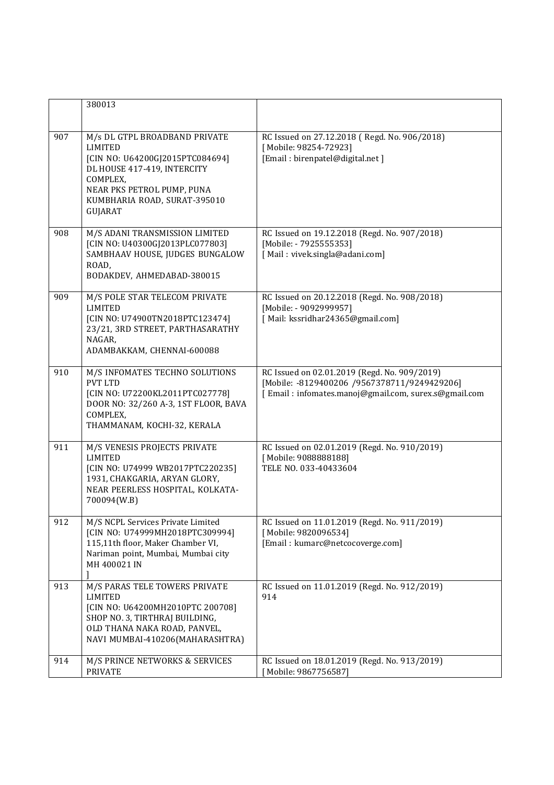|     | 380013                                                                                                                                                                                   |                                                                                                                                                        |
|-----|------------------------------------------------------------------------------------------------------------------------------------------------------------------------------------------|--------------------------------------------------------------------------------------------------------------------------------------------------------|
| 907 | M/s DL GTPL BROADBAND PRIVATE                                                                                                                                                            | RC Issued on 27.12.2018 (Regd. No. 906/2018)                                                                                                           |
|     | <b>LIMITED</b><br>[CIN NO: U64200GJ2015PTC084694]<br>DL HOUSE 417-419, INTERCITY<br>COMPLEX,<br>NEAR PKS PETROL PUMP, PUNA<br>KUMBHARIA ROAD, SURAT-395010<br><b>GUJARAT</b>             | [Mobile: 98254-72923]<br>[Email: birenpatel@digital.net]                                                                                               |
| 908 | M/S ADANI TRANSMISSION LIMITED<br>[CIN NO: U40300GJ2013PLC077803]<br>SAMBHAAV HOUSE, JUDGES BUNGALOW<br>ROAD,<br>BODAKDEV, AHMEDABAD-380015                                              | RC Issued on 19.12.2018 (Regd. No. 907/2018)<br>[Mobile: - 7925555353]<br>[Mail: vivek.singla@adani.com]                                               |
| 909 | M/S POLE STAR TELECOM PRIVATE<br><b>LIMITED</b><br>[CIN NO: U74900TN2018PTC123474]<br>23/21, 3RD STREET, PARTHASARATHY<br>NAGAR,<br>ADAMBAKKAM, CHENNAI-600088                           | RC Issued on 20.12.2018 (Regd. No. 908/2018)<br>[Mobile: - 9092999957]<br>[Mail: kssridhar24365@gmail.com]                                             |
| 910 | M/S INFOMATES TECHNO SOLUTIONS<br><b>PVT LTD</b><br>[CIN NO: U72200KL2011PTC027778]<br>DOOR NO: 32/260 A-3, 1ST FLOOR, BAVA<br>COMPLEX,<br>THAMMANAM, KOCHI-32, KERALA                   | RC Issued on 02.01.2019 (Regd. No. 909/2019)<br>[Mobile: -8129400206 /9567378711/9249429206]<br>[ Email : infomates.manoj@gmail.com, surex.s@gmail.com |
| 911 | M/S VENESIS PROJECTS PRIVATE<br><b>LIMITED</b><br>[CIN NO: U74999 WB2017PTC220235]<br>1931, CHAKGARIA, ARYAN GLORY,<br>NEAR PEERLESS HOSPITAL, KOLKATA-<br>700094(W.B)                   | RC Issued on 02.01.2019 (Regd. No. 910/2019)<br>[Mobile: 9088888188]<br>TELE NO. 033-40433604                                                          |
| 912 | M/S NCPL Services Private Limited<br>[CIN NO: U74999MH2018PTC309994]<br>115,11th floor, Maker Chamber VI,<br>Nariman point, Mumbai, Mumbai city<br>MH 400021 IN                          | RC Issued on 11.01.2019 (Regd. No. 911/2019)<br>[Mobile: 9820096534]<br>[Email: kumarc@netcocoverge.com]                                               |
| 913 | M/S PARAS TELE TOWERS PRIVATE<br><b>LIMITED</b><br>[CIN NO: U64200MH2010PTC 200708]<br>SHOP NO. 3, TIRTHRAJ BUILDING,<br>OLD THANA NAKA ROAD, PANVEL,<br>NAVI MUMBAI-410206(MAHARASHTRA) | RC Issued on 11.01.2019 (Regd. No. 912/2019)<br>914                                                                                                    |
| 914 | M/S PRINCE NETWORKS & SERVICES<br><b>PRIVATE</b>                                                                                                                                         | RC Issued on 18.01.2019 (Regd. No. 913/2019)<br>Mobile: 9867756587]                                                                                    |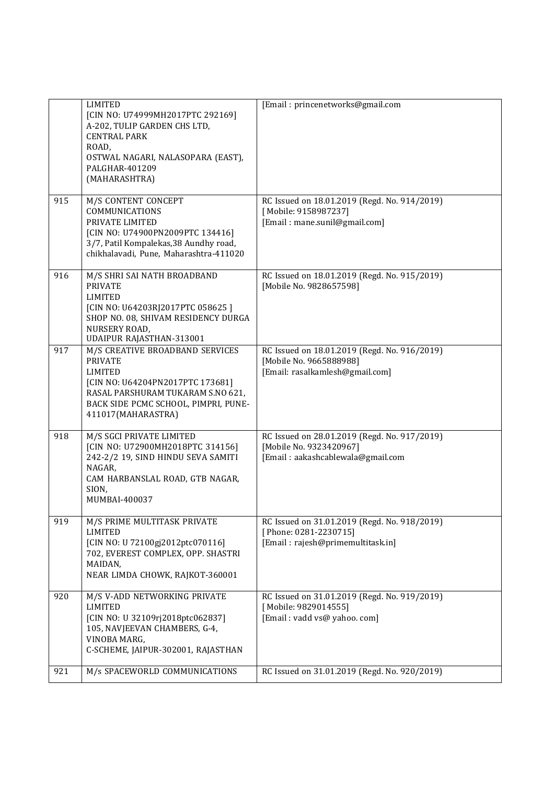|     | <b>LIMITED</b><br>[CIN NO: U74999MH2017PTC 292169]<br>A-202, TULIP GARDEN CHS LTD,<br><b>CENTRAL PARK</b><br>ROAD,<br>OSTWAL NAGARI, NALASOPARA (EAST),<br>PALGHAR-401209<br>(MAHARASHTRA)                 | [Email: princenetworks@gmail.com                                                                             |
|-----|------------------------------------------------------------------------------------------------------------------------------------------------------------------------------------------------------------|--------------------------------------------------------------------------------------------------------------|
| 915 | M/S CONTENT CONCEPT<br><b>COMMUNICATIONS</b><br>PRIVATE LIMITED<br>[CIN NO: U74900PN2009PTC 134416]<br>3/7, Patil Kompalekas, 38 Aundhy road,<br>chikhalavadi, Pune, Maharashtra-411020                    | RC Issued on 18.01.2019 (Regd. No. 914/2019)<br>[Mobile: 9158987237]<br>[Email: mane.sunil@gmail.com]        |
| 916 | M/S SHRI SAI NATH BROADBAND<br><b>PRIVATE</b><br><b>LIMITED</b><br>[CIN NO: U64203RJ2017PTC 058625]<br>SHOP NO. 08, SHIVAM RESIDENCY DURGA<br>NURSERY ROAD,<br>UDAIPUR RAJASTHAN-313001                    | RC Issued on 18.01.2019 (Regd. No. 915/2019)<br>[Mobile No. 9828657598]                                      |
| 917 | M/S CREATIVE BROADBAND SERVICES<br><b>PRIVATE</b><br><b>LIMITED</b><br>[CIN NO: U64204PN2017PTC 173681]<br>RASAL PARSHURAM TUKARAM S.NO 621,<br>BACK SIDE PCMC SCHOOL, PIMPRI, PUNE-<br>411017(MAHARASTRA) | RC Issued on 18.01.2019 (Regd. No. 916/2019)<br>[Mobile No. 9665888988]<br>[Email: rasalkamlesh@gmail.com]   |
| 918 | M/S SGCI PRIVATE LIMITED<br>[CIN NO: U72900MH2018PTC 314156]<br>242-2/2 19, SIND HINDU SEVA SAMITI<br>NAGAR,<br>CAM HARBANSLAL ROAD, GTB NAGAR,<br>SION,<br>MUMBAI-400037                                  | RC Issued on 28.01.2019 (Regd. No. 917/2019)<br>[Mobile No. 9323420967]<br>[Email: aakashcablewala@gmail.com |
| 919 | M/S PRIME MULTITASK PRIVATE<br><b>LIMITED</b><br>[CIN NO: U 72100gj2012ptc070116]<br>702, EVEREST COMPLEX, OPP. SHASTRI<br>MAIDAN,<br>NEAR LIMDA CHOWK, RAJKOT-360001                                      | RC Issued on 31.01.2019 (Regd. No. 918/2019)<br>[Phone: 0281-2230715]<br>[Email: rajesh@primemultitask.in]   |
| 920 | M/S V-ADD NETWORKING PRIVATE<br><b>LIMITED</b><br>[CIN NO: U 32109rj2018ptc062837]<br>105, NAVJEEVAN CHAMBERS, G-4,<br>VINOBA MARG,<br>C-SCHEME, JAIPUR-302001, RAJASTHAN                                  | RC Issued on 31.01.2019 (Regd. No. 919/2019)<br>[Mobile: 9829014555]<br>[Email : vadd vs@ yahoo. com]        |
| 921 | M/s SPACEWORLD COMMUNICATIONS                                                                                                                                                                              | RC Issued on 31.01.2019 (Regd. No. 920/2019)                                                                 |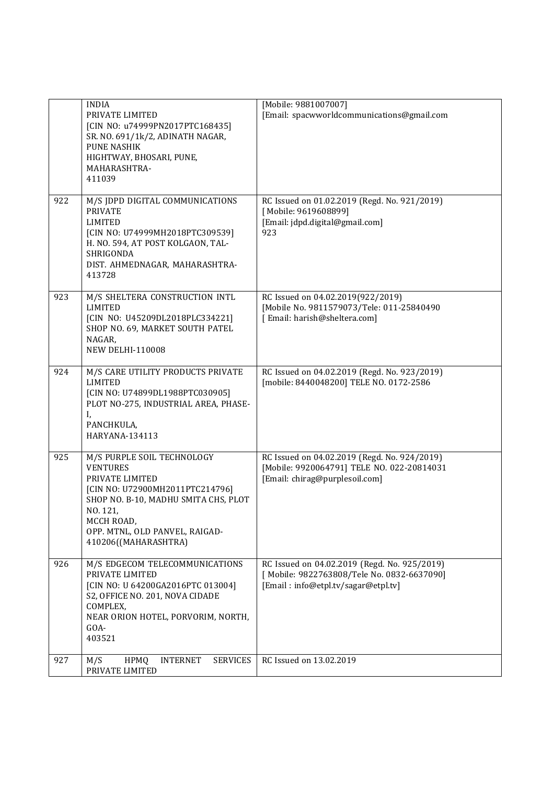|     | <b>INDIA</b>                                                                                                                                                                                                                    | [Mobile: 9881007007]                                                                                                               |
|-----|---------------------------------------------------------------------------------------------------------------------------------------------------------------------------------------------------------------------------------|------------------------------------------------------------------------------------------------------------------------------------|
|     | PRIVATE LIMITED<br>[CIN NO: u74999PN2017PTC168435]<br>SR. NO. 691/1k/2, ADINATH NAGAR,<br><b>PUNE NASHIK</b><br>HIGHTWAY, BHOSARI, PUNE,<br>MAHARASHTRA-<br>411039                                                              | [Email: spacwworldcommunications@gmail.com                                                                                         |
| 922 | M/S JDPD DIGITAL COMMUNICATIONS<br><b>PRIVATE</b><br><b>LIMITED</b><br>[CIN NO: U74999MH2018PTC309539]<br>H. NO. 594, AT POST KOLGAON, TAL-<br>SHRIGONDA<br>DIST. AHMEDNAGAR, MAHARASHTRA-<br>413728                            | RC Issued on 01.02.2019 (Regd. No. 921/2019)<br>[Mobile: 9619608899]<br>[Email: jdpd.digital@gmail.com]<br>923                     |
| 923 | M/S SHELTERA CONSTRUCTION INTL<br><b>LIMITED</b><br>[CIN NO: U45209DL2018PLC334221]<br>SHOP NO. 69, MARKET SOUTH PATEL<br>NAGAR,<br><b>NEW DELHI-110008</b>                                                                     | RC Issued on 04.02.2019(922/2019)<br>[Mobile No. 9811579073/Tele: 011-25840490<br>[ Email: harish@sheltera.com]                    |
| 924 | M/S CARE UTILITY PRODUCTS PRIVATE<br><b>LIMITED</b><br>[CIN NO: U74899DL1988PTC030905]<br>PLOT NO-275, INDUSTRIAL AREA, PHASE-<br>I,<br>PANCHKULA,<br>HARYANA-134113                                                            | RC Issued on 04.02.2019 (Regd. No. 923/2019)<br>[mobile: 8440048200] TELE NO. 0172-2586                                            |
| 925 | M/S PURPLE SOIL TECHNOLOGY<br><b>VENTURES</b><br>PRIVATE LIMITED<br>[CIN NO: U72900MH2011PTC214796]<br>SHOP NO. B-10, MADHU SMITA CHS, PLOT<br>NO. 121,<br>MCCH ROAD,<br>OPP. MTNL, OLD PANVEL, RAIGAD-<br>410206((MAHARASHTRA) | RC Issued on 04.02.2019 (Regd. No. 924/2019)<br>[Mobile: 9920064791] TELE NO. 022-20814031<br>[Email: chirag@purplesoil.com]       |
| 926 | M/S EDGECOM TELECOMMUNICATIONS<br>PRIVATE LIMITED<br>[CIN NO: U 64200GA2016PTC 013004]<br>S2, OFFICE NO. 201, NOVA CIDADE<br>COMPLEX,<br>NEAR ORION HOTEL, PORVORIM, NORTH,<br>GOA-<br>403521                                   | RC Issued on 04.02.2019 (Regd. No. 925/2019)<br>[ Mobile: 9822763808/Tele No. 0832-6637090]<br>[Email: info@etpl.tv/sagar@etpl.tv] |
| 927 | M/S<br><b>SERVICES</b><br><b>HPMQ</b><br><b>INTERNET</b><br>PRIVATE LIMITED                                                                                                                                                     | RC Issued on 13.02.2019                                                                                                            |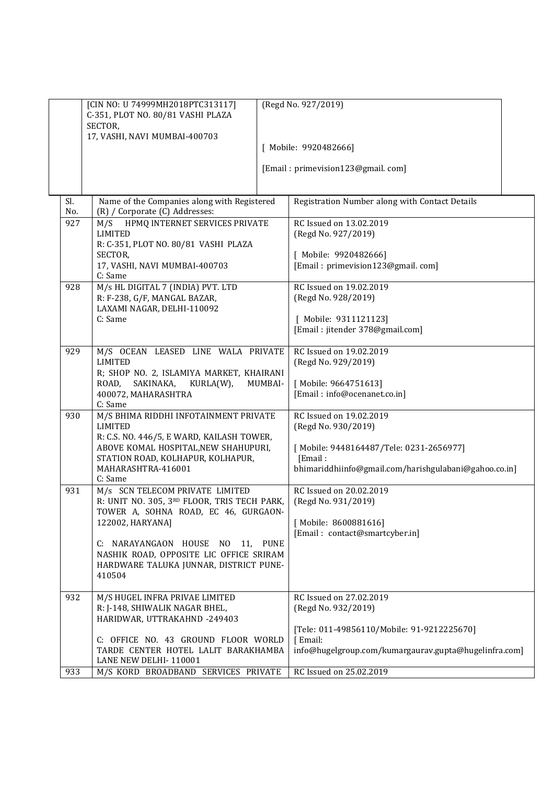|            | [CIN NO: U 74999MH2018PTC313117]<br>C-351, PLOT NO. 80/81 VASHI PLAZA<br>SECTOR,<br>17, VASHI, NAVI MUMBAI-400703                                                                                                                                                    |          | (Regd No. 927/2019)<br>[ Mobile: 9920482666]                                                                                                                     |
|------------|----------------------------------------------------------------------------------------------------------------------------------------------------------------------------------------------------------------------------------------------------------------------|----------|------------------------------------------------------------------------------------------------------------------------------------------------------------------|
|            |                                                                                                                                                                                                                                                                      |          | [Email: primevision123@gmail.com]                                                                                                                                |
| Sl.<br>No. | Name of the Companies along with Registered<br>(R) / Corporate (C) Addresses:                                                                                                                                                                                        |          | Registration Number along with Contact Details                                                                                                                   |
| 927        | M/S HPMQ INTERNET SERVICES PRIVATE<br>LIMITED<br>R: C-351, PLOT NO. 80/81 VASHI PLAZA<br>SECTOR,<br>17, VASHI, NAVI MUMBAI-400703<br>C: Same                                                                                                                         |          | RC Issued on 13.02.2019<br>(Regd No. 927/2019)<br>[ Mobile: 9920482666]<br>[Email: primevision123@gmail.com]                                                     |
| 928        | M/s HL DIGITAL 7 (INDIA) PVT. LTD<br>R: F-238, G/F, MANGAL BAZAR,<br>LAXAMI NAGAR, DELHI-110092<br>C: Same                                                                                                                                                           |          | RC Issued on 19.02.2019<br>(Regd No. 928/2019)<br>[ Mobile: 9311121123]<br>[Email: jitender 378@gmail.com]                                                       |
| 929        | M/S OCEAN LEASED LINE WALA PRIVATE<br>LIMITED<br>R; SHOP NO. 2, ISLAMIYA MARKET, KHAIRANI<br>ROAD, SAKINAKA,<br>KURLA(W),<br>400072, MAHARASHTRA<br>C: Same                                                                                                          | MUMBAI-  | RC Issued on 19.02.2019<br>(Regd No. 929/2019)<br>[Mobile: 9664751613]<br>[Email: info@ocenanet.co.in]                                                           |
| 930        | M/S BHIMA RIDDHI INFOTAINMENT PRIVATE<br><b>LIMITED</b><br>R: C.S. NO. 446/5, E WARD, KAILASH TOWER,<br>ABOVE KOMAL HOSPITAL, NEW SHAHUPURI,<br>STATION ROAD, KOLHAPUR, KOLHAPUR,<br>MAHARASHTRA-416001<br>C: Same                                                   |          | RC Issued on 19.02.2019<br>(Regd No. 930/2019)<br>[Mobile: 9448164487/Tele: 0231-2656977]<br>[Email:<br>bhimariddhiinfo@gmail.com/harishgulabani@gahoo.co.in]    |
| 931        | M/s SCN TELECOM PRIVATE LIMITED<br>R: UNIT NO. 305, 3RD FLOOR, TRIS TECH PARK,<br>TOWER A, SOHNA ROAD, EC 46, GURGAON-<br>122002, HARYANA]<br>C: NARAYANGAON HOUSE NO<br>NASHIK ROAD, OPPOSITE LIC OFFICE SRIRAM<br>HARDWARE TALUKA JUNNAR, DISTRICT PUNE-<br>410504 | 11, PUNE | RC Issued on 20.02.2019<br>(Regd No. 931/2019)<br>[ Mobile: 8600881616]<br>[Email: contact@smartcyber.in]                                                        |
| 932        | M/S HUGEL INFRA PRIVAE LIMITED<br>R: J-148, SHIWALIK NAGAR BHEL,<br>HARIDWAR, UTTRAKAHND -249403<br>C: OFFICE NO. 43 GROUND FLOOR WORLD<br>TARDE CENTER HOTEL LALIT BARAKHAMBA<br>LANE NEW DELHI-110001                                                              |          | RC Issued on 27.02.2019<br>(Regd No. 932/2019)<br>[Tele: 011-49856110/Mobile: 91-9212225670]<br>[Email:<br>info@hugelgroup.com/kumargaurav.gupta@hugelinfra.com] |
| 933        | M/S KORD BROADBAND SERVICES PRIVATE                                                                                                                                                                                                                                  |          | RC Issued on 25.02.2019                                                                                                                                          |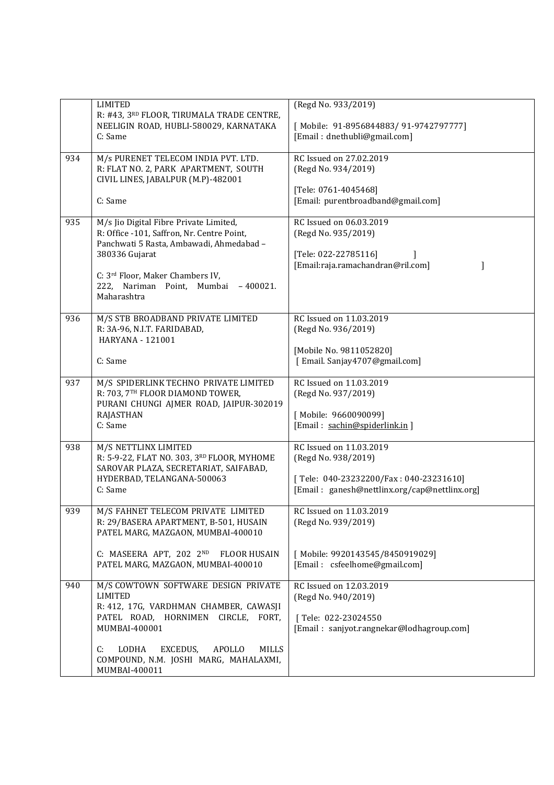|     | <b>LIMITED</b><br>R: #43, 3RD FLOOR, TIRUMALA TRADE CENTRE,<br>NEELIGIN ROAD, HUBLI-580029, KARNATAKA<br>C: Same                                                                                                                                                                | (Regd No. 933/2019)<br>[ Mobile: 91-8956844883/ 91-9742797777]<br>[Email: dnethubli@gmail.com]                                            |
|-----|---------------------------------------------------------------------------------------------------------------------------------------------------------------------------------------------------------------------------------------------------------------------------------|-------------------------------------------------------------------------------------------------------------------------------------------|
| 934 | M/s PURENET TELECOM INDIA PVT. LTD.<br>R: FLAT NO. 2, PARK APARTMENT, SOUTH<br>CIVIL LINES, JABALPUR (M.P)-482001                                                                                                                                                               | RC Issued on 27.02.2019<br>(Regd No. 934/2019)<br>[Tele: 0761-4045468]                                                                    |
|     | C: Same                                                                                                                                                                                                                                                                         | [Email: purentbroadband@gmail.com]                                                                                                        |
| 935 | M/s Jio Digital Fibre Private Limited,<br>R: Office -101, Saffron, Nr. Centre Point,<br>Panchwati 5 Rasta, Ambawadi, Ahmedabad -<br>380336 Gujarat<br>C: 3rd Floor, Maker Chambers IV,<br>222, Nariman Point, Mumbai<br>$-400021.$<br>Maharashtra                               | RC Issued on 06.03.2019<br>(Regd No. 935/2019)<br>[Tele: 022-22785116]<br>[Email:raja.ramachandran@ril.com]                               |
| 936 | M/S STB BROADBAND PRIVATE LIMITED<br>R: 3A-96, N.I.T. FARIDABAD,<br>HARYANA - 121001<br>C: Same                                                                                                                                                                                 | RC Issued on 11.03.2019<br>(Regd No. 936/2019)<br>[Mobile No. 9811052820]<br>[ Email. Sanjay4707@gmail.com]                               |
| 937 | M/S SPIDERLINK TECHNO PRIVATE LIMITED<br>R: 703, 7TH FLOOR DIAMOND TOWER,<br>PURANI CHUNGI AJMER ROAD, JAIPUR-302019<br>RAJASTHAN<br>C: Same                                                                                                                                    | RC Issued on 11.03.2019<br>(Regd No. 937/2019)<br>[ Mobile: 9660090099]<br>[Email: sachin@spiderlink.in]                                  |
| 938 | M/S NETTLINX LIMITED<br>R: 5-9-22, FLAT NO. 303, 3RD FLOOR, MYHOME<br>SAROVAR PLAZA, SECRETARIAT, SAIFABAD,<br>HYDERBAD, TELANGANA-500063<br>C: Same                                                                                                                            | RC Issued on 11.03.2019<br>(Regd No. 938/2019)<br>[Tele: 040-23232200/Fax: 040-23231610]<br>[Email: ganesh@nettlinx.org/cap@nettlinx.org] |
| 939 | M/S FAHNET TELECOM PRIVATE LIMITED<br>R: 29/BASERA APARTMENT, B-501, HUSAIN<br>PATEL MARG, MAZGAON, MUMBAI-400010<br>C: MASEERA APT, 202 2ND FLOOR HUSAIN<br>PATEL MARG, MAZGAON, MUMBAI-400010                                                                                 | RC Issued on 11.03.2019<br>(Regd No. 939/2019)<br>[ Mobile: 9920143545/8450919029]<br>[Email: csfeelhome@gmail.com]                       |
| 940 | M/S COWTOWN SOFTWARE DESIGN PRIVATE<br><b>LIMITED</b><br>R: 412, 17G, VARDHMAN CHAMBER, CAWASJI<br>PATEL ROAD, HORNIMEN<br>CIRCLE, FORT,<br>MUMBAI-400001<br>LODHA<br>EXCEDUS,<br><b>APOLLO</b><br><b>MILLS</b><br>C:<br>COMPOUND, N.M. JOSHI MARG, MAHALAXMI,<br>MUMBAI-400011 | RC Issued on 12.03.2019<br>(Regd No. 940/2019)<br>[Tele: 022-23024550<br>[Email : sanjyot.rangnekar@lodhagroup.com]                       |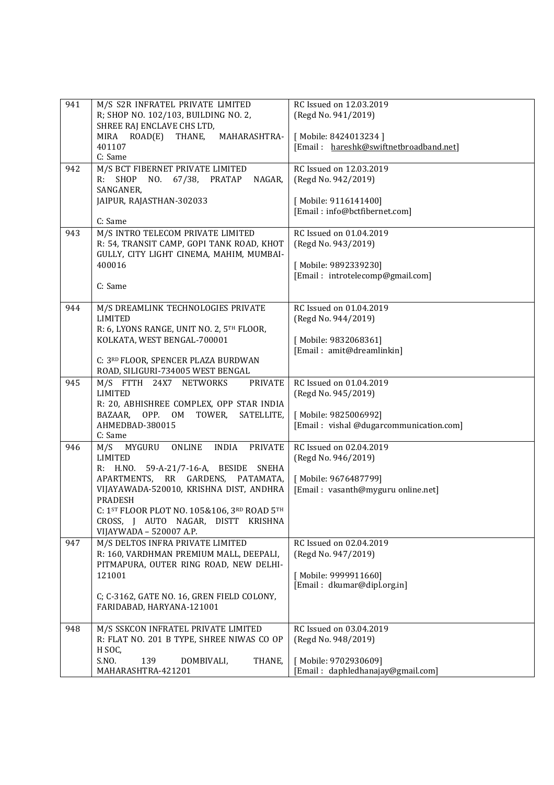| 941 | M/S S2R INFRATEL PRIVATE LIMITED<br>R; SHOP NO. 102/103, BUILDING NO. 2,         | RC Issued on 12.03.2019<br>(Regd No. 941/2019)               |
|-----|----------------------------------------------------------------------------------|--------------------------------------------------------------|
|     | SHREE RAJ ENCLAVE CHS LTD,                                                       |                                                              |
|     | MIRA ROAD(E) THANE,<br>MAHARASHTRA-                                              | [ Mobile: 8424013234 ]                                       |
|     | 401107                                                                           | [Email: hareshk@swiftnetbroadband.net]                       |
| 942 | C: Same<br>M/S BCT FIBERNET PRIVATE LIMITED                                      | RC Issued on 12.03.2019                                      |
|     | R: SHOP NO. 67/38, PRATAP<br>NAGAR,                                              | (Regd No. 942/2019)                                          |
|     | SANGANER,                                                                        |                                                              |
|     | JAIPUR, RAJASTHAN-302033                                                         | [ Mobile: 9116141400]                                        |
|     | C: Same                                                                          | [Email: info@bctfibernet.com]                                |
| 943 | M/S INTRO TELECOM PRIVATE LIMITED                                                | RC Issued on 01.04.2019                                      |
|     | R: 54, TRANSIT CAMP, GOPI TANK ROAD, KHOT                                        | (Regd No. 943/2019)                                          |
|     | GULLY, CITY LIGHT CINEMA, MAHIM, MUMBAI-                                         |                                                              |
|     | 400016                                                                           | [ Mobile: 9892339230]                                        |
|     | C: Same                                                                          | [Email : introtelecomp@gmail.com]                            |
|     |                                                                                  |                                                              |
| 944 | M/S DREAMLINK TECHNOLOGIES PRIVATE                                               | RC Issued on 01.04.2019                                      |
|     | <b>LIMITED</b>                                                                   | (Regd No. 944/2019)                                          |
|     | R: 6, LYONS RANGE, UNIT NO. 2, 5TH FLOOR,<br>KOLKATA, WEST BENGAL-700001         | [ Mobile: 9832068361]                                        |
|     |                                                                                  | [Email: amit@dreamlinkin]                                    |
|     | C: 3RD FLOOR, SPENCER PLAZA BURDWAN                                              |                                                              |
|     | ROAD, SILIGURI-734005 WEST BENGAL                                                |                                                              |
| 945 | M/S FTTH 24X7 NETWORKS<br><b>PRIVATE</b><br><b>LIMITED</b>                       | RC Issued on 01.04.2019<br>(Regd No. 945/2019)               |
|     | R: 20, ABHISHREE COMPLEX, OPP STAR INDIA                                         |                                                              |
|     | BAZAAR, OPP. OM<br>TOWER,<br>SATELLITE,                                          | [ Mobile: 9825006992]                                        |
|     | AHMEDBAD-380015<br>C: Same                                                       | [Email : vishal @dugarcommunication.com]                     |
| 946 | <b>ONLINE</b><br><b>PRIVATE</b><br>M/S<br>MYGURU<br><b>INDIA</b>                 | RC Issued on 02.04.2019                                      |
|     | <b>LIMITED</b>                                                                   | (Regd No. 946/2019)                                          |
|     | H.NO. 59-A-21/7-16-A, BESIDE SNEHA<br>R:                                         |                                                              |
|     | APARTMENTS,<br>RR GARDENS, PATAMATA,<br>VIJAYAWADA-520010, KRISHNA DIST, ANDHRA  | [ Mobile: 9676487799]<br>[Email : vasanth@myguru online.net] |
|     | <b>PRADESH</b>                                                                   |                                                              |
|     | C: 1ST FLOOR PLOT NO. 105&106, 3RD ROAD 5TH                                      |                                                              |
|     | CROSS, J AUTO NAGAR,<br>DISTT<br>KRISHNA                                         |                                                              |
| 947 | VIJAYWADA - 520007 A.P.<br>M/S DELTOS INFRA PRIVATE LIMITED                      | RC Issued on 02.04.2019                                      |
|     | R: 160, VARDHMAN PREMIUM MALL, DEEPALI,                                          | (Regd No. 947/2019)                                          |
|     | PITMAPURA, OUTER RING ROAD, NEW DELHI-                                           |                                                              |
|     | 121001                                                                           | [ Mobile: 9999911660]                                        |
|     | C; C-3162, GATE NO. 16, GREN FIELD COLONY,                                       | [Email: dkumar@dipl.org.in]                                  |
|     | FARIDABAD, HARYANA-121001                                                        |                                                              |
|     |                                                                                  | RC Issued on 03.04.2019                                      |
| 948 | M/S SSKCON INFRATEL PRIVATE LIMITED<br>R: FLAT NO. 201 B TYPE, SHREE NIWAS CO OP | (Regd No. 948/2019)                                          |
|     | H SOC,                                                                           |                                                              |
|     | S.NO.<br>139<br>DOMBIVALI,<br>THANE,                                             | [ Mobile: 9702930609]                                        |
|     | MAHARASHTRA-421201                                                               | [Email : daphledhanajay@gmail.com]                           |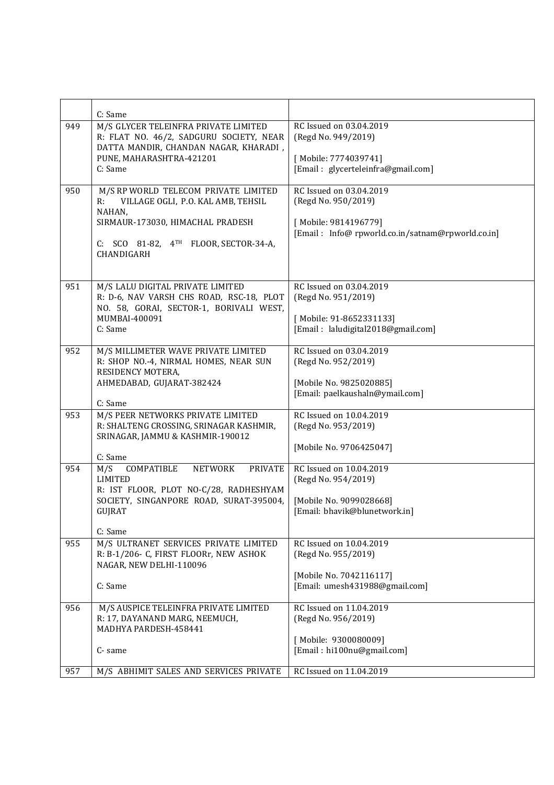|     | C: Same                                                                                                                                                                               |                                                                                                                              |
|-----|---------------------------------------------------------------------------------------------------------------------------------------------------------------------------------------|------------------------------------------------------------------------------------------------------------------------------|
| 949 | M/S GLYCER TELEINFRA PRIVATE LIMITED<br>R: FLAT NO. 46/2, SADGURU SOCIETY, NEAR<br>DATTA MANDIR, CHANDAN NAGAR, KHARADI,<br>PUNE, MAHARASHTRA-421201<br>C: Same                       | RC Issued on 03.04.2019<br>(Regd No. 949/2019)<br>[ Mobile: 7774039741]<br>[Email: glycerteleinfra@gmail.com]                |
| 950 | M/S RP WORLD TELECOM PRIVATE LIMITED<br>VILLAGE OGLI, P.O. KAL AMB, TEHSIL<br>R:<br>NAHAN,<br>SIRMAUR-173030, HIMACHAL PRADESH<br>C: SCO 81-82, 4TH FLOOR, SECTOR-34-A,<br>CHANDIGARH | RC Issued on 03.04.2019<br>(Regd No. 950/2019)<br>[ Mobile: 9814196779]<br>[Email: Info@ rpworld.co.in/satnam@rpworld.co.in] |
| 951 | M/S LALU DIGITAL PRIVATE LIMITED<br>R: D-6, NAV VARSH CHS ROAD, RSC-18, PLOT<br>NO. 58, GORAI, SECTOR-1, BORIVALI WEST,<br>MUMBAI-400091<br>C: Same                                   | RC Issued on 03.04.2019<br>(Regd No. 951/2019)<br>[ Mobile: 91-8652331133]<br>[Email: laludigital2018@gmail.com]             |
| 952 | M/S MILLIMETER WAVE PRIVATE LIMITED<br>R: SHOP NO.-4, NIRMAL HOMES, NEAR SUN<br>RESIDENCY MOTERA,<br>AHMEDABAD, GUJARAT-382424<br>C: Same                                             | RC Issued on 03.04.2019<br>(Regd No. 952/2019)<br>[Mobile No. 9825020885]<br>[Email: paelkaushaln@ymail.com]                 |
| 953 | M/S PEER NETWORKS PRIVATE LIMITED<br>R: SHALTENG CROSSING, SRINAGAR KASHMIR,<br>SRINAGAR, JAMMU & KASHMIR-190012<br>C: Same                                                           | RC Issued on 10.04.2019<br>(Regd No. 953/2019)<br>[Mobile No. 9706425047]                                                    |
| 954 | M/S<br>COMPATIBLE<br><b>NETWORK</b><br><b>PRIVATE</b><br>LIMITED<br>R: IST FLOOR, PLOT NO-C/28, RADHESHYAM<br>SOCIETY, SINGANPORE ROAD, SURAT-395004,<br><b>GUJRAT</b><br>C: Same     | RC Issued on 10.04.2019<br>(Regd No. 954/2019)<br>[Mobile No. 9099028668]<br>[Email: bhavik@blunetwork.in]                   |
| 955 | M/S ULTRANET SERVICES PRIVATE LIMITED<br>R: B-1/206- C, FIRST FLOORr, NEW ASHOK<br>NAGAR, NEW DELHI-110096<br>C: Same                                                                 | RC Issued on 10.04.2019<br>(Regd No. 955/2019)<br>[Mobile No. 7042116117]<br>[Email: umesh431988@gmail.com]                  |
| 956 | M/S AUSPICE TELEINFRA PRIVATE LIMITED<br>R: 17, DAYANAND MARG, NEEMUCH,<br>MADHYA PARDESH-458441                                                                                      | RC Issued on 11.04.2019<br>(Regd No. 956/2019)<br>[ Mobile: 9300080009]                                                      |
|     | C-same                                                                                                                                                                                | [Email: hi100nu@gmail.com]                                                                                                   |
| 957 | M/S ABHIMIT SALES AND SERVICES PRIVATE                                                                                                                                                | RC Issued on 11.04.2019                                                                                                      |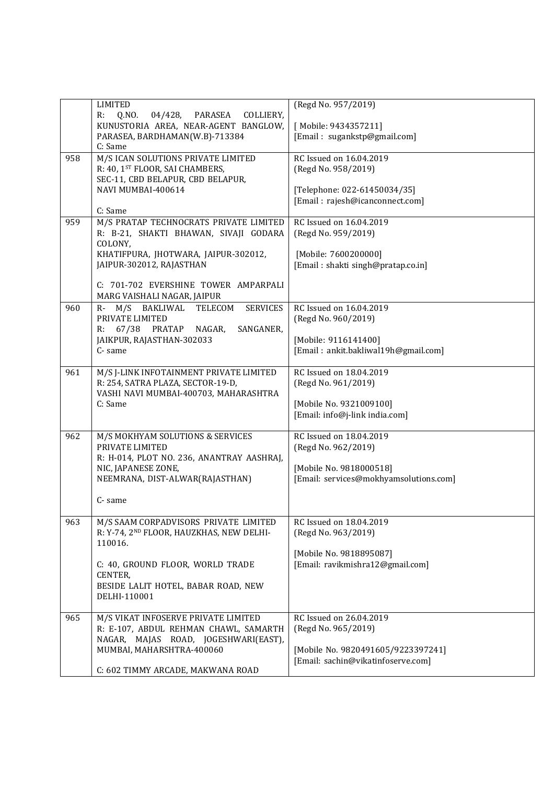|     | LIMITED                                                                           | (Regd No. 957/2019)                                   |
|-----|-----------------------------------------------------------------------------------|-------------------------------------------------------|
|     | Q.NO.<br>PARASEA<br>COLLIERY,<br>R:<br>04/428,                                    |                                                       |
|     | KUNUSTORIA AREA, NEAR-AGENT BANGLOW,<br>PARASEA, BARDHAMAN(W.B)-713384            | [ Mobile: 9434357211]<br>[Email: sugankstp@gmail.com] |
|     | C: Same                                                                           |                                                       |
| 958 | M/S ICAN SOLUTIONS PRIVATE LIMITED                                                | RC Issued on 16.04.2019                               |
|     | R: 40, 1ST FLOOR, SAI CHAMBERS,                                                   | (Regd No. 958/2019)                                   |
|     | SEC-11, CBD BELAPUR, CBD BELAPUR,<br>NAVI MUMBAI-400614                           | [Telephone: 022-61450034/35]                          |
|     |                                                                                   | [Email: rajesh@icanconnect.com]                       |
|     | C: Same                                                                           |                                                       |
| 959 | M/S PRATAP TECHNOCRATS PRIVATE LIMITED                                            | RC Issued on 16.04.2019                               |
|     | R: B-21, SHAKTI BHAWAN, SIVAJI GODARA<br>COLONY,                                  | (Regd No. 959/2019)                                   |
|     | KHATIFPURA, JHOTWARA, JAIPUR-302012,                                              | [Mobile: 7600200000]                                  |
|     | JAIPUR-302012, RAJASTHAN                                                          | [Email: shakti singh@pratap.co.in]                    |
|     | C: 701-702 EVERSHINE TOWER AMPARPALI                                              |                                                       |
|     | MARG VAISHALI NAGAR, JAIPUR                                                       |                                                       |
| 960 | R- M/S BAKLIWAL<br><b>SERVICES</b><br>TELECOM                                     | RC Issued on 16.04.2019                               |
|     | PRIVATE LIMITED                                                                   | (Regd No. 960/2019)                                   |
|     | 67/38<br><b>PRATAP</b><br>NAGAR,<br>SANGANER,<br>R:<br>JAIKPUR, RAJASTHAN-302033  | [Mobile: 9116141400]                                  |
|     | C-same                                                                            | [Email: ankit.bakliwal19h@gmail.com]                  |
|     |                                                                                   |                                                       |
| 961 | M/S J-LINK INFOTAINMENT PRIVATE LIMITED                                           | RC Issued on 18.04.2019                               |
|     | R: 254, SATRA PLAZA, SECTOR-19-D,<br>VASHI NAVI MUMBAI-400703, MAHARASHTRA        | (Regd No. 961/2019)                                   |
|     | C: Same                                                                           | [Mobile No. 9321009100]                               |
|     |                                                                                   | [Email: info@j-link india.com]                        |
| 962 | M/S MOKHYAM SOLUTIONS & SERVICES                                                  | RC Issued on 18.04.2019                               |
|     | PRIVATE LIMITED                                                                   | (Regd No. 962/2019)                                   |
|     | R: H-014, PLOT NO. 236, ANANTRAY AASHRAJ,                                         |                                                       |
|     | NIC, JAPANESE ZONE,                                                               | [Mobile No. 9818000518]                               |
|     | NEEMRANA, DIST-ALWAR(RAJASTHAN)                                                   | [Email: services@mokhyamsolutions.com]                |
|     | C-same                                                                            |                                                       |
|     |                                                                                   |                                                       |
| 963 | M/S SAAM CORPADVISORS PRIVATE LIMITED<br>R: Y-74, 2ND FLOOR, HAUZKHAS, NEW DELHI- | RC Issued on 18.04.2019<br>(Regd No. 963/2019)        |
|     | 110016.                                                                           |                                                       |
|     |                                                                                   | [Mobile No. 9818895087]                               |
|     | C: 40, GROUND FLOOR, WORLD TRADE                                                  | [Email: ravikmishra12@gmail.com]                      |
|     | CENTER,<br>BESIDE LALIT HOTEL, BABAR ROAD, NEW                                    |                                                       |
|     | DELHI-110001                                                                      |                                                       |
|     |                                                                                   |                                                       |
| 965 | M/S VIKAT INFOSERVE PRIVATE LIMITED<br>R: E-107, ABDUL REHMAN CHAWL, SAMARTH      | RC Issued on 26.04.2019<br>(Regd No. 965/2019)        |
|     | NAGAR, MAJAS ROAD, JOGESHWARI(EAST),                                              |                                                       |
|     | MUMBAI, MAHARSHTRA-400060                                                         | [Mobile No. 9820491605/9223397241]                    |
|     | C: 602 TIMMY ARCADE, MAKWANA ROAD                                                 | [Email: sachin@vikatinfoserve.com]                    |
|     |                                                                                   |                                                       |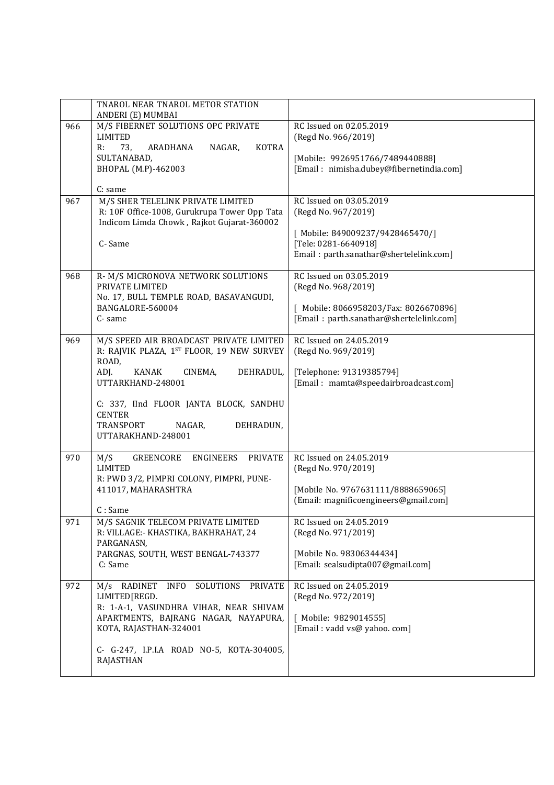|     | TNAROL NEAR TNAROL METOR STATION<br>ANDERI (E) MUMBAI                                                                                                                                                                                                                            |                                                                                                                                                       |
|-----|----------------------------------------------------------------------------------------------------------------------------------------------------------------------------------------------------------------------------------------------------------------------------------|-------------------------------------------------------------------------------------------------------------------------------------------------------|
| 966 | M/S FIBERNET SOLUTIONS OPC PRIVATE<br><b>LIMITED</b><br>73,<br>R:<br>ARADHANA<br>NAGAR,<br><b>KOTRA</b><br>SULTANABAD,<br>BHOPAL (M.P)-462003                                                                                                                                    | RC Issued on 02.05.2019<br>(Regd No. 966/2019)<br>[Mobile: 9926951766/7489440888]<br>[Email : nimisha.dubey@fibernetindia.com]                        |
| 967 | C: same<br>M/S SHER TELELINK PRIVATE LIMITED<br>R: 10F Office-1008, Gurukrupa Tower Opp Tata<br>Indicom Limda Chowk, Rajkot Gujarat-360002<br>C-Same                                                                                                                             | RC Issued on 03.05.2019<br>(Regd No. 967/2019)<br>[ Mobile: 849009237/9428465470/]<br>[Tele: 0281-6640918]<br>Email: parth.sanathar@shertelelink.com] |
| 968 | R- M/S MICRONOVA NETWORK SOLUTIONS<br>PRIVATE LIMITED<br>No. 17, BULL TEMPLE ROAD, BASAVANGUDI,<br>BANGALORE-560004<br>C-same                                                                                                                                                    | RC Issued on 03.05.2019<br>(Regd No. 968/2019)<br>Mobile: 8066958203/Fax: 8026670896]<br>[Email: parth.sanathar@shertelelink.com]                     |
| 969 | M/S SPEED AIR BROADCAST PRIVATE LIMITED<br>R: RAJVIK PLAZA, 1ST FLOOR, 19 NEW SURVEY<br>ROAD,<br>ADJ.<br>KANAK<br>DEHRADUL,<br>CINEMA,<br>UTTARKHAND-248001<br>C: 337, IInd FLOOR JANTA BLOCK, SANDHU<br><b>CENTER</b><br>TRANSPORT<br>NAGAR,<br>DEHRADUN,<br>UTTARAKHAND-248001 | RC Issued on 24.05.2019<br>(Regd No. 969/2019)<br>[Telephone: 91319385794]<br>[Email: mamta@speedairbroadcast.com]                                    |
| 970 | M/S<br>GREENCORE<br>ENGINEERS<br><b>PRIVATE</b><br><b>LIMITED</b><br>R: PWD 3/2, PIMPRI COLONY, PIMPRI, PUNE-<br>411017, MAHARASHTRA<br>C: Same                                                                                                                                  | RC Issued on 24.05.2019<br>(Regd No. 970/2019)<br>[Mobile No. 9767631111/8888659065]<br>(Email: magnificoengineers@gmail.com]                         |
| 971 | M/S SAGNIK TELECOM PRIVATE LIMITED<br>R: VILLAGE: - KHASTIKA, BAKHRAHAT, 24<br>PARGANASN,<br>PARGNAS, SOUTH, WEST BENGAL-743377<br>C: Same                                                                                                                                       | RC Issued on 24.05.2019<br>(Regd No. 971/2019)<br>[Mobile No. 98306344434]<br>[Email: sealsudipta007@gmail.com]                                       |
| 972 | $M/s$ RADINET<br>INFO<br>SOLUTIONS PRIVATE<br>LIMITED[REGD.<br>R: 1-A-1, VASUNDHRA VIHAR, NEAR SHIVAM<br>APARTMENTS, BAJRANG NAGAR, NAYAPURA,<br>KOTA, RAJASTHAN-324001<br>C- G-247, I.P.I.A ROAD NO-5, KOTA-304005,<br>RAJASTHAN                                                | RC Issued on 24.05.2019<br>(Regd No. 972/2019)<br>[ Mobile: 9829014555]<br>[Email: vadd vs@ yahoo. com]                                               |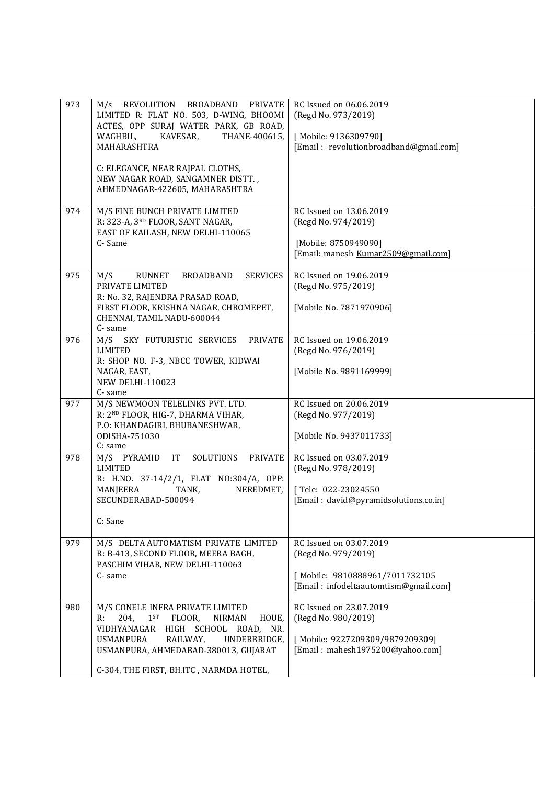| 973 | REVOLUTION<br>BROADBAND<br><b>PRIVATE</b><br>M/s<br>LIMITED R: FLAT NO. 503, D-WING, BHOOMI<br>ACTES, OPP SURAJ WATER PARK, GB ROAD,<br>KAVESAR,<br>THANE-400615,<br>WAGHBIL,<br>MAHARASHTRA<br>C: ELEGANCE, NEAR RAJPAL CLOTHS, | RC Issued on 06.06.2019<br>(Regd No. 973/2019)<br>[ Mobile: 9136309790]<br>[Email : revolutionbroadband@gmail.com] |
|-----|----------------------------------------------------------------------------------------------------------------------------------------------------------------------------------------------------------------------------------|--------------------------------------------------------------------------------------------------------------------|
|     | NEW NAGAR ROAD, SANGAMNER DISTT.,<br>AHMEDNAGAR-422605, MAHARASHTRA                                                                                                                                                              |                                                                                                                    |
| 974 | M/S FINE BUNCH PRIVATE LIMITED<br>R: 323-A, 3RD FLOOR, SANT NAGAR,<br>EAST OF KAILASH, NEW DELHI-110065<br>C-Same                                                                                                                | RC Issued on 13.06.2019<br>(Regd No. 974/2019)<br>[Mobile: 8750949090]<br>[Email: manesh Kumar2509@gmail.com]      |
| 975 | M/S<br><b>SERVICES</b><br><b>RUNNET</b><br><b>BROADBAND</b>                                                                                                                                                                      | RC Issued on 19.06.2019                                                                                            |
|     | PRIVATE LIMITED                                                                                                                                                                                                                  | (Regd No. 975/2019)                                                                                                |
|     | R: No. 32, RAJENDRA PRASAD ROAD,<br>FIRST FLOOR, KRISHNA NAGAR, CHROMEPET,<br>CHENNAI, TAMIL NADU-600044<br>C-same                                                                                                               | [Mobile No. 7871970906]                                                                                            |
| 976 | SKY FUTURISTIC SERVICES<br><b>PRIVATE</b><br>M/S<br><b>LIMITED</b><br>R: SHOP NO. F-3, NBCC TOWER, KIDWAI<br>NAGAR, EAST,<br><b>NEW DELHI-110023</b><br>C-same                                                                   | RC Issued on 19.06.2019<br>(Regd No. 976/2019)<br>[Mobile No. 9891169999]                                          |
| 977 | M/S NEWMOON TELELINKS PVT. LTD.                                                                                                                                                                                                  | RC Issued on 20.06.2019                                                                                            |
|     | R: 2ND FLOOR, HIG-7, DHARMA VIHAR,                                                                                                                                                                                               | (Regd No. 977/2019)                                                                                                |
|     | P.O: KHANDAGIRI, BHUBANESHWAR,<br>ODISHA-751030<br>C: same                                                                                                                                                                       | [Mobile No. 9437011733]                                                                                            |
| 978 | $\ensuremath{\mathsf{IT}}$<br>M/S PYRAMID<br>SOLUTIONS<br><b>PRIVATE</b>                                                                                                                                                         | RC Issued on 03.07.2019                                                                                            |
|     | <b>LIMITED</b><br>R: H.NO. 37-14/2/1, FLAT NO:304/A, OPP:                                                                                                                                                                        | (Regd No. 978/2019)                                                                                                |
|     | MANJEERA<br>TANK,<br>NEREDMET,                                                                                                                                                                                                   | [Tele: 022-23024550                                                                                                |
|     | SECUNDERABAD-500094                                                                                                                                                                                                              | [Email: david@pyramidsolutions.co.in]                                                                              |
|     | C: Sane                                                                                                                                                                                                                          |                                                                                                                    |
| 979 | M/S DELTA AUTOMATISM PRIVATE LIMITED                                                                                                                                                                                             | RC Issued on 03.07.2019                                                                                            |
|     | R: B-413, SECOND FLOOR, MEERA BAGH,<br>PASCHIM VIHAR, NEW DELHI-110063                                                                                                                                                           | (Regd No. 979/2019)                                                                                                |
|     | C-same                                                                                                                                                                                                                           | [ Mobile: 9810888961/7011732105                                                                                    |
|     |                                                                                                                                                                                                                                  | [Email: infodeltaautomtism@gmail.com]                                                                              |
| 980 | M/S CONELE INFRA PRIVATE LIMITED                                                                                                                                                                                                 | RC Issued on 23.07.2019                                                                                            |
|     | 204,<br>$1^{ST}$<br>FLOOR,<br><b>NIRMAN</b><br>HOUE,<br>R:                                                                                                                                                                       | (Regd No. 980/2019)                                                                                                |
|     | VIDHYANAGAR<br>HIGH SCHOOL ROAD, NR.<br><b>USMANPURA</b><br>RAILWAY,<br>UNDERBRIDGE,                                                                                                                                             | [ Mobile: 9227209309/9879209309]                                                                                   |
|     | USMANPURA, AHMEDABAD-380013, GUJARAT                                                                                                                                                                                             | [Email: mahesh1975200@yahoo.com]                                                                                   |
|     | C-304, THE FIRST, BH.ITC, NARMDA HOTEL,                                                                                                                                                                                          |                                                                                                                    |
|     |                                                                                                                                                                                                                                  |                                                                                                                    |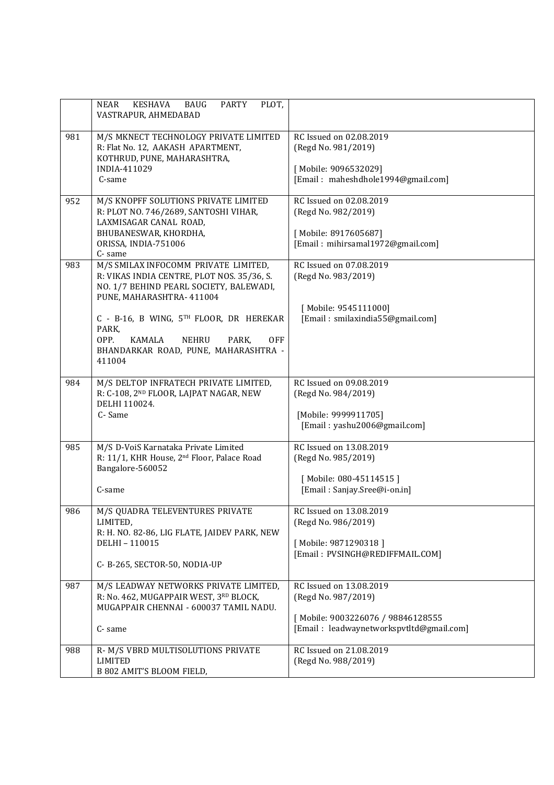|     | KESHAVA<br>PLOT,<br><b>NEAR</b><br>BAUG<br>PARTY<br>VASTRAPUR, AHMEDABAD                                                                                                                                                                                                                                                        |                                                                                                                                 |
|-----|---------------------------------------------------------------------------------------------------------------------------------------------------------------------------------------------------------------------------------------------------------------------------------------------------------------------------------|---------------------------------------------------------------------------------------------------------------------------------|
| 981 | M/S MKNECT TECHNOLOGY PRIVATE LIMITED<br>R: Flat No. 12, AAKASH APARTMENT,<br>KOTHRUD, PUNE, MAHARASHTRA,<br>INDIA-411029<br>C-same                                                                                                                                                                                             | RC Issued on 02.08.2019<br>(Regd No. 981/2019)<br>[ Mobile: 9096532029]<br>[Email: maheshdhole1994@gmail.com]                   |
| 952 | M/S KNOPFF SOLUTIONS PRIVATE LIMITED<br>R: PLOT NO. 746/2689, SANTOSHI VIHAR,<br>LAXMISAGAR CANAL ROAD,<br>BHUBANESWAR, KHORDHA,<br>ORISSA, INDIA-751006<br>C-same                                                                                                                                                              | RC Issued on 02.08.2019<br>(Regd No. 982/2019)<br>[Mobile: 8917605687]<br>[Email: mihirsamal1972@gmail.com]                     |
| 983 | M/S SMILAX INFOCOMM PRIVATE LIMITED,<br>R: VIKAS INDIA CENTRE, PLOT NOS. 35/36, S.<br>NO. 1/7 BEHIND PEARL SOCIETY, BALEWADI,<br>PUNE, MAHARASHTRA-411004<br>C - B-16, B WING, 5TH FLOOR, DR HEREKAR<br>PARK,<br>OPP.<br><b>KAMALA</b><br><b>NEHRU</b><br>PARK,<br><b>OFF</b><br>BHANDARKAR ROAD, PUNE, MAHARASHTRA -<br>411004 | RC Issued on 07.08.2019<br>(Regd No. 983/2019)<br>Mobile: 9545111000]<br>[Email: smilaxindia55@gmail.com]                       |
| 984 | M/S DELTOP INFRATECH PRIVATE LIMITED,<br>R: C-108, 2ND FLOOR, LAJPAT NAGAR, NEW<br>DELHI 110024.<br>C-Same                                                                                                                                                                                                                      | RC Issued on 09.08.2019<br>(Regd No. 984/2019)<br>[Mobile: 9999911705]<br>[Email: yashu2006@gmail.com]                          |
| 985 | M/S D-VoiS Karnataka Private Limited<br>R: 11/1, KHR House, 2 <sup>nd</sup> Floor, Palace Road<br>Bangalore-560052<br>C-same                                                                                                                                                                                                    | RC Issued on 13.08.2019<br>(Regd No. 985/2019)<br>[Mobile: 080-45114515]<br>[Email: Sanjay.Sree@i-on.in]                        |
| 986 | M/S QUADRA TELEVENTURES PRIVATE<br>LIMITED,<br>R: H. NO. 82-86, LIG FLATE, JAIDEV PARK, NEW<br>DELHI-110015<br>C-B-265, SECTOR-50, NODIA-UP                                                                                                                                                                                     | RC Issued on 13.08.2019<br>(Regd No. 986/2019)<br>[Mobile: 9871290318]<br>[Email: PVSINGH@REDIFFMAIL.COM]                       |
| 987 | M/S LEADWAY NETWORKS PRIVATE LIMITED,<br>R: No. 462, MUGAPPAIR WEST, 3RD BLOCK,<br>MUGAPPAIR CHENNAI - 600037 TAMIL NADU.<br>C-same                                                                                                                                                                                             | RC Issued on 13.08.2019<br>(Regd No. 987/2019)<br>Mobile: 9003226076 / 98846128555<br>[Email : leadwaynetworkspvtltd@gmail.com] |
| 988 | R- M/S VBRD MULTISOLUTIONS PRIVATE<br>LIMITED<br>B 802 AMIT'S BLOOM FIELD,                                                                                                                                                                                                                                                      | RC Issued on 21.08.2019<br>(Regd No. 988/2019)                                                                                  |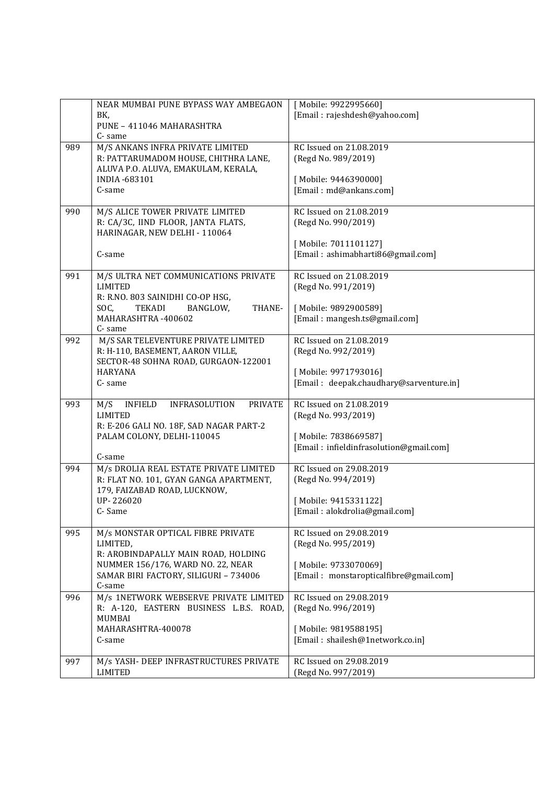|     | NEAR MUMBAI PUNE BYPASS WAY AMBEGAON                     | [ Mobile: 9922995660]                    |
|-----|----------------------------------------------------------|------------------------------------------|
|     | BK.                                                      | [Email: rajeshdesh@yahoo.com]            |
|     | PUNE - 411046 MAHARASHTRA                                |                                          |
|     | C-same                                                   |                                          |
| 989 | M/S ANKANS INFRA PRIVATE LIMITED                         | RC Issued on 21.08.2019                  |
|     | R: PATTARUMADOM HOUSE, CHITHRA LANE,                     | (Regd No. 989/2019)                      |
|     | ALUVA P.O. ALUVA, EMAKULAM, KERALA,                      |                                          |
|     | <b>INDIA-683101</b>                                      | [ Mobile: 9446390000]                    |
|     | C-same                                                   | [Email: md@ankans.com]                   |
|     |                                                          |                                          |
| 990 | M/S ALICE TOWER PRIVATE LIMITED                          | RC Issued on 21.08.2019                  |
|     | R: CA/3C, IIND FLOOR, JANTA FLATS,                       | (Regd No. 990/2019)                      |
|     | HARINAGAR, NEW DELHI - 110064                            |                                          |
|     |                                                          | [Mobile: 7011101127]                     |
|     | C-same                                                   | [Email: ashimabharti86@gmail.com]        |
|     |                                                          |                                          |
| 991 | M/S ULTRA NET COMMUNICATIONS PRIVATE                     | RC Issued on 21.08.2019                  |
|     | <b>LIMITED</b>                                           | (Regd No. 991/2019)                      |
|     | R: R.NO. 803 SAINIDHI CO-OP HSG,                         |                                          |
|     | SOC,<br><b>TEKADI</b><br>THANE-<br>BANGLOW,              | [ Mobile: 9892900589]                    |
|     | MAHARASHTRA-400602                                       | [Email: mangesh.ts@gmail.com]            |
|     | C-same                                                   |                                          |
| 992 | M/S SAR TELEVENTURE PRIVATE LIMITED                      | RC Issued on 21.08.2019                  |
|     | R: H-110, BASEMENT, AARON VILLE,                         | (Regd No. 992/2019)                      |
|     | SECTOR-48 SOHNA ROAD, GURGAON-122001                     |                                          |
|     | <b>HARYANA</b>                                           | [Mobile: 9971793016]                     |
|     | C-same                                                   | [Email : deepak.chaudhary@sarventure.in] |
|     |                                                          |                                          |
| 993 | M/S<br><b>INFIELD</b><br>INFRASOLUTION<br><b>PRIVATE</b> | RC Issued on 21.08.2019                  |
|     | <b>LIMITED</b>                                           | (Regd No. 993/2019)                      |
|     | R: E-206 GALI NO. 18F, SAD NAGAR PART-2                  |                                          |
|     | PALAM COLONY, DELHI-110045                               | [Mobile: 7838669587]                     |
|     |                                                          | [Email: infieldinfrasolution@gmail.com]  |
|     | C-same                                                   |                                          |
| 994 | M/s DROLIA REAL ESTATE PRIVATE LIMITED                   | RC Issued on 29.08.2019                  |
|     | R: FLAT NO. 101, GYAN GANGA APARTMENT,                   | (Regd No. 994/2019)                      |
|     | 179, FAIZABAD ROAD, LUCKNOW,                             |                                          |
|     | UP-226020                                                | [Mobile: 9415331122]                     |
|     | C-Same                                                   | [Email: alokdrolia@gmail.com]            |
|     |                                                          |                                          |
| 995 | M/s MONSTAR OPTICAL FIBRE PRIVATE                        | RC Issued on 29.08.2019                  |
|     | LIMITED,                                                 | (Regd No. 995/2019)                      |
|     | R: AROBINDAPALLY MAIN ROAD, HOLDING                      |                                          |
|     | NUMMER 156/176, WARD NO. 22, NEAR                        | [ Mobile: 9733070069]                    |
|     | SAMAR BIRI FACTORY, SILIGURI - 734006                    | [Email: monstaropticalfibre@gmail.com]   |
| 996 | C-same<br>M/s 1NETWORK WEBSERVE PRIVATE LIMITED          | RC Issued on 29.08.2019                  |
|     | R: A-120, EASTERN BUSINESS L.B.S. ROAD,                  | (Regd No. 996/2019)                      |
|     | MUMBAI                                                   |                                          |
|     | MAHARASHTRA-400078                                       | [ Mobile: 9819588195]                    |
|     | C-same                                                   | [Email: shailesh@1network.co.in]         |
|     |                                                          |                                          |
| 997 | M/s YASH- DEEP INFRASTRUCTURES PRIVATE                   | RC Issued on 29.08.2019                  |
|     | <b>LIMITED</b>                                           | (Regd No. 997/2019)                      |
|     |                                                          |                                          |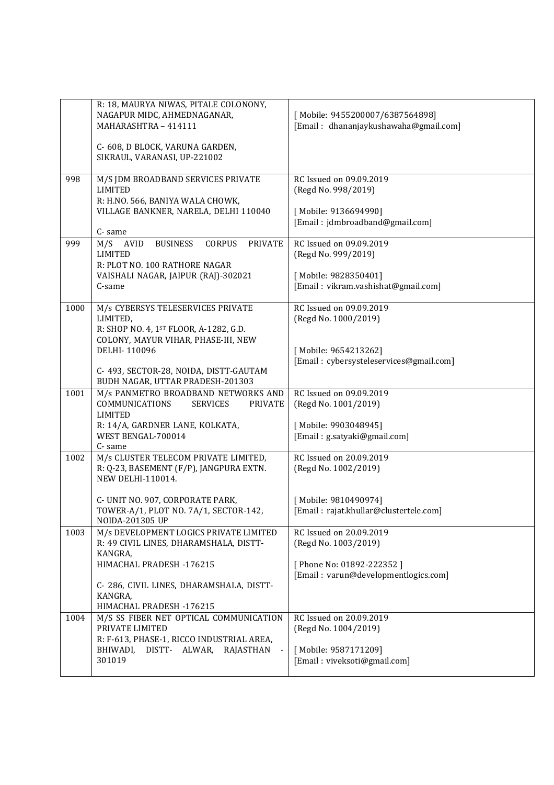|      | R: 18, MAURYA NIWAS, PITALE COLONONY,<br>NAGAPUR MIDC, AHMEDNAGANAR,<br>MAHARASHTRA - 414111<br>C- 608, D BLOCK, VARUNA GARDEN,<br>SIKRAUL, VARANASI, UP-221002                                                              | [Mobile: 9455200007/6387564898]<br>[Email: dhananjaykushawaha@gmail.com]                                                    |
|------|------------------------------------------------------------------------------------------------------------------------------------------------------------------------------------------------------------------------------|-----------------------------------------------------------------------------------------------------------------------------|
| 998  | M/S JDM BROADBAND SERVICES PRIVATE<br><b>LIMITED</b><br>R: H.NO. 566, BANIYA WALA CHOWK,<br>VILLAGE BANKNER, NARELA, DELHI 110040<br>C-same                                                                                  | RC Issued on 09.09.2019<br>(Regd No. 998/2019)<br>[ Mobile: 9136694990]<br>[Email: jdmbroadband@gmail.com]                  |
| 999  | M/S<br><b>BUSINESS</b><br><b>PRIVATE</b><br>AVID<br><b>CORPUS</b><br><b>LIMITED</b><br>R: PLOT NO. 100 RATHORE NAGAR<br>VAISHALI NAGAR, JAIPUR (RAJ)-302021<br>C-same                                                        | RC Issued on 09.09.2019<br>(Regd No. 999/2019)<br>[ Mobile: 9828350401]<br>[Email: vikram.vashishat@gmail.com]              |
| 1000 | M/s CYBERSYS TELESERVICES PRIVATE<br>LIMITED,<br>R: SHOP NO. 4, 1ST FLOOR, A-1282, G.D.<br>COLONY, MAYUR VIHAR, PHASE-III, NEW<br>DELHI-110096<br>C- 493, SECTOR-28, NOIDA, DISTT-GAUTAM<br>BUDH NAGAR, UTTAR PRADESH-201303 | <b>RC</b> Issued on 09.09.2019<br>(Regd No. 1000/2019)<br>[ Mobile: 9654213262]<br>[Email : cybersysteleservices@gmail.com] |
| 1001 | M/s PANMETRO BROADBAND NETWORKS AND<br>COMMUNICATIONS<br><b>PRIVATE</b><br><b>SERVICES</b><br><b>LIMITED</b><br>R: 14/A, GARDNER LANE, KOLKATA,<br>WEST BENGAL-700014<br>C-same                                              | RC Issued on 09.09.2019<br>(Regd No. 1001/2019)<br>[ Mobile: 9903048945]<br>[Email: g.satyaki@gmail.com]                    |
| 1002 | M/s CLUSTER TELECOM PRIVATE LIMITED,<br>R: Q-23, BASEMENT (F/P), JANGPURA EXTN.<br>NEW DELHI-110014.<br>C-UNIT NO. 907, CORPORATE PARK,<br>TOWER-A/1, PLOT NO. 7A/1, SECTOR-142,<br>NOIDA-201305 UP                          | RC Issued on 20.09.2019<br>(Regd No. 1002/2019)<br>[ Mobile: 9810490974]<br>[Email: rajat.khullar@clustertele.com]          |
| 1003 | M/s DEVELOPMENT LOGICS PRIVATE LIMITED<br>R: 49 CIVIL LINES, DHARAMSHALA, DISTT-<br>KANGRA,<br>HIMACHAL PRADESH -176215<br>C- 286, CIVIL LINES, DHARAMSHALA, DISTT-<br>KANGRA,<br>HIMACHAL PRADESH -176215                   | RC Issued on 20.09.2019<br>(Regd No. 1003/2019)<br>[Phone No: 01892-222352]<br>[Email: varun@developmentlogics.com]         |
| 1004 | M/S SS FIBER NET OPTICAL COMMUNICATION<br>PRIVATE LIMITED<br>R: F-613, PHASE-1, RICCO INDUSTRIAL AREA,<br>DISTT- ALWAR,<br>RAJASTHAN<br>BHIWADI,<br>301019                                                                   | RC Issued on 20.09.2019<br>(Regd No. 1004/2019)<br>[ Mobile: 9587171209]<br>[Email: viveksoti@gmail.com]                    |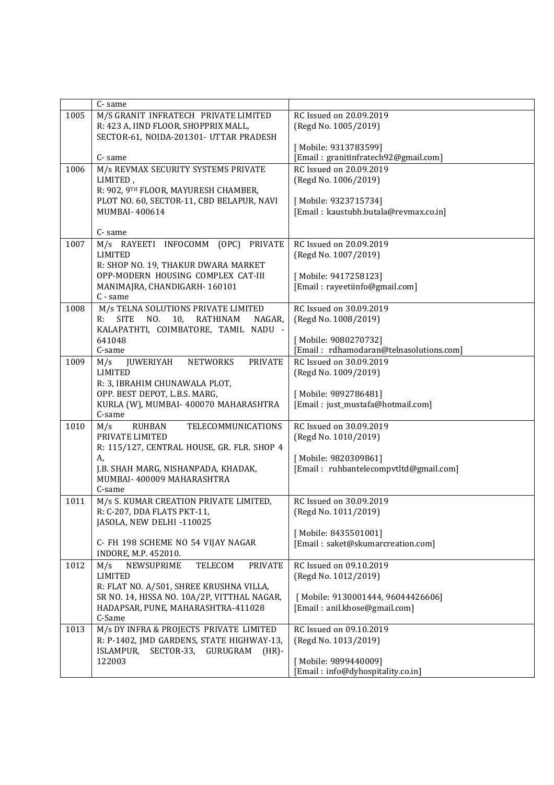|      | C-same                                                                                                                                                                                                     |                                                                                                                        |
|------|------------------------------------------------------------------------------------------------------------------------------------------------------------------------------------------------------------|------------------------------------------------------------------------------------------------------------------------|
| 1005 | M/S GRANIT INFRATECH PRIVATE LIMITED<br>R: 423 A, IIND FLOOR, SHOPPRIX MALL,<br>SECTOR-61, NOIDA-201301- UTTAR PRADESH                                                                                     | RC Issued on 20.09.2019<br>(Regd No. 1005/2019)                                                                        |
|      | C-same                                                                                                                                                                                                     | [Mobile: 9313783599]<br>[Email: granitinfratech92@gmail.com]                                                           |
| 1006 | M/s REVMAX SECURITY SYSTEMS PRIVATE<br>LIMITED,<br>R: 902, 9TH FLOOR, MAYURESH CHAMBER,<br>PLOT NO. 60, SECTOR-11, CBD BELAPUR, NAVI                                                                       | RC Issued on 20.09.2019<br>(Regd No. 1006/2019)<br>[Mobile: 9323715734]                                                |
|      | MUMBAI-400614<br>C-same                                                                                                                                                                                    | [Email: kaustubh.butala@revmax.co.in]                                                                                  |
| 1007 | <b>PRIVATE</b><br>M/s RAYEETI INFOCOMM<br>(OPC)<br><b>LIMITED</b><br>R: SHOP NO. 19, THAKUR DWARA MARKET<br>OPP-MODERN HOUSING COMPLEX CAT-III<br>MANIMAJRA, CHANDIGARH-160101<br>C - same                 | RC Issued on 20.09.2019<br>(Regd No. 1007/2019)<br>[Mobile: 9417258123]<br>[Email: rayeetiinfo@gmail.com]              |
| 1008 | M/s TELNA SOLUTIONS PRIVATE LIMITED<br><b>SITE</b><br>NO.<br>10,<br>RATHINAM<br>NAGAR,<br>R:<br>KALAPATHTI, COIMBATORE, TAMIL NADU -<br>641048<br>C-same                                                   | RC Issued on 30.09.2019<br>(Regd No. 1008/2019)<br>[ Mobile: 9080270732]<br>[Email : rdhamodaran@telnasolutions.com]   |
| 1009 | <b>JUWERIYAH</b><br><b>NETWORKS</b><br><b>PRIVATE</b><br>M/s<br>LIMITED<br>R: 3, IBRAHIM CHUNAWALA PLOT,<br>OPP. BEST DEPOT, L.B.S. MARG,<br>KURLA (W), MUMBAI- 400070 MAHARASHTRA<br>C-same               | RC Issued on 30.09.2019<br>(Regd No. 1009/2019)<br>[Mobile: 9892786481]<br>[Email: just_mustafa@hotmail.com]           |
| 1010 | <b>RUHBAN</b><br>M/s<br>TELECOMMUNICATIONS<br>PRIVATE LIMITED<br>R: 115/127, CENTRAL HOUSE, GR. FLR. SHOP 4<br>A,<br>J.B. SHAH MARG, NISHANPADA, KHADAK,<br>MUMBAI-400009 MAHARASHTRA<br>C-same            | RC Issued on 30.09.2019<br>(Regd No. 1010/2019)<br>[ Mobile: 9820309861]<br>[Email: ruhbantelecompvtltd@gmail.com]     |
| 1011 | M/s S. KUMAR CREATION PRIVATE LIMITED,<br>R: C-207, DDA FLATS PKT-11,<br>JASOLA, NEW DELHI -110025<br>C- FH 198 SCHEME NO 54 VIJAY NAGAR<br>INDORE, M.P. 452010.                                           | RC Issued on 30.09.2019<br>(Regd No. 1011/2019)<br>[ Mobile: 8435501001]<br>[Email: saket@skumarcreation.com]          |
| 1012 | <b>PRIVATE</b><br>M/s<br>NEWSUPRIME<br>TELECOM<br><b>LIMITED</b><br>R: FLAT NO. A/501, SHREE KRUSHNA VILLA,<br>SR NO. 14, HISSA NO. 10A/2P, VITTHAL NAGAR,<br>HADAPSAR, PUNE, MAHARASHTRA-411028<br>C-Same | RC Issued on 09.10.2019<br>(Regd No. 1012/2019)<br>[ Mobile: 9130001444, 96044426606]<br>[Email: anil.khose@gmail.com] |
| 1013 | M/s DY INFRA & PROJECTS PRIVATE LIMITED<br>R: P-1402, JMD GARDENS, STATE HIGHWAY-13,<br>ISLAMPUR,<br>SECTOR-33,<br>GURUGRAM<br>$(HR)$ -<br>122003                                                          | RC Issued on 09.10.2019<br>(Regd No. 1013/2019)<br>[ Mobile: 9899440009]<br>[Email: info@dyhospitality.co.in]          |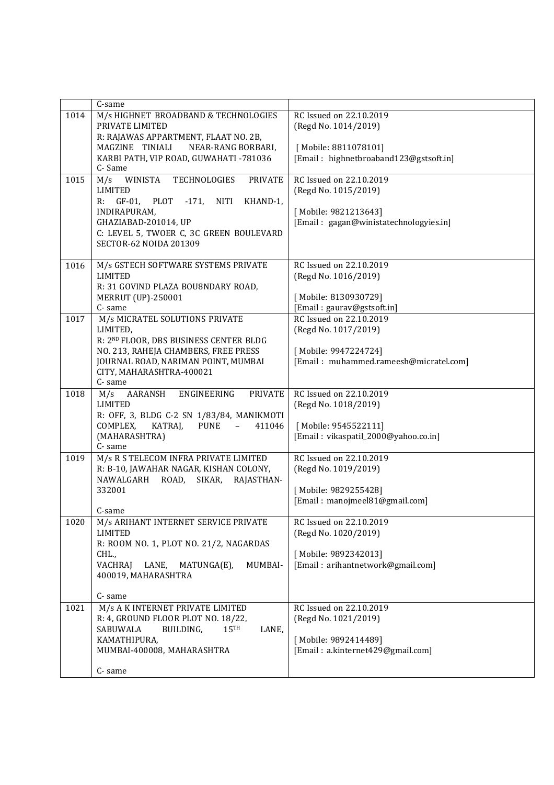|      | C-same                                                     |                                                                 |
|------|------------------------------------------------------------|-----------------------------------------------------------------|
| 1014 | M/s HIGHNET BROADBAND & TECHNOLOGIES                       | RC Issued on 22.10.2019                                         |
|      | PRIVATE LIMITED                                            | (Regd No. 1014/2019)                                            |
|      | R: RAJAWAS APPARTMENT, FLAAT NO. 2B,                       |                                                                 |
|      | MAGZINE TINIALI<br>NEAR-RANG BORBARI,                      | [ Mobile: 8811078101]                                           |
|      | KARBI PATH, VIP ROAD, GUWAHATI -781036                     | [Email: highnetbroaband123@gstsoft.in]                          |
|      | C-Same                                                     |                                                                 |
| 1015 | WINISTA<br>TECHNOLOGIES<br>M/s<br><b>PRIVATE</b>           | RC Issued on 22.10.2019                                         |
|      | LIMITED                                                    | (Regd No. 1015/2019)                                            |
|      | PLOT -171,<br>KHAND-1,<br>GF-01,<br><b>NITI</b><br>R:      |                                                                 |
|      | INDIRAPURAM,<br>GHAZIABAD-201014, UP                       | [ Mobile: 9821213643]<br>[Email: gagan@winistatechnologyies.in] |
|      | C: LEVEL 5, TWOER C, 3C GREEN BOULEVARD                    |                                                                 |
|      | SECTOR-62 NOIDA 201309                                     |                                                                 |
|      |                                                            |                                                                 |
| 1016 | M/s GSTECH SOFTWARE SYSTEMS PRIVATE                        | RC Issued on 22.10.2019                                         |
|      | LIMITED                                                    | (Regd No. 1016/2019)                                            |
|      | R: 31 GOVIND PLAZA BOU8NDARY ROAD,                         |                                                                 |
|      | MERRUT (UP)-250001                                         | [ Mobile: 8130930729]                                           |
|      | C-same                                                     | [Email: gaurav@gstsoft.in]                                      |
| 1017 | M/s MICRATEL SOLUTIONS PRIVATE                             | RC Issued on 22.10.2019                                         |
|      | LIMITED,                                                   | (Regd No. 1017/2019)                                            |
|      | R: 2ND FLOOR, DBS BUSINESS CENTER BLDG                     |                                                                 |
|      | NO. 213, RAHEJA CHAMBERS, FREE PRESS                       | [Mobile: 9947224724]                                            |
|      | JOURNAL ROAD, NARIMAN POINT, MUMBAI                        | [Email: muhammed.rameesh@micratel.com]                          |
|      | CITY, MAHARASHTRA-400021<br>C-same                         |                                                                 |
|      |                                                            | RC Issued on 22.10.2019                                         |
| 1018 | AARANSH<br>ENGINEERING<br><b>PRIVATE</b><br>M/s<br>LIMITED | (Regd No. 1018/2019)                                            |
|      | R: OFF, 3, BLDG C-2 SN 1/83/84, MANIKMOTI                  |                                                                 |
|      | COMPLEX,<br>KATRAJ,<br><b>PUNE</b><br>411046<br>$-$        | [ Mobile: 9545522111]                                           |
|      | (MAHARASHTRA)                                              | [Email: vikaspatil_2000@yahoo.co.in]                            |
|      | C-same                                                     |                                                                 |
| 1019 | M/s R S TELECOM INFRA PRIVATE LIMITED                      | RC Issued on 22.10.2019                                         |
|      | R: B-10, JAWAHAR NAGAR, KISHAN COLONY,                     | (Regd No. 1019/2019)                                            |
|      | ROAD, SIKAR,<br>NAWALGARH<br>RAJASTHAN-                    |                                                                 |
|      | 332001                                                     | [ Mobile: 9829255428]                                           |
|      |                                                            | [Email: manojmeel81@gmail.com]                                  |
|      | C-same                                                     |                                                                 |
| 1020 | M/s ARIHANT INTERNET SERVICE PRIVATE                       | RC Issued on 22.10.2019                                         |
|      | LIMITED                                                    | (Regd No. 1020/2019)                                            |
|      | R: ROOM NO. 1, PLOT NO. 21/2, NAGARDAS<br>CHL.,            | [Mobile: 9892342013]                                            |
|      | <b>VACHRAJ</b><br>LANE,<br>MATUNGA(E),<br>MUMBAI-          | [Email: arihantnetwork@gmail.com]                               |
|      | 400019, MAHARASHTRA                                        |                                                                 |
|      |                                                            |                                                                 |
|      | C-same                                                     |                                                                 |
| 1021 | M/s A K INTERNET PRIVATE LIMITED                           | RC Issued on 22.10.2019                                         |
|      | R: 4, GROUND FLOOR PLOT NO. 18/22,                         | (Regd No. 1021/2019)                                            |
|      | $15^{\text{TH}}$<br>SABUWALA<br>BUILDING,<br>LANE,         |                                                                 |
|      | KAMATHIPURA,                                               | [ Mobile: 9892414489]                                           |
|      | MUMBAI-400008, MAHARASHTRA                                 | [Email: a.kinternet429@gmail.com]                               |
|      |                                                            |                                                                 |
|      | C-same                                                     |                                                                 |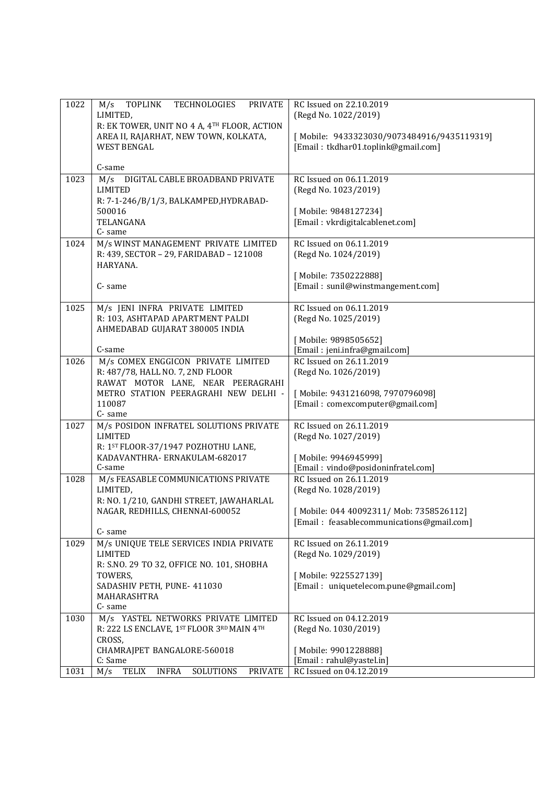| 1022 | TOPLINK<br>M/s<br>TECHNOLOGIES<br><b>PRIVATE</b>                          | RC Issued on 22.10.2019                                                               |
|------|---------------------------------------------------------------------------|---------------------------------------------------------------------------------------|
|      | LIMITED,                                                                  | (Regd No. 1022/2019)                                                                  |
|      | R: EK TOWER, UNIT NO 4 A, 4TH FLOOR, ACTION                               |                                                                                       |
|      | AREA II, RAJARHAT, NEW TOWN, KOLKATA,                                     | [Mobile: 9433323030/9073484916/9435119319]                                            |
|      | <b>WEST BENGAL</b>                                                        | [Email: tkdhar01.toplink@gmail.com]                                                   |
|      |                                                                           |                                                                                       |
|      | C-same                                                                    |                                                                                       |
| 1023 | DIGITAL CABLE BROADBAND PRIVATE<br>M/s                                    | RC Issued on 06.11.2019                                                               |
|      | <b>LIMITED</b>                                                            | (Regd No. 1023/2019)                                                                  |
|      | R: 7-1-246/B/1/3, BALKAMPED, HYDRABAD-                                    |                                                                                       |
|      | 500016                                                                    | [Mobile: 9848127234]                                                                  |
|      | TELANGANA                                                                 | [Email: vkrdigitalcablenet.com]                                                       |
|      | C- same                                                                   |                                                                                       |
| 1024 | M/s WINST MANAGEMENT PRIVATE LIMITED                                      | RC Issued on 06.11.2019                                                               |
|      | R: 439, SECTOR - 29, FARIDABAD - 121008                                   | (Regd No. 1024/2019)                                                                  |
|      | HARYANA.                                                                  |                                                                                       |
|      |                                                                           | [ Mobile: 7350222888]                                                                 |
|      | C-same                                                                    | [Email: sunil@winstmangement.com]                                                     |
| 1025 | M/s JENI INFRA PRIVATE LIMITED                                            | <b>RC</b> Issued on 06.11.2019                                                        |
|      | R: 103, ASHTAPAD APARTMENT PALDI                                          | (Regd No. 1025/2019)                                                                  |
|      | AHMEDABAD GUJARAT 380005 INDIA                                            |                                                                                       |
|      |                                                                           | [ Mobile: 9898505652]                                                                 |
|      | C-same                                                                    | [Email: jeni.infra@gmail.com]                                                         |
| 1026 | M/s COMEX ENGGICON PRIVATE LIMITED                                        | RC Issued on 26.11.2019                                                               |
|      | R: 487/78, HALL NO. 7, 2ND FLOOR                                          | (Regd No. 1026/2019)                                                                  |
|      | RAWAT MOTOR LANE, NEAR PEERAGRAHI                                         |                                                                                       |
|      | METRO STATION PEERAGRAHI NEW DELHI -                                      | [ Mobile: 9431216098, 7970796098]                                                     |
|      | 110087                                                                    | [Email: comexcomputer@gmail.com]                                                      |
|      | C- same                                                                   |                                                                                       |
| 1027 | M/s POSIDON INFRATEL SOLUTIONS PRIVATE                                    | RC Issued on 26.11.2019                                                               |
|      | <b>LIMITED</b>                                                            | (Regd No. 1027/2019)                                                                  |
|      | R: 1ST FLOOR-37/1947 POZHOTHU LANE,                                       |                                                                                       |
|      | KADAVANTHRA- ERNAKULAM-682017                                             | [ Mobile: 9946945999]                                                                 |
|      | C-same                                                                    | [Email: vindo@posidoninfratel.com]                                                    |
| 1028 | M/s FEASABLE COMMUNICATIONS PRIVATE                                       | RC Issued on 26.11.2019                                                               |
|      | LIMITED,                                                                  | (Regd No. 1028/2019)                                                                  |
|      | R: NO. 1/210, GANDHI STREET, JAWAHARLAL                                   |                                                                                       |
|      | NAGAR, REDHILLS, CHENNAI-600052                                           | [Mobile: 044 40092311/ Mob: 7358526112]<br>[Email : feasablecommunications@gmail.com] |
|      | C-same                                                                    |                                                                                       |
| 1029 | M/s UNIQUE TELE SERVICES INDIA PRIVATE                                    | RC Issued on 26.11.2019                                                               |
|      | <b>LIMITED</b>                                                            | (Regd No. 1029/2019)                                                                  |
|      | R: S.NO. 29 TO 32, OFFICE NO. 101, SHOBHA                                 |                                                                                       |
|      | TOWERS,                                                                   | [ Mobile: 9225527139]                                                                 |
|      | SADASHIV PETH, PUNE- 411030                                               | [Email: uniquetelecom.pune@gmail.com]                                                 |
|      | MAHARASHTRA                                                               |                                                                                       |
|      | C-same                                                                    |                                                                                       |
| 1030 | M/s YASTEL NETWORKS PRIVATE LIMITED                                       | RC Issued on 04.12.2019                                                               |
|      | R: 222 LS ENCLAVE, 1ST FLOOR 3RD MAIN 4TH                                 | (Regd No. 1030/2019)                                                                  |
|      | CROSS,                                                                    |                                                                                       |
|      | CHAMRAJPET BANGALORE-560018                                               | [ Mobile: 9901228888]                                                                 |
|      | C: Same                                                                   | [Email: rahul@yastel.in]                                                              |
| 1031 | <b>INFRA</b><br><b>SOLUTIONS</b><br><b>PRIVATE</b><br>M/s<br><b>TELIX</b> | RC Issued on 04.12.2019                                                               |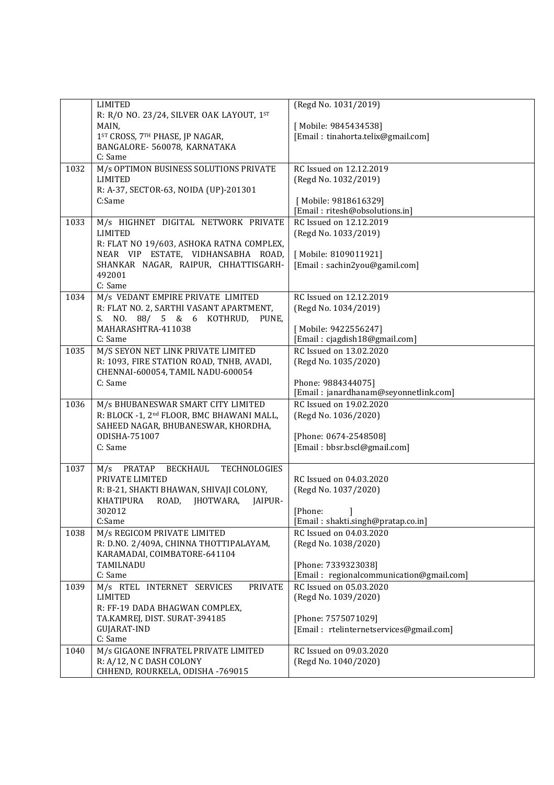|      | <b>LIMITED</b>                                                                              | (Regd No. 1031/2019)                            |
|------|---------------------------------------------------------------------------------------------|-------------------------------------------------|
|      | R: R/O NO. 23/24, SILVER OAK LAYOUT, 1ST                                                    |                                                 |
|      | MAIN,                                                                                       | [ Mobile: 9845434538]                           |
|      | 1ST CROSS, 7TH PHASE, JP NAGAR,                                                             | [Email: tinahorta.telix@gmail.com]              |
|      | BANGALORE- 560078, KARNATAKA                                                                |                                                 |
|      | C: Same                                                                                     |                                                 |
| 1032 | M/s OPTIMON BUSINESS SOLUTIONS PRIVATE                                                      | RC Issued on 12.12.2019                         |
|      | <b>LIMITED</b>                                                                              | (Regd No. 1032/2019)                            |
|      | R: A-37, SECTOR-63, NOIDA (UP)-201301<br>C:Same                                             | [ Mobile: 9818616329]                           |
|      |                                                                                             | [Email: ritesh@obsolutions.in]                  |
| 1033 | M/s HIGHNET DIGITAL NETWORK PRIVATE                                                         | RC Issued on 12.12.2019                         |
|      | <b>LIMITED</b>                                                                              | (Regd No. 1033/2019)                            |
|      | R: FLAT NO 19/603, ASHOKA RATNA COMPLEX,                                                    |                                                 |
|      | NEAR VIP ESTATE, VIDHANSABHA ROAD,                                                          | [Mobile: 8109011921]                            |
|      | SHANKAR NAGAR, RAIPUR, CHHATTISGARH-                                                        | [Email: sachin2you@gamil.com]                   |
|      | 492001                                                                                      |                                                 |
|      | C: Same                                                                                     |                                                 |
| 1034 | M/s VEDANT EMPIRE PRIVATE LIMITED                                                           | RC Issued on 12.12.2019                         |
|      | R: FLAT NO. 2, SARTHI VASANT APARTMENT,<br>S. NO. 88/ 5 & 6 KOTHRUD,<br>PUNE,               | (Regd No. 1034/2019)                            |
|      | MAHARASHTRA-411038                                                                          | [ Mobile: 9422556247]                           |
|      | C: Same                                                                                     | [Email: cjagdish18@gmail.com]                   |
| 1035 | M/S SEYON NET LINK PRIVATE LIMITED                                                          | RC Issued on 13.02.2020                         |
|      | R: 1093, FIRE STATION ROAD, TNHB, AVADI,                                                    | (Regd No. 1035/2020)                            |
|      | CHENNAI-600054, TAMIL NADU-600054                                                           |                                                 |
|      | C: Same                                                                                     | Phone: 9884344075]                              |
|      |                                                                                             | [Email: janardhanam@seyonnetlink.com]           |
| 1036 | M/s BHUBANESWAR SMART CITY LIMITED<br>R: BLOCK -1, 2 <sup>nd</sup> FLOOR, BMC BHAWANI MALL, | RC Issued on 19.02.2020<br>(Regd No. 1036/2020) |
|      | SAHEED NAGAR, BHUBANESWAR, KHORDHA,                                                         |                                                 |
|      | ODISHA-751007                                                                               | [Phone: 0674-2548508]                           |
|      | C: Same                                                                                     | [Email: bbsr.bscl@gmail.com]                    |
|      |                                                                                             |                                                 |
| 1037 | <b>TECHNOLOGIES</b><br>BECKHAUL<br>PRATAP<br>M/s                                            |                                                 |
|      | PRIVATE LIMITED                                                                             | RC Issued on 04.03.2020                         |
|      | R: B-21, SHAKTI BHAWAN, SHIVAJI COLONY,                                                     | (Regd No. 1037/2020)                            |
|      | KHATIPURA<br>ROAD,<br>JHOTWARA,<br>JAIPUR-<br>302012                                        | [Phone:                                         |
|      | C:Same                                                                                      | [Email: shakti.singh@pratap.co.in]              |
| 1038 | M/s REGICOM PRIVATE LIMITED                                                                 | RC Issued on 04.03.2020                         |
|      | R: D.NO. 2/409A, CHINNA THOTTIPALAYAM,                                                      | (Regd No. 1038/2020)                            |
|      | KARAMADAI, COIMBATORE-641104                                                                |                                                 |
|      | TAMILNADU                                                                                   | [Phone: 7339323038]                             |
|      | C: Same                                                                                     | [Email : regionalcommunication@gmail.com]       |
| 1039 | M/s RTEL INTERNET SERVICES<br><b>PRIVATE</b><br><b>LIMITED</b>                              | RC Issued on 05.03.2020<br>(Regd No. 1039/2020) |
|      | R: FF-19 DADA BHAGWAN COMPLEX,                                                              |                                                 |
|      | TA.KAMREJ, DIST. SURAT-394185                                                               | [Phone: 7575071029]                             |
|      | <b>GUJARAT-IND</b>                                                                          | [Email : rtelinternetservices@gmail.com]        |
|      | C: Same                                                                                     |                                                 |
| 1040 | M/s GIGAONE INFRATEL PRIVATE LIMITED                                                        | RC Issued on 09.03.2020                         |
|      | R: A/12, N C DASH COLONY                                                                    | (Regd No. 1040/2020)                            |
|      | CHHEND, ROURKELA, ODISHA -769015                                                            |                                                 |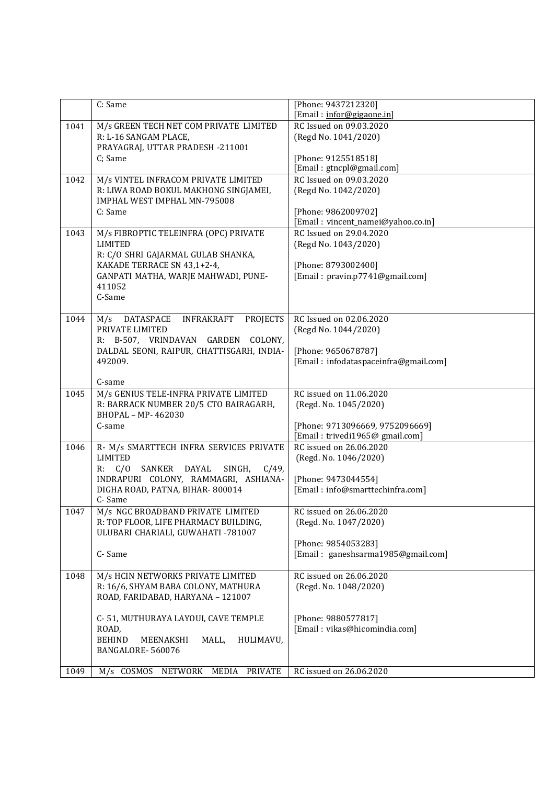|      | C: Same                                                                                                                                                                                                           | [Phone: 9437212320]<br>[Email: infor@gigaone.in]                                                                        |
|------|-------------------------------------------------------------------------------------------------------------------------------------------------------------------------------------------------------------------|-------------------------------------------------------------------------------------------------------------------------|
| 1041 | M/s GREEN TECH NET COM PRIVATE LIMITED<br>R: L-16 SANGAM PLACE,<br>PRAYAGRAJ, UTTAR PRADESH -211001<br>C; Same                                                                                                    | RC Issued on 09.03.2020<br>(Regd No. 1041/2020)<br>[Phone: 9125518518]                                                  |
|      |                                                                                                                                                                                                                   | [Email: gtncpl@gmail.com]                                                                                               |
| 1042 | M/s VINTEL INFRACOM PRIVATE LIMITED<br>R: LIWA ROAD BOKUL MAKHONG SINGJAMEI,<br>IMPHAL WEST IMPHAL MN-795008<br>C: Same                                                                                           | RC Issued on 09.03.2020<br>(Regd No. 1042/2020)<br>[Phone: 9862009702]<br>[Email: vincent_namei@yahoo.co.in]            |
| 1043 | M/s FIBROPTIC TELEINFRA (OPC) PRIVATE<br>LIMITED<br>R: C/O SHRI GAJARMAL GULAB SHANKA,<br>KAKADE TERRACE SN 43,1+2-4,<br>GANPATI MATHA, WARJE MAHWADI, PUNE-<br>411052<br>C-Same                                  | RC Issued on 29.04.2020<br>(Regd No. 1043/2020)<br>[Phone: 8793002400]<br>[Email: pravin.p7741@gmail.com]               |
| 1044 | DATASPACE<br><b>PROJECTS</b><br>M/s<br><b>INFRAKRAFT</b><br>PRIVATE LIMITED<br>R: B-507, VRINDAVAN GARDEN<br>COLONY,<br>DALDAL SEONI, RAIPUR, CHATTISGARH, INDIA-<br>492009.<br>C-same                            | RC Issued on 02.06.2020<br>(Regd No. 1044/2020)<br>[Phone: 9650678787]<br>[Email: infodataspaceinfra@gmail.com]         |
| 1045 | M/s GENIUS TELE-INFRA PRIVATE LIMITED<br>R: BARRACK NUMBER 20/5 CTO BAIRAGARH,<br>BHOPAL - MP-462030<br>C-same                                                                                                    | RC issued on 11.06.2020<br>(Regd. No. 1045/2020)<br>[Phone: 9713096669, 9752096669]<br>[Email : trivedi1965@ gmail.com] |
| 1046 | R- M/s SMARTTECH INFRA SERVICES PRIVATE<br><b>LIMITED</b><br>SINGH,<br>R: C/O SANKER DAYAL<br>$C/49$ ,<br>INDRAPURI COLONY, RAMMAGRI, ASHIANA-<br>DIGHA ROAD, PATNA, BIHAR-800014<br>C-Same                       | RC issued on 26.06.2020<br>(Regd. No. 1046/2020)<br>[Phone: 9473044554]<br>[Email: info@smarttechinfra.com]             |
| 1047 | M/s NGC BROADBAND PRIVATE LIMITED<br>R: TOP FLOOR, LIFE PHARMACY BUILDING,<br>ULUBARI CHARIALI, GUWAHATI -781007<br>C-Same                                                                                        | RC issued on 26.06.2020<br>(Regd. No. 1047/2020)<br>[Phone: 9854053283]<br>[Email: ganeshsarma1985@gmail.com]           |
| 1048 | M/s HCIN NETWORKS PRIVATE LIMITED<br>R: 16/6, SHYAM BABA COLONY, MATHURA<br>ROAD, FARIDABAD, HARYANA - 121007<br>C-51, MUTHURAYA LAYOUI, CAVE TEMPLE<br>ROAD,<br><b>BEHIND</b><br>MALL,<br>HULIMAVU,<br>MEENAKSHI | RC issued on 26.06.2020<br>(Regd. No. 1048/2020)<br>[Phone: 9880577817]<br>[Email: vikas@hicomindia.com]                |
| 1049 | BANGALORE-560076<br><b>PRIVATE</b><br>M/s COSMOS<br>NETWORK<br>MEDIA                                                                                                                                              | RC issued on 26.06.2020                                                                                                 |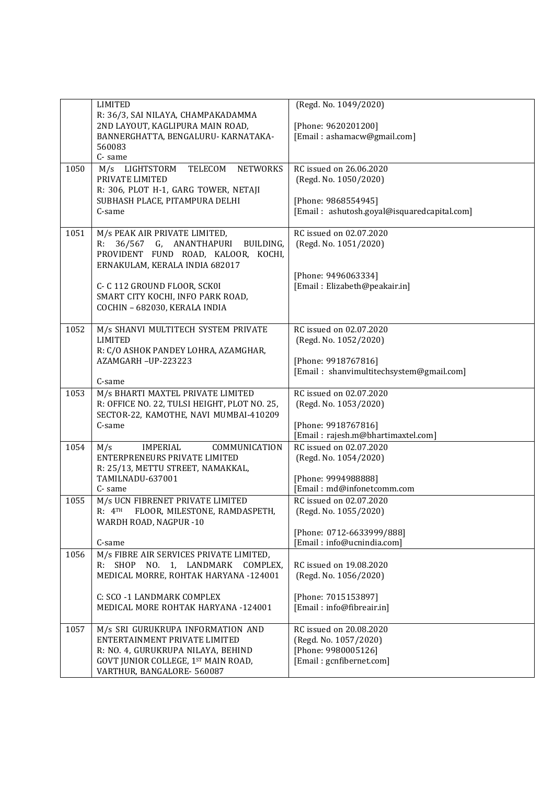|      | <b>LIMITED</b>                                                                                                       | (Regd. No. 1049/2020)                                           |
|------|----------------------------------------------------------------------------------------------------------------------|-----------------------------------------------------------------|
|      | R: 36/3, SAI NILAYA, CHAMPAKADAMMA<br>2ND LAYOUT, KAGLIPURA MAIN ROAD,                                               | [Phone: 9620201200]                                             |
|      | BANNERGHATTA, BENGALURU- KARNATAKA-<br>560083                                                                        | [Email: ashamacw@gmail.com]                                     |
|      | C- same                                                                                                              |                                                                 |
| 1050 | LIGHTSTORM<br>TELECOM<br><b>NETWORKS</b><br>M/s<br>PRIVATE LIMITED                                                   | RC issued on 26.06.2020<br>(Regd. No. 1050/2020)                |
|      | R: 306, PLOT H-1, GARG TOWER, NETAJI                                                                                 |                                                                 |
|      | SUBHASH PLACE, PITAMPURA DELHI                                                                                       | [Phone: 9868554945]                                             |
|      | C-same                                                                                                               | [Email : ashutosh.goyal@isquaredcapital.com]                    |
| 1051 | M/s PEAK AIR PRIVATE LIMITED,                                                                                        | RC issued on 02.07.2020                                         |
|      | 36/567<br>G, ANANTHAPURI<br>BUILDING,<br>R:<br>PROVIDENT FUND ROAD, KALOOR, KOCHI,<br>ERNAKULAM, KERALA INDIA 682017 | (Regd. No. 1051/2020)                                           |
|      |                                                                                                                      | [Phone: 9496063334]                                             |
|      | C-C 112 GROUND FLOOR, SCK0I                                                                                          | [Email: Elizabeth@peakair.in]                                   |
|      | SMART CITY KOCHI, INFO PARK ROAD,                                                                                    |                                                                 |
|      | COCHIN - 682030, KERALA INDIA                                                                                        |                                                                 |
| 1052 | M/s SHANVI MULTITECH SYSTEM PRIVATE                                                                                  | RC issued on 02.07.2020                                         |
|      | <b>LIMITED</b>                                                                                                       | (Regd. No. 1052/2020)                                           |
|      | R: C/O ASHOK PANDEY LOHRA, AZAMGHAR,<br>AZAMGARH-UP-223223                                                           |                                                                 |
|      |                                                                                                                      | [Phone: 9918767816]<br>[Email: shanvimultitechsystem@gmail.com] |
|      | C-same                                                                                                               |                                                                 |
| 1053 | M/s BHARTI MAXTEL PRIVATE LIMITED                                                                                    | RC issued on 02.07.2020                                         |
|      | R: OFFICE NO. 22, TULSI HEIGHT, PLOT NO. 25,<br>SECTOR-22, KAMOTHE, NAVI MUMBAI-410209                               | (Regd. No. 1053/2020)                                           |
|      | C-same                                                                                                               | [Phone: 9918767816]                                             |
|      |                                                                                                                      | [Email: rajesh.m@bhartimaxtel.com]                              |
| 1054 | M/s<br><b>IMPERIAL</b><br>COMMUNICATION                                                                              | RC issued on 02.07.2020                                         |
|      | ENTERPRENEURS PRIVATE LIMITED                                                                                        | (Regd. No. 1054/2020)                                           |
|      | R: 25/13, METTU STREET, NAMAKKAL,<br>TAMILNADU-637001                                                                | [Phone: 9994988888]                                             |
|      | C-same                                                                                                               | [Email: md@infonetcomm.com                                      |
| 1055 | M/s UCN FIBRENET PRIVATE LIMITED                                                                                     | RC issued on 02.07.2020                                         |
|      | R: 4 <sup>TH</sup><br>FLOOR, MILESTONE, RAMDASPETH,                                                                  | (Regd. No. 1055/2020)                                           |
|      | WARDH ROAD, NAGPUR-10                                                                                                | [Phone: 0712-6633999/888]                                       |
|      | C-same                                                                                                               | [Email: info@ucnindia.com]                                      |
| 1056 | M/s FIBRE AIR SERVICES PRIVATE LIMITED,                                                                              |                                                                 |
|      | R: SHOP NO. 1, LANDMARK COMPLEX,                                                                                     | RC issued on 19.08.2020                                         |
|      | MEDICAL MORRE, ROHTAK HARYANA -124001                                                                                | (Regd. No. 1056/2020)                                           |
|      | C: SCO -1 LANDMARK COMPLEX                                                                                           | [Phone: 7015153897]                                             |
|      | MEDICAL MORE ROHTAK HARYANA -124001                                                                                  | [Email: info@fibreair.in]                                       |
| 1057 | M/s SRI GURUKRUPA INFORMATION AND                                                                                    | RC issued on 20.08.2020                                         |
|      | ENTERTAINMENT PRIVATE LIMITED                                                                                        | (Regd. No. 1057/2020)                                           |
|      | R: NO. 4, GURUKRUPA NILAYA, BEHIND                                                                                   | [Phone: 9980005126]                                             |
|      | GOVT JUNIOR COLLEGE, 1ST MAIN ROAD,                                                                                  | [Email: gcnfibernet.com]                                        |
|      | VARTHUR, BANGALORE- 560087                                                                                           |                                                                 |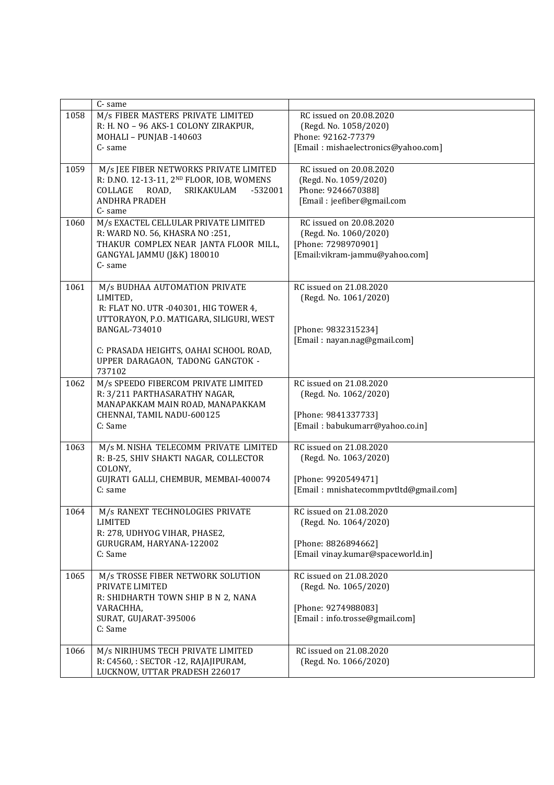|      | C-same                                                                                                                                                                                                                                  |                                                                                                                  |
|------|-----------------------------------------------------------------------------------------------------------------------------------------------------------------------------------------------------------------------------------------|------------------------------------------------------------------------------------------------------------------|
| 1058 | M/s FIBER MASTERS PRIVATE LIMITED<br>R: H. NO - 96 AKS-1 COLONY ZIRAKPUR,<br>MOHALI - PUNJAB -140603<br>C-same                                                                                                                          | RC issued on 20.08.2020<br>(Regd. No. 1058/2020)<br>Phone: 92162-77379<br>[Email: mishaelectronics@yahoo.com]    |
|      |                                                                                                                                                                                                                                         |                                                                                                                  |
| 1059 | M/s JEE FIBER NETWORKS PRIVATE LIMITED<br>R: D.NO. 12-13-11, 2ND FLOOR, IOB, WOMENS<br>COLLAGE<br>ROAD,<br>SRIKAKULAM<br>-532001<br><b>ANDHRA PRADEH</b><br>C-same                                                                      | RC issued on 20.08.2020<br>(Regd. No. 1059/2020)<br>Phone: 9246670388]<br>[Email: jeefiber@gmail.com             |
| 1060 | M/s EXACTEL CELLULAR PRIVATE LIMITED<br>R: WARD NO. 56, KHASRA NO:251,<br>THAKUR COMPLEX NEAR JANTA FLOOR MILL,<br>GANGYAL JAMMU (J&K) 180010<br>C-same                                                                                 | RC issued on 20.08.2020<br>(Regd. No. 1060/2020)<br>[Phone: 7298970901]<br>[Email:vikram-jammu@yahoo.com]        |
| 1061 | M/s BUDHAA AUTOMATION PRIVATE<br>LIMITED,<br>R: FLAT NO. UTR -040301, HIG TOWER 4,<br>UTTORAYON, P.O. MATIGARA, SILIGURI, WEST<br>BANGAL-734010<br>C: PRASADA HEIGHTS, OAHAI SCHOOL ROAD,<br>UPPER DARAGAON, TADONG GANGTOK -<br>737102 | RC issued on 21.08.2020<br>(Regd. No. 1061/2020)<br>[Phone: 9832315234]<br>[Email: nayan.nag@gmail.com]          |
| 1062 | M/s SPEEDO FIBERCOM PRIVATE LIMITED<br>R: 3/211 PARTHASARATHY NAGAR,<br>MANAPAKKAM MAIN ROAD, MANAPAKKAM<br>CHENNAI, TAMIL NADU-600125<br>C: Same                                                                                       | RC issued on 21.08.2020<br>(Regd. No. 1062/2020)<br>[Phone: 9841337733]<br>[Email: babukumarr@yahoo.co.in]       |
| 1063 | M/s M. NISHA TELECOMM PRIVATE LIMITED<br>R: B-25, SHIV SHAKTI NAGAR, COLLECTOR<br>COLONY,<br>GUJRATI GALLI, CHEMBUR, MEMBAI-400074<br>C: same                                                                                           | RC issued on 21.08.2020<br>(Regd. No. 1063/2020)<br>[Phone: 9920549471]<br>[Email: mnishatecommpvtltd@gmail.com] |
| 1064 | M/s RANEXT TECHNOLOGIES PRIVATE<br><b>LIMITED</b><br>R: 278, UDHYOG VIHAR, PHASE2,<br>GURUGRAM, HARYANA-122002<br>C: Same                                                                                                               | RC issued on 21.08.2020<br>(Regd. No. 1064/2020)<br>[Phone: 8826894662]<br>[Email vinay.kumar@spaceworld.in]     |
| 1065 | M/s TROSSE FIBER NETWORK SOLUTION<br>PRIVATE LIMITED<br>R: SHIDHARTH TOWN SHIP B N 2, NANA<br>VARACHHA,<br>SURAT, GUJARAT-395006<br>C: Same                                                                                             | RC issued on 21.08.2020<br>(Regd. No. 1065/2020)<br>[Phone: 9274988083]<br>[Email: info.trosse@gmail.com]        |
| 1066 | M/s NIRIHUMS TECH PRIVATE LIMITED<br>R: C4560, : SECTOR -12, RAJAJIPURAM,<br>LUCKNOW, UTTAR PRADESH 226017                                                                                                                              | RC issued on 21.08.2020<br>(Regd. No. 1066/2020)                                                                 |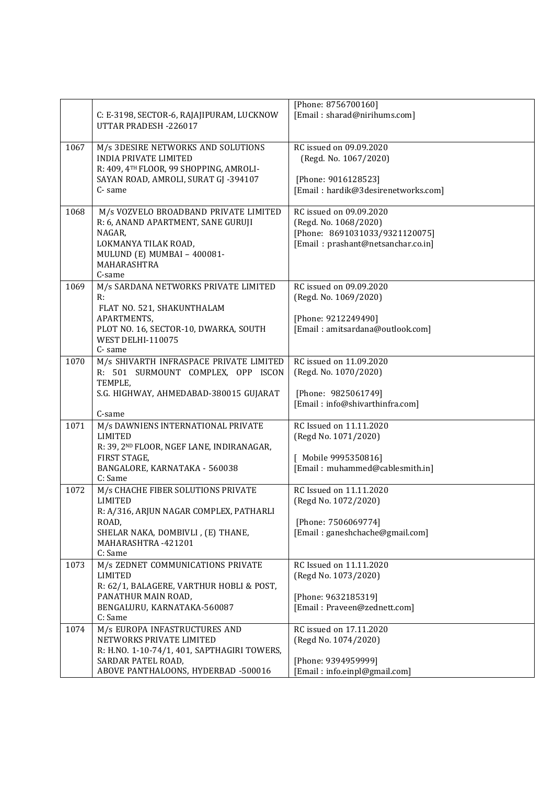|      |                                                                                 | [Phone: 8756700160]                                     |
|------|---------------------------------------------------------------------------------|---------------------------------------------------------|
|      | C: E-3198, SECTOR-6, RAJAJIPURAM, LUCKNOW                                       | [Email: sharad@nirihums.com]                            |
|      | UTTAR PRADESH-226017                                                            |                                                         |
| 1067 | M/s 3DESIRE NETWORKS AND SOLUTIONS                                              | RC issued on 09.09.2020                                 |
|      | <b>INDIA PRIVATE LIMITED</b>                                                    | (Regd. No. 1067/2020)                                   |
|      | R: 409, 4TH FLOOR, 99 SHOPPING, AMROLI-<br>SAYAN ROAD, AMROLI, SURAT GJ -394107 | [Phone: 9016128523]                                     |
|      | C-same                                                                          | [Email: hardik@3desirenetworks.com]                     |
|      |                                                                                 |                                                         |
| 1068 | M/s VOZVELO BROADBAND PRIVATE LIMITED                                           | RC issued on 09.09.2020                                 |
|      | R: 6, ANAND APARTMENT, SANE GURUJI<br>NAGAR,                                    | (Regd. No. 1068/2020)<br>[Phone: 8691031033/9321120075] |
|      | LOKMANYA TILAK ROAD,                                                            | [Email: prashant@netsanchar.co.in]                      |
|      | MULUND (E) MUMBAI - 400081-                                                     |                                                         |
|      | MAHARASHTRA                                                                     |                                                         |
| 1069 | C-same<br>M/s SARDANA NETWORKS PRIVATE LIMITED                                  | RC issued on 09.09.2020                                 |
|      | R:                                                                              | (Regd. No. 1069/2020)                                   |
|      | FLAT NO. 521, SHAKUNTHALAM                                                      |                                                         |
|      | APARTMENTS,                                                                     | [Phone: 9212249490]                                     |
|      | PLOT NO. 16, SECTOR-10, DWARKA, SOUTH<br><b>WEST DELHI-110075</b>               | [Email: amitsardana@outlook.com]                        |
|      | C-same                                                                          |                                                         |
| 1070 | M/s SHIVARTH INFRASPACE PRIVATE LIMITED                                         | RC issued on 11.09.2020                                 |
|      | R: 501 SURMOUNT COMPLEX, OPP ISCON                                              | (Regd. No. 1070/2020)                                   |
|      | TEMPLE,<br>S.G. HIGHWAY, AHMEDABAD-380015 GUJARAT                               | [Phone: 9825061749]                                     |
|      |                                                                                 | [Email: info@shivarthinfra.com]                         |
|      | C-same                                                                          |                                                         |
| 1071 | M/s DAWNIENS INTERNATIONAL PRIVATE<br><b>LIMITED</b>                            | RC Issued on 11.11.2020                                 |
|      | R: 39, 2ND FLOOR, NGEF LANE, INDIRANAGAR,                                       | (Regd No. 1071/2020)                                    |
|      | FIRST STAGE,                                                                    | [ Mobile 9995350816]                                    |
|      | BANGALORE, KARNATAKA - 560038                                                   | [Email: muhammed@cablesmith.in]                         |
|      | C: Same                                                                         |                                                         |
| 1072 | M/s CHACHE FIBER SOLUTIONS PRIVATE<br><b>LIMITED</b>                            | RC Issued on 11.11.2020<br>(Regd No. 1072/2020)         |
|      | R: A/316, ARJUN NAGAR COMPLEX, PATHARLI                                         |                                                         |
|      | ROAD,                                                                           | [Phone: 7506069774]                                     |
|      | SHELAR NAKA, DOMBIVLI, (E) THANE,                                               | [Email: ganeshchache@gmail.com]                         |
|      | MAHARASHTRA-421201<br>C: Same                                                   |                                                         |
| 1073 | M/s ZEDNET COMMUNICATIONS PRIVATE                                               | RC Issued on 11.11.2020                                 |
|      | LIMITED                                                                         | (Regd No. 1073/2020)                                    |
|      | R: 62/1, BALAGERE, VARTHUR HOBLI & POST,                                        |                                                         |
|      | PANATHUR MAIN ROAD,<br>BENGALURU, KARNATAKA-560087                              | [Phone: 9632185319]<br>[Email: Praveen@zednett.com]     |
|      | C: Same                                                                         |                                                         |
| 1074 | M/s EUROPA INFASTRUCTURES AND                                                   | RC issued on 17.11.2020                                 |
|      | NETWORKS PRIVATE LIMITED                                                        | (Regd No. 1074/2020)                                    |
|      | R: H.NO. 1-10-74/1, 401, SAPTHAGIRI TOWERS,<br>SARDAR PATEL ROAD,               | [Phone: 9394959999]                                     |
|      | ABOVE PANTHALOONS, HYDERBAD -500016                                             | [Email: info.einpl@gmail.com]                           |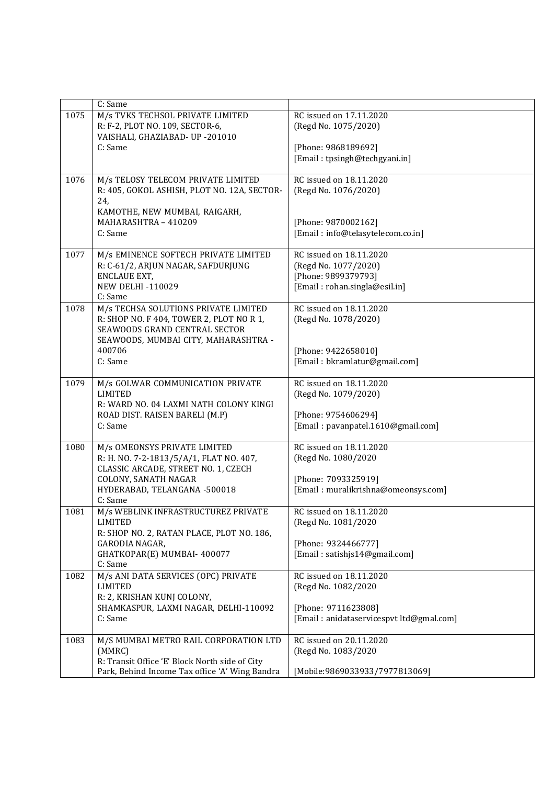|      | C: Same                                                                                          |                                                 |
|------|--------------------------------------------------------------------------------------------------|-------------------------------------------------|
| 1075 | M/s TVKS TECHSOL PRIVATE LIMITED<br>R: F-2, PLOT NO. 109, SECTOR-6,                              | RC issued on 17.11.2020<br>(Regd No. 1075/2020) |
|      | VAISHALI, GHAZIABAD- UP -201010<br>C: Same                                                       | [Phone: 9868189692]                             |
|      |                                                                                                  | [Email: tpsingh@techgyani.in]                   |
|      |                                                                                                  |                                                 |
| 1076 | M/s TELOSY TELECOM PRIVATE LIMITED                                                               | RC issued on 18.11.2020                         |
|      | R: 405, GOKOL ASHISH, PLOT NO. 12A, SECTOR-<br>24,                                               | (Regd No. 1076/2020)                            |
|      | KAMOTHE, NEW MUMBAI, RAIGARH,                                                                    |                                                 |
|      | MAHARASHTRA - 410209                                                                             | [Phone: 9870002162]                             |
|      | C: Same                                                                                          | [Email: info@telasytelecom.co.in]               |
| 1077 | M/s EMINENCE SOFTECH PRIVATE LIMITED                                                             | RC issued on 18.11.2020                         |
|      | R: C-61/2, ARJUN NAGAR, SAFDURJUNG                                                               | (Regd No. 1077/2020)                            |
|      | ENCLAUE EXT,                                                                                     | [Phone: 9899379793]                             |
|      | <b>NEW DELHI-110029</b><br>C: Same                                                               | [Email: rohan.singla@esil.in]                   |
| 1078 | M/s TECHSA SOLUTIONS PRIVATE LIMITED                                                             | RC issued on 18.11.2020                         |
|      | R: SHOP NO. F 404, TOWER 2, PLOT NO R 1,                                                         | (Regd No. 1078/2020)                            |
|      | SEAWOODS GRAND CENTRAL SECTOR<br>SEAWOODS, MUMBAI CITY, MAHARASHTRA -                            |                                                 |
|      | 400706                                                                                           | [Phone: 9422658010]                             |
|      | C: Same                                                                                          | [Email: bkramlatur@gmail.com]                   |
| 1079 | M/s GOLWAR COMMUNICATION PRIVATE                                                                 | RC issued on 18.11.2020                         |
|      | <b>LIMITED</b>                                                                                   | (Regd No. 1079/2020)                            |
|      | R: WARD NO. 04 LAXMI NATH COLONY KINGI                                                           |                                                 |
|      | ROAD DIST. RAISEN BARELI (M.P)                                                                   | [Phone: 9754606294]                             |
|      | C: Same                                                                                          | [Email: pavanpatel.1610@gmail.com]              |
| 1080 | M/s OMEONSYS PRIVATE LIMITED                                                                     | RC issued on 18.11.2020                         |
|      | R: H. NO. 7-2-1813/5/A/1, FLAT NO. 407,                                                          | (Regd No. 1080/2020                             |
|      | CLASSIC ARCADE, STREET NO. 1, CZECH<br>COLONY, SANATH NAGAR                                      | [Phone: 7093325919]                             |
|      | HYDERABAD, TELANGANA -500018                                                                     | [Email: muralikrishna@omeonsys.com]             |
|      | C: Same                                                                                          |                                                 |
| 1081 | M/s WEBLINK INFRASTRUCTUREZ PRIVATE<br>LIMITED                                                   | RC issued on 18.11.2020<br>(Regd No. 1081/2020  |
|      | R: SHOP NO. 2, RATAN PLACE, PLOT NO. 186,                                                        |                                                 |
|      | GARODIA NAGAR,                                                                                   | [Phone: 9324466777]                             |
|      | GHATKOPAR(E) MUMBAI- 400077                                                                      | [Email: satishjs14@gmail.com]                   |
|      | C: Same<br>M/s ANI DATA SERVICES (OPC) PRIVATE                                                   | RC issued on 18.11.2020                         |
| 1082 | <b>LIMITED</b>                                                                                   | (Regd No. 1082/2020                             |
|      | R: 2, KRISHAN KUNJ COLONY,                                                                       |                                                 |
|      | SHAMKASPUR, LAXMI NAGAR, DELHI-110092                                                            | [Phone: 9711623808]                             |
|      | C: Same                                                                                          | [Email: anidataservicespvt ltd@gmal.com]        |
| 1083 | M/S MUMBAI METRO RAIL CORPORATION LTD                                                            | RC issued on 20.11.2020                         |
|      | (MMRC)                                                                                           | (Regd No. 1083/2020                             |
|      | R: Transit Office 'E' Block North side of City<br>Park, Behind Income Tax office 'A' Wing Bandra | [Mobile:9869033933/7977813069]                  |
|      |                                                                                                  |                                                 |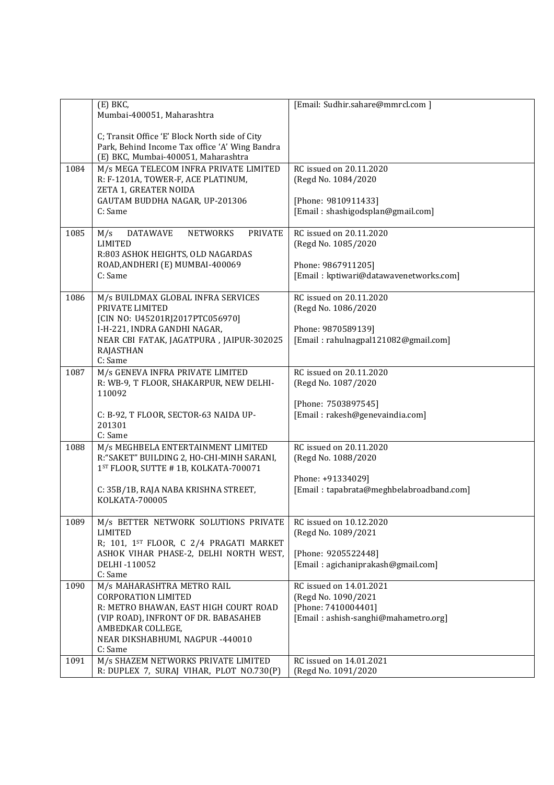|      | $(E)$ BKC,                                                                                       | [Email: Sudhir.sahare@mmrcl.com]                           |
|------|--------------------------------------------------------------------------------------------------|------------------------------------------------------------|
|      | Mumbai-400051, Maharashtra                                                                       |                                                            |
|      |                                                                                                  |                                                            |
|      | C; Transit Office 'E' Block North side of City<br>Park, Behind Income Tax office 'A' Wing Bandra |                                                            |
|      | (E) BKC, Mumbai-400051, Maharashtra                                                              |                                                            |
| 1084 | M/s MEGA TELECOM INFRA PRIVATE LIMITED                                                           | RC issued on 20.11.2020                                    |
|      | R: F-1201A, TOWER-F, ACE PLATINUM,<br>ZETA 1, GREATER NOIDA                                      | (Regd No. 1084/2020                                        |
|      | GAUTAM BUDDHA NAGAR, UP-201306                                                                   | [Phone: 9810911433]                                        |
|      | C: Same                                                                                          | [Email: shashigodsplan@gmail.com]                          |
|      |                                                                                                  |                                                            |
| 1085 | M/s<br><b>DATAWAVE</b><br><b>NETWORKS</b><br><b>PRIVATE</b><br><b>LIMITED</b>                    | RC issued on 20.11.2020<br>(Regd No. 1085/2020             |
|      | R:803 ASHOK HEIGHTS, OLD NAGARDAS                                                                |                                                            |
|      | ROAD, ANDHERI (E) MUMBAI-400069                                                                  | Phone: 9867911205]                                         |
|      | C: Same                                                                                          | [Email: kptiwari@datawavenetworks.com]                     |
| 1086 | M/s BUILDMAX GLOBAL INFRA SERVICES                                                               | RC issued on 20.11.2020                                    |
|      | PRIVATE LIMITED                                                                                  | (Regd No. 1086/2020                                        |
|      | [CIN NO: U45201RJ2017PTC056970]                                                                  |                                                            |
|      | I-H-221, INDRA GANDHI NAGAR,<br>NEAR CBI FATAK, JAGATPURA, JAIPUR-302025                         | Phone: 9870589139]<br>[Email: rahulnagpal121082@gmail.com] |
|      | RAJASTHAN                                                                                        |                                                            |
|      | C: Same                                                                                          |                                                            |
| 1087 | M/s GENEVA INFRA PRIVATE LIMITED<br>R: WB-9, T FLOOR, SHAKARPUR, NEW DELHI-                      | RC issued on 20.11.2020<br>(Regd No. 1087/2020             |
|      | 110092                                                                                           |                                                            |
|      |                                                                                                  | [Phone: 7503897545]                                        |
|      | C: B-92, T FLOOR, SECTOR-63 NAIDA UP-                                                            | [Email: rakesh@genevaindia.com]                            |
|      | 201301<br>C: Same                                                                                |                                                            |
| 1088 | M/s MEGHBELA ENTERTAINMENT LIMITED                                                               | RC issued on 20.11.2020                                    |
|      | R: "SAKET" BUILDING 2, HO-CHI-MINH SARANI,                                                       | (Regd No. 1088/2020                                        |
|      | 1ST FLOOR, SUTTE #1B, KOLKATA-700071                                                             | Phone: +91334029]                                          |
|      | C: 35B/1B, RAJA NABA KRISHNA STREET,                                                             | [Email: tapabrata@meghbelabroadband.com]                   |
|      | KOLKATA-700005                                                                                   |                                                            |
|      |                                                                                                  |                                                            |
| 1089 | M/s BETTER NETWORK SOLUTIONS PRIVATE<br>LIMITED                                                  | RC issued on 10.12.2020<br>(Regd No. 1089/2021             |
|      | R; 101, 1ST FLOOR, C 2/4 PRAGATI MARKET                                                          |                                                            |
|      | ASHOK VIHAR PHASE-2, DELHI NORTH WEST,                                                           | [Phone: 9205522448]                                        |
|      | DELHI-110052<br>C: Same                                                                          | [Email: agichaniprakash@gmail.com]                         |
| 1090 | M/s MAHARASHTRA METRO RAIL                                                                       | RC issued on 14.01.2021                                    |
|      | <b>CORPORATION LIMITED</b>                                                                       | (Regd No. 1090/2021                                        |
|      | R: METRO BHAWAN, EAST HIGH COURT ROAD                                                            | [Phone: 7410004401]                                        |
|      | (VIP ROAD), INFRONT OF DR. BABASAHEB<br>AMBEDKAR COLLEGE,                                        | [Email: ashish-sanghi@mahametro.org]                       |
|      | NEAR DIKSHABHUMI, NAGPUR -440010                                                                 |                                                            |
|      | C: Same                                                                                          |                                                            |
| 1091 | M/s SHAZEM NETWORKS PRIVATE LIMITED<br>R: DUPLEX 7, SURAJ VIHAR, PLOT NO.730(P)                  | RC issued on 14.01.2021<br>(Regd No. 1091/2020             |
|      |                                                                                                  |                                                            |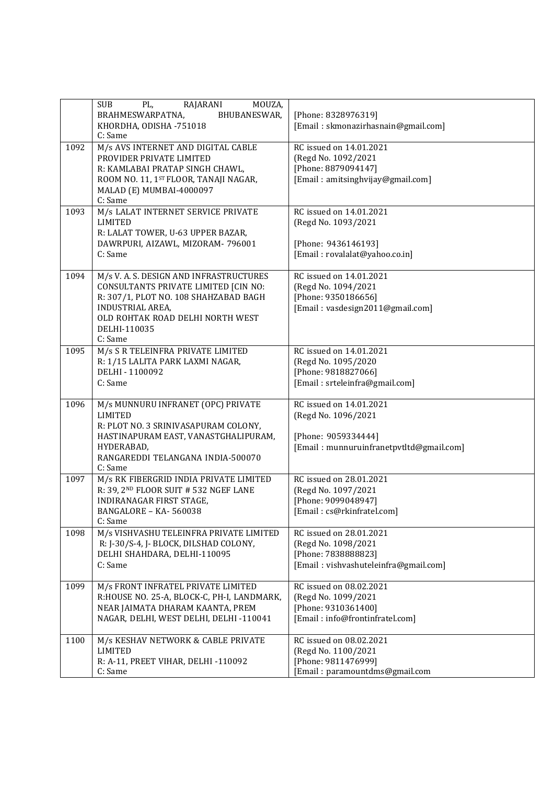|      | <b>SUB</b><br>PL,<br>RAJARANI<br>MOUZA,<br>BRAHMESWARPATNA,<br>BHUBANESWAR,                                                                                                                                 | [Phone: 8328976319]                                                                                               |
|------|-------------------------------------------------------------------------------------------------------------------------------------------------------------------------------------------------------------|-------------------------------------------------------------------------------------------------------------------|
|      | KHORDHA, ODISHA -751018<br>C: Same                                                                                                                                                                          | [Email: skmonazirhasnain@gmail.com]                                                                               |
| 1092 | M/s AVS INTERNET AND DIGITAL CABLE<br>PROVIDER PRIVATE LIMITED<br>R: KAMLABAI PRATAP SINGH CHAWL,<br>ROOM NO. 11, 1ST FLOOR, TANAJI NAGAR,<br>MALAD (E) MUMBAI-4000097<br>C: Same                           | RC issued on 14.01.2021<br>(Regd No. 1092/2021<br>[Phone: 8879094147]<br>[Email: amitsinghvijay@gmail.com]        |
| 1093 | M/s LALAT INTERNET SERVICE PRIVATE<br><b>LIMITED</b><br>R: LALAT TOWER, U-63 UPPER BAZAR,<br>DAWRPURI, AIZAWL, MIZORAM- 796001<br>C: Same                                                                   | RC issued on 14.01.2021<br>(Regd No. 1093/2021<br>[Phone: 9436146193]<br>[Email: rovalalat@yahoo.co.in]           |
| 1094 | M/s V. A. S. DESIGN AND INFRASTRUCTURES<br>CONSULTANTS PRIVATE LIMITED [CIN NO:<br>R: 307/1, PLOT NO. 108 SHAHZABAD BAGH<br>INDUSTRIAL AREA,<br>OLD ROHTAK ROAD DELHI NORTH WEST<br>DELHI-110035<br>C: Same | RC issued on 14.01.2021<br>(Regd No. 1094/2021<br>[Phone: 9350186656]<br>[Email: vasdesign2011@gmail.com]         |
| 1095 | M/s S R TELEINFRA PRIVATE LIMITED<br>R: 1/15 LALITA PARK LAXMI NAGAR,<br>DELHI - 1100092<br>C: Same                                                                                                         | RC issued on 14.01.2021<br>(Regd No. 1095/2020<br>[Phone: 9818827066]<br>[Email: srteleinfra@gmail.com]           |
| 1096 | M/s MUNNURU INFRANET (OPC) PRIVATE<br><b>LIMITED</b><br>R: PLOT NO. 3 SRINIVASAPURAM COLONY,<br>HASTINAPURAM EAST, VANASTGHALIPURAM,<br>HYDERABAD,<br>RANGAREDDI TELANGANA INDIA-500070<br>C: Same          | RC issued on 14.01.2021<br>(Regd No. 1096/2021<br>[Phone: 9059334444]<br>[Email: munnuruinfranetpvtltd@gmail.com] |
| 1097 | M/s RK FIBERGRID INDIA PRIVATE LIMITED<br>R: 39, 2ND FLOOR SUIT # 532 NGEF LANE<br>INDIRANAGAR FIRST STAGE,<br>BANGALORE - KA-560038<br>C: Same                                                             | RC issued on 28.01.2021<br>(Regd No. 1097/2021<br>[Phone: 9099048947]<br>[Email: cs@rkinfratel.com]               |
| 1098 | M/s VISHVASHU TELEINFRA PRIVATE LIMITED<br>R: J-30/S-4, J- BLOCK, DILSHAD COLONY,<br>DELHI SHAHDARA, DELHI-110095<br>C: Same                                                                                | RC issued on 28.01.2021<br>(Regd No. 1098/2021<br>[Phone: 7838888823]<br>[Email: vishvashuteleinfra@gmail.com]    |
| 1099 | M/s FRONT INFRATEL PRIVATE LIMITED<br>R:HOUSE NO. 25-A, BLOCK-C, PH-I, LANDMARK,<br>NEAR JAIMATA DHARAM KAANTA, PREM<br>NAGAR, DELHI, WEST DELHI, DELHI -110041                                             | RC issued on 08.02.2021<br>(Regd No. 1099/2021<br>[Phone: 9310361400]<br>[Email: info@frontinfratel.com]          |
| 1100 | M/s KESHAV NETWORK & CABLE PRIVATE<br>LIMITED<br>R: A-11, PREET VIHAR, DELHI -110092<br>C: Same                                                                                                             | RC issued on 08.02.2021<br>(Regd No. 1100/2021<br>[Phone: 9811476999]<br>[Email: paramountdms@gmail.com           |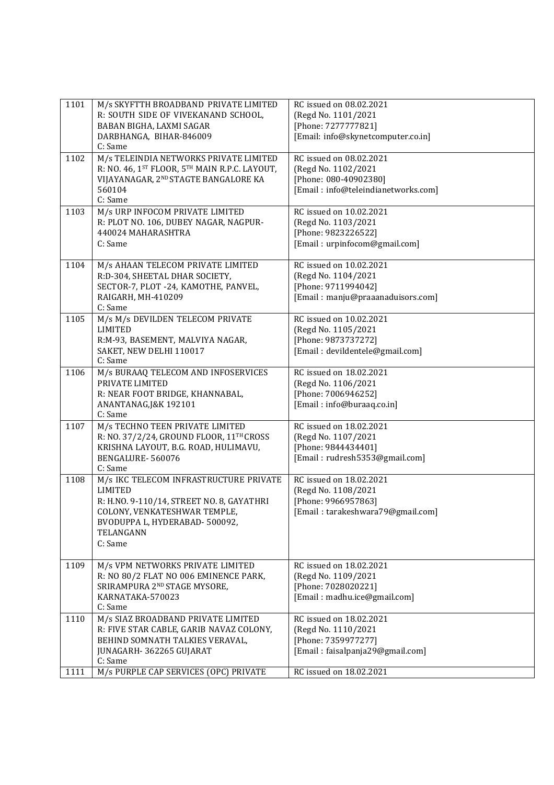| 1101 | M/s SKYFTTH BROADBAND PRIVATE LIMITED<br>R: SOUTH SIDE OF VIVEKANAND SCHOOL,<br>BABAN BIGHA, LAXMI SAGAR<br>DARBHANGA, BIHAR-846009                                                            | RC issued on 08.02.2021<br>(Regd No. 1101/2021<br>[Phone: 7277777821]<br>[Email: info@skynetcomputer.co.in] |
|------|------------------------------------------------------------------------------------------------------------------------------------------------------------------------------------------------|-------------------------------------------------------------------------------------------------------------|
| 1102 | C: Same<br>M/s TELEINDIA NETWORKS PRIVATE LIMITED                                                                                                                                              | RC issued on 08.02.2021                                                                                     |
|      | R: NO. 46, 1ST FLOOR, 5TH MAIN R.P.C. LAYOUT,<br>VIJAYANAGAR, 2ND STAGTE BANGALORE KA<br>560104<br>C: Same                                                                                     | (Regd No. 1102/2021<br>[Phone: 080-40902380]<br>[Email: info@teleindianetworks.com]                         |
| 1103 | M/s URP INFOCOM PRIVATE LIMITED<br>R: PLOT NO. 106, DUBEY NAGAR, NAGPUR-<br>440024 MAHARASHTRA<br>C: Same                                                                                      | RC issued on 10.02.2021<br>(Regd No. 1103/2021<br>[Phone: 9823226522]<br>[Email: urpinfocom@gmail.com]      |
| 1104 | M/s AHAAN TELECOM PRIVATE LIMITED<br>R:D-304, SHEETAL DHAR SOCIETY,<br>SECTOR-7, PLOT -24, KAMOTHE, PANVEL,<br>RAIGARH, MH-410209<br>C: Same                                                   | RC issued on 10.02.2021<br>(Regd No. 1104/2021<br>[Phone: 9711994042]<br>[Email: manju@praaanaduisors.com]  |
| 1105 | M/s M/s DEVILDEN TELECOM PRIVATE<br><b>LIMITED</b><br>R:M-93, BASEMENT, MALVIYA NAGAR,<br>SAKET, NEW DELHI 110017<br>C: Same                                                                   | RC issued on 10.02.2021<br>(Regd No. 1105/2021<br>[Phone: 9873737272]<br>[Email: devildentele@gmail.com]    |
| 1106 | M/s BURAAQ TELECOM AND INFOSERVICES<br>PRIVATE LIMITED<br>R: NEAR FOOT BRIDGE, KHANNABAL,<br>ANANTANAG, J&K 192101<br>C: Same                                                                  | RC issued on 18.02.2021<br>(Regd No. 1106/2021<br>[Phone: 7006946252]<br>[Email: info@buraaq.co.in]         |
| 1107 | M/s TECHNO TEEN PRIVATE LIMITED<br>R: NO. 37/2/24, GROUND FLOOR, 11TH CROSS<br>KRISHNA LAYOUT, B.G. ROAD, HULIMAVU,<br>BENGALURE-560076<br>C: Same                                             | RC issued on 18.02.2021<br>(Regd No. 1107/2021<br>[Phone: 9844434401]<br>[Email: rudresh5353@gmail.com]     |
| 1108 | M/s IKC TELECOM INFRASTRUCTURE PRIVATE<br><b>LIMITED</b><br>R: H.NO. 9-110/14, STREET NO. 8, GAYATHRI<br>COLONY, VENKATESHWAR TEMPLE,<br>BVODUPPA L, HYDERABAD-500092,<br>TELANGANN<br>C: Same | RC issued on 18.02.2021<br>(Regd No. 1108/2021<br>[Phone: 9966957863]<br>[Email: tarakeshwara79@gmail.com]  |
| 1109 | M/s VPM NETWORKS PRIVATE LIMITED<br>R: NO 80/2 FLAT NO 006 EMINENCE PARK,<br>SRIRAMPURA 2ND STAGE MYSORE,<br>KARNATAKA-570023<br>C: Same                                                       | RC issued on 18.02.2021<br>(Regd No. 1109/2021<br>[Phone: 7028020221]<br>[Email: madhu.ice@gmail.com]       |
| 1110 | M/s SIAZ BROADBAND PRIVATE LIMITED<br>R: FIVE STAR CABLE, GARIB NAVAZ COLONY,<br>BEHIND SOMNATH TALKIES VERAVAL,<br>JUNAGARH-362265 GUJARAT<br>C: Same                                         | RC issued on 18.02.2021<br>(Regd No. 1110/2021<br>[Phone: 7359977277]<br>[Email: faisalpanja29@gmail.com]   |
| 1111 | M/s PURPLE CAP SERVICES (OPC) PRIVATE                                                                                                                                                          | RC issued on 18.02.2021                                                                                     |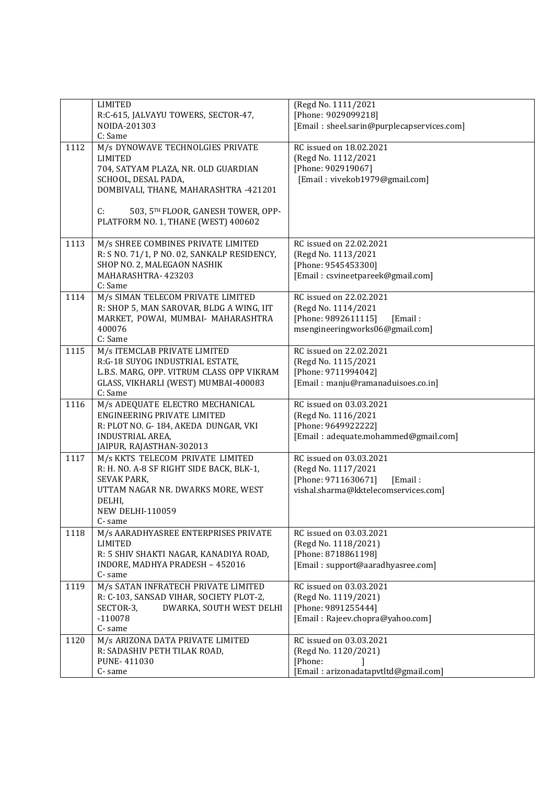|      | <b>LIMITED</b><br>R:C-615, JALVAYU TOWERS, SECTOR-47,                             | (Regd No. 1111/2021<br>[Phone: 9029099218]     |
|------|-----------------------------------------------------------------------------------|------------------------------------------------|
|      | NOIDA-201303                                                                      | [Email: sheel.sarin@purplecapservices.com]     |
|      | C: Same                                                                           |                                                |
| 1112 | M/s DYNOWAVE TECHNOLGIES PRIVATE                                                  | RC issued on 18.02.2021                        |
|      | LIMITED                                                                           | (Regd No. 1112/2021                            |
|      | 704, SATYAM PLAZA, NR. OLD GUARDIAN                                               | [Phone: 902919067]                             |
|      | SCHOOL, DESAL PADA,                                                               | [Email: vivekob1979@gmail.com]                 |
|      | DOMBIVALI, THANE, MAHARASHTRA -421201                                             |                                                |
|      |                                                                                   |                                                |
|      | 503, 5TH FLOOR, GANESH TOWER, OPP-<br>C:                                          |                                                |
|      | PLATFORM NO. 1, THANE (WEST) 400602                                               |                                                |
|      |                                                                                   |                                                |
| 1113 | M/s SHREE COMBINES PRIVATE LIMITED<br>R: S NO. 71/1, P NO. 02, SANKALP RESIDENCY, | RC issued on 22.02.2021<br>(Regd No. 1113/2021 |
|      | SHOP NO. 2, MALEGAON NASHIK                                                       | [Phone: 9545453300]                            |
|      | MAHARASHTRA-423203                                                                | [Email: csvineetpareek@gmail.com]              |
|      | C: Same                                                                           |                                                |
| 1114 | M/s SIMAN TELECOM PRIVATE LIMITED                                                 | RC issued on 22.02.2021                        |
|      | R: SHOP 5, MAN SAROVAR, BLDG A WING, IIT                                          | (Regd No. 1114/2021                            |
|      | MARKET, POWAI, MUMBAI- MAHARASHTRA                                                | [Phone: 9892611115]<br>[Email:                 |
|      | 400076                                                                            | msengineeringworks06@gmail.com]                |
|      | C: Same                                                                           |                                                |
| 1115 | M/s ITEMCLAB PRIVATE LIMITED                                                      | RC issued on 22.02.2021                        |
|      | R:G-18 SUYOG INDUSTRIAL ESTATE,                                                   | (Regd No. 1115/2021                            |
|      | L.B.S. MARG, OPP. VITRUM CLASS OPP VIKRAM                                         | [Phone: 9711994042]                            |
|      | GLASS, VIKHARLI (WEST) MUMBAI-400083<br>C: Same                                   | [Email: manju@ramanaduisoes.co.in]             |
| 1116 | M/s ADEQUATE ELECTRO MECHANICAL                                                   | RC issued on 03.03.2021                        |
|      | ENGINEERING PRIVATE LIMITED                                                       | (Regd No. 1116/2021                            |
|      | R: PLOT NO. G- 184, AKEDA DUNGAR, VKI                                             | [Phone: 9649922222]                            |
|      | <b>INDUSTRIAL AREA,</b>                                                           | [Email: adequate.mohammed@gmail.com]           |
|      | JAIPUR, RAJASTHAN-302013                                                          |                                                |
| 1117 | M/s KKTS TELECOM PRIVATE LIMITED                                                  | RC issued on 03.03.2021                        |
|      | R: H. NO. A-8 SF RIGHT SIDE BACK, BLK-1,                                          | (Regd No. 1117/2021                            |
|      | SEVAK PARK,                                                                       | [Phone: 9711630671]<br>[Email:                 |
|      | UTTAM NAGAR NR. DWARKS MORE, WEST                                                 | vishal.sharma@kktelecomservices.com]           |
|      | DELHI,                                                                            |                                                |
|      | <b>NEW DELHI-110059</b><br>C-same                                                 |                                                |
| 1118 | M/s AARADHYASREE ENTERPRISES PRIVATE                                              | RC issued on 03.03.2021                        |
|      | LIMITED                                                                           | (Regd No. 1118/2021)                           |
|      | R: 5 SHIV SHAKTI NAGAR, KANADIYA ROAD,                                            | [Phone: 8718861198]                            |
|      | INDORE, MADHYA PRADESH - 452016                                                   | [Email: support@aaradhyasree.com]              |
|      | C-same                                                                            |                                                |
| 1119 | M/s SATAN INFRATECH PRIVATE LIMITED                                               | RC issued on 03.03.2021                        |
|      | R: C-103, SANSAD VIHAR, SOCIETY PLOT-2,                                           | (Regd No. 1119/2021)                           |
|      | DWARKA, SOUTH WEST DELHI<br>SECTOR-3,                                             | [Phone: 9891255444]                            |
|      | $-110078$                                                                         | [Email: Rajeev.chopra@yahoo.com]               |
|      | C-same                                                                            |                                                |
| 1120 | M/s ARIZONA DATA PRIVATE LIMITED                                                  | RC issued on 03.03.2021                        |
|      | R: SADASHIV PETH TILAK ROAD,<br>PUNE-411030                                       | (Regd No. 1120/2021)<br>[Phone:                |
|      | C-same                                                                            | [Email: arizonadatapvtltd@gmail.com]           |
|      |                                                                                   |                                                |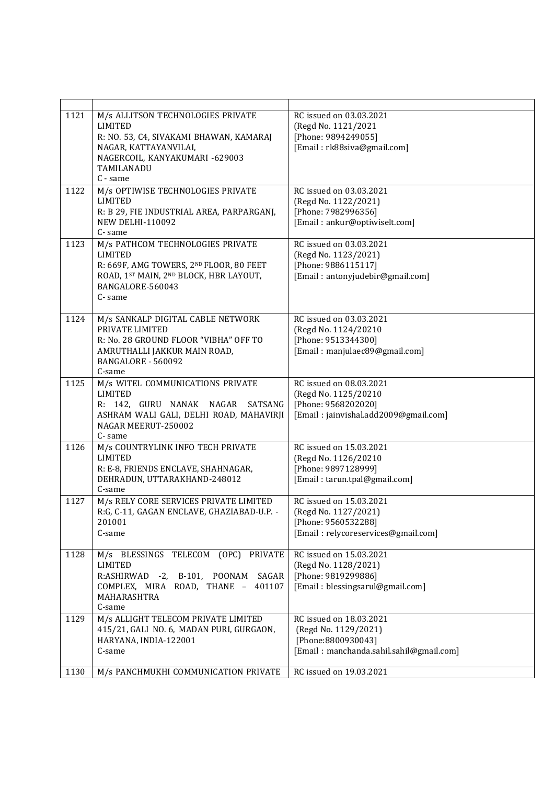| 1121 | M/s ALLITSON TECHNOLOGIES PRIVATE<br><b>LIMITED</b><br>R: NO. 53, C4, SIVAKAMI BHAWAN, KAMARAJ<br>NAGAR, KATTAYANVILAI,<br>NAGERCOIL, KANYAKUMARI -629003<br><b>TAMILANADU</b><br>C - same | RC issued on 03.03.2021<br>(Regd No. 1121/2021<br>[Phone: 9894249055]<br>[Email: rk88siva@gmail.com]              |
|------|--------------------------------------------------------------------------------------------------------------------------------------------------------------------------------------------|-------------------------------------------------------------------------------------------------------------------|
| 1122 | M/s OPTIWISE TECHNOLOGIES PRIVATE<br><b>LIMITED</b><br>R: B 29, FIE INDUSTRIAL AREA, PARPARGANJ,<br><b>NEW DELHI-110092</b><br>C-same                                                      | RC issued on 03.03.2021<br>(Regd No. 1122/2021)<br>[Phone: 7982996356]<br>[Email: ankur@optiwiselt.com]           |
| 1123 | M/s PATHCOM TECHNOLOGIES PRIVATE<br><b>LIMITED</b><br>R: 669F, AMG TOWERS, 2ND FLOOR, 80 FEET<br>ROAD, 1ST MAIN, 2ND BLOCK, HBR LAYOUT,<br>BANGALORE-560043<br>C-same                      | RC issued on 03.03.2021<br>(Regd No. 1123/2021)<br>[Phone: 9886115117]<br>[Email: antonyjudebir@gmail.com]        |
| 1124 | M/s SANKALP DIGITAL CABLE NETWORK<br>PRIVATE LIMITED<br>R: No. 28 GROUND FLOOR "VIBHA" OFF TO<br>AMRUTHALLI JAKKUR MAIN ROAD,<br>BANGALORE - 560092<br>C-same                              | RC issued on 03.03.2021<br>(Regd No. 1124/20210<br>[Phone: 9513344300]<br>[Email: manjulaec89@gmail.com]          |
| 1125 | M/s WITEL COMMUNICATIONS PRIVATE<br><b>LIMITED</b><br>R: 142, GURU NANAK NAGAR<br>SATSANG<br>ASHRAM WALI GALI, DELHI ROAD, MAHAVIRJI<br>NAGAR MEERUT-250002<br>C-same                      | RC issued on 08.03.2021<br>(Regd No. 1125/20210<br>[Phone: 9568202020]<br>[Email: jainvishal.add2009@gmail.com]   |
| 1126 | M/s COUNTRYLINK INFO TECH PRIVATE<br><b>LIMITED</b><br>R: E-8, FRIENDS ENCLAVE, SHAHNAGAR,<br>DEHRADUN, UTTARAKHAND-248012<br>C-same                                                       | RC issued on 15.03.2021<br>(Regd No. 1126/20210<br>[Phone: 9897128999]<br>[Email: tarun.tpal@gmail.com]           |
| 1127 | M/s RELY CORE SERVICES PRIVATE LIMITED<br>R:G, C-11, GAGAN ENCLAVE, GHAZIABAD-U.P. -<br>201001<br>C-same                                                                                   | RC issued on 15.03.2021<br>(Regd No. 1127/2021)<br>[Phone: 9560532288]<br>[Email: relycoreservices@gmail.com]     |
| 1128 | M/s BLESSINGS TELECOM (OPC) PRIVATE<br><b>LIMITED</b><br>R:ASHIRWAD -2, B-101, POONAM<br>SAGAR<br>COMPLEX, MIRA ROAD, THANE -<br>401107<br>MAHARASHTRA<br>C-same                           | RC issued on 15.03.2021<br>(Regd No. 1128/2021)<br>[Phone: 9819299886]<br>[Email: blessingsarul@gmail.com]        |
| 1129 | M/s ALLIGHT TELECOM PRIVATE LIMITED<br>415/21, GALI NO. 6, MADAN PURI, GURGAON,<br>HARYANA, INDIA-122001<br>C-same                                                                         | RC issued on 18.03.2021<br>(Regd No. 1129/2021)<br>[Phone:8800930043]<br>[Email: manchanda.sahil.sahil@gmail.com] |
| 1130 | M/s PANCHMUKHI COMMUNICATION PRIVATE                                                                                                                                                       | RC issued on 19.03.2021                                                                                           |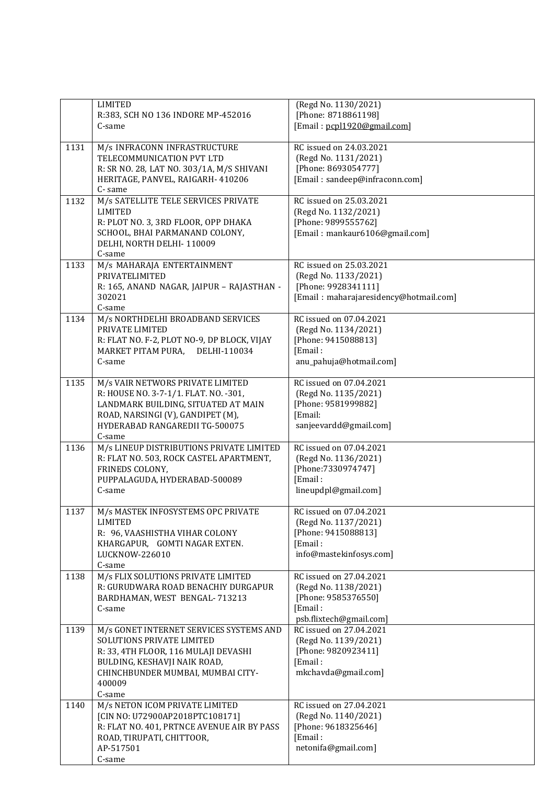|      | <b>LIMITED</b><br>R:383, SCH NO 136 INDORE MP-452016<br>C-same                                                                                                                                        | (Regd No. 1130/2021)<br>[Phone: 8718861198]<br>[Email: pcpl1920@gmail.com]                                       |
|------|-------------------------------------------------------------------------------------------------------------------------------------------------------------------------------------------------------|------------------------------------------------------------------------------------------------------------------|
| 1131 | M/s INFRACONN INFRASTRUCTURE<br>TELECOMMUNICATION PVT LTD<br>R: SR NO. 28, LAT NO. 303/1A, M/S SHIVANI<br>HERITAGE, PANVEL, RAIGARH- 410206<br>C-same                                                 | RC issued on 24.03.2021<br>(Regd No. 1131/2021)<br>[Phone: 8693054777]<br>[Email: sandeep@infraconn.com]         |
| 1132 | M/s SATELLITE TELE SERVICES PRIVATE<br><b>LIMITED</b><br>R: PLOT NO. 3, 3RD FLOOR, OPP DHAKA<br>SCHOOL, BHAI PARMANAND COLONY,<br>DELHI, NORTH DELHI-110009<br>C-same                                 | RC issued on 25.03.2021<br>(Regd No. 1132/2021)<br>[Phone: 9899555762]<br>[Email: mankaur6106@gmail.com]         |
| 1133 | M/s MAHARAJA ENTERTAINMENT<br>PRIVATELIMITED<br>R: 165, ANAND NAGAR, JAIPUR - RAJASTHAN -<br>302021<br>C-same                                                                                         | RC issued on 25.03.2021<br>(Regd No. 1133/2021)<br>[Phone: 9928341111]<br>[Email: maharajaresidency@hotmail.com] |
| 1134 | M/s NORTHDELHI BROADBAND SERVICES<br>PRIVATE LIMITED<br>R: FLAT NO. F-2, PLOT NO-9, DP BLOCK, VIJAY<br>MARKET PITAM PURA,<br>DELHI-110034<br>C-same                                                   | RC issued on 07.04.2021<br>(Regd No. 1134/2021)<br>[Phone: 9415088813]<br>[Email:<br>anu_pahuja@hotmail.com]     |
| 1135 | M/s VAIR NETWORS PRIVATE LIMITED<br>R: HOUSE NO. 3-7-1/1. FLAT. NO. -301,<br>LANDMARK BUILDING, SITUATED AT MAIN<br>ROAD, NARSINGI (V), GANDIPET (M),<br>HYDERABAD RANGAREDII TG-500075<br>C-same     | RC issued on 07.04.2021<br>(Regd No. 1135/2021)<br>[Phone: 9581999882]<br>[Email:<br>sanjeevardd@gmail.com]      |
| 1136 | M/s LINEUP DISTRIBUTIONS PRIVATE LIMITED<br>R: FLAT NO. 503, ROCK CASTEL APARTMENT,<br>FRINEDS COLONY,<br>PUPPALAGUDA, HYDERABAD-500089<br>C-same                                                     | RC issued on 07.04.2021<br>(Regd No. 1136/2021)<br>[Phone:7330974747]<br>[Email:<br>lineupdpl@gmail.com]         |
| 1137 | M/s MASTEK INFOSYSTEMS OPC PRIVATE<br><b>LIMITED</b><br>R: 96, VAASHISTHA VIHAR COLONY<br>KHARGAPUR, GOMTI NAGAR EXTEN.<br>LUCKNOW-226010<br>C-same                                                   | RC issued on 07.04.2021<br>(Regd No. 1137/2021)<br>[Phone: 9415088813]<br>[Email:<br>info@mastekinfosys.com]     |
| 1138 | M/s FLIX SOLUTIONS PRIVATE LIMITED<br>R: GURUDWARA ROAD BENACHIY DURGAPUR<br>BARDHAMAN, WEST BENGAL-713213<br>C-same                                                                                  | RC issued on 27.04.2021<br>(Regd No. 1138/2021)<br>[Phone: 9585376550]<br>[Email:<br>psb.flixtech@gmail.com]     |
| 1139 | M/s GONET INTERNET SERVICES SYSTEMS AND<br>SOLUTIONS PRIVATE LIMITED<br>R: 33, 4TH FLOOR, 116 MULAJI DEVASHI<br>BULDING, KESHAVJI NAIK ROAD,<br>CHINCHBUNDER MUMBAI, MUMBAI CITY-<br>400009<br>C-same | RC issued on 27.04.2021<br>(Regd No. 1139/2021)<br>[Phone: 9820923411]<br>[Email:<br>mkchavda@gmail.com]         |
| 1140 | M/s NETON ICOM PRIVATE LIMITED<br>[CIN NO: U72900AP2018PTC108171]<br>R: FLAT NO. 401, PRTNCE AVENUE AIR BY PASS<br>ROAD, TIRUPATI, CHITTOOR,<br>AP-517501<br>C-same                                   | RC issued on 27.04.2021<br>(Regd No. 1140/2021)<br>[Phone: 9618325646]<br>[Email:<br>netonifa@gmail.com]         |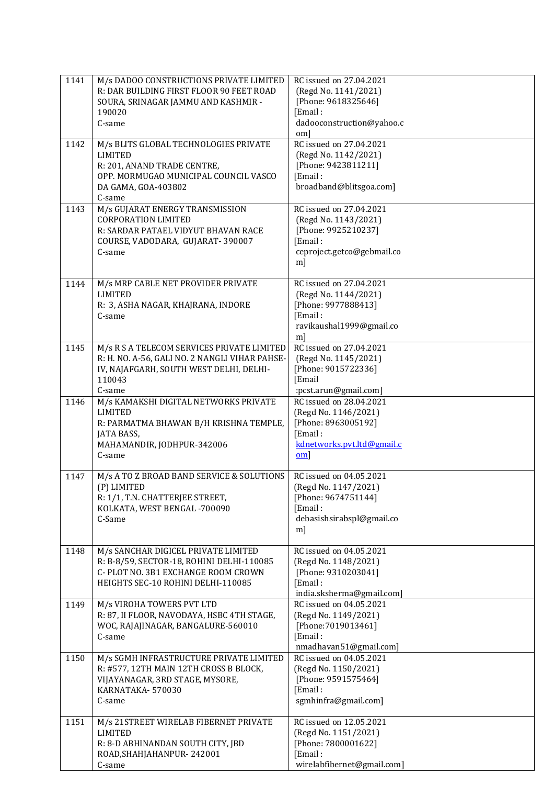| 1141 | M/s DADOO CONSTRUCTIONS PRIVATE LIMITED                                         | RC issued on 27.04.2021                     |
|------|---------------------------------------------------------------------------------|---------------------------------------------|
|      | R: DAR BUILDING FIRST FLOOR 90 FEET ROAD                                        | (Regd No. 1141/2021)                        |
|      | SOURA, SRINAGAR JAMMU AND KASHMIR -                                             | [Phone: 9618325646]                         |
|      | 190020                                                                          | [Email:                                     |
|      | C-same                                                                          | dadooconstruction@yahoo.c                   |
|      |                                                                                 | om]                                         |
| 1142 | M/s BLITS GLOBAL TECHNOLOGIES PRIVATE                                           | RC issued on 27.04.2021                     |
|      | <b>LIMITED</b>                                                                  | (Regd No. 1142/2021)                        |
|      | R: 201, ANAND TRADE CENTRE,                                                     | [Phone: 9423811211]                         |
|      | OPP. MORMUGAO MUNICIPAL COUNCIL VASCO                                           | [Email:<br>broadband@blitsgoa.com]          |
|      | DA GAMA, GOA-403802<br>C-same                                                   |                                             |
| 1143 | M/s GUJARAT ENERGY TRANSMISSION                                                 | RC issued on 27.04.2021                     |
|      | <b>CORPORATION LIMITED</b>                                                      | (Regd No. 1143/2021)                        |
|      | R: SARDAR PATAEL VIDYUT BHAVAN RACE                                             | [Phone: 9925210237]                         |
|      | COURSE, VADODARA, GUJARAT-390007                                                | [Email:                                     |
|      | C-same                                                                          | ceproject.getco@gebmail.co                  |
|      |                                                                                 | $m$ ]                                       |
|      |                                                                                 |                                             |
| 1144 | M/s MRP CABLE NET PROVIDER PRIVATE                                              | RC issued on 27.04.2021                     |
|      | <b>LIMITED</b>                                                                  | (Regd No. 1144/2021)                        |
|      | R: 3, ASHA NAGAR, KHAJRANA, INDORE                                              | [Phone: 9977888413]                         |
|      | C-same                                                                          | [Email:                                     |
|      |                                                                                 | ravikaushal1999@gmail.co                    |
| 1145 | M/s R S A TELECOM SERVICES PRIVATE LIMITED                                      | m<br>RC issued on 27.04.2021                |
|      | R: H. NO. A-56, GALI NO. 2 NANGLI VIHAR PAHSE-                                  | (Regd No. 1145/2021)                        |
|      | IV, NAJAFGARH, SOUTH WEST DELHI, DELHI-                                         | [Phone: 9015722336]                         |
|      | 110043                                                                          | [Email                                      |
|      | C-same                                                                          | :pcst.arun@gmail.com]                       |
| 1146 | M/s KAMAKSHI DIGITAL NETWORKS PRIVATE                                           | RC issued on 28.04.2021                     |
|      | <b>LIMITED</b>                                                                  | (Regd No. 1146/2021)                        |
|      | R: PARMATMA BHAWAN B/H KRISHNA TEMPLE,                                          | [Phone: 8963005192]                         |
|      | JATA BASS,                                                                      | [Email:                                     |
|      | MAHAMANDIR, JODHPUR-342006                                                      | kdnetworks.pvt.ltd@gmail.c                  |
|      | C-same                                                                          | $om$                                        |
| 1147 | M/s A TO Z BROAD BAND SERVICE & SOLUTIONS                                       | RC issued on 04.05.2021                     |
|      | (P) LIMITED                                                                     | (Regd No. 1147/2021)                        |
|      | R: 1/1, T.N. CHATTERJEE STREET,                                                 | [Phone: 9674751144]                         |
|      | KOLKATA, WEST BENGAL -700090                                                    | [Email:                                     |
|      | C-Same                                                                          | debasishsirabspl@gmail.co                   |
|      |                                                                                 | $m$ ]                                       |
|      |                                                                                 |                                             |
| 1148 | M/s SANCHAR DIGICEL PRIVATE LIMITED                                             | RC issued on 04.05.2021                     |
|      | R: B-8/59, SECTOR-18, ROHINI DELHI-110085<br>C-PLOT NO. 3B1 EXCHANGE ROOM CROWN | (Regd No. 1148/2021)<br>[Phone: 9310203041] |
|      | HEIGHTS SEC-10 ROHINI DELHI-110085                                              | [Email:                                     |
|      |                                                                                 | india.sksherma@gmail.com]                   |
| 1149 | M/s VIROHA TOWERS PVT LTD                                                       | RC issued on 04.05.2021                     |
|      | R: 87, II FLOOR, NAVODAYA, HSBC 4TH STAGE,                                      | (Regd No. 1149/2021)                        |
|      | WOC, RAJAJINAGAR, BANGALURE-560010                                              | [Phone:7019013461]                          |
|      | C-same                                                                          | [Email:                                     |
|      |                                                                                 | nmadhavan51@gmail.com]                      |
| 1150 | M/s SGMH INFRASTRUCTURE PRIVATE LIMITED                                         | RC issued on 04.05.2021                     |
|      | R: #577, 12TH MAIN 12TH CROSS B BLOCK,                                          | (Regd No. 1150/2021)                        |
|      | VIJAYANAGAR, 3RD STAGE, MYSORE,                                                 | [Phone: 9591575464]                         |
|      | KARNATAKA-570030                                                                | [Email:                                     |
|      | C-same                                                                          | sgmhinfra@gmail.com]                        |
| 1151 | M/s 21STREET WIRELAB FIBERNET PRIVATE                                           | RC issued on 12.05.2021                     |
|      | <b>LIMITED</b>                                                                  | (Regd No. 1151/2021)                        |
|      | R: 8-D ABHINANDAN SOUTH CITY, JBD                                               | [Phone: 7800001622]                         |
|      | ROAD, SHAHJAHANPUR-242001                                                       | [Email:                                     |
|      | C-same                                                                          | wirelabfibernet@gmail.com]                  |